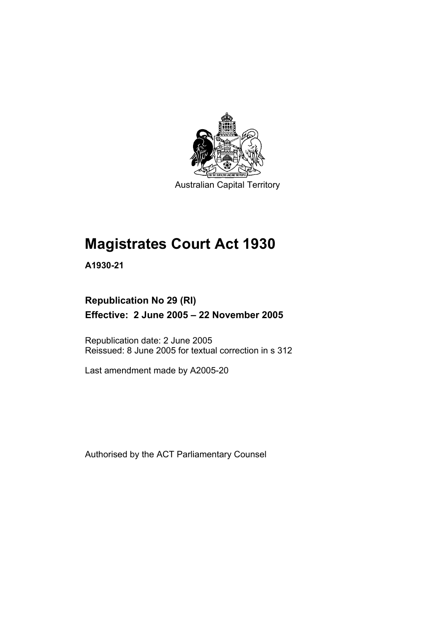

Australian Capital Territory

# **Magistrates Court Act 1930**

**A1930-21** 

### **Republication No 29 (RI) Effective: 2 June 2005 – 22 November 2005**

Republication date: 2 June 2005 Reissued: 8 June 2005 for textual correction in s 312

Last amendment made by A2005-20

Authorised by the ACT Parliamentary Counsel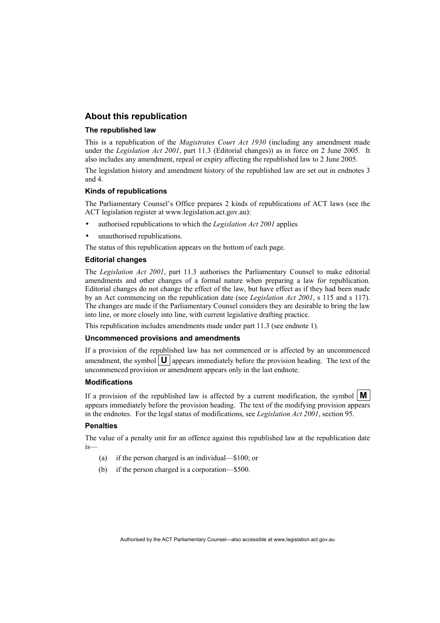#### **About this republication**

#### **The republished law**

This is a republication of the *Magistrates Court Act 1930* (including any amendment made under the *Legislation Act 2001*, part 11.3 (Editorial changes)) as in force on 2 June 2005*.* It also includes any amendment, repeal or expiry affecting the republished law to 2 June 2005.

The legislation history and amendment history of the republished law are set out in endnotes 3 and 4.

#### **Kinds of republications**

The Parliamentary Counsel's Office prepares 2 kinds of republications of ACT laws (see the ACT legislation register at www.legislation.act.gov.au):

- authorised republications to which the *Legislation Act 2001* applies
- unauthorised republications.

The status of this republication appears on the bottom of each page.

#### **Editorial changes**

The *Legislation Act 2001*, part 11.3 authorises the Parliamentary Counsel to make editorial amendments and other changes of a formal nature when preparing a law for republication. Editorial changes do not change the effect of the law, but have effect as if they had been made by an Act commencing on the republication date (see *Legislation Act 2001*, s 115 and s 117). The changes are made if the Parliamentary Counsel considers they are desirable to bring the law into line, or more closely into line, with current legislative drafting practice.

This republication includes amendments made under part 11.3 (see endnote 1).

#### **Uncommenced provisions and amendments**

If a provision of the republished law has not commenced or is affected by an uncommenced amendment, the symbol  $\mathbf{U}$  appears immediately before the provision heading. The text of the uncommenced provision or amendment appears only in the last endnote.

#### **Modifications**

If a provision of the republished law is affected by a current modification, the symbol  $\mathbf{M}$ appears immediately before the provision heading. The text of the modifying provision appears in the endnotes. For the legal status of modifications, see *Legislation Act 2001*, section 95.

#### **Penalties**

The value of a penalty unit for an offence against this republished law at the republication date is—

- (a) if the person charged is an individual—\$100; or
- (b) if the person charged is a corporation—\$500.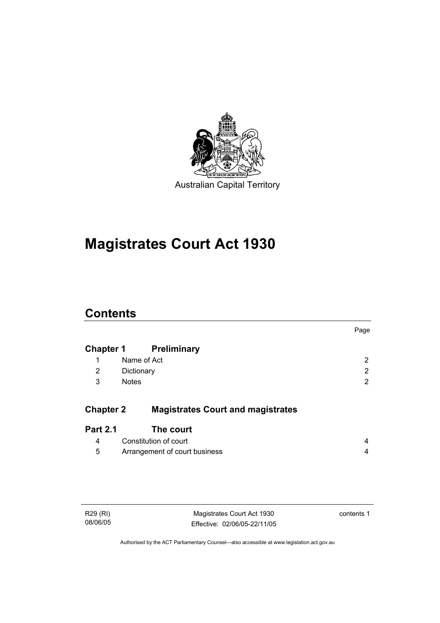

# **Magistrates Court Act 1930**

### **Contents**

|                  |                                          | Page |
|------------------|------------------------------------------|------|
| <b>Chapter 1</b> | <b>Preliminary</b>                       |      |
| 1                | Name of Act                              | 2    |
| 2                | Dictionary                               | 2    |
| 3                | <b>Notes</b>                             | 2    |
| <b>Chapter 2</b> | <b>Magistrates Court and magistrates</b> |      |
| <b>Part 2.1</b>  | The court                                |      |
| 4                | Constitution of court                    | 4    |
| 5                | Arrangement of court business            | 4    |
|                  |                                          |      |

Magistrates Court Act 1930 Effective: 02/06/05-22/11/05 contents 1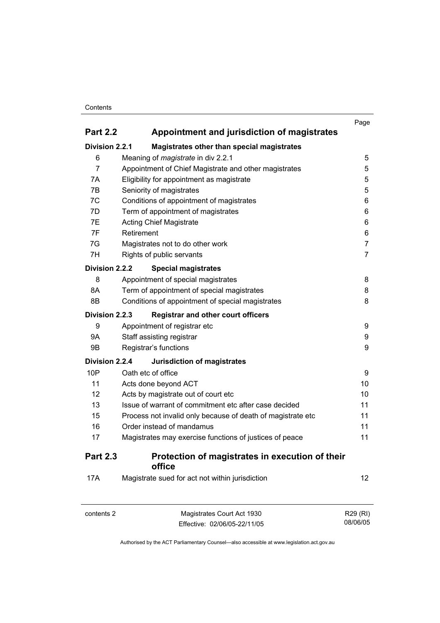#### **Contents**

|                       |                           |                                                             | Page              |
|-----------------------|---------------------------|-------------------------------------------------------------|-------------------|
| <b>Part 2.2</b>       |                           | Appointment and jurisdiction of magistrates                 |                   |
| <b>Division 2.2.1</b> |                           | Magistrates other than special magistrates                  |                   |
| 6                     |                           | Meaning of <i>magistrate</i> in div 2.2.1                   | 5                 |
| $\overline{7}$        |                           | Appointment of Chief Magistrate and other magistrates       | 5                 |
| 7A                    |                           | Eligibility for appointment as magistrate                   | 5                 |
| 7B                    |                           | Seniority of magistrates                                    | 5                 |
| 7C                    |                           | Conditions of appointment of magistrates                    | 6                 |
| 7D                    |                           | Term of appointment of magistrates                          | 6                 |
| 7E                    |                           | <b>Acting Chief Magistrate</b>                              | 6                 |
| 7F                    | Retirement                |                                                             | 6                 |
| 7G                    |                           | Magistrates not to do other work                            | $\overline{7}$    |
| 7H                    |                           | Rights of public servants                                   | $\overline{7}$    |
| Division 2.2.2        |                           | <b>Special magistrates</b>                                  |                   |
| 8                     |                           | Appointment of special magistrates                          | 8                 |
| 8A                    |                           | Term of appointment of special magistrates                  | 8                 |
| 8B                    |                           | Conditions of appointment of special magistrates            | 8                 |
| <b>Division 2.2.3</b> |                           | <b>Registrar and other court officers</b>                   |                   |
| 9                     |                           | Appointment of registrar etc                                | 9                 |
| 9Α                    | Staff assisting registrar |                                                             | 9                 |
| <b>9B</b>             |                           | Registrar's functions                                       | 9                 |
| Division 2.2.4        |                           | <b>Jurisdiction of magistrates</b>                          |                   |
| 10P                   | Oath etc of office        |                                                             | 9                 |
| 11                    |                           | Acts done beyond ACT                                        | 10                |
| 12                    |                           | Acts by magistrate out of court etc                         | 10                |
| 13                    |                           | Issue of warrant of commitment etc after case decided       | 11                |
| 15                    |                           | Process not invalid only because of death of magistrate etc | 11                |
| 16                    |                           | Order instead of mandamus                                   | 11                |
| 17                    |                           | Magistrates may exercise functions of justices of peace     | 11                |
| <b>Part 2.3</b>       |                           | Protection of magistrates in execution of their<br>office   |                   |
| <b>17A</b>            |                           | Magistrate sued for act not within jurisdiction             | $12 \overline{ }$ |

| contents 2 | Magistrates Court Act 1930   | R29 (RI) |
|------------|------------------------------|----------|
|            | Effective: 02/06/05-22/11/05 | 08/06/05 |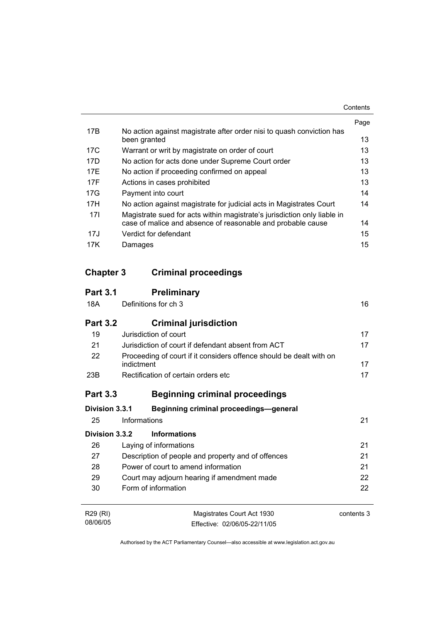|     |                                                                                       | Page |
|-----|---------------------------------------------------------------------------------------|------|
| 17B | No action against magistrate after order nisi to quash conviction has<br>been granted | 13   |
| 17C | Warrant or writ by magistrate on order of court                                       | 13   |
| 17D | No action for acts done under Supreme Court order                                     | 13   |
| 17F | No action if proceeding confirmed on appeal                                           | 13   |
| 17F | Actions in cases prohibited                                                           | 13   |
| 17G | Payment into court                                                                    | 14   |
| 17H | No action against magistrate for judicial acts in Magistrates Court                   | 14   |
| 17I | Magistrate sued for acts within magistrate's jurisdiction only liable in              |      |
|     | case of malice and absence of reasonable and probable cause                           | 14   |
| 17J | Verdict for defendant                                                                 | 15   |
| 17K | Damages                                                                               | 15   |

### **Chapter 3 Criminal proceedings**

| <b>Part 3.1</b> | <b>Preliminary</b>                                                                |            |
|-----------------|-----------------------------------------------------------------------------------|------------|
| 18A             | Definitions for ch 3                                                              | 16         |
| <b>Part 3.2</b> | <b>Criminal jurisdiction</b>                                                      |            |
| 19              | Jurisdiction of court                                                             | 17         |
| 21              | Jurisdiction of court if defendant absent from ACT                                | 17         |
| 22              | Proceeding of court if it considers offence should be dealt with on<br>indictment | 17         |
| 23B             | Rectification of certain orders etc                                               | 17         |
| <b>Part 3.3</b> | <b>Beginning criminal proceedings</b>                                             |            |
| Division 3.3.1  | <b>Beginning criminal proceedings-general</b>                                     |            |
| 25              | Informations                                                                      | 21         |
| Division 3.3.2  | <b>Informations</b>                                                               |            |
| 26              | Laying of informations                                                            | 21         |
| 27              | Description of people and property and of offences                                | 21         |
| 28              | Power of court to amend information                                               | 21         |
| 29              | Court may adjourn hearing if amendment made                                       | 22         |
| 30              | Form of information                                                               | 22         |
| R29 (RI)        | Magistrates Court Act 1930                                                        | contents 3 |
| 08/06/05        | Effective: 02/06/05-22/11/05                                                      |            |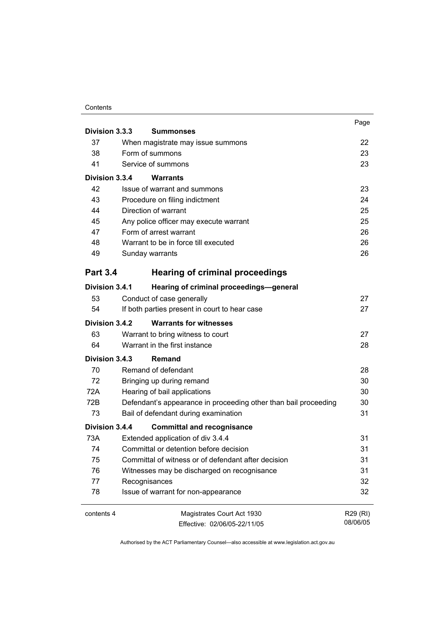#### **Contents**

|                 |                                                                 | Page     |
|-----------------|-----------------------------------------------------------------|----------|
| Division 3.3.3  | <b>Summonses</b>                                                |          |
| 37              | When magistrate may issue summons                               | 22       |
| 38              | Form of summons                                                 |          |
| 41              | Service of summons                                              | 23       |
| Division 3.3.4  | <b>Warrants</b>                                                 |          |
| 42              | Issue of warrant and summons                                    | 23       |
| 43              | Procedure on filing indictment                                  | 24       |
| 44              | Direction of warrant                                            | 25       |
| 45              | Any police officer may execute warrant                          | 25       |
| 47              | Form of arrest warrant                                          | 26       |
| 48              | Warrant to be in force till executed                            | 26       |
| 49              | Sunday warrants                                                 | 26       |
| <b>Part 3.4</b> | <b>Hearing of criminal proceedings</b>                          |          |
| Division 3.4.1  | Hearing of criminal proceedings-general                         |          |
| 53              | Conduct of case generally                                       | 27       |
| 54              | If both parties present in court to hear case                   | 27       |
| Division 3.4.2  | <b>Warrants for witnesses</b>                                   |          |
| 63              | Warrant to bring witness to court                               | 27       |
| 64              | Warrant in the first instance                                   | 28       |
| Division 3.4.3  | <b>Remand</b>                                                   |          |
| 70              | Remand of defendant                                             | 28       |
| 72              | Bringing up during remand                                       | 30       |
| 72A             | Hearing of bail applications                                    | 30       |
| 72B             | Defendant's appearance in proceeding other than bail proceeding | 30       |
| 73              | Bail of defendant during examination                            | 31       |
| Division 3.4.4  | <b>Committal and recognisance</b>                               |          |
| 73A             | Extended application of div 3.4.4                               | 31       |
| 74              | Committal or detention before decision                          | 31       |
| 75              | Committal of witness or of defendant after decision             | 31       |
| 76              | Witnesses may be discharged on recognisance                     | 31       |
| 77              | Recognisances                                                   | 32       |
| 78              | Issue of warrant for non-appearance                             | 32       |
| contents 4      | Magistrates Court Act 1930                                      | R29 (RI) |
|                 | Effective: 02/06/05-22/11/05                                    | 08/06/05 |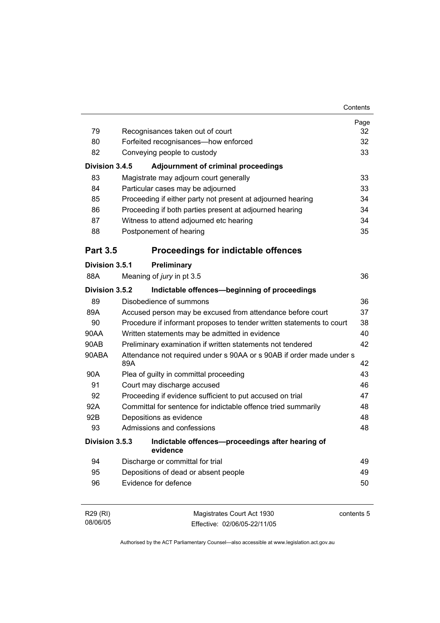|                 |     |                                                                       | Contents |
|-----------------|-----|-----------------------------------------------------------------------|----------|
|                 |     |                                                                       | Page     |
| 79              |     | Recognisances taken out of court                                      | 32       |
| 80              |     | Forfeited recognisances-how enforced                                  | 32       |
| 82              |     | Conveying people to custody                                           | 33       |
| Division 3.4.5  |     | <b>Adjournment of criminal proceedings</b>                            |          |
| 83              |     | Magistrate may adjourn court generally                                | 33       |
| 84              |     | Particular cases may be adjourned                                     | 33       |
| 85              |     | Proceeding if either party not present at adjourned hearing           | 34       |
| 86              |     | Proceeding if both parties present at adjourned hearing               | 34       |
| 87              |     | Witness to attend adjourned etc hearing                               | 34       |
| 88              |     | Postponement of hearing                                               | 35       |
| <b>Part 3.5</b> |     | <b>Proceedings for indictable offences</b>                            |          |
| Division 3.5.1  |     | Preliminary                                                           |          |
| 88A             |     | Meaning of jury in pt 3.5                                             | 36       |
| Division 3.5.2  |     | Indictable offences-beginning of proceedings                          |          |
| 89              |     | Disobedience of summons                                               | 36       |
| 89A             |     | Accused person may be excused from attendance before court            | 37       |
| 90              |     | Procedure if informant proposes to tender written statements to court | 38       |
| 90AA            |     | Written statements may be admitted in evidence                        | 40       |
| 90AB            |     | Preliminary examination if written statements not tendered            | 42       |
| 90ABA           | 89A | Attendance not required under s 90AA or s 90AB if order made under s  | 42       |
| 90A             |     | Plea of guilty in committal proceeding                                | 43       |
| 91              |     | Court may discharge accused                                           | 46       |
| 92              |     | Proceeding if evidence sufficient to put accused on trial             | 47       |
| 92A             |     | Committal for sentence for indictable offence tried summarily         | 48       |
| 92B             |     | Depositions as evidence                                               | 48       |
| 93              |     | Admissions and confessions                                            | 48       |
| Division 3.5.3  |     | Indictable offences-proceedings after hearing of<br>evidence          |          |
| 94              |     | Discharge or committal for trial                                      | 49       |
| 95              |     | Depositions of dead or absent people                                  | 49       |
| 96              |     | Evidence for defence                                                  | 50       |
|                 |     |                                                                       |          |

| R29 (RI) | Magistrates Court Act 1930   | contents 5 |
|----------|------------------------------|------------|
| 08/06/05 | Effective: 02/06/05-22/11/05 |            |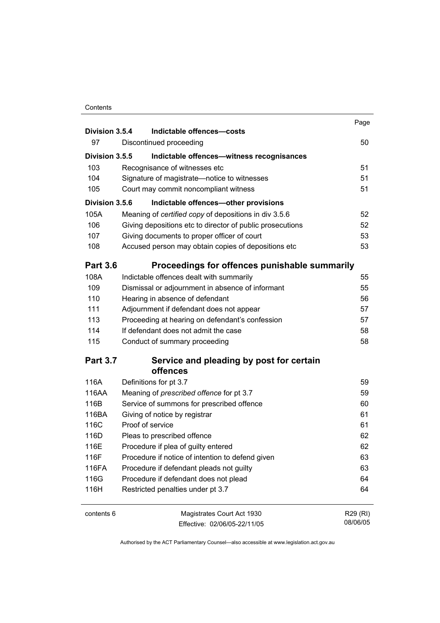#### **Contents**

| Division 3.5.4  | Indictable offences-costs                                 | Page     |
|-----------------|-----------------------------------------------------------|----------|
| 97              | Discontinued proceeding                                   | 50       |
|                 |                                                           |          |
| Division 3.5.5  | Indictable offences-witness recognisances                 |          |
| 103             | Recognisance of witnesses etc                             | 51       |
| 104             | Signature of magistrate-notice to witnesses               | 51       |
| 105             | Court may commit noncompliant witness                     | 51       |
| Division 3.5.6  | Indictable offences-other provisions                      |          |
| 105A            | Meaning of certified copy of depositions in div 3.5.6     | 52       |
| 106             | Giving depositions etc to director of public prosecutions | 52       |
| 107             | Giving documents to proper officer of court               | 53       |
| 108             | Accused person may obtain copies of depositions etc       | 53       |
| <b>Part 3.6</b> | Proceedings for offences punishable summarily             |          |
| 108A            | Indictable offences dealt with summarily                  | 55       |
| 109             | Dismissal or adjournment in absence of informant          | 55       |
| 110             | Hearing in absence of defendant                           | 56       |
| 111             | Adjournment if defendant does not appear                  | 57       |
| 113             | Proceeding at hearing on defendant's confession           | 57       |
| 114             | If defendant does not admit the case                      | 58       |
| 115             | Conduct of summary proceeding                             | 58       |
| <b>Part 3.7</b> | Service and pleading by post for certain<br>offences      |          |
| 116A            | Definitions for pt 3.7                                    | 59       |
| 116AA           | Meaning of prescribed offence for pt 3.7                  | 59       |
| 116B            | Service of summons for prescribed offence                 | 60       |
| 116BA           | Giving of notice by registrar                             | 61       |
| 116C            | Proof of service                                          | 61       |
| 116D            | Pleas to prescribed offence                               | 62       |
| 116E            | Procedure if plea of guilty entered                       | 62       |
| 116F            | Procedure if notice of intention to defend given          | 63       |
| 116FA           | Procedure if defendant pleads not guilty                  | 63       |
| 116G            | Procedure if defendant does not plead                     | 64       |
| 116H            | Restricted penalties under pt 3.7                         | 64       |
| contents 6      | Magistrates Court Act 1930                                | R29 (RI) |

Effective: 02/06/05-22/11/05

08/06/05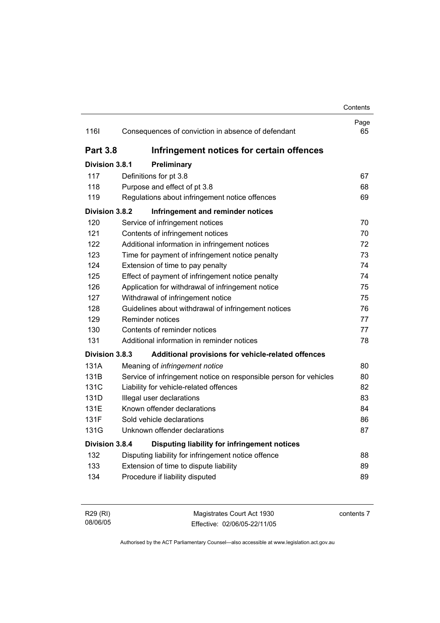### **Contents** Page 116I Consequences of conviction in absence of defendant 65 **Part 3.8 Infringement notices for certain offences Division 3.8.1 Preliminary** 117 Definitions for pt 3.8 67 118 Purpose and effect of pt 3.8 68 119 Regulations about infringement notice offences 69 **Division 3.8.2 Infringement and reminder notices** 120 Service of infringement notices 70 121 Contents of infringement notices 70 122 Additional information in infringement notices 72 123 Time for payment of infringement notice penalty 73 124 Extension of time to pay penalty 124 Extension of time to pay penalty 125 Effect of payment of infringement notice penalty 74 126 Application for withdrawal of infringement notice 75 127 Withdrawal of infringement notice 75 128 Guidelines about withdrawal of infringement notices 76 129 Reminder notices 77 130 Contents of reminder notices 77 131 Additional information in reminder notices 78 **Division 3.8.3 Additional provisions for vehicle-related offences** 131A Meaning of *infringement notice* 80 131B Service of infringement notice on responsible person for vehicles 80 131C Liability for vehicle-related offences 82 131D Illegal user declarations 83 131E Known offender declarations 84 131F Sold vehicle declarations 86 131G Unknown offender declarations 87 **Division 3.8.4 Disputing liability for infringement notices** 132 Disputing liability for infringement notice offence 88 133 Extension of time to dispute liability **89** Extension of time to dispute liability 134 Procedure if liability disputed 89

| R29 (RI) | Magistrates Court Act 1930   | contents 7 |
|----------|------------------------------|------------|
| 08/06/05 | Effective: 02/06/05-22/11/05 |            |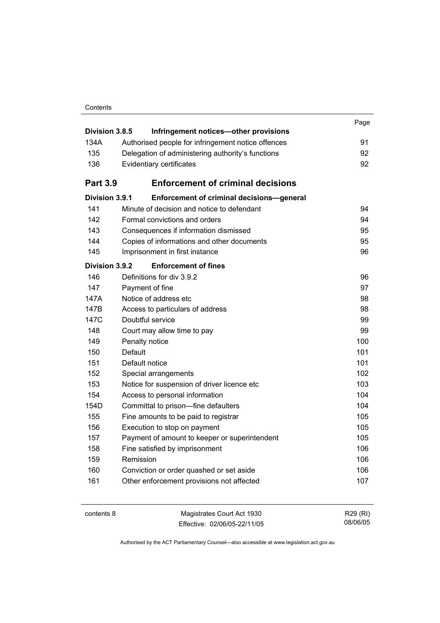| Contents |
|----------|
|----------|

| Division 3.8.5  | Infringement notices-other provisions              | Page |
|-----------------|----------------------------------------------------|------|
| 134A            | Authorised people for infringement notice offences | 91   |
| 135             | Delegation of administering authority's functions  | 92   |
| 136             | Evidentiary certificates                           | 92   |
|                 |                                                    |      |
| <b>Part 3.9</b> | <b>Enforcement of criminal decisions</b>           |      |
| Division 3.9.1  | Enforcement of criminal decisions-general          |      |
| 141             | Minute of decision and notice to defendant         | 94   |
| 142             | Formal convictions and orders                      | 94   |
| 143             | Consequences if information dismissed              | 95   |
| 144             | Copies of informations and other documents         | 95   |
| 145             | Imprisonment in first instance                     | 96   |
| Division 3.9.2  | <b>Enforcement of fines</b>                        |      |
| 146             | Definitions for div 3.9.2                          | 96   |
| 147             | Payment of fine                                    | 97   |
| 147A            | Notice of address etc                              | 98   |
| 147B            | Access to particulars of address                   | 98   |
| 147C            | Doubtful service                                   | 99   |
| 148             | Court may allow time to pay                        | 99   |
| 149             | Penalty notice                                     | 100  |
| 150             | Default                                            | 101  |
| 151             | Default notice                                     | 101  |
| 152             | Special arrangements                               | 102  |
| 153             | Notice for suspension of driver licence etc        | 103  |
| 154             | Access to personal information                     | 104  |
| 154D            | Committal to prison-fine defaulters                | 104  |
| 155             | Fine amounts to be paid to registrar               | 105  |
| 156             | Execution to stop on payment                       | 105  |
| 157             | Payment of amount to keeper or superintendent      | 105  |
| 158             | Fine satisfied by imprisonment                     | 106  |
| 159             | Remission                                          | 106  |
| 160             | Conviction or order quashed or set aside           | 106  |
| 161             | Other enforcement provisions not affected          | 107  |
|                 |                                                    |      |

| contents 8 | Magistrates Court Act 1930   | R29 (RI) |
|------------|------------------------------|----------|
|            | Effective: 02/06/05-22/11/05 | 08/06/05 |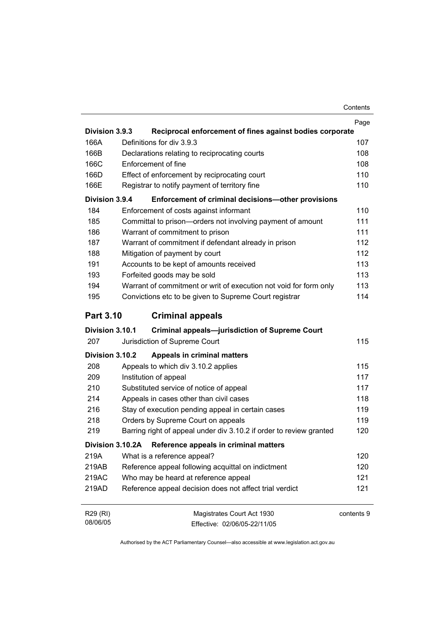|                  |                                                                     | Page       |
|------------------|---------------------------------------------------------------------|------------|
| Division 3.9.3   | Reciprocal enforcement of fines against bodies corporate            |            |
| 166A             | Definitions for div 3.9.3                                           | 107        |
| 166B             | Declarations relating to reciprocating courts                       | 108        |
| 166C             | Enforcement of fine                                                 | 108        |
| 166D             | Effect of enforcement by reciprocating court                        | 110        |
| 166E             | Registrar to notify payment of territory fine                       | 110        |
| Division 3.9.4   | Enforcement of criminal decisions-other provisions                  |            |
| 184              | Enforcement of costs against informant                              | 110        |
| 185              | Committal to prison-orders not involving payment of amount          | 111        |
| 186              | Warrant of commitment to prison                                     | 111        |
| 187              | Warrant of commitment if defendant already in prison                | 112        |
| 188              | Mitigation of payment by court                                      | 112        |
| 191              | Accounts to be kept of amounts received                             | 113        |
| 193              | Forfeited goods may be sold                                         | 113        |
| 194              | Warrant of commitment or writ of execution not void for form only   | 113        |
| 195              | Convictions etc to be given to Supreme Court registrar              | 114        |
| <b>Part 3.10</b> | <b>Criminal appeals</b>                                             |            |
| Division 3.10.1  | <b>Criminal appeals-jurisdiction of Supreme Court</b>               |            |
| 207              | Jurisdiction of Supreme Court                                       | 115        |
| Division 3.10.2  | <b>Appeals in criminal matters</b>                                  |            |
| 208              | Appeals to which div 3.10.2 applies                                 | 115        |
| 209              | Institution of appeal                                               | 117        |
| 210              | Substituted service of notice of appeal                             | 117        |
| 214              | Appeals in cases other than civil cases                             | 118        |
| 216              | Stay of execution pending appeal in certain cases                   | 119        |
| 218              | Orders by Supreme Court on appeals                                  | 119        |
| 219              | Barring right of appeal under div 3.10.2 if order to review granted | 120        |
| Division 3.10.2A | Reference appeals in criminal matters                               |            |
| 219A             | What is a reference appeal?                                         | 120        |
| 219AB            | Reference appeal following acquittal on indictment                  | 120        |
| 219AC            | Who may be heard at reference appeal                                | 121        |
| 219AD            | Reference appeal decision does not affect trial verdict             | 121        |
| R29 (RI)         | Magistrates Court Act 1930                                          | contents 9 |

Authorised by the ACT Parliamentary Counsel—also accessible at www.legislation.act.gov.au

Effective: 02/06/05-22/11/05

08/06/05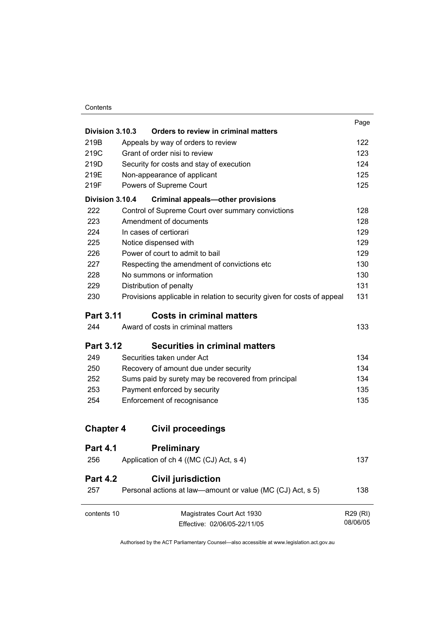#### **Contents**

|                                       |                                                                         | Page     |
|---------------------------------------|-------------------------------------------------------------------------|----------|
| Division 3.10.3                       | Orders to review in criminal matters                                    |          |
| 219B                                  | Appeals by way of orders to review                                      | 122      |
| Grant of order nisi to review<br>219C |                                                                         | 123      |
| 219D                                  | Security for costs and stay of execution                                | 124      |
| 219E                                  | Non-appearance of applicant                                             | 125      |
| 219F                                  | Powers of Supreme Court                                                 | 125      |
| Division 3.10.4                       | <b>Criminal appeals-other provisions</b>                                |          |
| 222                                   | Control of Supreme Court over summary convictions                       | 128      |
| 223                                   | Amendment of documents                                                  | 128      |
| 224                                   | In cases of certiorari                                                  | 129      |
| 225                                   | Notice dispensed with                                                   | 129      |
| 226                                   | Power of court to admit to bail                                         | 129      |
| 227                                   | Respecting the amendment of convictions etc                             | 130      |
| 228                                   | No summons or information                                               | 130      |
| 229                                   | Distribution of penalty                                                 | 131      |
| 230                                   | Provisions applicable in relation to security given for costs of appeal | 131      |
| <b>Part 3.11</b>                      | <b>Costs in criminal matters</b>                                        |          |
| 244                                   | Award of costs in criminal matters                                      | 133      |
| <b>Part 3.12</b>                      | <b>Securities in criminal matters</b>                                   |          |
| 249                                   | Securities taken under Act                                              | 134      |
| 250                                   | Recovery of amount due under security                                   | 134      |
| 252                                   | Sums paid by surety may be recovered from principal                     | 134      |
| 253                                   | Payment enforced by security                                            | 135      |
| 254                                   | Enforcement of recognisance                                             | 135      |
|                                       |                                                                         |          |
| <b>Chapter 4</b>                      | <b>Civil proceedings</b>                                                |          |
| <b>Part 4.1</b>                       | <b>Preliminary</b>                                                      |          |
| 256                                   | Application of ch 4 ((MC (CJ) Act, s 4)                                 | 137      |
| <b>Part 4.2</b>                       | <b>Civil jurisdiction</b>                                               |          |
| 257                                   | Personal actions at law—amount or value (MC (CJ) Act, s 5)              | 138      |
| contents 10                           | Magistrates Court Act 1930                                              | R29 (RI) |
|                                       | Effective: 02/06/05-22/11/05                                            | 08/06/05 |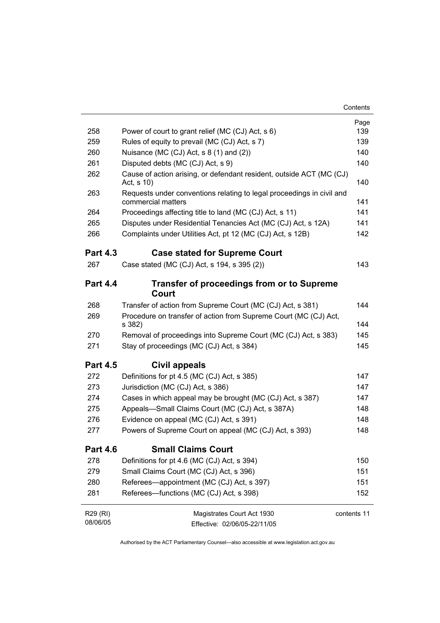|                 |                                                                                             | Page        |
|-----------------|---------------------------------------------------------------------------------------------|-------------|
| 258             | Power of court to grant relief (MC (CJ) Act, s 6)                                           | 139         |
| 259             | Rules of equity to prevail (MC (CJ) Act, s 7)                                               | 139         |
| 260             | Nuisance (MC (CJ) Act, s 8 (1) and (2))                                                     | 140         |
| 261             | Disputed debts (MC (CJ) Act, s 9)                                                           | 140         |
| 262             | Cause of action arising, or defendant resident, outside ACT (MC (CJ)<br>Act, s 10)          | 140         |
| 263             | Requests under conventions relating to legal proceedings in civil and<br>commercial matters | 141         |
| 264             | Proceedings affecting title to land (MC (CJ) Act, s 11)                                     | 141         |
| 265             | Disputes under Residential Tenancies Act (MC (CJ) Act, s 12A)                               | 141         |
| 266             | Complaints under Utilities Act, pt 12 (MC (CJ) Act, s 12B)                                  | 142         |
| <b>Part 4.3</b> | <b>Case stated for Supreme Court</b>                                                        |             |
| 267             | Case stated (MC (CJ) Act, s 194, s 395 (2))                                                 | 143         |
| <b>Part 4.4</b> | <b>Transfer of proceedings from or to Supreme</b><br>Court                                  |             |
| 268             | Transfer of action from Supreme Court (MC (CJ) Act, s 381)                                  | 144         |
| 269             | Procedure on transfer of action from Supreme Court (MC (CJ) Act,<br>s 382)                  | 144         |
| 270             | Removal of proceedings into Supreme Court (MC (CJ) Act, s 383)                              | 145         |
| 271             | Stay of proceedings (MC (CJ) Act, s 384)                                                    | 145         |
| <b>Part 4.5</b> | Civil appeals                                                                               |             |
| 272             | Definitions for pt 4.5 (MC (CJ) Act, s 385)                                                 | 147         |
| 273             | Jurisdiction (MC (CJ) Act, s 386)                                                           | 147         |
| 274             | Cases in which appeal may be brought (MC (CJ) Act, s 387)                                   | 147         |
| 275             | Appeals-Small Claims Court (MC (CJ) Act, s 387A)                                            | 148         |
| 276             | Evidence on appeal (MC (CJ) Act, s 391)                                                     | 148         |
| 277             | Powers of Supreme Court on appeal (MC (CJ) Act, s 393)                                      | 148         |
| <b>Part 4.6</b> | <b>Small Claims Court</b>                                                                   |             |
| 278             | Definitions for pt 4.6 (MC (CJ) Act, s 394)                                                 | 150         |
| 279             | Small Claims Court (MC (CJ) Act, s 396)                                                     | 151         |
| 280             | Referees—appointment (MC (CJ) Act, s 397)                                                   | 151         |
| 281             | Referees-functions (MC (CJ) Act, s 398)                                                     | 152         |
| R29 (RI)        | Magistrates Court Act 1930                                                                  | contents 11 |
| 08/06/05        | Effective: 02/06/05-22/11/05                                                                |             |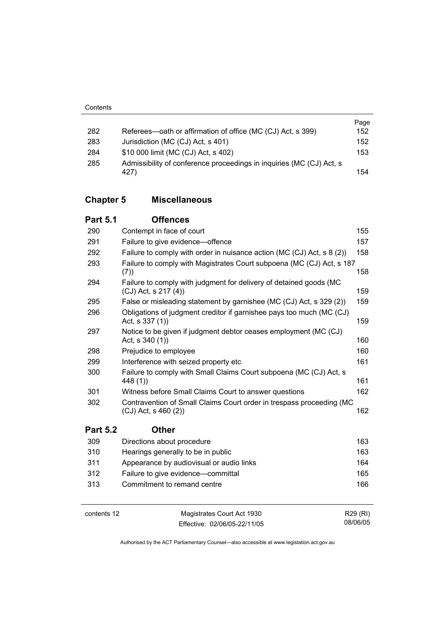| 282 | Referees—oath or affirmation of office (MC (CJ) Act, s 399)          | Page<br>152 |
|-----|----------------------------------------------------------------------|-------------|
| 283 | Jurisdiction (MC (CJ) Act, s 401)                                    | 152         |
| 284 | \$10 000 limit (MC (CJ) Act, s 402)                                  | 153         |
| 285 | Admissibility of conference proceedings in inquiries (MC (CJ) Act, s | 154         |
|     | 427)                                                                 |             |

### **Chapter 5 Miscellaneous**

| <b>Part 5.1</b> | <b>Offences</b>                                                                                 |     |
|-----------------|-------------------------------------------------------------------------------------------------|-----|
| 290             | Contempt in face of court                                                                       | 155 |
| 291             | Failure to give evidence-offence                                                                | 157 |
| 292             | Failure to comply with order in nuisance action (MC (CJ) Act, s 8 (2))                          | 158 |
| 293             | Failure to comply with Magistrates Court subpoena (MC (CJ) Act, s 187<br>(7))                   | 158 |
| 294             | Failure to comply with judgment for delivery of detained goods (MC<br>$(CJ)$ Act, s 217 $(4)$   | 159 |
| 295             | False or misleading statement by garnishee (MC (CJ) Act, s 329 (2))                             | 159 |
| 296             | Obligations of judgment creditor if garnishee pays too much (MC (CJ)<br>Act, s 337 (1))         | 159 |
| 297             | Notice to be given if judgment debtor ceases employment (MC (CJ)<br>Act, s 340 (1))             | 160 |
| 298             | Prejudice to employee                                                                           | 160 |
| 299             | Interference with seized property etc                                                           | 161 |
| 300             | Failure to comply with Small Claims Court subpoena (MC (CJ) Act, s<br>448 (1))                  | 161 |
| 301             | Witness before Small Claims Court to answer questions                                           | 162 |
| 302             | Contravention of Small Claims Court order in trespass proceeding (MC<br>$(CJ)$ Act, s 460 $(2)$ | 162 |
| <b>Part 5.2</b> | <b>Other</b>                                                                                    |     |
| 309             | Directions about procedure                                                                      | 163 |
| 310             | Hearings generally to be in public                                                              | 163 |
| 311             | Appearance by audiovisual or audio links                                                        | 164 |
| 312             | Failure to give evidence-committal                                                              | 165 |
| 313             | Commitment to remand centre                                                                     | 166 |
|                 |                                                                                                 |     |

contents 12 Magistrates Court Act 1930 Effective: 02/06/05-22/11/05

R29 (RI) 08/06/05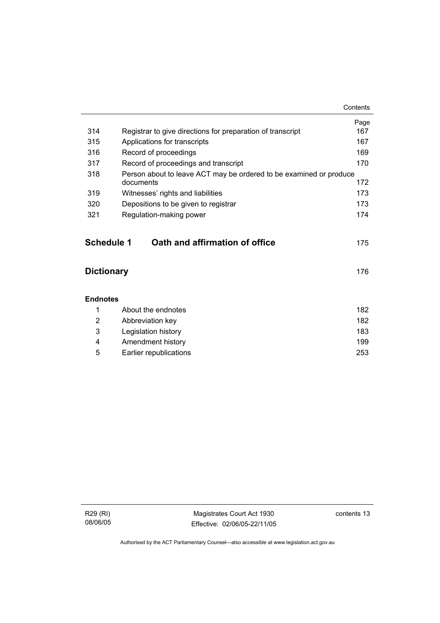|                   |                                                                    | Contents |
|-------------------|--------------------------------------------------------------------|----------|
|                   |                                                                    | Page     |
| 314               | Registrar to give directions for preparation of transcript         | 167      |
| 315               | Applications for transcripts                                       | 167      |
| 316               | Record of proceedings                                              | 169      |
| 317               | Record of proceedings and transcript                               | 170      |
| 318               | Person about to leave ACT may be ordered to be examined or produce |          |
|                   | documents                                                          | 172      |
| 319               | Witnesses' rights and liabilities                                  | 173      |
| 320               | Depositions to be given to registrar                               | 173      |
| 321               | Regulation-making power                                            | 174      |
|                   |                                                                    |          |
| <b>Schedule 1</b> | Oath and affirmation of office                                     | 175      |
| <b>Dictionary</b> |                                                                    |          |
| <b>Endnotes</b>   |                                                                    |          |
| 1                 | About the endnotes                                                 | 182      |
| 2                 | Abbreviation key                                                   | 182      |
| 3                 | Legislation history                                                | 183      |
| 4                 | Amendment history                                                  | 199      |
| 5                 | Earlier republications                                             | 253      |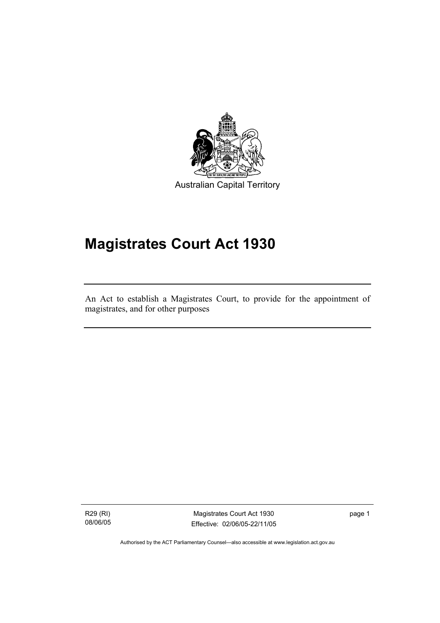

Australian Capital Territory

# **Magistrates Court Act 1930**

An Act to establish a Magistrates Court, to provide for the appointment of magistrates, and for other purposes

R29 (RI) 08/06/05

I

Magistrates Court Act 1930 Effective: 02/06/05-22/11/05 page 1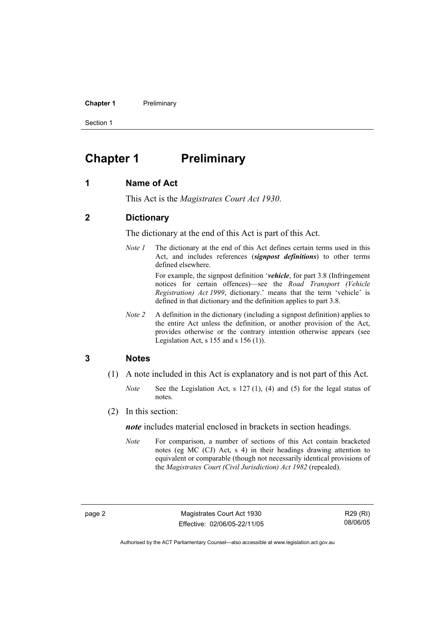**Chapter 1** Preliminary

Section 1

### **Chapter 1** Preliminary

#### **1 Name of Act**

This Act is the *Magistrates Court Act 1930*.

#### **2 Dictionary**

The dictionary at the end of this Act is part of this Act.

*Note 1* The dictionary at the end of this Act defines certain terms used in this Act, and includes references (*signpost definitions*) to other terms defined elsewhere.

> For example, the signpost definition '*vehicle*, for part 3.8 (Infringement notices for certain offences)—see the *Road Transport (Vehicle Registration) Act 1999*, dictionary.' means that the term 'vehicle' is defined in that dictionary and the definition applies to part 3.8.

*Note 2* A definition in the dictionary (including a signpost definition) applies to the entire Act unless the definition, or another provision of the Act, provides otherwise or the contrary intention otherwise appears (see Legislation Act,  $s$  155 and  $s$  156 (1)).

#### **3 Notes**

- (1) A note included in this Act is explanatory and is not part of this Act.
	- *Note* See the Legislation Act, s 127 (1), (4) and (5) for the legal status of notes.
- (2) In this section:

*note* includes material enclosed in brackets in section headings.

*Note* For comparison, a number of sections of this Act contain bracketed notes (eg MC (CJ) Act, s 4) in their headings drawing attention to equivalent or comparable (though not necessarily identical provisions of the *Magistrates Court (Civil Jurisdiction) Act 1982* (repealed).

R29 (RI) 08/06/05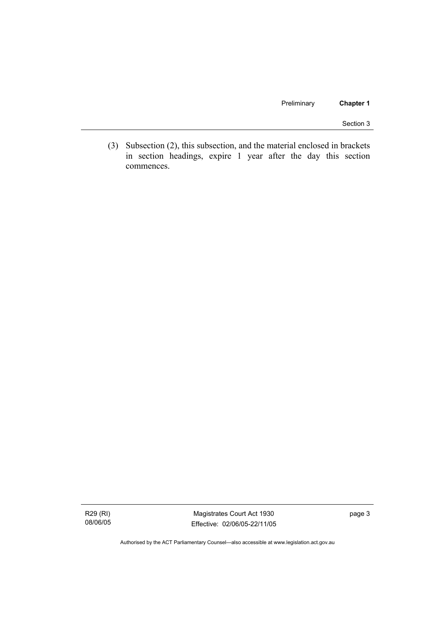Preliminary **Chapter 1** 

Section 3

 (3) Subsection (2), this subsection, and the material enclosed in brackets in section headings, expire 1 year after the day this section commences.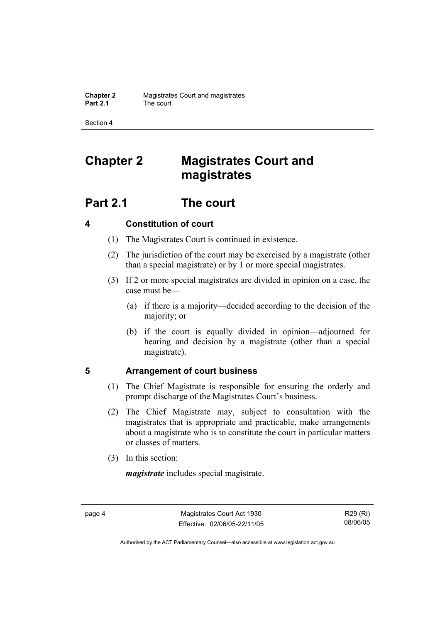Section 4

## **Chapter 2 Magistrates Court and magistrates**

### **Part 2.1 The court**

### **4 Constitution of court**

- (1) The Magistrates Court is continued in existence.
- (2) The jurisdiction of the court may be exercised by a magistrate (other than a special magistrate) or by 1 or more special magistrates.
- (3) If 2 or more special magistrates are divided in opinion on a case, the case must be—
	- (a) if there is a majority—decided according to the decision of the majority; or
	- (b) if the court is equally divided in opinion—adjourned for hearing and decision by a magistrate (other than a special magistrate).

#### **5 Arrangement of court business**

- (1) The Chief Magistrate is responsible for ensuring the orderly and prompt discharge of the Magistrates Court's business.
- (2) The Chief Magistrate may, subject to consultation with the magistrates that is appropriate and practicable, make arrangements about a magistrate who is to constitute the court in particular matters or classes of matters.
- (3) In this section:

*magistrate* includes special magistrate.

R29 (RI) 08/06/05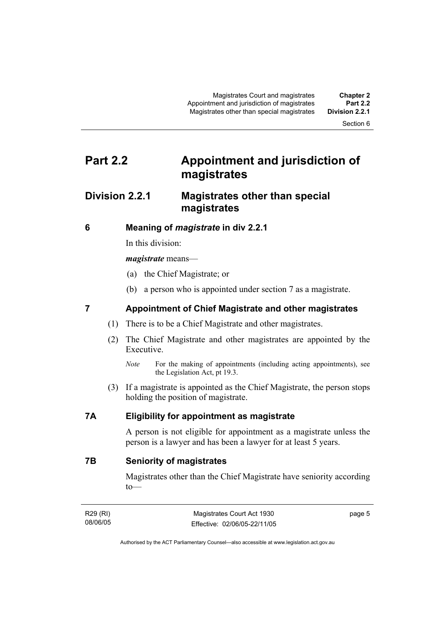Section 6

### **Part 2.2 Appointment and jurisdiction of magistrates**

### **Division 2.2.1 Magistrates other than special magistrates**

#### **6 Meaning of** *magistrate* **in div 2.2.1**

In this division:

#### *magistrate* means—

- (a) the Chief Magistrate; or
- (b) a person who is appointed under section 7 as a magistrate.

#### **7 Appointment of Chief Magistrate and other magistrates**

- (1) There is to be a Chief Magistrate and other magistrates.
- (2) The Chief Magistrate and other magistrates are appointed by the Executive.
	- *Note* For the making of appointments (including acting appointments), see the Legislation Act, pt 19.3.
- (3) If a magistrate is appointed as the Chief Magistrate, the person stops holding the position of magistrate.

#### **7A Eligibility for appointment as magistrate**

A person is not eligible for appointment as a magistrate unless the person is a lawyer and has been a lawyer for at least 5 years.

**7B Seniority of magistrates** 

Magistrates other than the Chief Magistrate have seniority according to—

| R29 (RI) | Magistrates Court Act 1930   | page 5 |
|----------|------------------------------|--------|
| 08/06/05 | Effective: 02/06/05-22/11/05 |        |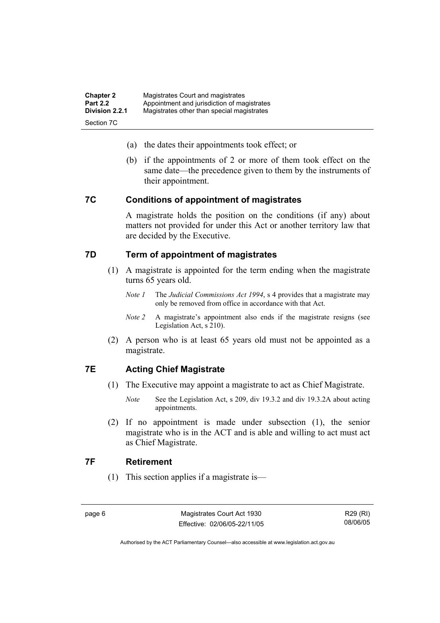| <b>Chapter 2</b> | Magistrates Court and magistrates           |
|------------------|---------------------------------------------|
| <b>Part 2.2</b>  | Appointment and jurisdiction of magistrates |
| Division 2.2.1   | Magistrates other than special magistrates  |
| Section 7C       |                                             |

- (a) the dates their appointments took effect; or
- (b) if the appointments of 2 or more of them took effect on the same date—the precedence given to them by the instruments of their appointment.

#### **7C Conditions of appointment of magistrates**

A magistrate holds the position on the conditions (if any) about matters not provided for under this Act or another territory law that are decided by the Executive.

#### **7D Term of appointment of magistrates**

- (1) A magistrate is appointed for the term ending when the magistrate turns 65 years old.
	- *Note 1* The *Judicial Commissions Act 1994*, s 4 provides that a magistrate may only be removed from office in accordance with that Act.
	- *Note 2* A magistrate's appointment also ends if the magistrate resigns (see Legislation Act, s 210).
- (2) A person who is at least 65 years old must not be appointed as a magistrate.

#### **7E Acting Chief Magistrate**

- (1) The Executive may appoint a magistrate to act as Chief Magistrate.
	- *Note* See the Legislation Act, s 209, div 19.3.2 and div 19.3.2A about acting appointments.
- (2) If no appointment is made under subsection (1), the senior magistrate who is in the ACT and is able and willing to act must act as Chief Magistrate.

#### **7F Retirement**

(1) This section applies if a magistrate is—

R29 (RI) 08/06/05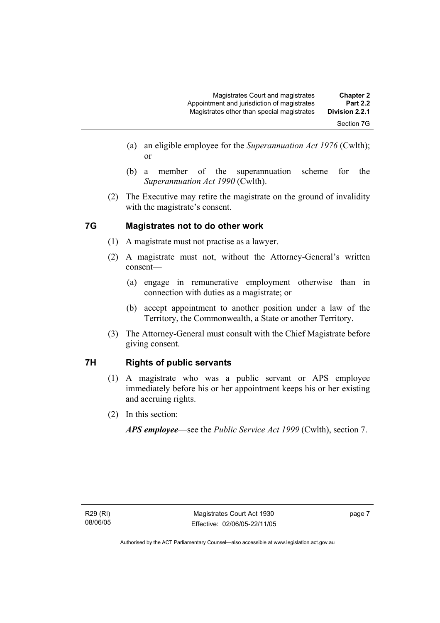- (b) a member of the superannuation scheme for the *Superannuation Act 1990* (Cwlth).
- (2) The Executive may retire the magistrate on the ground of invalidity with the magistrate's consent.

### **7G Magistrates not to do other work**

or

- (1) A magistrate must not practise as a lawyer.
- (2) A magistrate must not, without the Attorney-General's written consent—
	- (a) engage in remunerative employment otherwise than in connection with duties as a magistrate; or
	- (b) accept appointment to another position under a law of the Territory, the Commonwealth, a State or another Territory.
- (3) The Attorney-General must consult with the Chief Magistrate before giving consent.

#### **7H Rights of public servants**

- (1) A magistrate who was a public servant or APS employee immediately before his or her appointment keeps his or her existing and accruing rights.
- (2) In this section:

*APS employee*—see the *Public Service Act 1999* (Cwlth), section 7.

page 7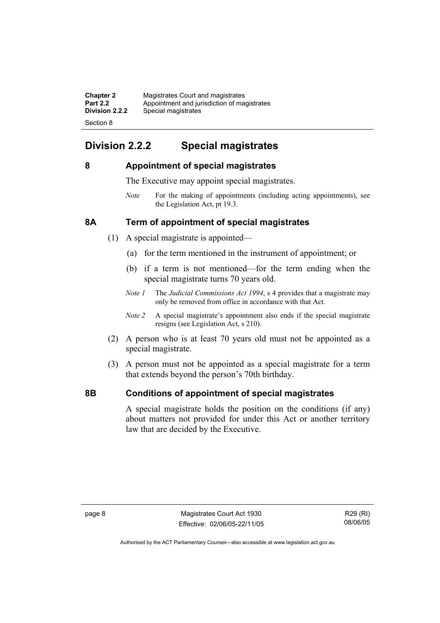| <b>Chapter 2</b> | Magistrates Court and magistrates           |
|------------------|---------------------------------------------|
| <b>Part 2.2</b>  | Appointment and jurisdiction of magistrates |
| Division 2.2.2   | Special magistrates                         |
| Section 8        |                                             |

### **Division 2.2.2 Special magistrates**

#### **8 Appointment of special magistrates**

The Executive may appoint special magistrates.

*Note* For the making of appointments (including acting appointments), see the Legislation Act, pt 19.3.

#### **8A Term of appointment of special magistrates**

- (1) A special magistrate is appointed—
	- (a) for the term mentioned in the instrument of appointment; or
	- (b) if a term is not mentioned—for the term ending when the special magistrate turns 70 years old.
	- *Note 1* The *Judicial Commissions Act 1994*, s 4 provides that a magistrate may only be removed from office in accordance with that Act.
	- *Note 2* A special magistrate's appointment also ends if the special magistrate resigns (see Legislation Act, s 210).
- (2) A person who is at least 70 years old must not be appointed as a special magistrate.
- (3) A person must not be appointed as a special magistrate for a term that extends beyond the person's 70th birthday.

#### **8B Conditions of appointment of special magistrates**

A special magistrate holds the position on the conditions (if any) about matters not provided for under this Act or another territory law that are decided by the Executive.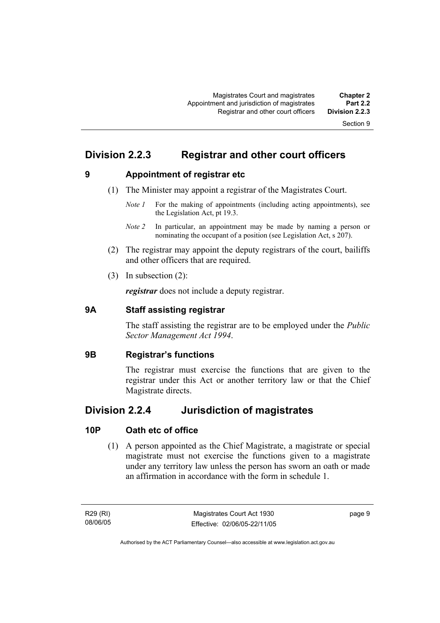### **Division 2.2.3 Registrar and other court officers**

**9 Appointment of registrar etc** 

- (1) The Minister may appoint a registrar of the Magistrates Court.
	- *Note 1* For the making of appointments (including acting appointments), see the Legislation Act, pt 19.3.
	- *Note 2* In particular, an appointment may be made by naming a person or nominating the occupant of a position (see Legislation Act, s 207).
- (2) The registrar may appoint the deputy registrars of the court, bailiffs and other officers that are required.
- (3) In subsection (2):

*registrar* does not include a deputy registrar.

#### **9A Staff assisting registrar**

The staff assisting the registrar are to be employed under the *Public Sector Management Act 1994*.

#### **9B Registrar's functions**

The registrar must exercise the functions that are given to the registrar under this Act or another territory law or that the Chief Magistrate directs.

### **Division 2.2.4 Jurisdiction of magistrates**

#### **10P Oath etc of office**

 (1) A person appointed as the Chief Magistrate, a magistrate or special magistrate must not exercise the functions given to a magistrate under any territory law unless the person has sworn an oath or made an affirmation in accordance with the form in schedule 1.

R29 (RI) 08/06/05 page 9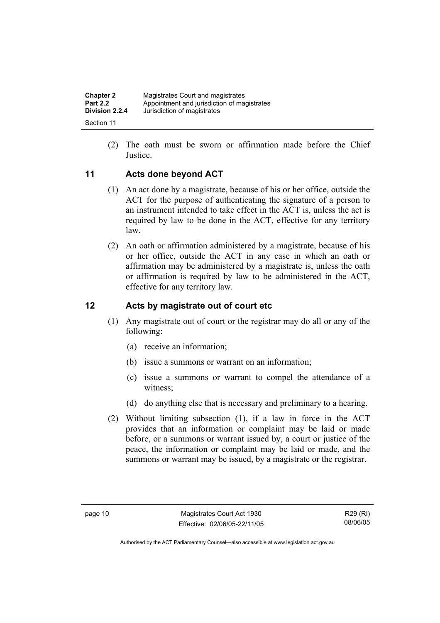| <b>Chapter 2</b> | Magistrates Court and magistrates           |
|------------------|---------------------------------------------|
| <b>Part 2.2</b>  | Appointment and jurisdiction of magistrates |
| Division 2.2.4   | Jurisdiction of magistrates                 |
| Section 11       |                                             |

 (2) The oath must be sworn or affirmation made before the Chief Justice.

#### **11 Acts done beyond ACT**

- (1) An act done by a magistrate, because of his or her office, outside the ACT for the purpose of authenticating the signature of a person to an instrument intended to take effect in the ACT is, unless the act is required by law to be done in the ACT, effective for any territory law.
- (2) An oath or affirmation administered by a magistrate, because of his or her office, outside the ACT in any case in which an oath or affirmation may be administered by a magistrate is, unless the oath or affirmation is required by law to be administered in the ACT, effective for any territory law.

#### **12 Acts by magistrate out of court etc**

- (1) Any magistrate out of court or the registrar may do all or any of the following:
	- (a) receive an information;
	- (b) issue a summons or warrant on an information;
	- (c) issue a summons or warrant to compel the attendance of a witness;
	- (d) do anything else that is necessary and preliminary to a hearing.
- (2) Without limiting subsection (1), if a law in force in the ACT provides that an information or complaint may be laid or made before, or a summons or warrant issued by, a court or justice of the peace, the information or complaint may be laid or made, and the summons or warrant may be issued, by a magistrate or the registrar.

R29 (RI) 08/06/05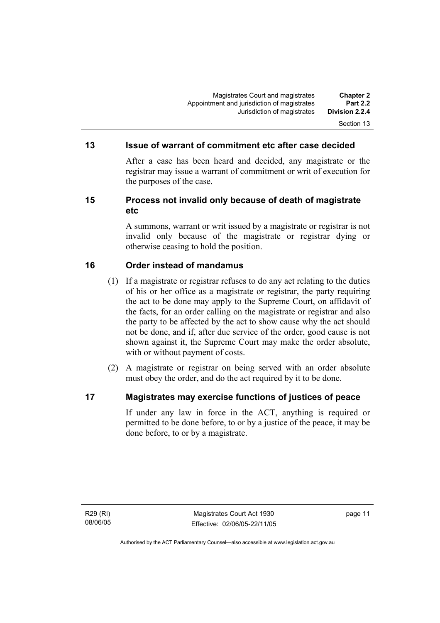#### **13 Issue of warrant of commitment etc after case decided**

After a case has been heard and decided, any magistrate or the registrar may issue a warrant of commitment or writ of execution for the purposes of the case.

#### **15 Process not invalid only because of death of magistrate etc**

A summons, warrant or writ issued by a magistrate or registrar is not invalid only because of the magistrate or registrar dying or otherwise ceasing to hold the position.

#### **16 Order instead of mandamus**

- (1) If a magistrate or registrar refuses to do any act relating to the duties of his or her office as a magistrate or registrar, the party requiring the act to be done may apply to the Supreme Court, on affidavit of the facts, for an order calling on the magistrate or registrar and also the party to be affected by the act to show cause why the act should not be done, and if, after due service of the order, good cause is not shown against it, the Supreme Court may make the order absolute, with or without payment of costs.
- (2) A magistrate or registrar on being served with an order absolute must obey the order, and do the act required by it to be done.

#### **17 Magistrates may exercise functions of justices of peace**

If under any law in force in the ACT, anything is required or permitted to be done before, to or by a justice of the peace, it may be done before, to or by a magistrate.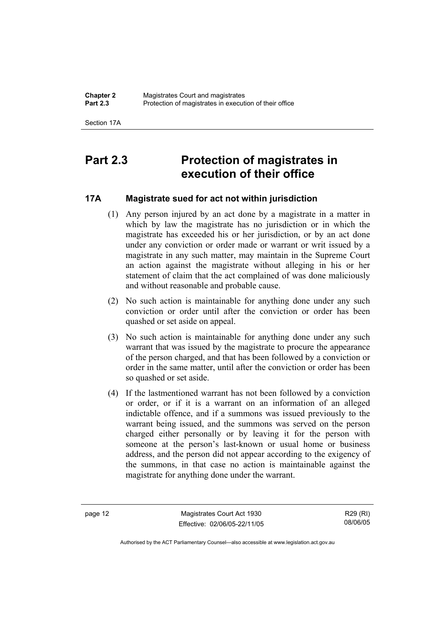Section 17A

### **Part 2.3 Protection of magistrates in execution of their office**

#### **17A Magistrate sued for act not within jurisdiction**

- (1) Any person injured by an act done by a magistrate in a matter in which by law the magistrate has no jurisdiction or in which the magistrate has exceeded his or her jurisdiction, or by an act done under any conviction or order made or warrant or writ issued by a magistrate in any such matter, may maintain in the Supreme Court an action against the magistrate without alleging in his or her statement of claim that the act complained of was done maliciously and without reasonable and probable cause.
- (2) No such action is maintainable for anything done under any such conviction or order until after the conviction or order has been quashed or set aside on appeal.
- (3) No such action is maintainable for anything done under any such warrant that was issued by the magistrate to procure the appearance of the person charged, and that has been followed by a conviction or order in the same matter, until after the conviction or order has been so quashed or set aside.
- (4) If the lastmentioned warrant has not been followed by a conviction or order, or if it is a warrant on an information of an alleged indictable offence, and if a summons was issued previously to the warrant being issued, and the summons was served on the person charged either personally or by leaving it for the person with someone at the person's last-known or usual home or business address, and the person did not appear according to the exigency of the summons, in that case no action is maintainable against the magistrate for anything done under the warrant.

page 12 Magistrates Court Act 1930 Effective: 02/06/05-22/11/05

R29 (RI) 08/06/05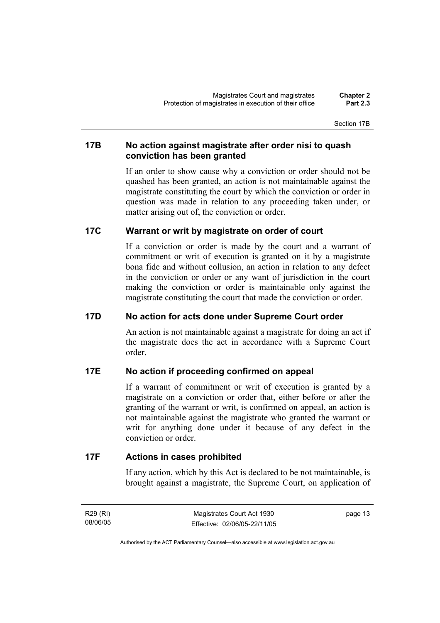Section 17B

#### **17B No action against magistrate after order nisi to quash conviction has been granted**

If an order to show cause why a conviction or order should not be quashed has been granted, an action is not maintainable against the magistrate constituting the court by which the conviction or order in question was made in relation to any proceeding taken under, or matter arising out of, the conviction or order.

#### **17C Warrant or writ by magistrate on order of court**

If a conviction or order is made by the court and a warrant of commitment or writ of execution is granted on it by a magistrate bona fide and without collusion, an action in relation to any defect in the conviction or order or any want of jurisdiction in the court making the conviction or order is maintainable only against the magistrate constituting the court that made the conviction or order.

#### **17D No action for acts done under Supreme Court order**

An action is not maintainable against a magistrate for doing an act if the magistrate does the act in accordance with a Supreme Court order.

#### **17E No action if proceeding confirmed on appeal**

If a warrant of commitment or writ of execution is granted by a magistrate on a conviction or order that, either before or after the granting of the warrant or writ, is confirmed on appeal, an action is not maintainable against the magistrate who granted the warrant or writ for anything done under it because of any defect in the conviction or order.

#### **17F Actions in cases prohibited**

If any action, which by this Act is declared to be not maintainable, is brought against a magistrate, the Supreme Court, on application of

R29 (RI) 08/06/05 page 13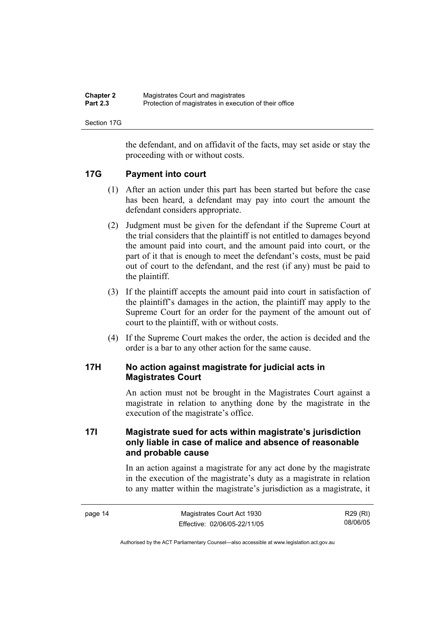| <b>Chapter 2</b> | Magistrates Court and magistrates                      |
|------------------|--------------------------------------------------------|
| <b>Part 2.3</b>  | Protection of magistrates in execution of their office |

Section 17G

the defendant, and on affidavit of the facts, may set aside or stay the proceeding with or without costs.

#### **17G Payment into court**

- (1) After an action under this part has been started but before the case has been heard, a defendant may pay into court the amount the defendant considers appropriate.
- (2) Judgment must be given for the defendant if the Supreme Court at the trial considers that the plaintiff is not entitled to damages beyond the amount paid into court, and the amount paid into court, or the part of it that is enough to meet the defendant's costs, must be paid out of court to the defendant, and the rest (if any) must be paid to the plaintiff.
- (3) If the plaintiff accepts the amount paid into court in satisfaction of the plaintiff's damages in the action, the plaintiff may apply to the Supreme Court for an order for the payment of the amount out of court to the plaintiff, with or without costs.
- (4) If the Supreme Court makes the order, the action is decided and the order is a bar to any other action for the same cause.

#### **17H No action against magistrate for judicial acts in Magistrates Court**

An action must not be brought in the Magistrates Court against a magistrate in relation to anything done by the magistrate in the execution of the magistrate's office.

#### **17I Magistrate sued for acts within magistrate's jurisdiction only liable in case of malice and absence of reasonable and probable cause**

In an action against a magistrate for any act done by the magistrate in the execution of the magistrate's duty as a magistrate in relation to any matter within the magistrate's jurisdiction as a magistrate, it

| page 14 | Magistrates Court Act 1930   | R29 (RI) |
|---------|------------------------------|----------|
|         | Effective: 02/06/05-22/11/05 | 08/06/05 |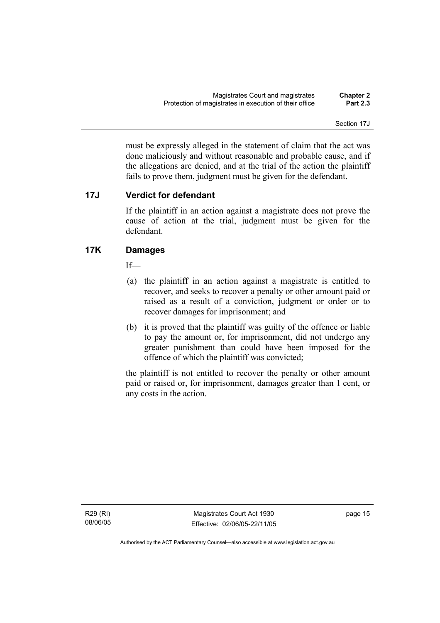Section 17J

must be expressly alleged in the statement of claim that the act was done maliciously and without reasonable and probable cause, and if the allegations are denied, and at the trial of the action the plaintiff fails to prove them, judgment must be given for the defendant.

#### **17J Verdict for defendant**

If the plaintiff in an action against a magistrate does not prove the cause of action at the trial, judgment must be given for the defendant.

#### **17K Damages**

If—

- (a) the plaintiff in an action against a magistrate is entitled to recover, and seeks to recover a penalty or other amount paid or raised as a result of a conviction, judgment or order or to recover damages for imprisonment; and
- (b) it is proved that the plaintiff was guilty of the offence or liable to pay the amount or, for imprisonment, did not undergo any greater punishment than could have been imposed for the offence of which the plaintiff was convicted;

the plaintiff is not entitled to recover the penalty or other amount paid or raised or, for imprisonment, damages greater than 1 cent, or any costs in the action.

R29 (RI) 08/06/05

Magistrates Court Act 1930 Effective: 02/06/05-22/11/05 page 15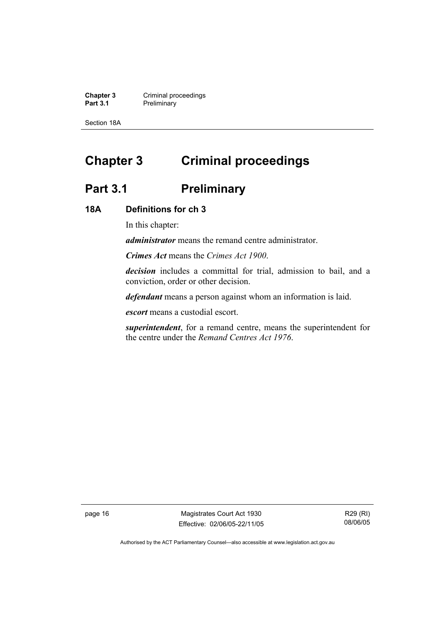**Chapter 3 Criminal proceedings**<br> **Part 3.1 Preliminary Preliminary** 

Section 18A

## **Chapter 3 Criminal proceedings**

### Part 3.1 **Preliminary**

#### **18A Definitions for ch 3**

In this chapter:

*administrator* means the remand centre administrator.

*Crimes Act* means the *Crimes Act 1900*.

*decision* includes a committal for trial, admission to bail, and a conviction, order or other decision.

*defendant* means a person against whom an information is laid.

*escort* means a custodial escort.

*superintendent*, for a remand centre, means the superintendent for the centre under the *Remand Centres Act 1976*.

page 16 Magistrates Court Act 1930 Effective: 02/06/05-22/11/05

R29 (RI) 08/06/05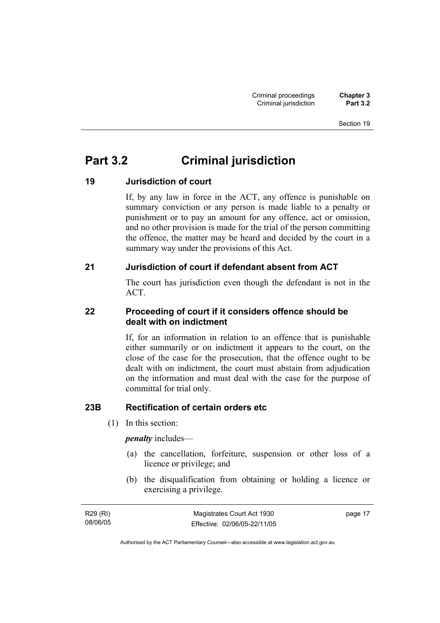### **Part 3.2 Criminal jurisdiction**

### **19 Jurisdiction of court**

If, by any law in force in the ACT, any offence is punishable on summary conviction or any person is made liable to a penalty or punishment or to pay an amount for any offence, act or omission, and no other provision is made for the trial of the person committing the offence, the matter may be heard and decided by the court in a summary way under the provisions of this Act.

#### **21 Jurisdiction of court if defendant absent from ACT**

The court has jurisdiction even though the defendant is not in the ACT.

#### **22 Proceeding of court if it considers offence should be dealt with on indictment**

If, for an information in relation to an offence that is punishable either summarily or on indictment it appears to the court, on the close of the case for the prosecution, that the offence ought to be dealt with on indictment, the court must abstain from adjudication on the information and must deal with the case for the purpose of committal for trial only.

#### **23B Rectification of certain orders etc**

(1) In this section:

*penalty* includes—

- (a) the cancellation, forfeiture, suspension or other loss of a licence or privilege; and
- (b) the disqualification from obtaining or holding a licence or exercising a privilege.

| R29 (RI) | Magistrates Court Act 1930   | page 17 |
|----------|------------------------------|---------|
| 08/06/05 | Effective: 02/06/05-22/11/05 |         |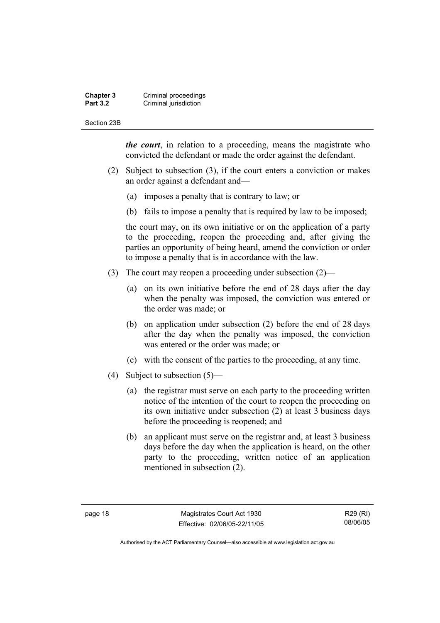#### **Chapter 3 Criminal proceedings**<br>**Part 3.2 Criminal jurisdiction Criminal jurisdiction**

#### Section 23B

*the court*, in relation to a proceeding, means the magistrate who convicted the defendant or made the order against the defendant.

- (2) Subject to subsection (3), if the court enters a conviction or makes an order against a defendant and—
	- (a) imposes a penalty that is contrary to law; or
	- (b) fails to impose a penalty that is required by law to be imposed;

the court may, on its own initiative or on the application of a party to the proceeding, reopen the proceeding and, after giving the parties an opportunity of being heard, amend the conviction or order to impose a penalty that is in accordance with the law.

- (3) The court may reopen a proceeding under subsection (2)—
	- (a) on its own initiative before the end of 28 days after the day when the penalty was imposed, the conviction was entered or the order was made; or
	- (b) on application under subsection (2) before the end of 28 days after the day when the penalty was imposed, the conviction was entered or the order was made; or
	- (c) with the consent of the parties to the proceeding, at any time.
- (4) Subject to subsection (5)—
	- (a) the registrar must serve on each party to the proceeding written notice of the intention of the court to reopen the proceeding on its own initiative under subsection (2) at least 3 business days before the proceeding is reopened; and
	- (b) an applicant must serve on the registrar and, at least 3 business days before the day when the application is heard, on the other party to the proceeding, written notice of an application mentioned in subsection (2).

R29 (RI) 08/06/05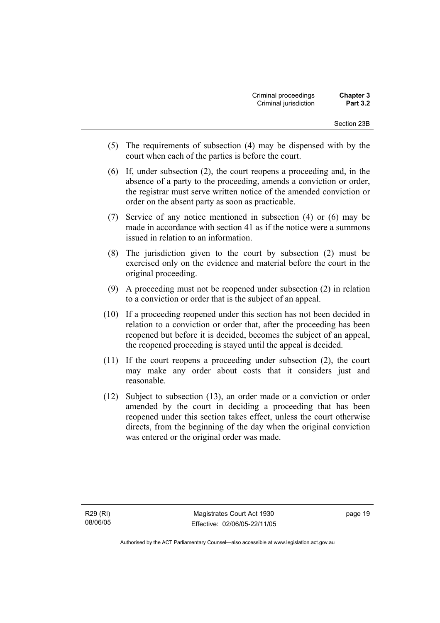- (5) The requirements of subsection (4) may be dispensed with by the court when each of the parties is before the court.
- (6) If, under subsection (2), the court reopens a proceeding and, in the absence of a party to the proceeding, amends a conviction or order, the registrar must serve written notice of the amended conviction or order on the absent party as soon as practicable.
- (7) Service of any notice mentioned in subsection (4) or (6) may be made in accordance with section 41 as if the notice were a summons issued in relation to an information.
- (8) The jurisdiction given to the court by subsection (2) must be exercised only on the evidence and material before the court in the original proceeding.
- (9) A proceeding must not be reopened under subsection (2) in relation to a conviction or order that is the subject of an appeal.
- (10) If a proceeding reopened under this section has not been decided in relation to a conviction or order that, after the proceeding has been reopened but before it is decided, becomes the subject of an appeal, the reopened proceeding is stayed until the appeal is decided.
- (11) If the court reopens a proceeding under subsection (2), the court may make any order about costs that it considers just and reasonable.
- (12) Subject to subsection (13), an order made or a conviction or order amended by the court in deciding a proceeding that has been reopened under this section takes effect, unless the court otherwise directs, from the beginning of the day when the original conviction was entered or the original order was made.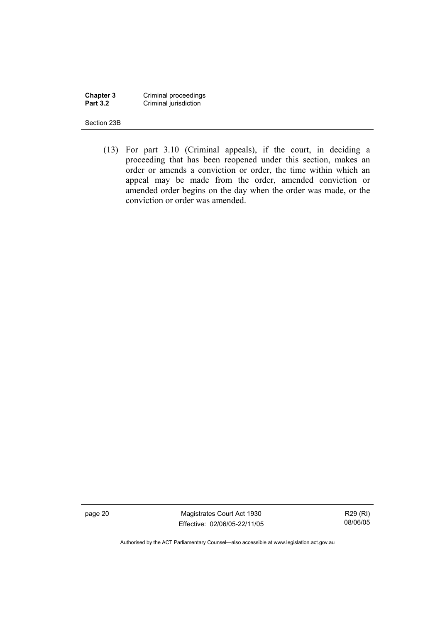**Chapter 3** Criminal proceedings **Part 3.2 Criminal jurisdiction** 

Section 23B

 (13) For part 3.10 (Criminal appeals), if the court, in deciding a proceeding that has been reopened under this section, makes an order or amends a conviction or order, the time within which an appeal may be made from the order, amended conviction or amended order begins on the day when the order was made, or the conviction or order was amended.

page 20 Magistrates Court Act 1930 Effective: 02/06/05-22/11/05

R29 (RI) 08/06/05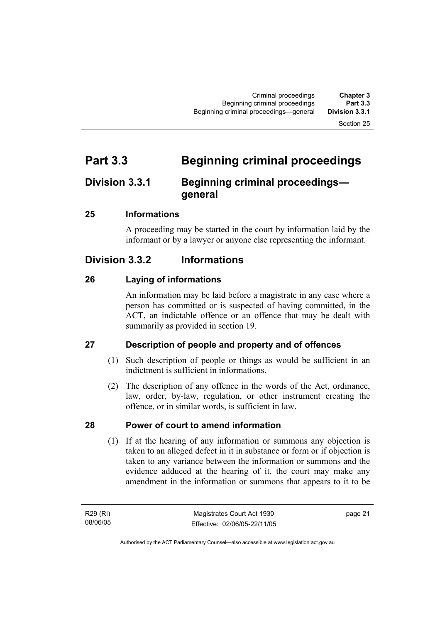# **Part 3.3 Beginning criminal proceedings**

# **Division 3.3.1 Beginning criminal proceedings general**

#### **25 Informations**

A proceeding may be started in the court by information laid by the informant or by a lawyer or anyone else representing the informant.

# **Division 3.3.2 Informations**

#### **26 Laying of informations**

An information may be laid before a magistrate in any case where a person has committed or is suspected of having committed, in the ACT, an indictable offence or an offence that may be dealt with summarily as provided in section 19.

### **27 Description of people and property and of offences**

- (1) Such description of people or things as would be sufficient in an indictment is sufficient in informations.
- (2) The description of any offence in the words of the Act, ordinance, law, order, by-law, regulation, or other instrument creating the offence, or in similar words, is sufficient in law.

### **28 Power of court to amend information**

 (1) If at the hearing of any information or summons any objection is taken to an alleged defect in it in substance or form or if objection is taken to any variance between the information or summons and the evidence adduced at the hearing of it, the court may make any amendment in the information or summons that appears to it to be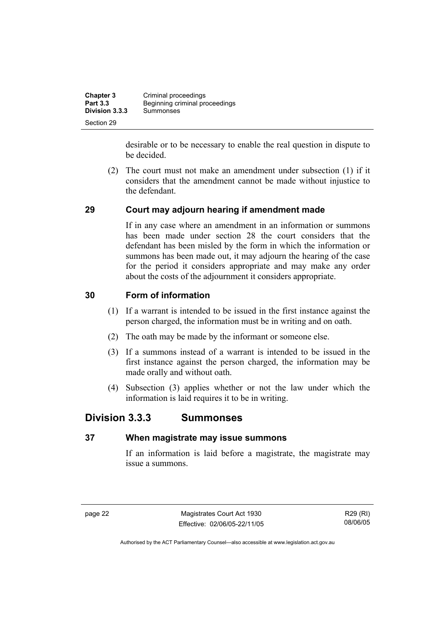| <b>Chapter 3</b> | Criminal proceedings           |
|------------------|--------------------------------|
| <b>Part 3.3</b>  | Beginning criminal proceedings |
| Division 3.3.3   | Summonses                      |
| Section 29       |                                |

desirable or to be necessary to enable the real question in dispute to be decided.

 (2) The court must not make an amendment under subsection (1) if it considers that the amendment cannot be made without injustice to the defendant.

#### **29 Court may adjourn hearing if amendment made**

If in any case where an amendment in an information or summons has been made under section 28 the court considers that the defendant has been misled by the form in which the information or summons has been made out, it may adjourn the hearing of the case for the period it considers appropriate and may make any order about the costs of the adjournment it considers appropriate.

#### **30 Form of information**

- (1) If a warrant is intended to be issued in the first instance against the person charged, the information must be in writing and on oath.
- (2) The oath may be made by the informant or someone else.
- (3) If a summons instead of a warrant is intended to be issued in the first instance against the person charged, the information may be made orally and without oath.
- (4) Subsection (3) applies whether or not the law under which the information is laid requires it to be in writing.

### **Division 3.3.3 Summonses**

#### **37 When magistrate may issue summons**

If an information is laid before a magistrate, the magistrate may issue a summons.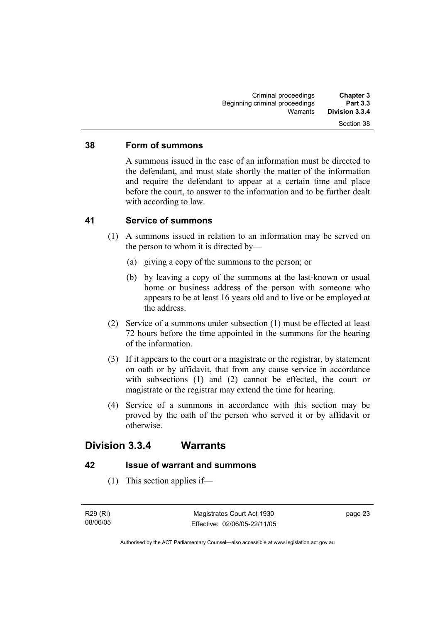#### **38 Form of summons**

A summons issued in the case of an information must be directed to the defendant, and must state shortly the matter of the information and require the defendant to appear at a certain time and place before the court, to answer to the information and to be further dealt with according to law.

#### **41 Service of summons**

- (1) A summons issued in relation to an information may be served on the person to whom it is directed by—
	- (a) giving a copy of the summons to the person; or
	- (b) by leaving a copy of the summons at the last-known or usual home or business address of the person with someone who appears to be at least 16 years old and to live or be employed at the address.
- (2) Service of a summons under subsection (1) must be effected at least 72 hours before the time appointed in the summons for the hearing of the information.
- (3) If it appears to the court or a magistrate or the registrar, by statement on oath or by affidavit, that from any cause service in accordance with subsections (1) and (2) cannot be effected, the court or magistrate or the registrar may extend the time for hearing.
- (4) Service of a summons in accordance with this section may be proved by the oath of the person who served it or by affidavit or otherwise.

### **Division 3.3.4 Warrants**

#### **42 Issue of warrant and summons**

(1) This section applies if—

R29 (RI) 08/06/05 page 23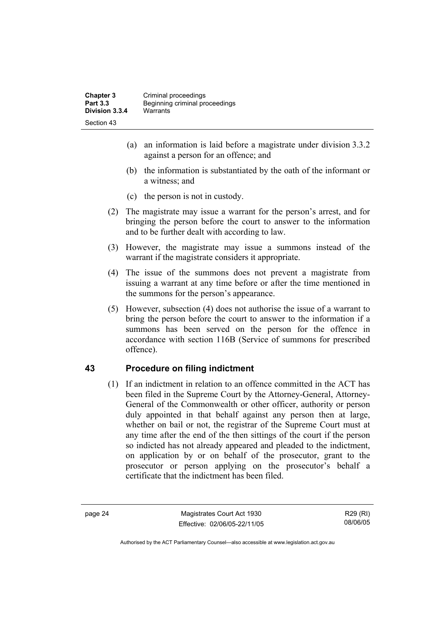- (a) an information is laid before a magistrate under division 3.3.2 against a person for an offence; and
- (b) the information is substantiated by the oath of the informant or a witness; and
- (c) the person is not in custody.
- (2) The magistrate may issue a warrant for the person's arrest, and for bringing the person before the court to answer to the information and to be further dealt with according to law.
- (3) However, the magistrate may issue a summons instead of the warrant if the magistrate considers it appropriate.
- (4) The issue of the summons does not prevent a magistrate from issuing a warrant at any time before or after the time mentioned in the summons for the person's appearance.
- (5) However, subsection (4) does not authorise the issue of a warrant to bring the person before the court to answer to the information if a summons has been served on the person for the offence in accordance with section 116B (Service of summons for prescribed offence).

#### **43 Procedure on filing indictment**

 (1) If an indictment in relation to an offence committed in the ACT has been filed in the Supreme Court by the Attorney-General, Attorney-General of the Commonwealth or other officer, authority or person duly appointed in that behalf against any person then at large, whether on bail or not, the registrar of the Supreme Court must at any time after the end of the then sittings of the court if the person so indicted has not already appeared and pleaded to the indictment, on application by or on behalf of the prosecutor, grant to the prosecutor or person applying on the prosecutor's behalf a certificate that the indictment has been filed.

page 24 Magistrates Court Act 1930 Effective: 02/06/05-22/11/05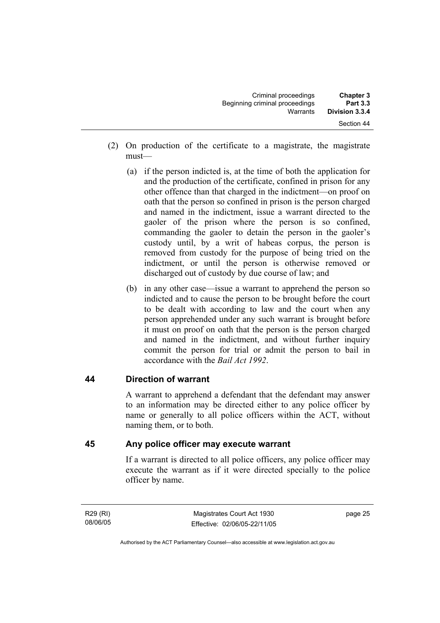| <b>Chapter 3</b><br><b>Part 3.3</b> | Criminal proceedings<br>Beginning criminal proceedings |  |
|-------------------------------------|--------------------------------------------------------|--|
| Division 3.3.4                      | Warrants                                               |  |
| Section 44                          |                                                        |  |

- (2) On production of the certificate to a magistrate, the magistrate must—
	- (a) if the person indicted is, at the time of both the application for and the production of the certificate, confined in prison for any other offence than that charged in the indictment—on proof on oath that the person so confined in prison is the person charged and named in the indictment, issue a warrant directed to the gaoler of the prison where the person is so confined, commanding the gaoler to detain the person in the gaoler's custody until, by a writ of habeas corpus, the person is removed from custody for the purpose of being tried on the indictment, or until the person is otherwise removed or discharged out of custody by due course of law; and
	- (b) in any other case—issue a warrant to apprehend the person so indicted and to cause the person to be brought before the court to be dealt with according to law and the court when any person apprehended under any such warrant is brought before it must on proof on oath that the person is the person charged and named in the indictment, and without further inquiry commit the person for trial or admit the person to bail in accordance with the *Bail Act 1992*.

#### **44 Direction of warrant**

A warrant to apprehend a defendant that the defendant may answer to an information may be directed either to any police officer by name or generally to all police officers within the ACT, without naming them, or to both.

#### **45 Any police officer may execute warrant**

If a warrant is directed to all police officers, any police officer may execute the warrant as if it were directed specially to the police officer by name.

R29 (RI) 08/06/05 page 25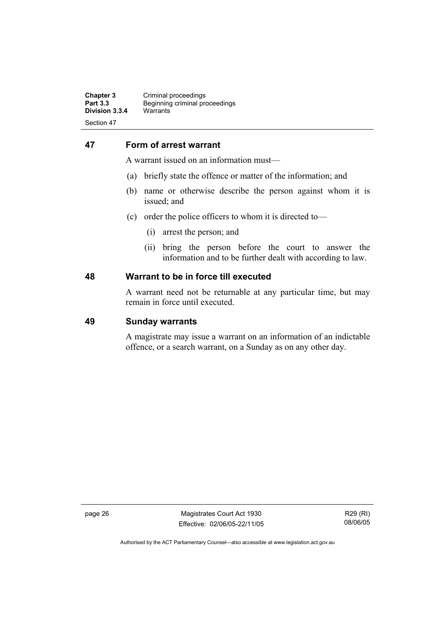#### **47 Form of arrest warrant**

A warrant issued on an information must—

- (a) briefly state the offence or matter of the information; and
- (b) name or otherwise describe the person against whom it is issued; and
- (c) order the police officers to whom it is directed to—
	- (i) arrest the person; and
	- (ii) bring the person before the court to answer the information and to be further dealt with according to law.

#### **48 Warrant to be in force till executed**

A warrant need not be returnable at any particular time, but may remain in force until executed.

#### **49 Sunday warrants**

A magistrate may issue a warrant on an information of an indictable offence, or a search warrant, on a Sunday as on any other day.

page 26 Magistrates Court Act 1930 Effective: 02/06/05-22/11/05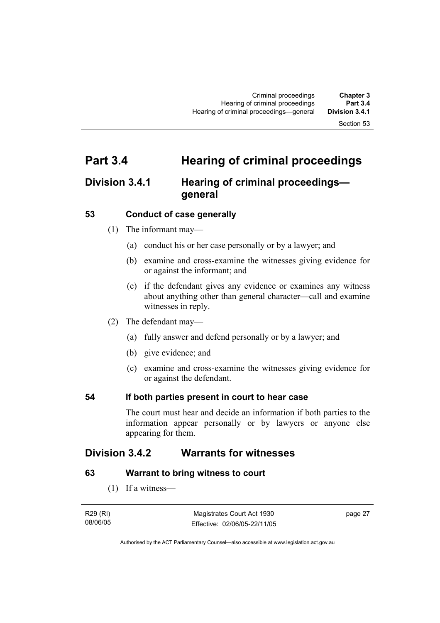# **Part 3.4 Hearing of criminal proceedings**

# **Division 3.4.1 Hearing of criminal proceedings general**

#### **53 Conduct of case generally**

- (1) The informant may—
	- (a) conduct his or her case personally or by a lawyer; and
	- (b) examine and cross-examine the witnesses giving evidence for or against the informant; and
	- (c) if the defendant gives any evidence or examines any witness about anything other than general character—call and examine witnesses in reply.
- (2) The defendant may—
	- (a) fully answer and defend personally or by a lawyer; and
	- (b) give evidence; and
	- (c) examine and cross-examine the witnesses giving evidence for or against the defendant.

#### **54 If both parties present in court to hear case**

The court must hear and decide an information if both parties to the information appear personally or by lawyers or anyone else appearing for them.

# **Division 3.4.2 Warrants for witnesses**

#### **63 Warrant to bring witness to court**

(1) If a witness—

| R29 (RI) | Magistrates Court Act 1930   | page 27 |
|----------|------------------------------|---------|
| 08/06/05 | Effective: 02/06/05-22/11/05 |         |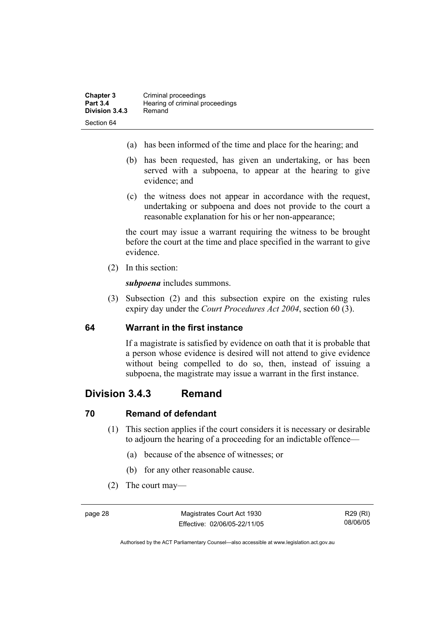- (a) has been informed of the time and place for the hearing; and
- (b) has been requested, has given an undertaking, or has been served with a subpoena, to appear at the hearing to give evidence; and
- (c) the witness does not appear in accordance with the request, undertaking or subpoena and does not provide to the court a reasonable explanation for his or her non-appearance;

the court may issue a warrant requiring the witness to be brought before the court at the time and place specified in the warrant to give evidence.

(2) In this section:

*subpoena* includes summons.

 (3) Subsection (2) and this subsection expire on the existing rules expiry day under the *Court Procedures Act 2004*, section 60 (3).

#### **64 Warrant in the first instance**

If a magistrate is satisfied by evidence on oath that it is probable that a person whose evidence is desired will not attend to give evidence without being compelled to do so, then, instead of issuing a subpoena, the magistrate may issue a warrant in the first instance.

## **Division 3.4.3 Remand**

#### **70 Remand of defendant**

- (1) This section applies if the court considers it is necessary or desirable to adjourn the hearing of a proceeding for an indictable offence—
	- (a) because of the absence of witnesses; or
	- (b) for any other reasonable cause.
- (2) The court may—

page 28 Magistrates Court Act 1930 Effective: 02/06/05-22/11/05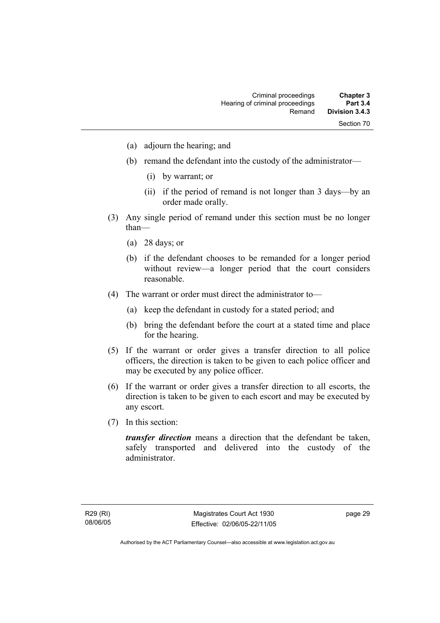- (a) adjourn the hearing; and
- (b) remand the defendant into the custody of the administrator—
	- (i) by warrant; or
	- (ii) if the period of remand is not longer than 3 days—by an order made orally.
- (3) Any single period of remand under this section must be no longer than—
	- (a) 28 days; or
	- (b) if the defendant chooses to be remanded for a longer period without review—a longer period that the court considers reasonable.
- (4) The warrant or order must direct the administrator to—
	- (a) keep the defendant in custody for a stated period; and
	- (b) bring the defendant before the court at a stated time and place for the hearing.
- (5) If the warrant or order gives a transfer direction to all police officers, the direction is taken to be given to each police officer and may be executed by any police officer.
- (6) If the warrant or order gives a transfer direction to all escorts, the direction is taken to be given to each escort and may be executed by any escort.
- (7) In this section:

*transfer direction* means a direction that the defendant be taken, safely transported and delivered into the custody of the administrator.

page 29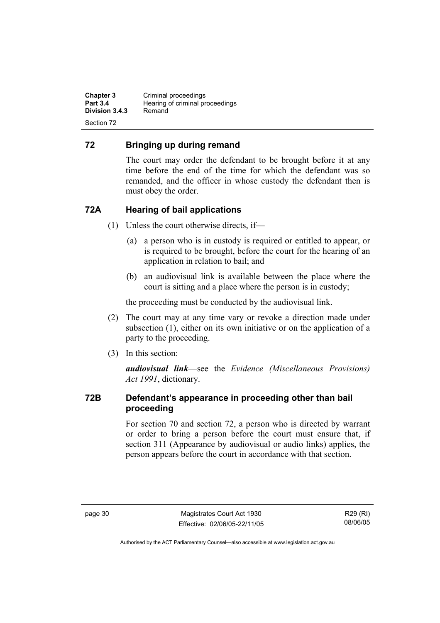**Chapter 3** Criminal proceedings<br> **Part 3.4** Hearing of criminal pro **Hearing of criminal proceedings**<br>Remand **Division 3.4.3** Section 72

#### **72 Bringing up during remand**

The court may order the defendant to be brought before it at any time before the end of the time for which the defendant was so remanded, and the officer in whose custody the defendant then is must obey the order.

#### **72A Hearing of bail applications**

- (1) Unless the court otherwise directs, if—
	- (a) a person who is in custody is required or entitled to appear, or is required to be brought, before the court for the hearing of an application in relation to bail; and
	- (b) an audiovisual link is available between the place where the court is sitting and a place where the person is in custody;

the proceeding must be conducted by the audiovisual link.

- (2) The court may at any time vary or revoke a direction made under subsection (1), either on its own initiative or on the application of a party to the proceeding.
- (3) In this section:

*audiovisual link*—see the *Evidence (Miscellaneous Provisions) Act 1991*, dictionary.

#### **72B Defendant's appearance in proceeding other than bail proceeding**

For section 70 and section 72, a person who is directed by warrant or order to bring a person before the court must ensure that, if section 311 (Appearance by audiovisual or audio links) applies, the person appears before the court in accordance with that section.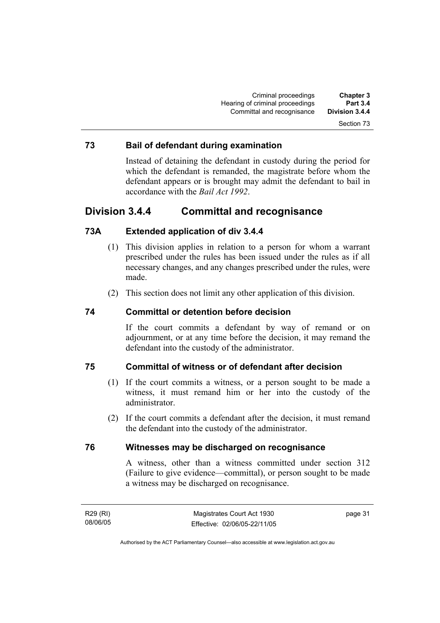#### **73 Bail of defendant during examination**

Instead of detaining the defendant in custody during the period for which the defendant is remanded, the magistrate before whom the defendant appears or is brought may admit the defendant to bail in accordance with the *Bail Act 1992*.

## **Division 3.4.4 Committal and recognisance**

#### **73A Extended application of div 3.4.4**

- (1) This division applies in relation to a person for whom a warrant prescribed under the rules has been issued under the rules as if all necessary changes, and any changes prescribed under the rules, were made.
- (2) This section does not limit any other application of this division.

#### **74 Committal or detention before decision**

If the court commits a defendant by way of remand or on adjournment, or at any time before the decision, it may remand the defendant into the custody of the administrator.

#### **75 Committal of witness or of defendant after decision**

- (1) If the court commits a witness, or a person sought to be made a witness, it must remand him or her into the custody of the administrator.
- (2) If the court commits a defendant after the decision, it must remand the defendant into the custody of the administrator.

#### **76 Witnesses may be discharged on recognisance**

A witness, other than a witness committed under section 312 (Failure to give evidence—committal), or person sought to be made a witness may be discharged on recognisance.

R29 (RI) 08/06/05 page 31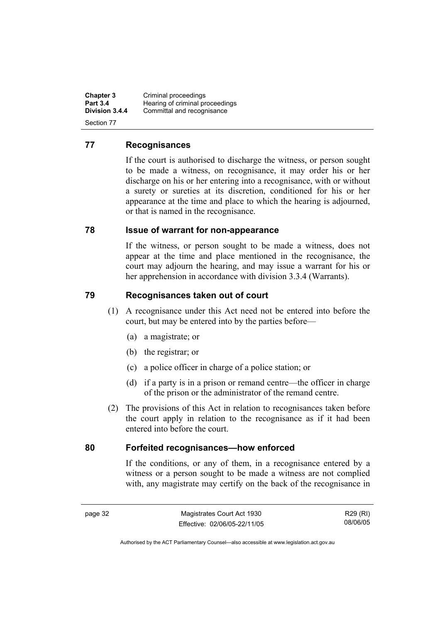**Chapter 3** Criminal proceedings<br> **Part 3.4** Hearing of criminal pro **Part 3.4 Hearing of criminal proceedings**<br>**Division 3.4.4** Committal and recognisance Committal and recognisance Section 77

#### **77 Recognisances**

If the court is authorised to discharge the witness, or person sought to be made a witness, on recognisance, it may order his or her discharge on his or her entering into a recognisance, with or without a surety or sureties at its discretion, conditioned for his or her appearance at the time and place to which the hearing is adjourned, or that is named in the recognisance.

#### **78 Issue of warrant for non-appearance**

If the witness, or person sought to be made a witness, does not appear at the time and place mentioned in the recognisance, the court may adjourn the hearing, and may issue a warrant for his or her apprehension in accordance with division 3.3.4 (Warrants).

#### **79 Recognisances taken out of court**

- (1) A recognisance under this Act need not be entered into before the court, but may be entered into by the parties before—
	- (a) a magistrate; or
	- (b) the registrar; or
	- (c) a police officer in charge of a police station; or
	- (d) if a party is in a prison or remand centre—the officer in charge of the prison or the administrator of the remand centre.
- (2) The provisions of this Act in relation to recognisances taken before the court apply in relation to the recognisance as if it had been entered into before the court.

#### **80 Forfeited recognisances—how enforced**

If the conditions, or any of them, in a recognisance entered by a witness or a person sought to be made a witness are not complied with, any magistrate may certify on the back of the recognisance in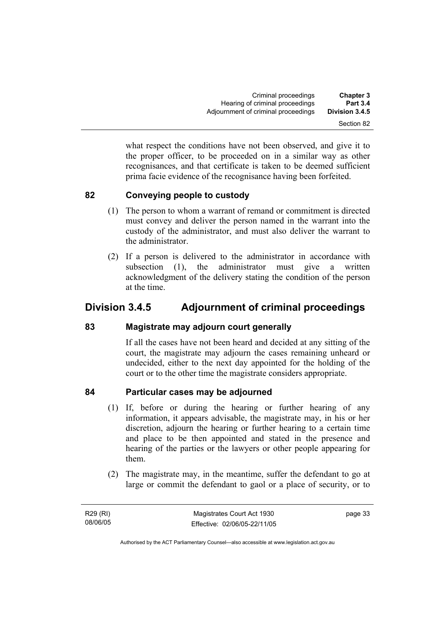what respect the conditions have not been observed, and give it to the proper officer, to be proceeded on in a similar way as other recognisances, and that certificate is taken to be deemed sufficient prima facie evidence of the recognisance having been forfeited.

#### **82 Conveying people to custody**

- (1) The person to whom a warrant of remand or commitment is directed must convey and deliver the person named in the warrant into the custody of the administrator, and must also deliver the warrant to the administrator.
- (2) If a person is delivered to the administrator in accordance with subsection (1), the administrator must give a written acknowledgment of the delivery stating the condition of the person at the time.

# **Division 3.4.5 Adjournment of criminal proceedings**

#### **83 Magistrate may adjourn court generally**

If all the cases have not been heard and decided at any sitting of the court, the magistrate may adjourn the cases remaining unheard or undecided, either to the next day appointed for the holding of the court or to the other time the magistrate considers appropriate.

### **84 Particular cases may be adjourned**

- (1) If, before or during the hearing or further hearing of any information, it appears advisable, the magistrate may, in his or her discretion, adjourn the hearing or further hearing to a certain time and place to be then appointed and stated in the presence and hearing of the parties or the lawyers or other people appearing for them.
- (2) The magistrate may, in the meantime, suffer the defendant to go at large or commit the defendant to gaol or a place of security, or to

R29 (RI) 08/06/05 page 33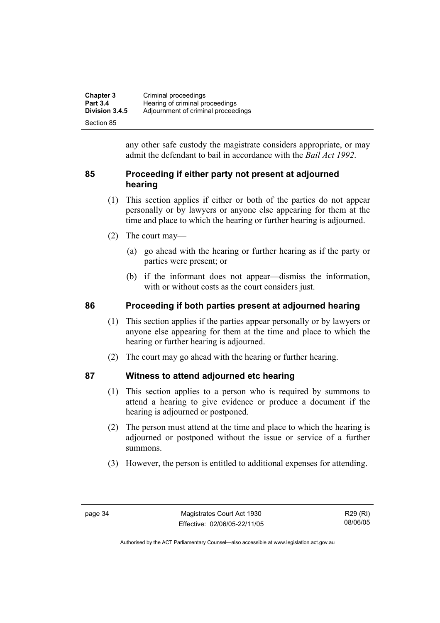| <b>Chapter 3</b> | Criminal proceedings                |
|------------------|-------------------------------------|
| <b>Part 3.4</b>  | Hearing of criminal proceedings     |
| Division 3.4.5   | Adjournment of criminal proceedings |
| Section 85       |                                     |

any other safe custody the magistrate considers appropriate, or may admit the defendant to bail in accordance with the *Bail Act 1992*.

#### **85 Proceeding if either party not present at adjourned hearing**

- (1) This section applies if either or both of the parties do not appear personally or by lawyers or anyone else appearing for them at the time and place to which the hearing or further hearing is adjourned.
- (2) The court may—
	- (a) go ahead with the hearing or further hearing as if the party or parties were present; or
	- (b) if the informant does not appear—dismiss the information, with or without costs as the court considers just.

#### **86 Proceeding if both parties present at adjourned hearing**

- (1) This section applies if the parties appear personally or by lawyers or anyone else appearing for them at the time and place to which the hearing or further hearing is adjourned.
- (2) The court may go ahead with the hearing or further hearing.

#### **87 Witness to attend adjourned etc hearing**

- (1) This section applies to a person who is required by summons to attend a hearing to give evidence or produce a document if the hearing is adjourned or postponed.
- (2) The person must attend at the time and place to which the hearing is adjourned or postponed without the issue or service of a further summons.
- (3) However, the person is entitled to additional expenses for attending.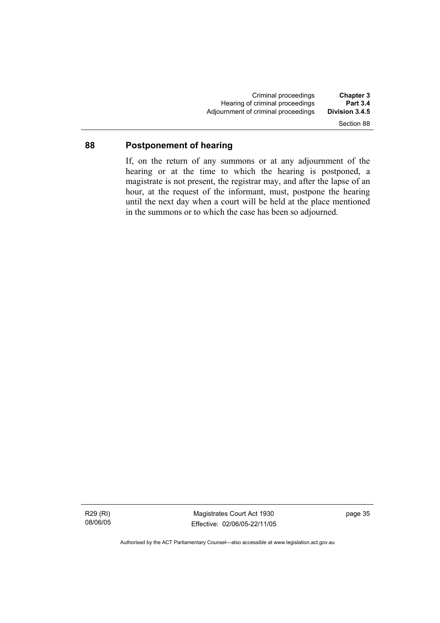Criminal proceedings **Chapter 3**  Hearing of criminal proceedings **Part 3.4**  Adjournment of criminal proceedings Section 88

# **88 Postponement of hearing**

If, on the return of any summons or at any adjournment of the hearing or at the time to which the hearing is postponed, a magistrate is not present, the registrar may, and after the lapse of an hour, at the request of the informant, must, postpone the hearing until the next day when a court will be held at the place mentioned in the summons or to which the case has been so adjourned.

Magistrates Court Act 1930 Effective: 02/06/05-22/11/05 page 35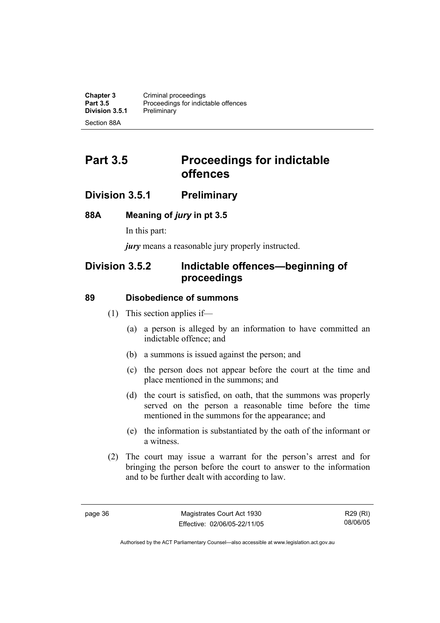**Chapter 3 Criminal proceedings**<br>**Part 3.5 Proceedings for indict** Proceedings for indictable offences<br>Preliminary **Division 3.5.1** Section 88A

# **Part 3.5** Proceedings for indictable **offences**

### **Division 3.5.1 Preliminary**

#### **88A Meaning of** *jury* **in pt 3.5**

In this part:

*jury* means a reasonable jury properly instructed.

# **Division 3.5.2 Indictable offences—beginning of proceedings**

#### **89 Disobedience of summons**

- (1) This section applies if—
	- (a) a person is alleged by an information to have committed an indictable offence; and
	- (b) a summons is issued against the person; and
	- (c) the person does not appear before the court at the time and place mentioned in the summons; and
	- (d) the court is satisfied, on oath, that the summons was properly served on the person a reasonable time before the time mentioned in the summons for the appearance; and
	- (e) the information is substantiated by the oath of the informant or a witness.
- (2) The court may issue a warrant for the person's arrest and for bringing the person before the court to answer to the information and to be further dealt with according to law.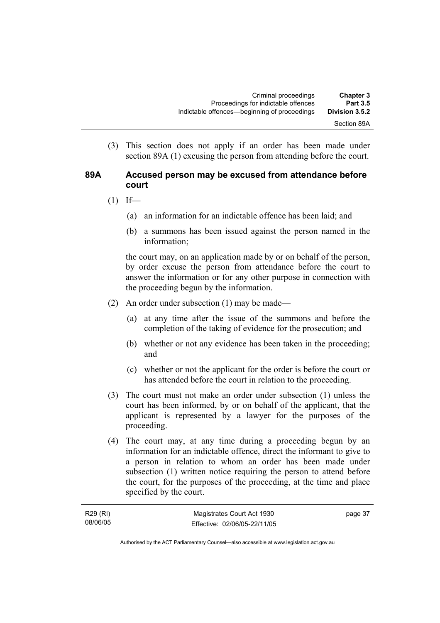(3) This section does not apply if an order has been made under section 89A (1) excusing the person from attending before the court.

#### **89A Accused person may be excused from attendance before court**

- $(1)$  If—
	- (a) an information for an indictable offence has been laid; and
	- (b) a summons has been issued against the person named in the information;

the court may, on an application made by or on behalf of the person, by order excuse the person from attendance before the court to answer the information or for any other purpose in connection with the proceeding begun by the information.

- (2) An order under subsection (1) may be made—
	- (a) at any time after the issue of the summons and before the completion of the taking of evidence for the prosecution; and
	- (b) whether or not any evidence has been taken in the proceeding; and
	- (c) whether or not the applicant for the order is before the court or has attended before the court in relation to the proceeding.
- (3) The court must not make an order under subsection (1) unless the court has been informed, by or on behalf of the applicant, that the applicant is represented by a lawyer for the purposes of the proceeding.
- (4) The court may, at any time during a proceeding begun by an information for an indictable offence, direct the informant to give to a person in relation to whom an order has been made under subsection (1) written notice requiring the person to attend before the court, for the purposes of the proceeding, at the time and place specified by the court.

| R29 (RI) | Magistrates Court Act 1930   | page 37 |
|----------|------------------------------|---------|
| 08/06/05 | Effective: 02/06/05-22/11/05 |         |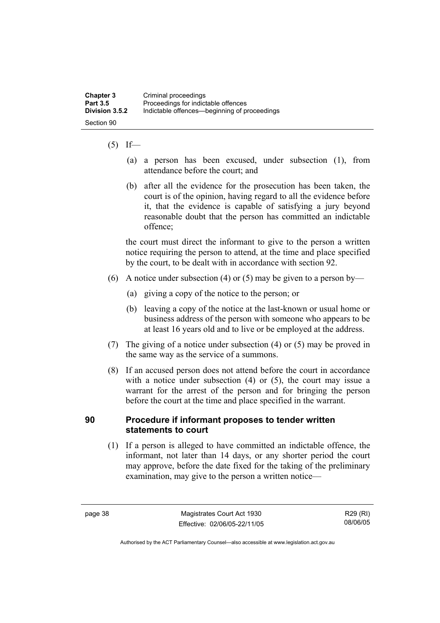#### $(5)$  If—

- (a) a person has been excused, under subsection (1), from attendance before the court; and
- (b) after all the evidence for the prosecution has been taken, the court is of the opinion, having regard to all the evidence before it, that the evidence is capable of satisfying a jury beyond reasonable doubt that the person has committed an indictable offence;

the court must direct the informant to give to the person a written notice requiring the person to attend, at the time and place specified by the court, to be dealt with in accordance with section 92.

- (6) A notice under subsection (4) or (5) may be given to a person by—
	- (a) giving a copy of the notice to the person; or
	- (b) leaving a copy of the notice at the last-known or usual home or business address of the person with someone who appears to be at least 16 years old and to live or be employed at the address.
- (7) The giving of a notice under subsection (4) or (5) may be proved in the same way as the service of a summons.
- (8) If an accused person does not attend before the court in accordance with a notice under subsection (4) or (5), the court may issue a warrant for the arrest of the person and for bringing the person before the court at the time and place specified in the warrant.

#### **90 Procedure if informant proposes to tender written statements to court**

 (1) If a person is alleged to have committed an indictable offence, the informant, not later than 14 days, or any shorter period the court may approve, before the date fixed for the taking of the preliminary examination, may give to the person a written notice—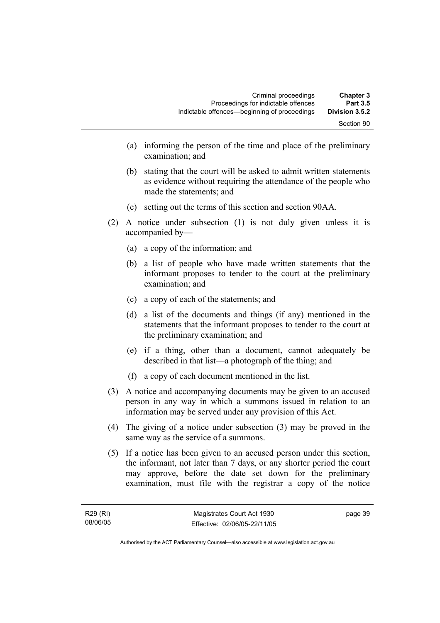- (a) informing the person of the time and place of the preliminary examination; and
- (b) stating that the court will be asked to admit written statements as evidence without requiring the attendance of the people who made the statements; and
- (c) setting out the terms of this section and section 90AA.
- (2) A notice under subsection (1) is not duly given unless it is accompanied by—
	- (a) a copy of the information; and
	- (b) a list of people who have made written statements that the informant proposes to tender to the court at the preliminary examination; and
	- (c) a copy of each of the statements; and
	- (d) a list of the documents and things (if any) mentioned in the statements that the informant proposes to tender to the court at the preliminary examination; and
	- (e) if a thing, other than a document, cannot adequately be described in that list—a photograph of the thing; and
	- (f) a copy of each document mentioned in the list.
- (3) A notice and accompanying documents may be given to an accused person in any way in which a summons issued in relation to an information may be served under any provision of this Act.
- (4) The giving of a notice under subsection (3) may be proved in the same way as the service of a summons.
- (5) If a notice has been given to an accused person under this section, the informant, not later than 7 days, or any shorter period the court may approve, before the date set down for the preliminary examination, must file with the registrar a copy of the notice

page 39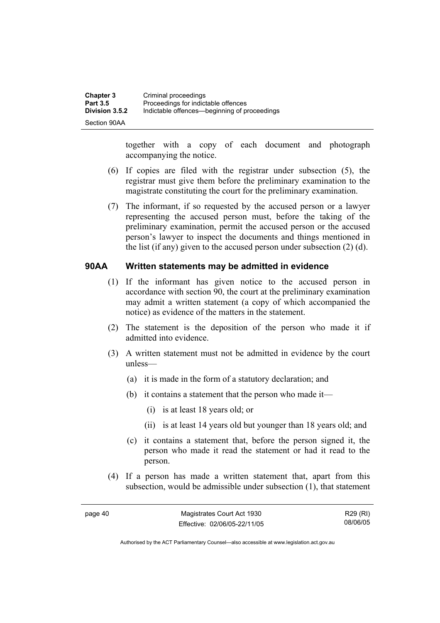| Chapter 3       | Criminal proceedings                         |
|-----------------|----------------------------------------------|
| <b>Part 3.5</b> | Proceedings for indictable offences          |
| Division 3.5.2  | Indictable offences—beginning of proceedings |
| Section 90AA    |                                              |

together with a copy of each document and photograph accompanying the notice.

- (6) If copies are filed with the registrar under subsection (5), the registrar must give them before the preliminary examination to the magistrate constituting the court for the preliminary examination.
- (7) The informant, if so requested by the accused person or a lawyer representing the accused person must, before the taking of the preliminary examination, permit the accused person or the accused person's lawyer to inspect the documents and things mentioned in the list (if any) given to the accused person under subsection (2) (d).

#### **90AA Written statements may be admitted in evidence**

- (1) If the informant has given notice to the accused person in accordance with section 90, the court at the preliminary examination may admit a written statement (a copy of which accompanied the notice) as evidence of the matters in the statement.
- (2) The statement is the deposition of the person who made it if admitted into evidence.
- (3) A written statement must not be admitted in evidence by the court unless—
	- (a) it is made in the form of a statutory declaration; and
	- (b) it contains a statement that the person who made it—
		- (i) is at least 18 years old; or
		- (ii) is at least 14 years old but younger than 18 years old; and
	- (c) it contains a statement that, before the person signed it, the person who made it read the statement or had it read to the person.
- (4) If a person has made a written statement that, apart from this subsection, would be admissible under subsection (1), that statement

R29 (RI) 08/06/05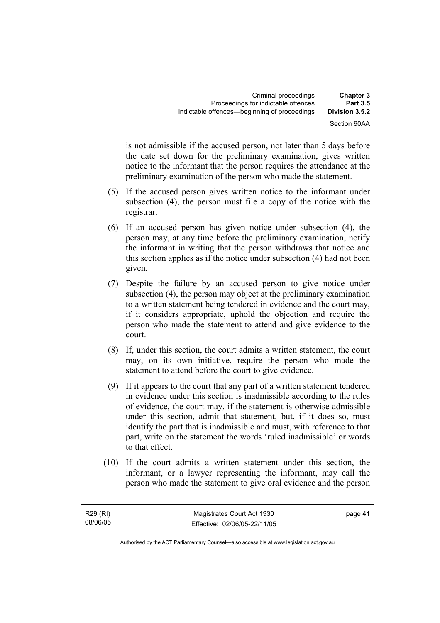is not admissible if the accused person, not later than 5 days before the date set down for the preliminary examination, gives written notice to the informant that the person requires the attendance at the preliminary examination of the person who made the statement.

- (5) If the accused person gives written notice to the informant under subsection (4), the person must file a copy of the notice with the registrar.
- (6) If an accused person has given notice under subsection (4), the person may, at any time before the preliminary examination, notify the informant in writing that the person withdraws that notice and this section applies as if the notice under subsection (4) had not been given.
- (7) Despite the failure by an accused person to give notice under subsection (4), the person may object at the preliminary examination to a written statement being tendered in evidence and the court may, if it considers appropriate, uphold the objection and require the person who made the statement to attend and give evidence to the court.
- (8) If, under this section, the court admits a written statement, the court may, on its own initiative, require the person who made the statement to attend before the court to give evidence.
- (9) If it appears to the court that any part of a written statement tendered in evidence under this section is inadmissible according to the rules of evidence, the court may, if the statement is otherwise admissible under this section, admit that statement, but, if it does so, must identify the part that is inadmissible and must, with reference to that part, write on the statement the words 'ruled inadmissible' or words to that effect.
- (10) If the court admits a written statement under this section, the informant, or a lawyer representing the informant, may call the person who made the statement to give oral evidence and the person

page 41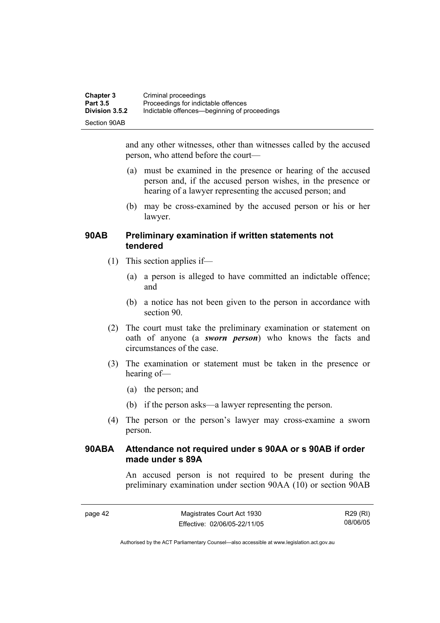| <b>Chapter 3</b> | Criminal proceedings                         |
|------------------|----------------------------------------------|
| <b>Part 3.5</b>  | Proceedings for indictable offences          |
| Division 3.5.2   | Indictable offences—beginning of proceedings |
| Section 90AB     |                                              |

and any other witnesses, other than witnesses called by the accused person, who attend before the court—

- (a) must be examined in the presence or hearing of the accused person and, if the accused person wishes, in the presence or hearing of a lawyer representing the accused person; and
- (b) may be cross-examined by the accused person or his or her lawyer.

#### **90AB Preliminary examination if written statements not tendered**

- (1) This section applies if—
	- (a) a person is alleged to have committed an indictable offence; and
	- (b) a notice has not been given to the person in accordance with section 90.
- (2) The court must take the preliminary examination or statement on oath of anyone (a *sworn person*) who knows the facts and circumstances of the case.
- (3) The examination or statement must be taken in the presence or hearing of—
	- (a) the person; and
	- (b) if the person asks—a lawyer representing the person.
- (4) The person or the person's lawyer may cross-examine a sworn person.

#### **90ABA Attendance not required under s 90AA or s 90AB if order made under s 89A**

An accused person is not required to be present during the preliminary examination under section 90AA (10) or section 90AB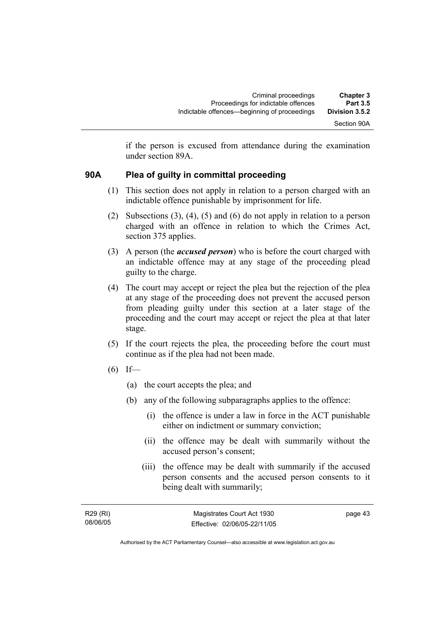if the person is excused from attendance during the examination under section 89A.

#### **90A Plea of guilty in committal proceeding**

- (1) This section does not apply in relation to a person charged with an indictable offence punishable by imprisonment for life.
- (2) Subsections (3), (4), (5) and (6) do not apply in relation to a person charged with an offence in relation to which the Crimes Act, section 375 applies.
- (3) A person (the *accused person*) who is before the court charged with an indictable offence may at any stage of the proceeding plead guilty to the charge.
- (4) The court may accept or reject the plea but the rejection of the plea at any stage of the proceeding does not prevent the accused person from pleading guilty under this section at a later stage of the proceeding and the court may accept or reject the plea at that later stage.
- (5) If the court rejects the plea, the proceeding before the court must continue as if the plea had not been made.
- $(6)$  If—
	- (a) the court accepts the plea; and
	- (b) any of the following subparagraphs applies to the offence:
		- (i) the offence is under a law in force in the ACT punishable either on indictment or summary conviction;
		- (ii) the offence may be dealt with summarily without the accused person's consent;
		- (iii) the offence may be dealt with summarily if the accused person consents and the accused person consents to it being dealt with summarily;

R29 (RI) 08/06/05 page 43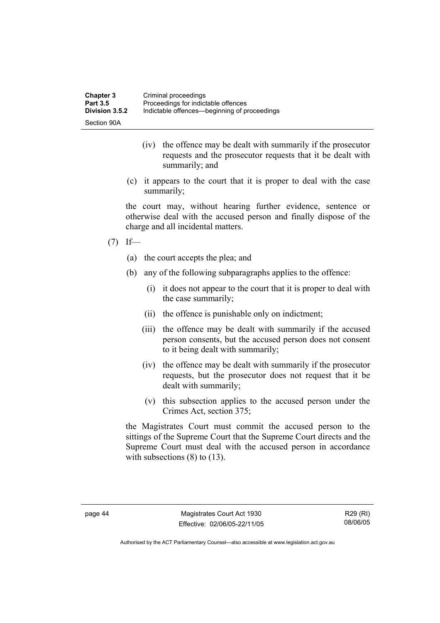| <b>Chapter 3</b> | Criminal proceedings                         |
|------------------|----------------------------------------------|
| <b>Part 3.5</b>  | Proceedings for indictable offences          |
| Division 3.5.2   | Indictable offences—beginning of proceedings |
| Section 90A      |                                              |

- (iv) the offence may be dealt with summarily if the prosecutor requests and the prosecutor requests that it be dealt with summarily; and
- (c) it appears to the court that it is proper to deal with the case summarily;

the court may, without hearing further evidence, sentence or otherwise deal with the accused person and finally dispose of the charge and all incidental matters.

- $(7)$  If—
	- (a) the court accepts the plea; and
	- (b) any of the following subparagraphs applies to the offence:
		- (i) it does not appear to the court that it is proper to deal with the case summarily;
		- (ii) the offence is punishable only on indictment;
		- (iii) the offence may be dealt with summarily if the accused person consents, but the accused person does not consent to it being dealt with summarily;
		- (iv) the offence may be dealt with summarily if the prosecutor requests, but the prosecutor does not request that it be dealt with summarily;
		- (v) this subsection applies to the accused person under the Crimes Act, section 375;

the Magistrates Court must commit the accused person to the sittings of the Supreme Court that the Supreme Court directs and the Supreme Court must deal with the accused person in accordance with subsections  $(8)$  to  $(13)$ .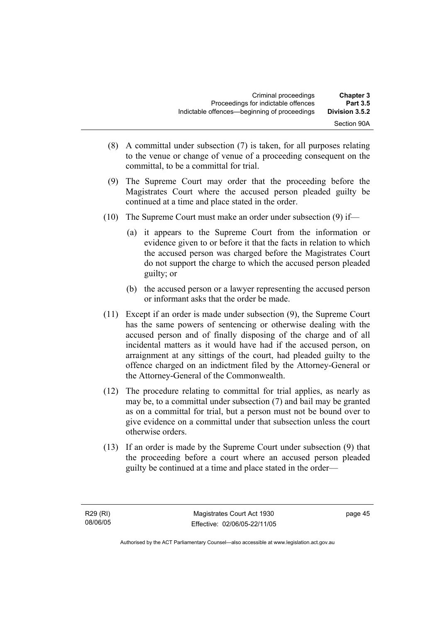| <b>Chapter 3</b><br><b>Part 3.5</b> | Criminal proceedings<br>Proceedings for indictable offences |  |
|-------------------------------------|-------------------------------------------------------------|--|
| Division 3.5.2                      | Indictable offences—beginning of proceedings                |  |
| Section 90A                         |                                                             |  |

- (8) A committal under subsection (7) is taken, for all purposes relating to the venue or change of venue of a proceeding consequent on the committal, to be a committal for trial.
- (9) The Supreme Court may order that the proceeding before the Magistrates Court where the accused person pleaded guilty be continued at a time and place stated in the order.
- (10) The Supreme Court must make an order under subsection (9) if—
	- (a) it appears to the Supreme Court from the information or evidence given to or before it that the facts in relation to which the accused person was charged before the Magistrates Court do not support the charge to which the accused person pleaded guilty; or
	- (b) the accused person or a lawyer representing the accused person or informant asks that the order be made.
- (11) Except if an order is made under subsection (9), the Supreme Court has the same powers of sentencing or otherwise dealing with the accused person and of finally disposing of the charge and of all incidental matters as it would have had if the accused person, on arraignment at any sittings of the court, had pleaded guilty to the offence charged on an indictment filed by the Attorney-General or the Attorney-General of the Commonwealth.
- (12) The procedure relating to committal for trial applies, as nearly as may be, to a committal under subsection (7) and bail may be granted as on a committal for trial, but a person must not be bound over to give evidence on a committal under that subsection unless the court otherwise orders.
- (13) If an order is made by the Supreme Court under subsection (9) that the proceeding before a court where an accused person pleaded guilty be continued at a time and place stated in the order—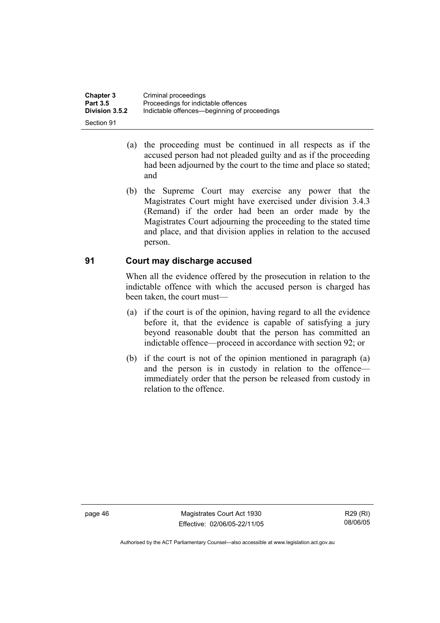| <b>Chapter 3</b> | Criminal proceedings                         |
|------------------|----------------------------------------------|
| <b>Part 3.5</b>  | Proceedings for indictable offences          |
| Division 3.5.2   | Indictable offences—beginning of proceedings |
| Section 91       |                                              |

- (a) the proceeding must be continued in all respects as if the accused person had not pleaded guilty and as if the proceeding had been adjourned by the court to the time and place so stated; and
- (b) the Supreme Court may exercise any power that the Magistrates Court might have exercised under division 3.4.3 (Remand) if the order had been an order made by the Magistrates Court adjourning the proceeding to the stated time and place, and that division applies in relation to the accused person.

#### **91 Court may discharge accused**

When all the evidence offered by the prosecution in relation to the indictable offence with which the accused person is charged has been taken, the court must—

- (a) if the court is of the opinion, having regard to all the evidence before it, that the evidence is capable of satisfying a jury beyond reasonable doubt that the person has committed an indictable offence—proceed in accordance with section 92; or
- (b) if the court is not of the opinion mentioned in paragraph (a) and the person is in custody in relation to the offence immediately order that the person be released from custody in relation to the offence.

page 46 Magistrates Court Act 1930 Effective: 02/06/05-22/11/05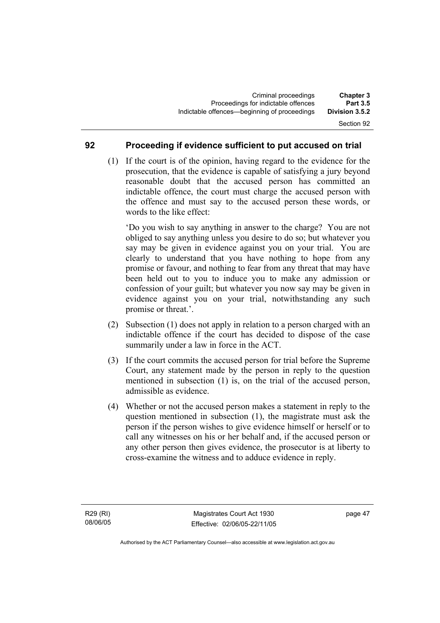#### **92 Proceeding if evidence sufficient to put accused on trial**

 (1) If the court is of the opinion, having regard to the evidence for the prosecution, that the evidence is capable of satisfying a jury beyond reasonable doubt that the accused person has committed an indictable offence, the court must charge the accused person with the offence and must say to the accused person these words, or words to the like effect:

'Do you wish to say anything in answer to the charge? You are not obliged to say anything unless you desire to do so; but whatever you say may be given in evidence against you on your trial. You are clearly to understand that you have nothing to hope from any promise or favour, and nothing to fear from any threat that may have been held out to you to induce you to make any admission or confession of your guilt; but whatever you now say may be given in evidence against you on your trial, notwithstanding any such promise or threat.'.

- (2) Subsection (1) does not apply in relation to a person charged with an indictable offence if the court has decided to dispose of the case summarily under a law in force in the ACT.
- (3) If the court commits the accused person for trial before the Supreme Court, any statement made by the person in reply to the question mentioned in subsection (1) is, on the trial of the accused person, admissible as evidence.
- (4) Whether or not the accused person makes a statement in reply to the question mentioned in subsection (1), the magistrate must ask the person if the person wishes to give evidence himself or herself or to call any witnesses on his or her behalf and, if the accused person or any other person then gives evidence, the prosecutor is at liberty to cross-examine the witness and to adduce evidence in reply.

page 47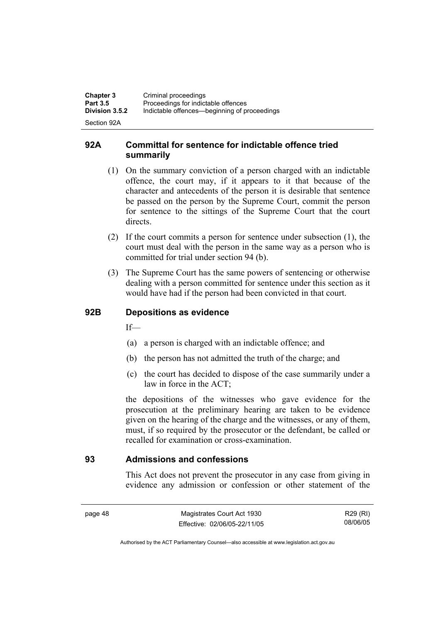| <b>Chapter 3</b><br><b>Part 3.5</b> | Criminal proceedings<br>Proceedings for indictable offences |
|-------------------------------------|-------------------------------------------------------------|
| <b>Division 3.5.2</b>               | Indictable offences—beginning of proceedings                |
| Section 92A                         |                                                             |

#### **92A Committal for sentence for indictable offence tried summarily**

- (1) On the summary conviction of a person charged with an indictable offence, the court may, if it appears to it that because of the character and antecedents of the person it is desirable that sentence be passed on the person by the Supreme Court, commit the person for sentence to the sittings of the Supreme Court that the court directs.
- (2) If the court commits a person for sentence under subsection (1), the court must deal with the person in the same way as a person who is committed for trial under section 94 (b).
- (3) The Supreme Court has the same powers of sentencing or otherwise dealing with a person committed for sentence under this section as it would have had if the person had been convicted in that court.

#### **92B Depositions as evidence**

 $If$ —

- (a) a person is charged with an indictable offence; and
- (b) the person has not admitted the truth of the charge; and
- (c) the court has decided to dispose of the case summarily under a law in force in the ACT;

the depositions of the witnesses who gave evidence for the prosecution at the preliminary hearing are taken to be evidence given on the hearing of the charge and the witnesses, or any of them, must, if so required by the prosecutor or the defendant, be called or recalled for examination or cross-examination.

#### **93 Admissions and confessions**

This Act does not prevent the prosecutor in any case from giving in evidence any admission or confession or other statement of the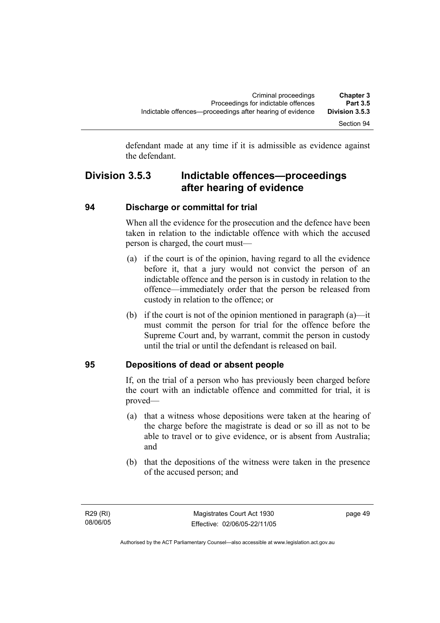defendant made at any time if it is admissible as evidence against the defendant.

# **Division 3.5.3 Indictable offences—proceedings after hearing of evidence**

#### **94 Discharge or committal for trial**

When all the evidence for the prosecution and the defence have been taken in relation to the indictable offence with which the accused person is charged, the court must—

- (a) if the court is of the opinion, having regard to all the evidence before it, that a jury would not convict the person of an indictable offence and the person is in custody in relation to the offence—immediately order that the person be released from custody in relation to the offence; or
- (b) if the court is not of the opinion mentioned in paragraph (a)—it must commit the person for trial for the offence before the Supreme Court and, by warrant, commit the person in custody until the trial or until the defendant is released on bail.

#### **95 Depositions of dead or absent people**

If, on the trial of a person who has previously been charged before the court with an indictable offence and committed for trial, it is proved—

- (a) that a witness whose depositions were taken at the hearing of the charge before the magistrate is dead or so ill as not to be able to travel or to give evidence, or is absent from Australia; and
- (b) that the depositions of the witness were taken in the presence of the accused person; and

page 49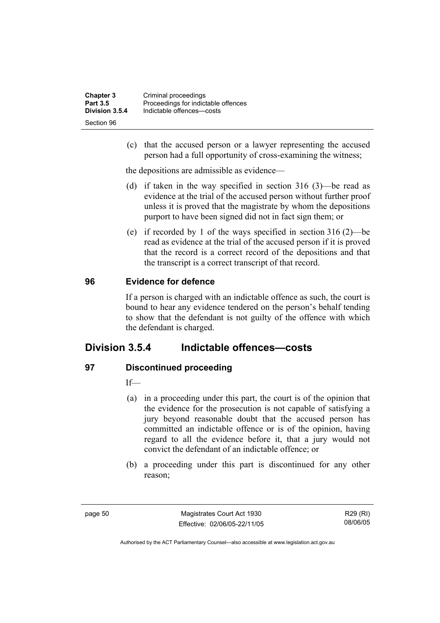| <b>Chapter 3</b> | Criminal proceedings                |
|------------------|-------------------------------------|
| <b>Part 3.5</b>  | Proceedings for indictable offences |
| Division 3.5.4   | Indictable offences-costs           |
| Section 96       |                                     |

 (c) that the accused person or a lawyer representing the accused person had a full opportunity of cross-examining the witness;

the depositions are admissible as evidence—

- (d) if taken in the way specified in section 316 (3)—be read as evidence at the trial of the accused person without further proof unless it is proved that the magistrate by whom the depositions purport to have been signed did not in fact sign them; or
- (e) if recorded by 1 of the ways specified in section 316 (2)—be read as evidence at the trial of the accused person if it is proved that the record is a correct record of the depositions and that the transcript is a correct transcript of that record.

#### **96 Evidence for defence**

If a person is charged with an indictable offence as such, the court is bound to hear any evidence tendered on the person's behalf tending to show that the defendant is not guilty of the offence with which the defendant is charged.

### **Division 3.5.4 Indictable offences—costs**

#### **97 Discontinued proceeding**

If—

- (a) in a proceeding under this part, the court is of the opinion that the evidence for the prosecution is not capable of satisfying a jury beyond reasonable doubt that the accused person has committed an indictable offence or is of the opinion, having regard to all the evidence before it, that a jury would not convict the defendant of an indictable offence; or
- (b) a proceeding under this part is discontinued for any other reason;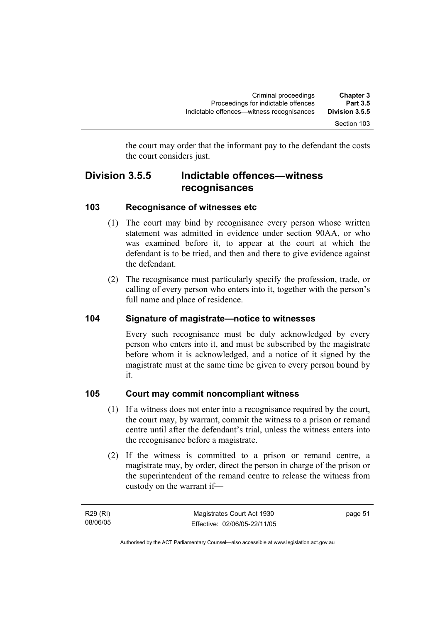the court may order that the informant pay to the defendant the costs the court considers just.

## **Division 3.5.5 Indictable offences—witness recognisances**

#### **103 Recognisance of witnesses etc**

- (1) The court may bind by recognisance every person whose written statement was admitted in evidence under section 90AA, or who was examined before it, to appear at the court at which the defendant is to be tried, and then and there to give evidence against the defendant.
- (2) The recognisance must particularly specify the profession, trade, or calling of every person who enters into it, together with the person's full name and place of residence.

#### **104 Signature of magistrate—notice to witnesses**

Every such recognisance must be duly acknowledged by every person who enters into it, and must be subscribed by the magistrate before whom it is acknowledged, and a notice of it signed by the magistrate must at the same time be given to every person bound by it.

#### **105 Court may commit noncompliant witness**

- (1) If a witness does not enter into a recognisance required by the court, the court may, by warrant, commit the witness to a prison or remand centre until after the defendant's trial, unless the witness enters into the recognisance before a magistrate.
- (2) If the witness is committed to a prison or remand centre, a magistrate may, by order, direct the person in charge of the prison or the superintendent of the remand centre to release the witness from custody on the warrant if—

R29 (RI) 08/06/05 page 51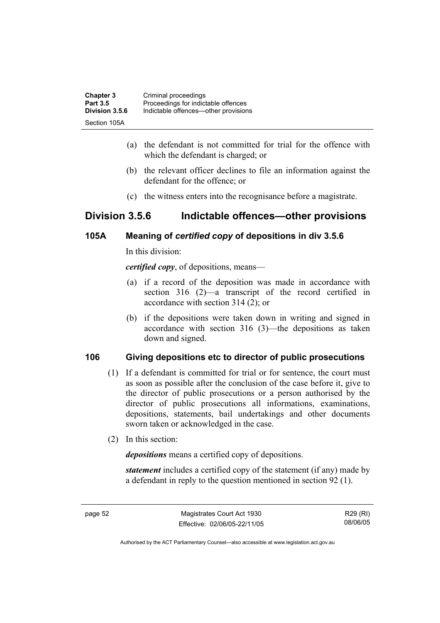| <b>Chapter 3</b> | Criminal proceedings                 |
|------------------|--------------------------------------|
| <b>Part 3.5</b>  | Proceedings for indictable offences  |
| Division 3.5.6   | Indictable offences—other provisions |
| Section 105A     |                                      |

- (a) the defendant is not committed for trial for the offence with which the defendant is charged; or
- (b) the relevant officer declines to file an information against the defendant for the offence; or
- (c) the witness enters into the recognisance before a magistrate.

# **Division 3.5.6 Indictable offences—other provisions**

#### **105A Meaning of** *certified copy* **of depositions in div 3.5.6**

In this division:

*certified copy*, of depositions, means—

- (a) if a record of the deposition was made in accordance with section 316 (2)—a transcript of the record certified in accordance with section 314 (2); or
- (b) if the depositions were taken down in writing and signed in accordance with section 316 (3)—the depositions as taken down and signed.

#### **106 Giving depositions etc to director of public prosecutions**

- (1) If a defendant is committed for trial or for sentence, the court must as soon as possible after the conclusion of the case before it, give to the director of public prosecutions or a person authorised by the director of public prosecutions all informations, examinations, depositions, statements, bail undertakings and other documents sworn taken or acknowledged in the case.
- (2) In this section:

*depositions* means a certified copy of depositions.

*statement* includes a certified copy of the statement (if any) made by a defendant in reply to the question mentioned in section 92 (1).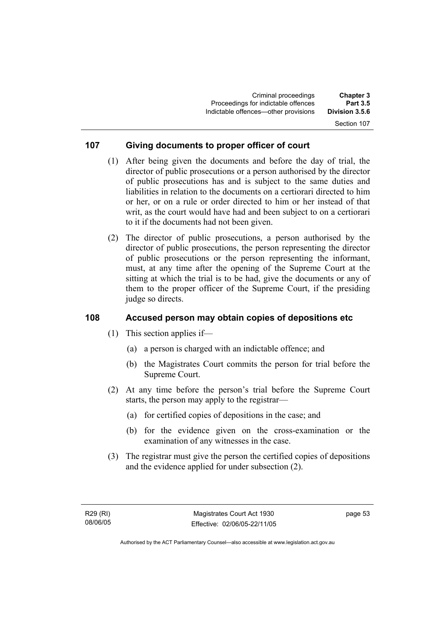#### Section 107

#### **107 Giving documents to proper officer of court**

- (1) After being given the documents and before the day of trial, the director of public prosecutions or a person authorised by the director of public prosecutions has and is subject to the same duties and liabilities in relation to the documents on a certiorari directed to him or her, or on a rule or order directed to him or her instead of that writ, as the court would have had and been subject to on a certiorari to it if the documents had not been given.
- (2) The director of public prosecutions, a person authorised by the director of public prosecutions, the person representing the director of public prosecutions or the person representing the informant, must, at any time after the opening of the Supreme Court at the sitting at which the trial is to be had, give the documents or any of them to the proper officer of the Supreme Court, if the presiding judge so directs.

#### **108 Accused person may obtain copies of depositions etc**

- (1) This section applies if—
	- (a) a person is charged with an indictable offence; and
	- (b) the Magistrates Court commits the person for trial before the Supreme Court.
- (2) At any time before the person's trial before the Supreme Court starts, the person may apply to the registrar—
	- (a) for certified copies of depositions in the case; and
	- (b) for the evidence given on the cross-examination or the examination of any witnesses in the case.
- (3) The registrar must give the person the certified copies of depositions and the evidence applied for under subsection (2).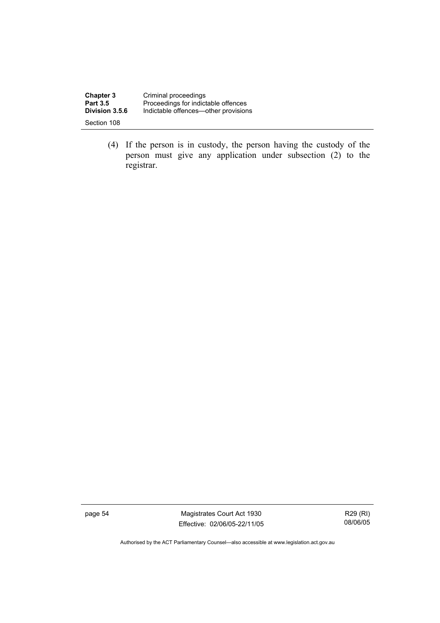| <b>Chapter 3</b> | Criminal proceedings                 |
|------------------|--------------------------------------|
| <b>Part 3.5</b>  | Proceedings for indictable offences  |
| Division 3.5.6   | Indictable offences—other provisions |
| Section 108      |                                      |

 (4) If the person is in custody, the person having the custody of the person must give any application under subsection (2) to the registrar.

page 54 Magistrates Court Act 1930 Effective: 02/06/05-22/11/05

R29 (RI) 08/06/05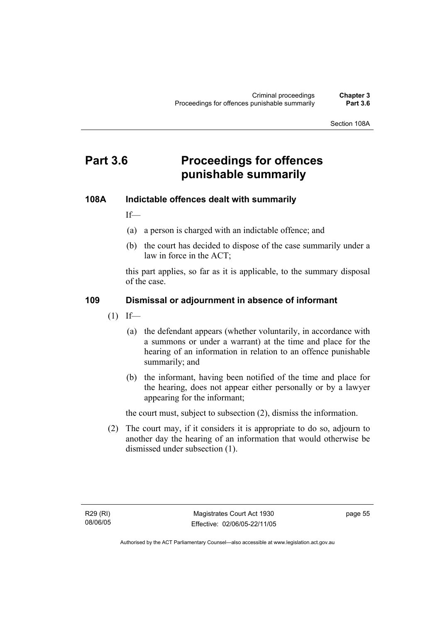Section 108A

# **Part 3.6 Proceedings for offences punishable summarily**

#### **108A Indictable offences dealt with summarily**

If—

- (a) a person is charged with an indictable offence; and
- (b) the court has decided to dispose of the case summarily under a law in force in the ACT;

this part applies, so far as it is applicable, to the summary disposal of the case.

#### **109 Dismissal or adjournment in absence of informant**

- $(1)$  If—
	- (a) the defendant appears (whether voluntarily, in accordance with a summons or under a warrant) at the time and place for the hearing of an information in relation to an offence punishable summarily; and
	- (b) the informant, having been notified of the time and place for the hearing, does not appear either personally or by a lawyer appearing for the informant;

the court must, subject to subsection (2), dismiss the information.

 (2) The court may, if it considers it is appropriate to do so, adjourn to another day the hearing of an information that would otherwise be dismissed under subsection (1).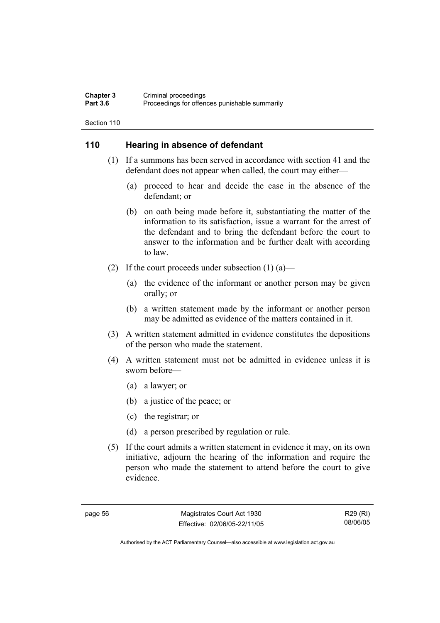#### **Chapter 3** Criminal proceedings<br> **Part 3.6** Proceedings for offen Proceedings for offences punishable summarily

Section 110

#### **110 Hearing in absence of defendant**

- (1) If a summons has been served in accordance with section 41 and the defendant does not appear when called, the court may either—
	- (a) proceed to hear and decide the case in the absence of the defendant; or
	- (b) on oath being made before it, substantiating the matter of the information to its satisfaction, issue a warrant for the arrest of the defendant and to bring the defendant before the court to answer to the information and be further dealt with according to law.
- (2) If the court proceeds under subsection  $(1)$  (a)—
	- (a) the evidence of the informant or another person may be given orally; or
	- (b) a written statement made by the informant or another person may be admitted as evidence of the matters contained in it.
- (3) A written statement admitted in evidence constitutes the depositions of the person who made the statement.
- (4) A written statement must not be admitted in evidence unless it is sworn before—
	- (a) a lawyer; or
	- (b) a justice of the peace; or
	- (c) the registrar; or
	- (d) a person prescribed by regulation or rule.
- (5) If the court admits a written statement in evidence it may, on its own initiative, adjourn the hearing of the information and require the person who made the statement to attend before the court to give evidence.

page 56 Magistrates Court Act 1930 Effective: 02/06/05-22/11/05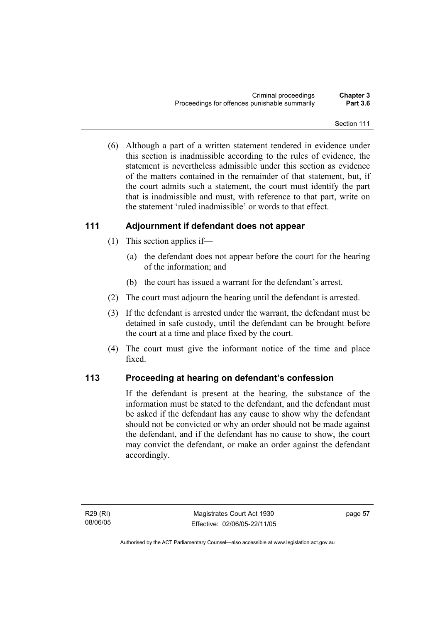(6) Although a part of a written statement tendered in evidence under this section is inadmissible according to the rules of evidence, the statement is nevertheless admissible under this section as evidence of the matters contained in the remainder of that statement, but, if the court admits such a statement, the court must identify the part that is inadmissible and must, with reference to that part, write on the statement 'ruled inadmissible' or words to that effect.

# **111 Adjournment if defendant does not appear**

- (1) This section applies if—
	- (a) the defendant does not appear before the court for the hearing of the information; and
	- (b) the court has issued a warrant for the defendant's arrest.
- (2) The court must adjourn the hearing until the defendant is arrested.
- (3) If the defendant is arrested under the warrant, the defendant must be detained in safe custody, until the defendant can be brought before the court at a time and place fixed by the court.
- (4) The court must give the informant notice of the time and place fixed.

#### **113 Proceeding at hearing on defendant's confession**

If the defendant is present at the hearing, the substance of the information must be stated to the defendant, and the defendant must be asked if the defendant has any cause to show why the defendant should not be convicted or why an order should not be made against the defendant, and if the defendant has no cause to show, the court may convict the defendant, or make an order against the defendant accordingly.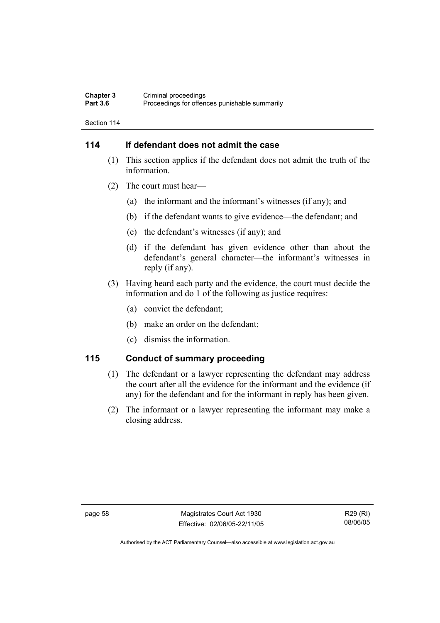#### **Chapter 3** Criminal proceedings<br> **Part 3.6** Proceedings for offen Proceedings for offences punishable summarily

Section 114

# **114 If defendant does not admit the case**

- (1) This section applies if the defendant does not admit the truth of the information.
- (2) The court must hear—
	- (a) the informant and the informant's witnesses (if any); and
	- (b) if the defendant wants to give evidence—the defendant; and
	- (c) the defendant's witnesses (if any); and
	- (d) if the defendant has given evidence other than about the defendant's general character—the informant's witnesses in reply (if any).
- (3) Having heard each party and the evidence, the court must decide the information and do 1 of the following as justice requires:
	- (a) convict the defendant;
	- (b) make an order on the defendant;
	- (c) dismiss the information.

#### **115 Conduct of summary proceeding**

- (1) The defendant or a lawyer representing the defendant may address the court after all the evidence for the informant and the evidence (if any) for the defendant and for the informant in reply has been given.
- (2) The informant or a lawyer representing the informant may make a closing address.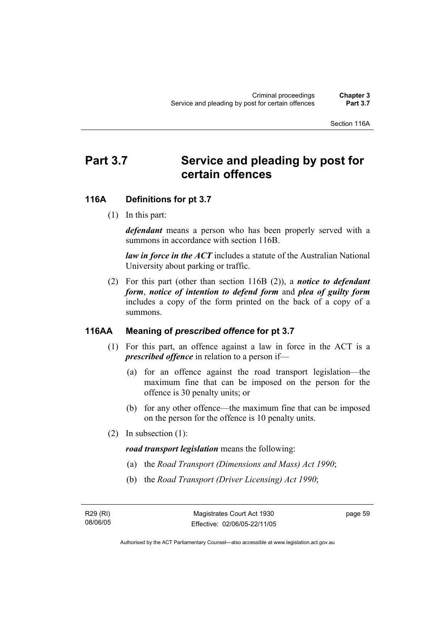Section 116A

# Part 3.7 Service and pleading by post for **certain offences**

# **116A Definitions for pt 3.7**

(1) In this part:

*defendant* means a person who has been properly served with a summons in accordance with section 116B.

*law in force in the ACT* includes a statute of the Australian National University about parking or traffic.

 (2) For this part (other than section 116B (2)), a *notice to defendant form*, *notice of intention to defend form* and *plea of guilty form* includes a copy of the form printed on the back of a copy of a summons.

## **116AA Meaning of** *prescribed offence* **for pt 3.7**

- (1) For this part, an offence against a law in force in the ACT is a *prescribed offence* in relation to a person if—
	- (a) for an offence against the road transport legislation—the maximum fine that can be imposed on the person for the offence is 30 penalty units; or
	- (b) for any other offence—the maximum fine that can be imposed on the person for the offence is 10 penalty units.
- (2) In subsection (1):

*road transport legislation* means the following:

- (a) the *Road Transport (Dimensions and Mass) Act 1990*;
- (b) the *Road Transport (Driver Licensing) Act 1990*;

R29 (RI) 08/06/05 page 59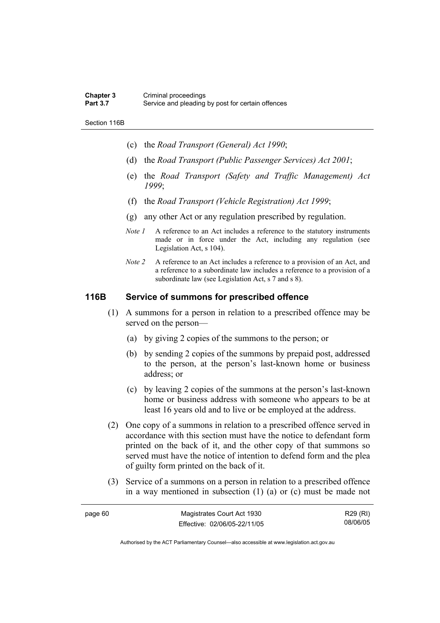#### **Chapter 3** Criminal proceedings<br> **Part 3.7** Service and pleading Service and pleading by post for certain offences

Section 116B

- (c) the *Road Transport (General) Act 1990*;
- (d) the *Road Transport (Public Passenger Services) Act 2001*;
- (e) the *Road Transport (Safety and Traffic Management) Act 1999*;
- (f) the *Road Transport (Vehicle Registration) Act 1999*;
- (g) any other Act or any regulation prescribed by regulation.
- *Note 1* A reference to an Act includes a reference to the statutory instruments made or in force under the Act, including any regulation (see Legislation Act, s 104).
- *Note 2* A reference to an Act includes a reference to a provision of an Act, and a reference to a subordinate law includes a reference to a provision of a subordinate law (see Legislation Act, s 7 and s 8).

# **116B Service of summons for prescribed offence**

- (1) A summons for a person in relation to a prescribed offence may be served on the person—
	- (a) by giving 2 copies of the summons to the person; or
	- (b) by sending 2 copies of the summons by prepaid post, addressed to the person, at the person's last-known home or business address; or
	- (c) by leaving 2 copies of the summons at the person's last-known home or business address with someone who appears to be at least 16 years old and to live or be employed at the address.
- (2) One copy of a summons in relation to a prescribed offence served in accordance with this section must have the notice to defendant form printed on the back of it, and the other copy of that summons so served must have the notice of intention to defend form and the plea of guilty form printed on the back of it.
- (3) Service of a summons on a person in relation to a prescribed offence in a way mentioned in subsection (1) (a) or (c) must be made not

| page 60 | Magistrates Court Act 1930   | R29 (RI) |
|---------|------------------------------|----------|
|         | Effective: 02/06/05-22/11/05 | 08/06/05 |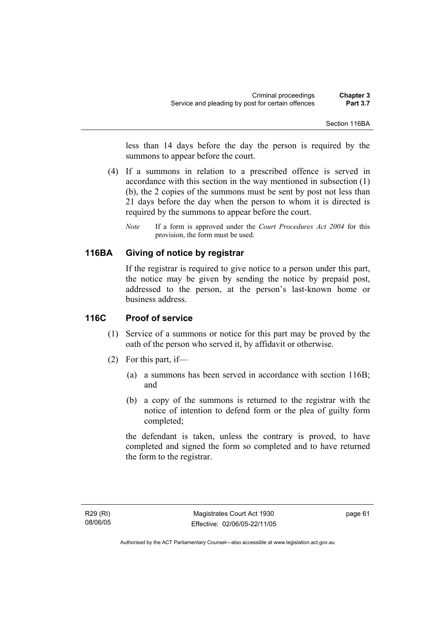less than 14 days before the day the person is required by the summons to appear before the court.

- (4) If a summons in relation to a prescribed offence is served in accordance with this section in the way mentioned in subsection (1) (b), the 2 copies of the summons must be sent by post not less than 21 days before the day when the person to whom it is directed is required by the summons to appear before the court.
	- *Note* If a form is approved under the *Court Procedures Act 2004* for this provision, the form must be used.

# **116BA Giving of notice by registrar**

If the registrar is required to give notice to a person under this part, the notice may be given by sending the notice by prepaid post, addressed to the person, at the person's last-known home or business address.

#### **116C Proof of service**

- (1) Service of a summons or notice for this part may be proved by the oath of the person who served it, by affidavit or otherwise.
- (2) For this part, if—
	- (a) a summons has been served in accordance with section 116B; and
	- (b) a copy of the summons is returned to the registrar with the notice of intention to defend form or the plea of guilty form completed;

the defendant is taken, unless the contrary is proved, to have completed and signed the form so completed and to have returned the form to the registrar.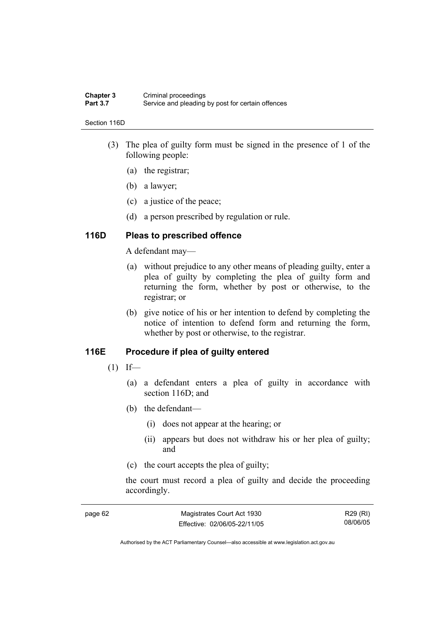#### **Chapter 3** Criminal proceedings<br> **Part 3.7** Service and pleading Service and pleading by post for certain offences

#### Section 116D

- (3) The plea of guilty form must be signed in the presence of 1 of the following people:
	- (a) the registrar;
	- (b) a lawyer;
	- (c) a justice of the peace;
	- (d) a person prescribed by regulation or rule.

#### **116D Pleas to prescribed offence**

A defendant may—

- (a) without prejudice to any other means of pleading guilty, enter a plea of guilty by completing the plea of guilty form and returning the form, whether by post or otherwise, to the registrar; or
- (b) give notice of his or her intention to defend by completing the notice of intention to defend form and returning the form, whether by post or otherwise, to the registrar.

#### **116E Procedure if plea of guilty entered**

- $(1)$  If—
	- (a) a defendant enters a plea of guilty in accordance with section 116D; and
	- (b) the defendant—
		- (i) does not appear at the hearing; or
		- (ii) appears but does not withdraw his or her plea of guilty; and
	- (c) the court accepts the plea of guilty;

the court must record a plea of guilty and decide the proceeding accordingly.

| page 62 | Magistrates Court Act 1930   | R29 (RI) |
|---------|------------------------------|----------|
|         | Effective: 02/06/05-22/11/05 | 08/06/05 |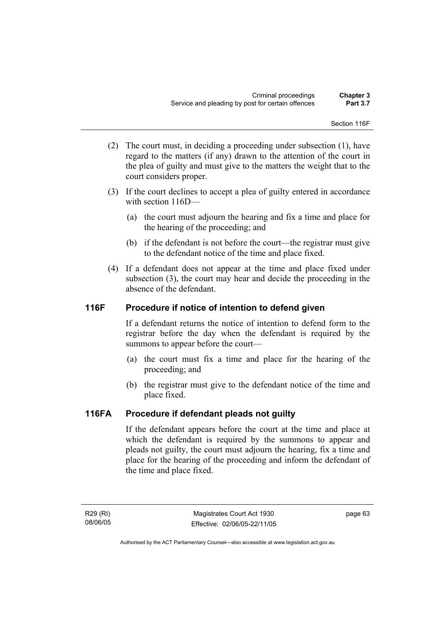Section 116F

- (2) The court must, in deciding a proceeding under subsection (1), have regard to the matters (if any) drawn to the attention of the court in the plea of guilty and must give to the matters the weight that to the court considers proper.
- (3) If the court declines to accept a plea of guilty entered in accordance with section 116D—
	- (a) the court must adjourn the hearing and fix a time and place for the hearing of the proceeding; and
	- (b) if the defendant is not before the court—the registrar must give to the defendant notice of the time and place fixed.
- (4) If a defendant does not appear at the time and place fixed under subsection (3), the court may hear and decide the proceeding in the absence of the defendant.

# **116F Procedure if notice of intention to defend given**

If a defendant returns the notice of intention to defend form to the registrar before the day when the defendant is required by the summons to appear before the court—

- (a) the court must fix a time and place for the hearing of the proceeding; and
- (b) the registrar must give to the defendant notice of the time and place fixed.

# **116FA Procedure if defendant pleads not guilty**

If the defendant appears before the court at the time and place at which the defendant is required by the summons to appear and pleads not guilty, the court must adjourn the hearing, fix a time and place for the hearing of the proceeding and inform the defendant of the time and place fixed.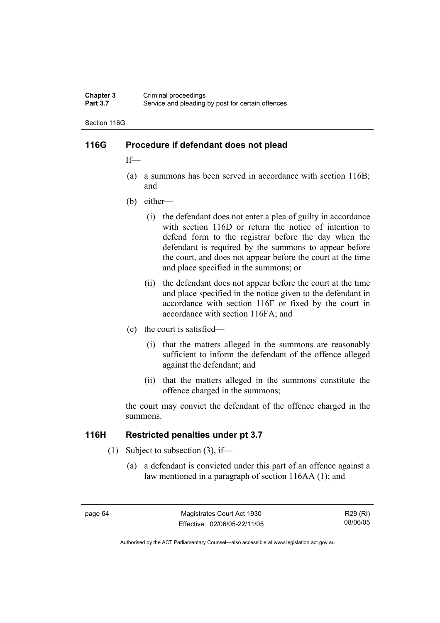#### **Chapter 3** Criminal proceedings<br> **Part 3.7** Service and pleading Service and pleading by post for certain offences

Section 116G

# **116G Procedure if defendant does not plead**

If—

- (a) a summons has been served in accordance with section 116B; and
- (b) either—
	- (i) the defendant does not enter a plea of guilty in accordance with section 116D or return the notice of intention to defend form to the registrar before the day when the defendant is required by the summons to appear before the court, and does not appear before the court at the time and place specified in the summons; or
	- (ii) the defendant does not appear before the court at the time and place specified in the notice given to the defendant in accordance with section 116F or fixed by the court in accordance with section 116FA; and
- (c) the court is satisfied—
	- (i) that the matters alleged in the summons are reasonably sufficient to inform the defendant of the offence alleged against the defendant; and
	- (ii) that the matters alleged in the summons constitute the offence charged in the summons;

the court may convict the defendant of the offence charged in the summons.

## **116H Restricted penalties under pt 3.7**

- (1) Subject to subsection (3), if—
	- (a) a defendant is convicted under this part of an offence against a law mentioned in a paragraph of section 116AA (1); and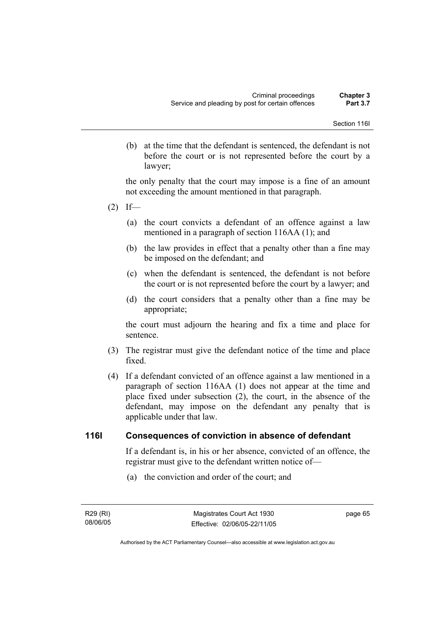(b) at the time that the defendant is sentenced, the defendant is not before the court or is not represented before the court by a lawyer;

the only penalty that the court may impose is a fine of an amount not exceeding the amount mentioned in that paragraph.

- $(2)$  If—
	- (a) the court convicts a defendant of an offence against a law mentioned in a paragraph of section 116AA (1); and
	- (b) the law provides in effect that a penalty other than a fine may be imposed on the defendant; and
	- (c) when the defendant is sentenced, the defendant is not before the court or is not represented before the court by a lawyer; and
	- (d) the court considers that a penalty other than a fine may be appropriate;

the court must adjourn the hearing and fix a time and place for sentence.

- (3) The registrar must give the defendant notice of the time and place fixed.
- (4) If a defendant convicted of an offence against a law mentioned in a paragraph of section 116AA (1) does not appear at the time and place fixed under subsection (2), the court, in the absence of the defendant, may impose on the defendant any penalty that is applicable under that law.

# **116I Consequences of conviction in absence of defendant**

If a defendant is, in his or her absence, convicted of an offence, the registrar must give to the defendant written notice of—

(a) the conviction and order of the court; and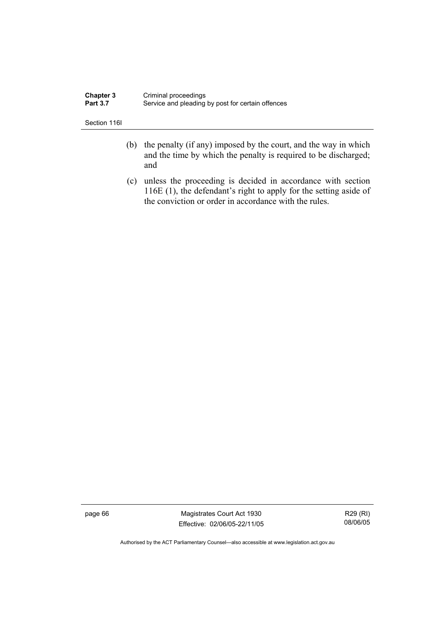| <b>Chapter 3</b> | Criminal proceedings                              |
|------------------|---------------------------------------------------|
| <b>Part 3.7</b>  | Service and pleading by post for certain offences |

Section 116I

- (b) the penalty (if any) imposed by the court, and the way in which and the time by which the penalty is required to be discharged; and
- (c) unless the proceeding is decided in accordance with section 116E (1), the defendant's right to apply for the setting aside of the conviction or order in accordance with the rules.

page 66 Magistrates Court Act 1930 Effective: 02/06/05-22/11/05

R29 (RI) 08/06/05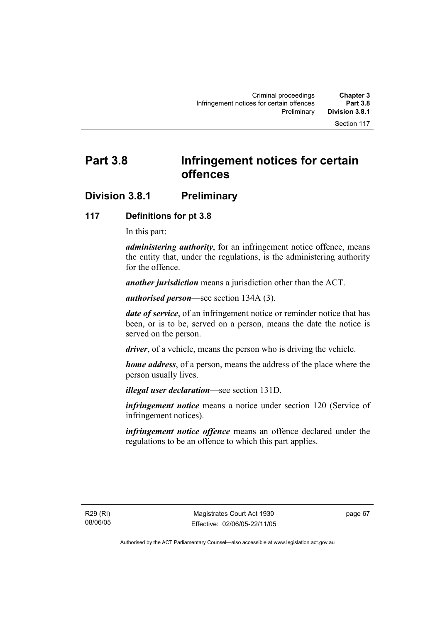# **Part 3.8 Infringement notices for certain offences**

# **Division 3.8.1 Preliminary**

# **117 Definitions for pt 3.8**

In this part:

*administering authority*, for an infringement notice offence, means the entity that, under the regulations, is the administering authority for the offence.

*another jurisdiction* means a jurisdiction other than the ACT.

*authorised person*—see section 134A (3).

*date of service*, of an infringement notice or reminder notice that has been, or is to be, served on a person, means the date the notice is served on the person.

*driver*, of a vehicle, means the person who is driving the vehicle.

*home address*, of a person, means the address of the place where the person usually lives.

*illegal user declaration*—see section 131D.

*infringement notice* means a notice under section 120 (Service of infringement notices).

*infringement notice offence* means an offence declared under the regulations to be an offence to which this part applies.

R29 (RI) 08/06/05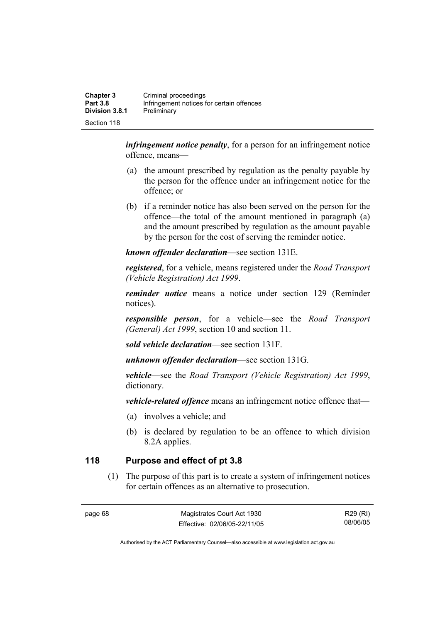| <b>Chapter 3</b><br><b>Part 3.8</b> | Criminal proceedings<br>Infringement notices for certain offences |
|-------------------------------------|-------------------------------------------------------------------|
| <b>Division 3.8.1</b>               | Preliminary                                                       |
| Section 118                         |                                                                   |

*infringement notice penalty*, for a person for an infringement notice offence, means—

- (a) the amount prescribed by regulation as the penalty payable by the person for the offence under an infringement notice for the offence; or
- (b) if a reminder notice has also been served on the person for the offence—the total of the amount mentioned in paragraph (a) and the amount prescribed by regulation as the amount payable by the person for the cost of serving the reminder notice.

*known offender declaration*—see section 131E.

*registered*, for a vehicle, means registered under the *Road Transport (Vehicle Registration) Act 1999*.

*reminder notice* means a notice under section 129 (Reminder notices).

*responsible person*, for a vehicle—see the *Road Transport (General) Act 1999*, section 10 and section 11.

*sold vehicle declaration*—see section 131F.

*unknown offender declaration*—see section 131G.

*vehicle*—see the *Road Transport (Vehicle Registration) Act 1999*, dictionary.

*vehicle-related offence* means an infringement notice offence that—

- (a) involves a vehicle; and
- (b) is declared by regulation to be an offence to which division 8.2A applies.

# **118 Purpose and effect of pt 3.8**

 (1) The purpose of this part is to create a system of infringement notices for certain offences as an alternative to prosecution.

page 68 Magistrates Court Act 1930 Effective: 02/06/05-22/11/05

R29 (RI) 08/06/05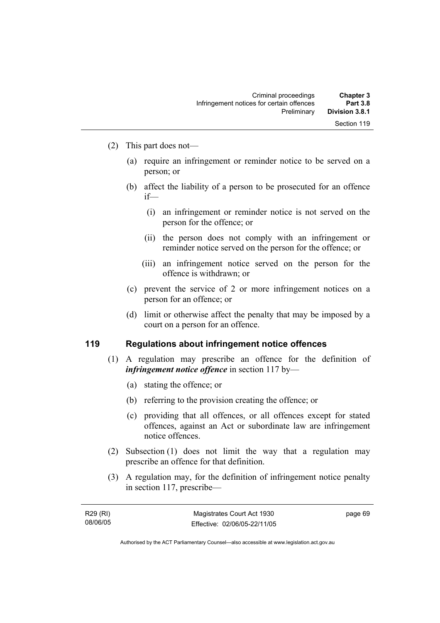- (2) This part does not—
	- (a) require an infringement or reminder notice to be served on a person; or
	- (b) affect the liability of a person to be prosecuted for an offence if—
		- (i) an infringement or reminder notice is not served on the person for the offence; or
		- (ii) the person does not comply with an infringement or reminder notice served on the person for the offence; or
		- (iii) an infringement notice served on the person for the offence is withdrawn; or
	- (c) prevent the service of 2 or more infringement notices on a person for an offence; or
	- (d) limit or otherwise affect the penalty that may be imposed by a court on a person for an offence.

#### **119 Regulations about infringement notice offences**

- (1) A regulation may prescribe an offence for the definition of *infringement notice offence* in section 117 by—
	- (a) stating the offence; or
	- (b) referring to the provision creating the offence; or
	- (c) providing that all offences, or all offences except for stated offences, against an Act or subordinate law are infringement notice offences.
- (2) Subsection (1) does not limit the way that a regulation may prescribe an offence for that definition.
- (3) A regulation may, for the definition of infringement notice penalty in section 117, prescribe—

| R29 (RI) |  |
|----------|--|
| 08/06/05 |  |

page 69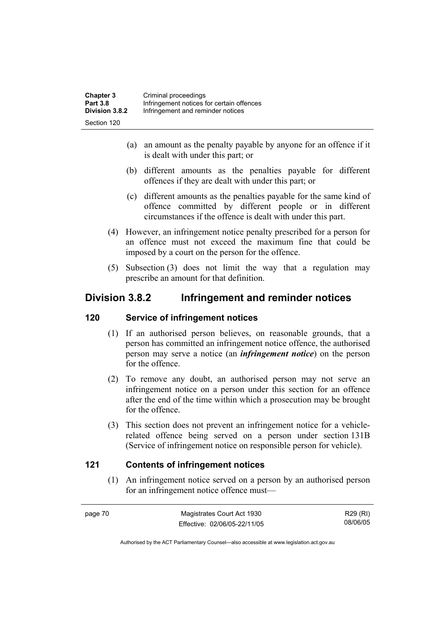| <b>Chapter 3</b> | Criminal proceedings                      |
|------------------|-------------------------------------------|
| <b>Part 3.8</b>  | Infringement notices for certain offences |
| Division 3.8.2   | Infringement and reminder notices         |
| Section 120      |                                           |

- (a) an amount as the penalty payable by anyone for an offence if it is dealt with under this part; or
- (b) different amounts as the penalties payable for different offences if they are dealt with under this part; or
- (c) different amounts as the penalties payable for the same kind of offence committed by different people or in different circumstances if the offence is dealt with under this part.
- (4) However, an infringement notice penalty prescribed for a person for an offence must not exceed the maximum fine that could be imposed by a court on the person for the offence.
- (5) Subsection (3) does not limit the way that a regulation may prescribe an amount for that definition.

# **Division 3.8.2 Infringement and reminder notices**

#### **120 Service of infringement notices**

- (1) If an authorised person believes, on reasonable grounds, that a person has committed an infringement notice offence, the authorised person may serve a notice (an *infringement notice*) on the person for the offence.
- (2) To remove any doubt, an authorised person may not serve an infringement notice on a person under this section for an offence after the end of the time within which a prosecution may be brought for the offence.
- (3) This section does not prevent an infringement notice for a vehiclerelated offence being served on a person under section 131B (Service of infringement notice on responsible person for vehicle).

# **121 Contents of infringement notices**

 (1) An infringement notice served on a person by an authorised person for an infringement notice offence must—

| page 70 | Magistrates Court Act 1930   | R29 (RI) |
|---------|------------------------------|----------|
|         | Effective: 02/06/05-22/11/05 | 08/06/05 |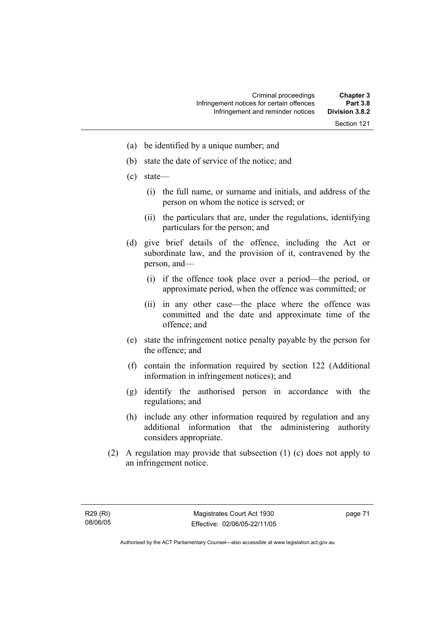- (a) be identified by a unique number; and
- (b) state the date of service of the notice; and
- (c) state—
	- (i) the full name, or surname and initials, and address of the person on whom the notice is served; or
	- (ii) the particulars that are, under the regulations, identifying particulars for the person; and
- (d) give brief details of the offence, including the Act or subordinate law, and the provision of it, contravened by the person, and—
	- (i) if the offence took place over a period—the period, or approximate period, when the offence was committed; or
	- (ii) in any other case—the place where the offence was committed and the date and approximate time of the offence; and
- (e) state the infringement notice penalty payable by the person for the offence; and
- (f) contain the information required by section 122 (Additional information in infringement notices); and
- (g) identify the authorised person in accordance with the regulations; and
- (h) include any other information required by regulation and any additional information that the administering authority considers appropriate.
- (2) A regulation may provide that subsection (1) (c) does not apply to an infringement notice.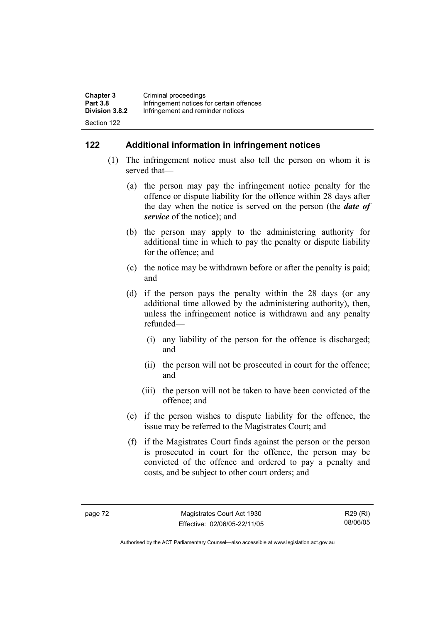| <b>Chapter 3</b> | Criminal proceedings                      |
|------------------|-------------------------------------------|
| <b>Part 3.8</b>  | Infringement notices for certain offences |
| Division 3.8.2   | Infringement and reminder notices         |
| Section 122      |                                           |

# **122 Additional information in infringement notices**

- (1) The infringement notice must also tell the person on whom it is served that—
	- (a) the person may pay the infringement notice penalty for the offence or dispute liability for the offence within 28 days after the day when the notice is served on the person (the *date of service* of the notice); and
	- (b) the person may apply to the administering authority for additional time in which to pay the penalty or dispute liability for the offence; and
	- (c) the notice may be withdrawn before or after the penalty is paid; and
	- (d) if the person pays the penalty within the 28 days (or any additional time allowed by the administering authority), then, unless the infringement notice is withdrawn and any penalty refunded—
		- (i) any liability of the person for the offence is discharged; and
		- (ii) the person will not be prosecuted in court for the offence; and
		- (iii) the person will not be taken to have been convicted of the offence; and
	- (e) if the person wishes to dispute liability for the offence, the issue may be referred to the Magistrates Court; and
	- (f) if the Magistrates Court finds against the person or the person is prosecuted in court for the offence, the person may be convicted of the offence and ordered to pay a penalty and costs, and be subject to other court orders; and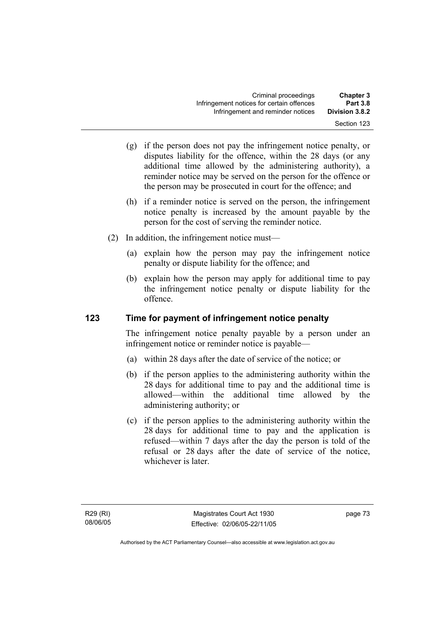- (g) if the person does not pay the infringement notice penalty, or disputes liability for the offence, within the 28 days (or any additional time allowed by the administering authority), a reminder notice may be served on the person for the offence or the person may be prosecuted in court for the offence; and
- (h) if a reminder notice is served on the person, the infringement notice penalty is increased by the amount payable by the person for the cost of serving the reminder notice.
- (2) In addition, the infringement notice must—
	- (a) explain how the person may pay the infringement notice penalty or dispute liability for the offence; and
	- (b) explain how the person may apply for additional time to pay the infringement notice penalty or dispute liability for the offence.

# **123 Time for payment of infringement notice penalty**

The infringement notice penalty payable by a person under an infringement notice or reminder notice is payable—

- (a) within 28 days after the date of service of the notice; or
- (b) if the person applies to the administering authority within the 28 days for additional time to pay and the additional time is allowed—within the additional time allowed by the administering authority; or
- (c) if the person applies to the administering authority within the 28 days for additional time to pay and the application is refused—within 7 days after the day the person is told of the refusal or 28 days after the date of service of the notice, whichever is later.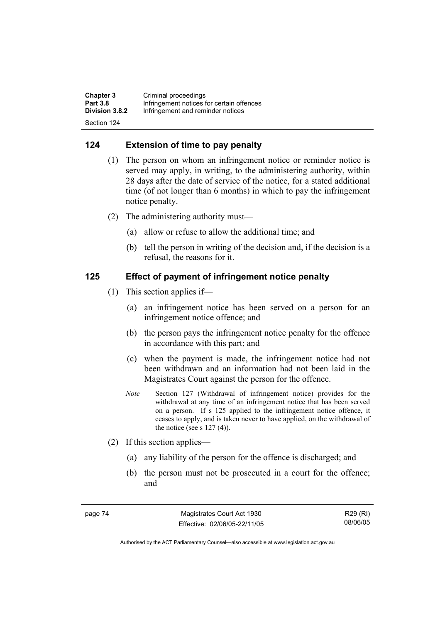| <b>Chapter 3</b> | Criminal proceedings                      |
|------------------|-------------------------------------------|
| <b>Part 3.8</b>  | Infringement notices for certain offences |
| Division 3.8.2   | Infringement and reminder notices         |
| Section 124      |                                           |

# **124 Extension of time to pay penalty**

- (1) The person on whom an infringement notice or reminder notice is served may apply, in writing, to the administering authority, within 28 days after the date of service of the notice, for a stated additional time (of not longer than 6 months) in which to pay the infringement notice penalty.
- (2) The administering authority must—
	- (a) allow or refuse to allow the additional time; and
	- (b) tell the person in writing of the decision and, if the decision is a refusal, the reasons for it.

# **125 Effect of payment of infringement notice penalty**

- (1) This section applies if—
	- (a) an infringement notice has been served on a person for an infringement notice offence; and
	- (b) the person pays the infringement notice penalty for the offence in accordance with this part; and
	- (c) when the payment is made, the infringement notice had not been withdrawn and an information had not been laid in the Magistrates Court against the person for the offence.
	- *Note* Section 127 (Withdrawal of infringement notice) provides for the withdrawal at any time of an infringement notice that has been served on a person. If s 125 applied to the infringement notice offence, it ceases to apply, and is taken never to have applied, on the withdrawal of the notice (see s  $127(4)$ ).
- (2) If this section applies—
	- (a) any liability of the person for the offence is discharged; and
	- (b) the person must not be prosecuted in a court for the offence; and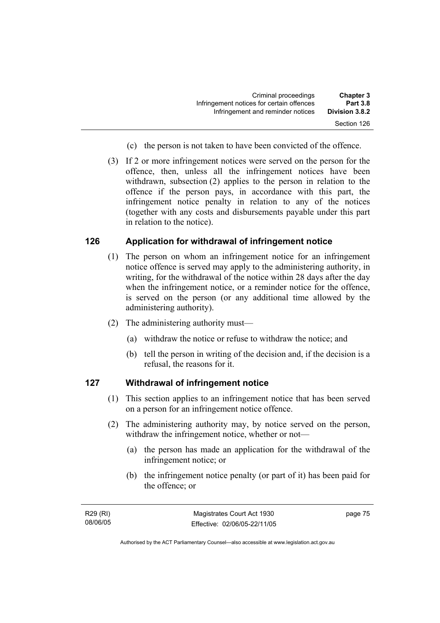| <b>Chapter 3</b> | Criminal proceedings                      |
|------------------|-------------------------------------------|
| <b>Part 3.8</b>  | Infringement notices for certain offences |
| Division 3.8.2   | Infringement and reminder notices         |
| Section 126      |                                           |

- (c) the person is not taken to have been convicted of the offence.
- (3) If 2 or more infringement notices were served on the person for the offence, then, unless all the infringement notices have been withdrawn, subsection (2) applies to the person in relation to the offence if the person pays, in accordance with this part, the infringement notice penalty in relation to any of the notices (together with any costs and disbursements payable under this part in relation to the notice).

# **126 Application for withdrawal of infringement notice**

- (1) The person on whom an infringement notice for an infringement notice offence is served may apply to the administering authority, in writing, for the withdrawal of the notice within 28 days after the day when the infringement notice, or a reminder notice for the offence, is served on the person (or any additional time allowed by the administering authority).
- (2) The administering authority must—
	- (a) withdraw the notice or refuse to withdraw the notice; and
	- (b) tell the person in writing of the decision and, if the decision is a refusal, the reasons for it.

#### **127 Withdrawal of infringement notice**

- (1) This section applies to an infringement notice that has been served on a person for an infringement notice offence.
- (2) The administering authority may, by notice served on the person, withdraw the infringement notice, whether or not—
	- (a) the person has made an application for the withdrawal of the infringement notice; or
	- (b) the infringement notice penalty (or part of it) has been paid for the offence; or

R29 (RI) 08/06/05 page 75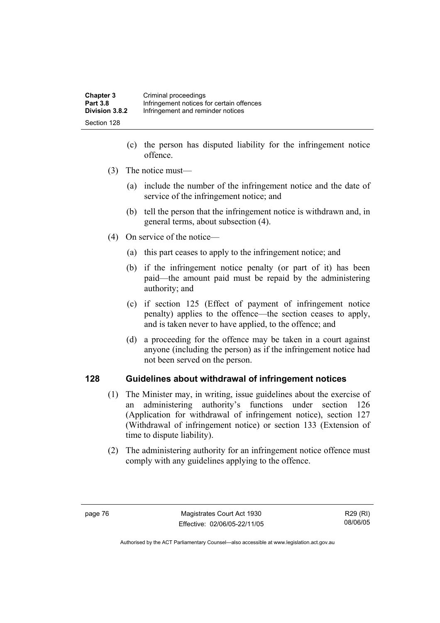| <b>Chapter 3</b> | Criminal proceedings                      |
|------------------|-------------------------------------------|
| <b>Part 3.8</b>  | Infringement notices for certain offences |
| Division 3.8.2   | Infringement and reminder notices         |
| Section 128      |                                           |

- (c) the person has disputed liability for the infringement notice offence.
- (3) The notice must—
	- (a) include the number of the infringement notice and the date of service of the infringement notice; and
	- (b) tell the person that the infringement notice is withdrawn and, in general terms, about subsection (4).
- (4) On service of the notice—
	- (a) this part ceases to apply to the infringement notice; and
	- (b) if the infringement notice penalty (or part of it) has been paid—the amount paid must be repaid by the administering authority; and
	- (c) if section 125 (Effect of payment of infringement notice penalty) applies to the offence—the section ceases to apply, and is taken never to have applied, to the offence; and
	- (d) a proceeding for the offence may be taken in a court against anyone (including the person) as if the infringement notice had not been served on the person.

## **128 Guidelines about withdrawal of infringement notices**

- (1) The Minister may, in writing, issue guidelines about the exercise of an administering authority's functions under section 126 (Application for withdrawal of infringement notice), section 127 (Withdrawal of infringement notice) or section 133 (Extension of time to dispute liability).
- (2) The administering authority for an infringement notice offence must comply with any guidelines applying to the offence.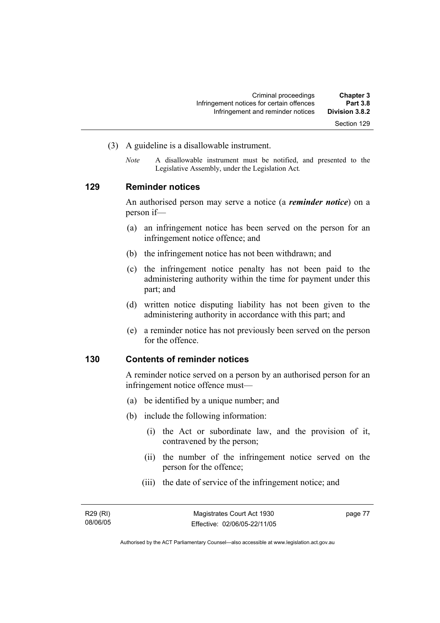- (3) A guideline is a disallowable instrument.
	- *Note* A disallowable instrument must be notified, and presented to the Legislative Assembly, under the Legislation Act*.*

# **129 Reminder notices**

An authorised person may serve a notice (a *reminder notice*) on a person if—

- (a) an infringement notice has been served on the person for an infringement notice offence; and
- (b) the infringement notice has not been withdrawn; and
- (c) the infringement notice penalty has not been paid to the administering authority within the time for payment under this part; and
- (d) written notice disputing liability has not been given to the administering authority in accordance with this part; and
- (e) a reminder notice has not previously been served on the person for the offence.

#### **130 Contents of reminder notices**

A reminder notice served on a person by an authorised person for an infringement notice offence must—

- (a) be identified by a unique number; and
- (b) include the following information:
	- (i) the Act or subordinate law, and the provision of it, contravened by the person;
	- (ii) the number of the infringement notice served on the person for the offence;
	- (iii) the date of service of the infringement notice; and

R29 (RI) 08/06/05 page 77

Authorised by the ACT Parliamentary Counsel—also accessible at www.legislation.act.gov.au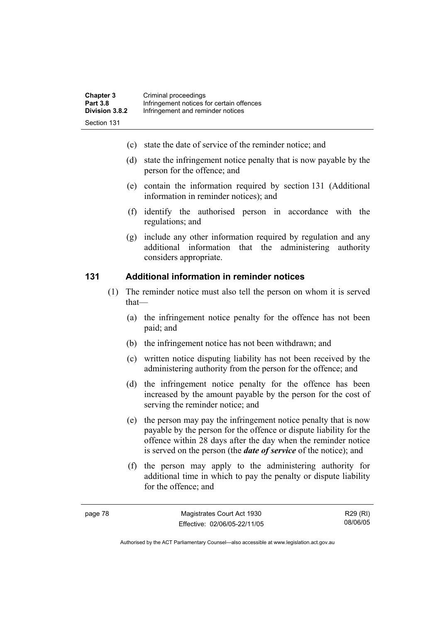- (c) state the date of service of the reminder notice; and
- (d) state the infringement notice penalty that is now payable by the person for the offence; and
- (e) contain the information required by section 131 (Additional information in reminder notices); and
- (f) identify the authorised person in accordance with the regulations; and
- (g) include any other information required by regulation and any additional information that the administering authority considers appropriate.

# **131 Additional information in reminder notices**

- (1) The reminder notice must also tell the person on whom it is served that—
	- (a) the infringement notice penalty for the offence has not been paid; and
	- (b) the infringement notice has not been withdrawn; and
	- (c) written notice disputing liability has not been received by the administering authority from the person for the offence; and
	- (d) the infringement notice penalty for the offence has been increased by the amount payable by the person for the cost of serving the reminder notice; and
	- (e) the person may pay the infringement notice penalty that is now payable by the person for the offence or dispute liability for the offence within 28 days after the day when the reminder notice is served on the person (the *date of service* of the notice); and
	- (f) the person may apply to the administering authority for additional time in which to pay the penalty or dispute liability for the offence; and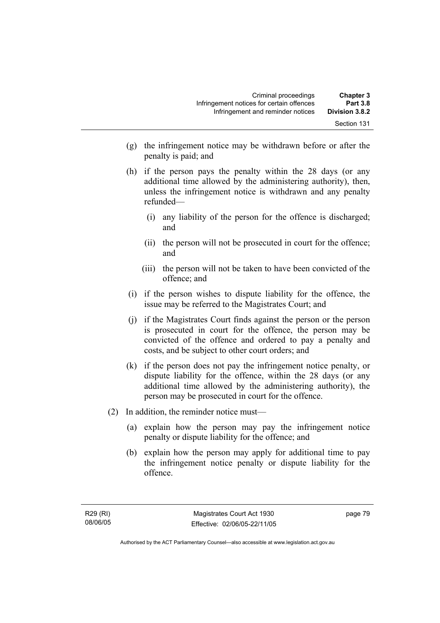- (g) the infringement notice may be withdrawn before or after the penalty is paid; and
- (h) if the person pays the penalty within the 28 days (or any additional time allowed by the administering authority), then, unless the infringement notice is withdrawn and any penalty refunded—
	- (i) any liability of the person for the offence is discharged; and
	- (ii) the person will not be prosecuted in court for the offence; and
	- (iii) the person will not be taken to have been convicted of the offence; and
- (i) if the person wishes to dispute liability for the offence, the issue may be referred to the Magistrates Court; and
- (j) if the Magistrates Court finds against the person or the person is prosecuted in court for the offence, the person may be convicted of the offence and ordered to pay a penalty and costs, and be subject to other court orders; and
- (k) if the person does not pay the infringement notice penalty, or dispute liability for the offence, within the 28 days (or any additional time allowed by the administering authority), the person may be prosecuted in court for the offence.
- (2) In addition, the reminder notice must—
	- (a) explain how the person may pay the infringement notice penalty or dispute liability for the offence; and
	- (b) explain how the person may apply for additional time to pay the infringement notice penalty or dispute liability for the offence.

page 79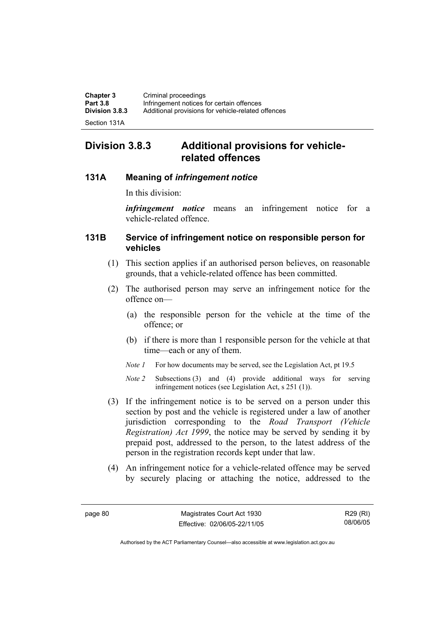| <b>Chapter 3</b> | Criminal proceedings                               |
|------------------|----------------------------------------------------|
| <b>Part 3.8</b>  | Infringement notices for certain offences          |
| Division 3.8.3   | Additional provisions for vehicle-related offences |
|                  |                                                    |

Section 131A

# **Division 3.8.3 Additional provisions for vehiclerelated offences**

# **131A Meaning of** *infringement notice*

In this division:

*infringement notice* means an infringement notice for a vehicle-related offence.

# **131B Service of infringement notice on responsible person for vehicles**

- (1) This section applies if an authorised person believes, on reasonable grounds, that a vehicle-related offence has been committed.
- (2) The authorised person may serve an infringement notice for the offence on—
	- (a) the responsible person for the vehicle at the time of the offence; or
	- (b) if there is more than 1 responsible person for the vehicle at that time—each or any of them.
	- *Note 1* For how documents may be served, see the Legislation Act, pt 19.5
	- *Note 2* Subsections (3) and (4) provide additional ways for serving infringement notices (see Legislation Act, s 251 (1)).
- (3) If the infringement notice is to be served on a person under this section by post and the vehicle is registered under a law of another jurisdiction corresponding to the *Road Transport (Vehicle Registration) Act 1999*, the notice may be served by sending it by prepaid post, addressed to the person, to the latest address of the person in the registration records kept under that law.
- (4) An infringement notice for a vehicle-related offence may be served by securely placing or attaching the notice, addressed to the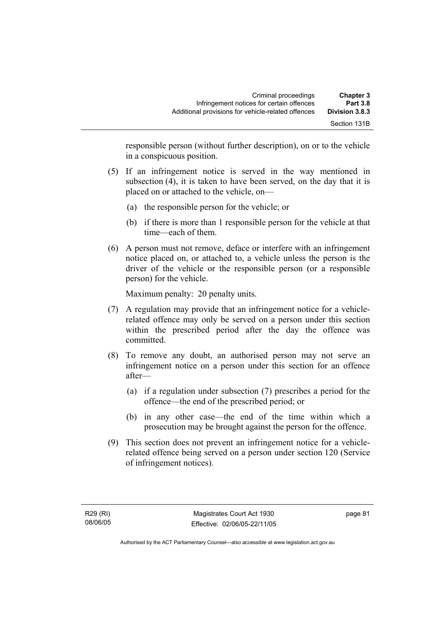| <b>Chapter 3</b><br><b>Part 3.8</b> | Criminal proceedings<br>Infringement notices for certain offences |
|-------------------------------------|-------------------------------------------------------------------|
| Division 3.8.3                      | Additional provisions for vehicle-related offences                |
| Section 131B                        |                                                                   |

responsible person (without further description), on or to the vehicle in a conspicuous position.

- (5) If an infringement notice is served in the way mentioned in subsection (4), it is taken to have been served, on the day that it is placed on or attached to the vehicle, on—
	- (a) the responsible person for the vehicle; or
	- (b) if there is more than 1 responsible person for the vehicle at that time—each of them.
- (6) A person must not remove, deface or interfere with an infringement notice placed on, or attached to, a vehicle unless the person is the driver of the vehicle or the responsible person (or a responsible person) for the vehicle.

Maximum penalty: 20 penalty units.

- (7) A regulation may provide that an infringement notice for a vehiclerelated offence may only be served on a person under this section within the prescribed period after the day the offence was committed.
- (8) To remove any doubt, an authorised person may not serve an infringement notice on a person under this section for an offence after—
	- (a) if a regulation under subsection (7) prescribes a period for the offence—the end of the prescribed period; or
	- (b) in any other case—the end of the time within which a prosecution may be brought against the person for the offence.
- (9) This section does not prevent an infringement notice for a vehiclerelated offence being served on a person under section 120 (Service of infringement notices).

page 81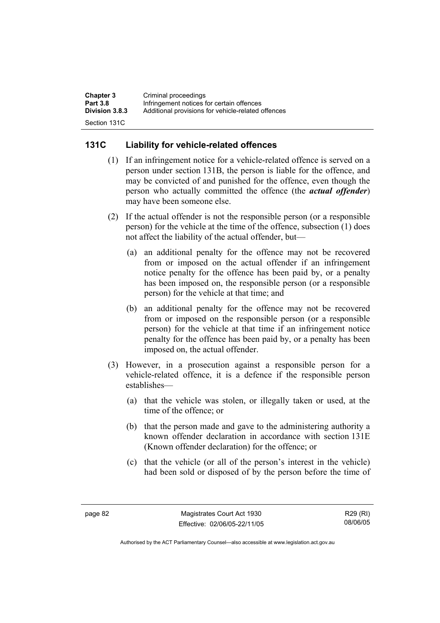| <b>Chapter 3</b>      | Criminal proceedings                               |
|-----------------------|----------------------------------------------------|
| <b>Part 3.8</b>       | Infringement notices for certain offences          |
| <b>Division 3.8.3</b> | Additional provisions for vehicle-related offences |
| Section 131C          |                                                    |

# **131C Liability for vehicle-related offences**

- (1) If an infringement notice for a vehicle-related offence is served on a person under section 131B, the person is liable for the offence, and may be convicted of and punished for the offence, even though the person who actually committed the offence (the *actual offender*) may have been someone else.
- (2) If the actual offender is not the responsible person (or a responsible person) for the vehicle at the time of the offence, subsection (1) does not affect the liability of the actual offender, but—
	- (a) an additional penalty for the offence may not be recovered from or imposed on the actual offender if an infringement notice penalty for the offence has been paid by, or a penalty has been imposed on, the responsible person (or a responsible person) for the vehicle at that time; and
	- (b) an additional penalty for the offence may not be recovered from or imposed on the responsible person (or a responsible person) for the vehicle at that time if an infringement notice penalty for the offence has been paid by, or a penalty has been imposed on, the actual offender.
- (3) However, in a prosecution against a responsible person for a vehicle-related offence, it is a defence if the responsible person establishes—
	- (a) that the vehicle was stolen, or illegally taken or used, at the time of the offence; or
	- (b) that the person made and gave to the administering authority a known offender declaration in accordance with section 131E (Known offender declaration) for the offence; or
	- (c) that the vehicle (or all of the person's interest in the vehicle) had been sold or disposed of by the person before the time of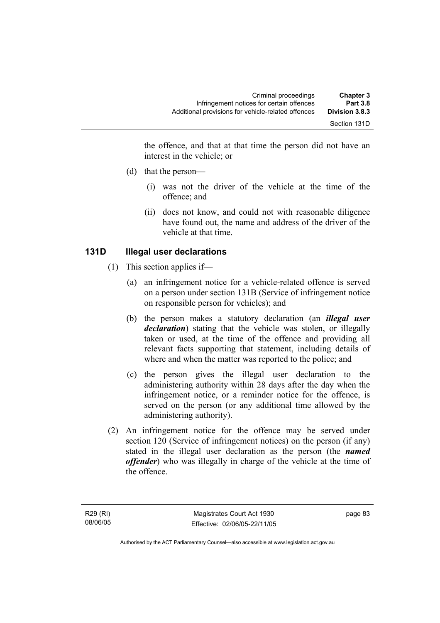the offence, and that at that time the person did not have an interest in the vehicle; or

- (d) that the person—
	- (i) was not the driver of the vehicle at the time of the offence; and
	- (ii) does not know, and could not with reasonable diligence have found out, the name and address of the driver of the vehicle at that time.

# **131D Illegal user declarations**

- (1) This section applies if—
	- (a) an infringement notice for a vehicle-related offence is served on a person under section 131B (Service of infringement notice on responsible person for vehicles); and
	- (b) the person makes a statutory declaration (an *illegal user declaration*) stating that the vehicle was stolen, or illegally taken or used, at the time of the offence and providing all relevant facts supporting that statement, including details of where and when the matter was reported to the police; and
	- (c) the person gives the illegal user declaration to the administering authority within 28 days after the day when the infringement notice, or a reminder notice for the offence, is served on the person (or any additional time allowed by the administering authority).
- (2) An infringement notice for the offence may be served under section 120 (Service of infringement notices) on the person (if any) stated in the illegal user declaration as the person (the *named offender*) who was illegally in charge of the vehicle at the time of the offence.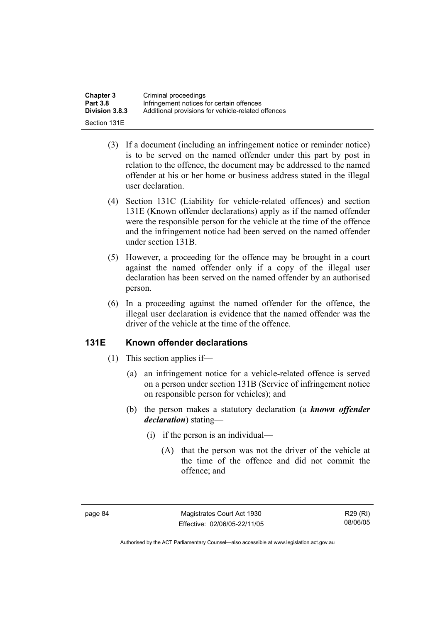| <b>Chapter 3</b> | Criminal proceedings                               |
|------------------|----------------------------------------------------|
| <b>Part 3.8</b>  | Infringement notices for certain offences          |
| Division 3.8.3   | Additional provisions for vehicle-related offences |
| Section 131E     |                                                    |

- (3) If a document (including an infringement notice or reminder notice) is to be served on the named offender under this part by post in relation to the offence, the document may be addressed to the named offender at his or her home or business address stated in the illegal user declaration.
- (4) Section 131C (Liability for vehicle-related offences) and section 131E (Known offender declarations) apply as if the named offender were the responsible person for the vehicle at the time of the offence and the infringement notice had been served on the named offender under section 131B.
- (5) However, a proceeding for the offence may be brought in a court against the named offender only if a copy of the illegal user declaration has been served on the named offender by an authorised person.
- (6) In a proceeding against the named offender for the offence, the illegal user declaration is evidence that the named offender was the driver of the vehicle at the time of the offence.

#### **131E Known offender declarations**

- (1) This section applies if—
	- (a) an infringement notice for a vehicle-related offence is served on a person under section 131B (Service of infringement notice on responsible person for vehicles); and
	- (b) the person makes a statutory declaration (a *known offender declaration*) stating—
		- (i) if the person is an individual—
			- (A) that the person was not the driver of the vehicle at the time of the offence and did not commit the offence; and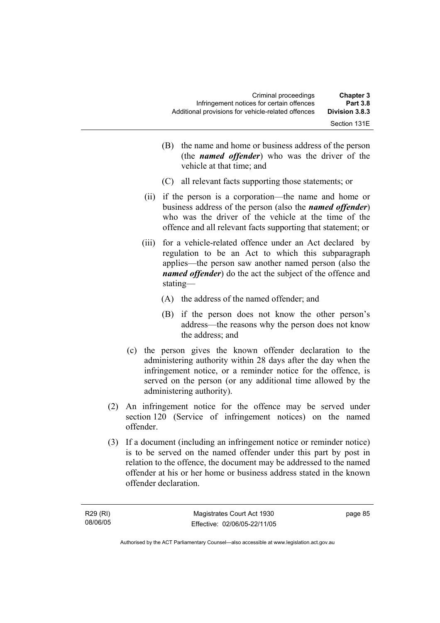| <b>Chapter 3</b><br><b>Part 3.8</b> | Criminal proceedings<br>Infringement notices for certain offences |
|-------------------------------------|-------------------------------------------------------------------|
| Division 3.8.3                      | Additional provisions for vehicle-related offences                |
| Section 131E                        |                                                                   |

- (B) the name and home or business address of the person (the *named offender*) who was the driver of the vehicle at that time; and
- (C) all relevant facts supporting those statements; or
- (ii) if the person is a corporation—the name and home or business address of the person (also the *named offender*) who was the driver of the vehicle at the time of the offence and all relevant facts supporting that statement; or
- (iii) for a vehicle-related offence under an Act declared by regulation to be an Act to which this subparagraph applies—the person saw another named person (also the *named offender*) do the act the subject of the offence and stating—
	- (A) the address of the named offender; and
	- (B) if the person does not know the other person's address—the reasons why the person does not know the address; and
- (c) the person gives the known offender declaration to the administering authority within 28 days after the day when the infringement notice, or a reminder notice for the offence, is served on the person (or any additional time allowed by the administering authority).
- (2) An infringement notice for the offence may be served under section 120 (Service of infringement notices) on the named offender.
- (3) If a document (including an infringement notice or reminder notice) is to be served on the named offender under this part by post in relation to the offence, the document may be addressed to the named offender at his or her home or business address stated in the known offender declaration.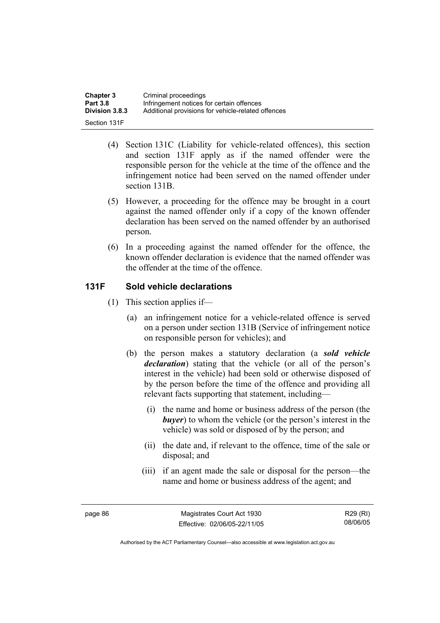| <b>Chapter 3</b> | Criminal proceedings                               |
|------------------|----------------------------------------------------|
| <b>Part 3.8</b>  | Infringement notices for certain offences          |
| Division 3.8.3   | Additional provisions for vehicle-related offences |
| Section 131F     |                                                    |

- (4) Section 131C (Liability for vehicle-related offences), this section and section 131F apply as if the named offender were the responsible person for the vehicle at the time of the offence and the infringement notice had been served on the named offender under section 131B.
- (5) However, a proceeding for the offence may be brought in a court against the named offender only if a copy of the known offender declaration has been served on the named offender by an authorised person.
- (6) In a proceeding against the named offender for the offence, the known offender declaration is evidence that the named offender was the offender at the time of the offence.

# **131F Sold vehicle declarations**

- (1) This section applies if—
	- (a) an infringement notice for a vehicle-related offence is served on a person under section 131B (Service of infringement notice on responsible person for vehicles); and
	- (b) the person makes a statutory declaration (a *sold vehicle declaration*) stating that the vehicle (or all of the person's interest in the vehicle) had been sold or otherwise disposed of by the person before the time of the offence and providing all relevant facts supporting that statement, including—
		- (i) the name and home or business address of the person (the *buyer*) to whom the vehicle (or the person's interest in the vehicle) was sold or disposed of by the person; and
		- (ii) the date and, if relevant to the offence, time of the sale or disposal; and
		- (iii) if an agent made the sale or disposal for the person—the name and home or business address of the agent; and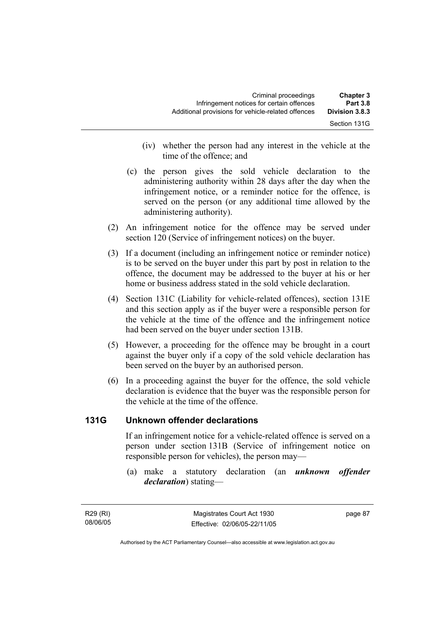| <b>Chapter 3</b><br><b>Part 3.8</b> | Criminal proceedings<br>Infringement notices for certain offences |  |
|-------------------------------------|-------------------------------------------------------------------|--|
| Division 3.8.3                      | Additional provisions for vehicle-related offences                |  |
| Section 131G                        |                                                                   |  |

- (iv) whether the person had any interest in the vehicle at the time of the offence; and
- (c) the person gives the sold vehicle declaration to the administering authority within 28 days after the day when the infringement notice, or a reminder notice for the offence, is served on the person (or any additional time allowed by the administering authority).
- (2) An infringement notice for the offence may be served under section 120 (Service of infringement notices) on the buyer.
- (3) If a document (including an infringement notice or reminder notice) is to be served on the buyer under this part by post in relation to the offence, the document may be addressed to the buyer at his or her home or business address stated in the sold vehicle declaration.
- (4) Section 131C (Liability for vehicle-related offences), section 131E and this section apply as if the buyer were a responsible person for the vehicle at the time of the offence and the infringement notice had been served on the buyer under section 131B.
- (5) However, a proceeding for the offence may be brought in a court against the buyer only if a copy of the sold vehicle declaration has been served on the buyer by an authorised person.
- (6) In a proceeding against the buyer for the offence, the sold vehicle declaration is evidence that the buyer was the responsible person for the vehicle at the time of the offence.

# **131G Unknown offender declarations**

If an infringement notice for a vehicle-related offence is served on a person under section 131B (Service of infringement notice on responsible person for vehicles), the person may—

 (a) make a statutory declaration (an *unknown offender declaration*) stating—

R29 (RI) 08/06/05 page 87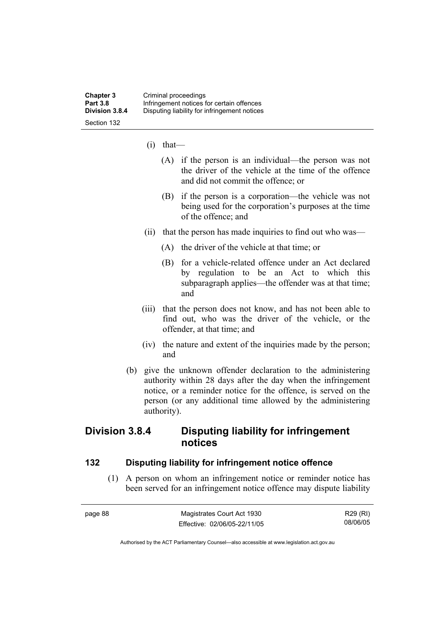- (i) that—
	- (A) if the person is an individual—the person was not the driver of the vehicle at the time of the offence and did not commit the offence; or
	- (B) if the person is a corporation—the vehicle was not being used for the corporation's purposes at the time of the offence; and
- (ii) that the person has made inquiries to find out who was—
	- (A) the driver of the vehicle at that time; or
	- (B) for a vehicle-related offence under an Act declared by regulation to be an Act to which this subparagraph applies—the offender was at that time; and
- (iii) that the person does not know, and has not been able to find out, who was the driver of the vehicle, or the offender, at that time; and
- (iv) the nature and extent of the inquiries made by the person; and
- (b) give the unknown offender declaration to the administering authority within 28 days after the day when the infringement notice, or a reminder notice for the offence, is served on the person (or any additional time allowed by the administering authority).

# **Division 3.8.4 Disputing liability for infringement notices**

#### **132 Disputing liability for infringement notice offence**

 (1) A person on whom an infringement notice or reminder notice has been served for an infringement notice offence may dispute liability

| page 88. | Magistrates Court Act 1930   | R29 (RI) |
|----------|------------------------------|----------|
|          | Effective: 02/06/05-22/11/05 | 08/06/05 |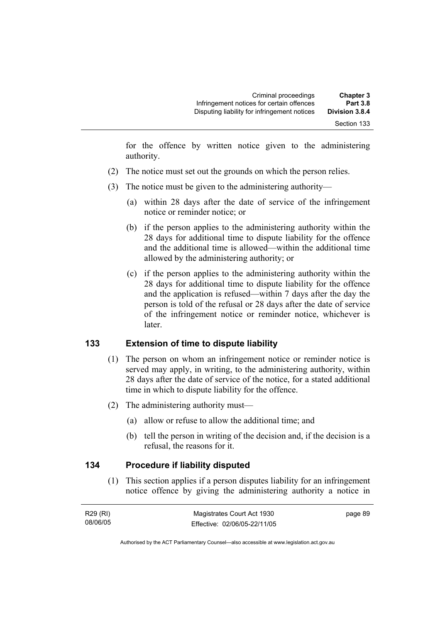for the offence by written notice given to the administering authority.

- (2) The notice must set out the grounds on which the person relies.
- (3) The notice must be given to the administering authority—
	- (a) within 28 days after the date of service of the infringement notice or reminder notice; or
	- (b) if the person applies to the administering authority within the 28 days for additional time to dispute liability for the offence and the additional time is allowed—within the additional time allowed by the administering authority; or
	- (c) if the person applies to the administering authority within the 28 days for additional time to dispute liability for the offence and the application is refused—within 7 days after the day the person is told of the refusal or 28 days after the date of service of the infringement notice or reminder notice, whichever is later.

# **133 Extension of time to dispute liability**

- (1) The person on whom an infringement notice or reminder notice is served may apply, in writing, to the administering authority, within 28 days after the date of service of the notice, for a stated additional time in which to dispute liability for the offence.
- (2) The administering authority must—
	- (a) allow or refuse to allow the additional time; and
	- (b) tell the person in writing of the decision and, if the decision is a refusal, the reasons for it.

#### **134 Procedure if liability disputed**

 (1) This section applies if a person disputes liability for an infringement notice offence by giving the administering authority a notice in

| R29 (RI) | Magistrates Court Act 1930   | page 89 |
|----------|------------------------------|---------|
| 08/06/05 | Effective: 02/06/05-22/11/05 |         |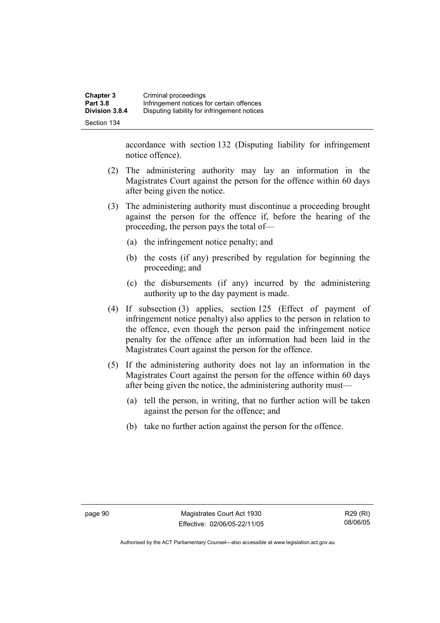accordance with section 132 (Disputing liability for infringement notice offence).

- (2) The administering authority may lay an information in the Magistrates Court against the person for the offence within 60 days after being given the notice.
- (3) The administering authority must discontinue a proceeding brought against the person for the offence if, before the hearing of the proceeding, the person pays the total of—
	- (a) the infringement notice penalty; and
	- (b) the costs (if any) prescribed by regulation for beginning the proceeding; and
	- (c) the disbursements (if any) incurred by the administering authority up to the day payment is made.
- (4) If subsection (3) applies, section 125 (Effect of payment of infringement notice penalty) also applies to the person in relation to the offence, even though the person paid the infringement notice penalty for the offence after an information had been laid in the Magistrates Court against the person for the offence.
- (5) If the administering authority does not lay an information in the Magistrates Court against the person for the offence within 60 days after being given the notice, the administering authority must—
	- (a) tell the person, in writing, that no further action will be taken against the person for the offence; and
	- (b) take no further action against the person for the offence.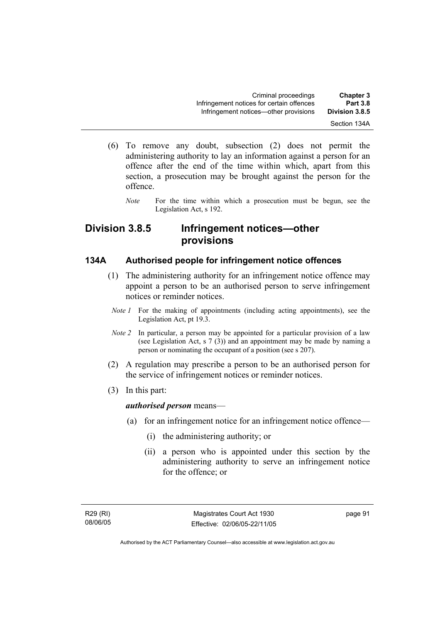- (6) To remove any doubt, subsection (2) does not permit the administering authority to lay an information against a person for an offence after the end of the time within which, apart from this section, a prosecution may be brought against the person for the offence.
	- *Note* For the time within which a prosecution must be begun, see the Legislation Act, s 192.

# **Division 3.8.5 Infringement notices—other provisions**

#### **134A Authorised people for infringement notice offences**

- (1) The administering authority for an infringement notice offence may appoint a person to be an authorised person to serve infringement notices or reminder notices.
	- *Note 1* For the making of appointments (including acting appointments), see the Legislation Act, pt 19.3.
	- *Note 2* In particular, a person may be appointed for a particular provision of a law (see Legislation Act, s 7 (3)) and an appointment may be made by naming a person or nominating the occupant of a position (see s 207).
- (2) A regulation may prescribe a person to be an authorised person for the service of infringement notices or reminder notices.
- (3) In this part:

*authorised person* means—

- (a) for an infringement notice for an infringement notice offence—
	- (i) the administering authority; or
	- (ii) a person who is appointed under this section by the administering authority to serve an infringement notice for the offence; or

R29 (RI) 08/06/05 page 91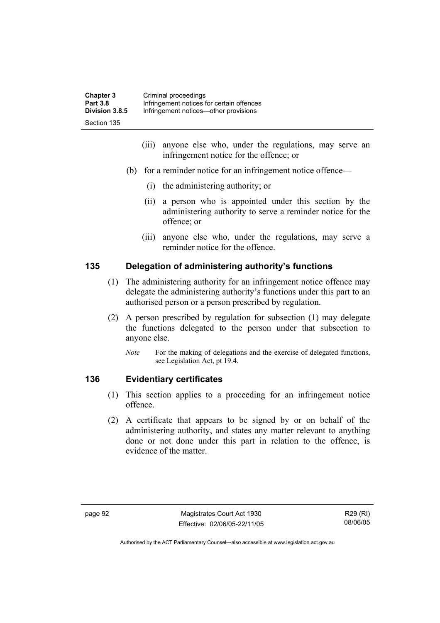| <b>Chapter 3</b> | Criminal proceedings                      |
|------------------|-------------------------------------------|
| <b>Part 3.8</b>  | Infringement notices for certain offences |
| Division 3.8.5   | Infringement notices—other provisions     |
| Section 135      |                                           |

- (iii) anyone else who, under the regulations, may serve an infringement notice for the offence; or
- (b) for a reminder notice for an infringement notice offence—
	- (i) the administering authority; or
	- (ii) a person who is appointed under this section by the administering authority to serve a reminder notice for the offence; or
	- (iii) anyone else who, under the regulations, may serve a reminder notice for the offence.

# **135 Delegation of administering authority's functions**

- (1) The administering authority for an infringement notice offence may delegate the administering authority's functions under this part to an authorised person or a person prescribed by regulation.
- (2) A person prescribed by regulation for subsection (1) may delegate the functions delegated to the person under that subsection to anyone else.
	- *Note* For the making of delegations and the exercise of delegated functions, see Legislation Act, pt 19.4.

# **136 Evidentiary certificates**

- (1) This section applies to a proceeding for an infringement notice offence.
- (2) A certificate that appears to be signed by or on behalf of the administering authority, and states any matter relevant to anything done or not done under this part in relation to the offence, is evidence of the matter.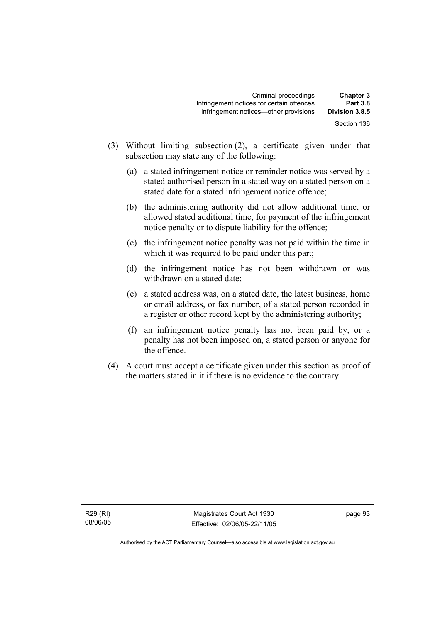| <b>Chapter 3</b> | Criminal proceedings                      |
|------------------|-------------------------------------------|
| <b>Part 3.8</b>  | Infringement notices for certain offences |
| Division 3.8.5   | Infringement notices—other provisions     |
| Section 136      |                                           |

- (3) Without limiting subsection (2), a certificate given under that subsection may state any of the following:
	- (a) a stated infringement notice or reminder notice was served by a stated authorised person in a stated way on a stated person on a stated date for a stated infringement notice offence;
	- (b) the administering authority did not allow additional time, or allowed stated additional time, for payment of the infringement notice penalty or to dispute liability for the offence;
	- (c) the infringement notice penalty was not paid within the time in which it was required to be paid under this part;
	- (d) the infringement notice has not been withdrawn or was withdrawn on a stated date;
	- (e) a stated address was, on a stated date, the latest business, home or email address, or fax number, of a stated person recorded in a register or other record kept by the administering authority;
	- (f) an infringement notice penalty has not been paid by, or a penalty has not been imposed on, a stated person or anyone for the offence.
- (4) A court must accept a certificate given under this section as proof of the matters stated in it if there is no evidence to the contrary.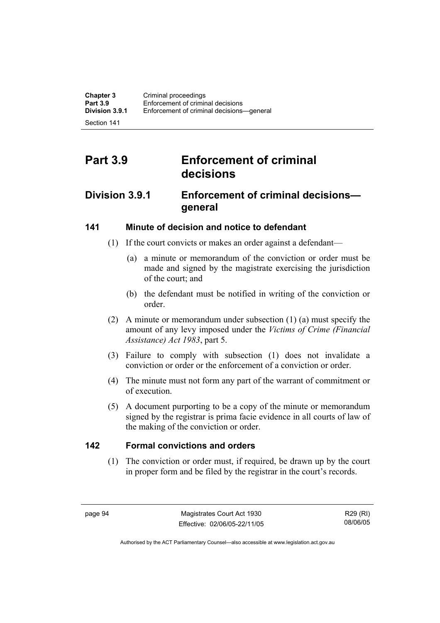Section 141

# **Part 3.9 Enforcement of criminal decisions**

## **Division 3.9.1 Enforcement of criminal decisions general**

## **141 Minute of decision and notice to defendant**

- (1) If the court convicts or makes an order against a defendant—
	- (a) a minute or memorandum of the conviction or order must be made and signed by the magistrate exercising the jurisdiction of the court; and
	- (b) the defendant must be notified in writing of the conviction or order.
- (2) A minute or memorandum under subsection (1) (a) must specify the amount of any levy imposed under the *Victims of Crime (Financial Assistance) Act 1983*, part 5.
- (3) Failure to comply with subsection (1) does not invalidate a conviction or order or the enforcement of a conviction or order.
- (4) The minute must not form any part of the warrant of commitment or of execution.
- (5) A document purporting to be a copy of the minute or memorandum signed by the registrar is prima facie evidence in all courts of law of the making of the conviction or order.

## **142 Formal convictions and orders**

 (1) The conviction or order must, if required, be drawn up by the court in proper form and be filed by the registrar in the court's records.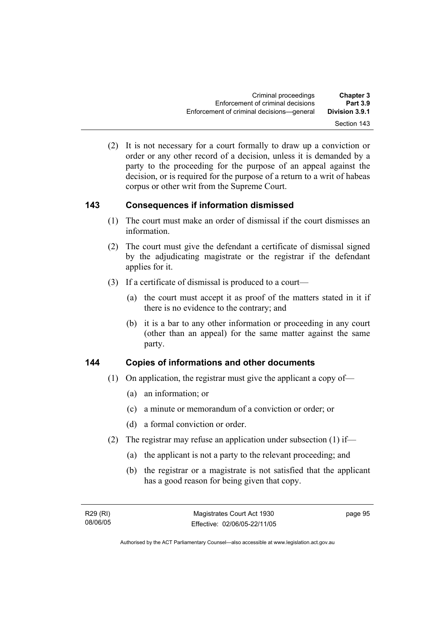(2) It is not necessary for a court formally to draw up a conviction or order or any other record of a decision, unless it is demanded by a party to the proceeding for the purpose of an appeal against the decision, or is required for the purpose of a return to a writ of habeas corpus or other writ from the Supreme Court.

## **143 Consequences if information dismissed**

- (1) The court must make an order of dismissal if the court dismisses an information.
- (2) The court must give the defendant a certificate of dismissal signed by the adjudicating magistrate or the registrar if the defendant applies for it.
- (3) If a certificate of dismissal is produced to a court—
	- (a) the court must accept it as proof of the matters stated in it if there is no evidence to the contrary; and
	- (b) it is a bar to any other information or proceeding in any court (other than an appeal) for the same matter against the same party.

## **144 Copies of informations and other documents**

- (1) On application, the registrar must give the applicant a copy of—
	- (a) an information; or
	- (c) a minute or memorandum of a conviction or order; or
	- (d) a formal conviction or order.
- (2) The registrar may refuse an application under subsection (1) if—
	- (a) the applicant is not a party to the relevant proceeding; and
	- (b) the registrar or a magistrate is not satisfied that the applicant has a good reason for being given that copy.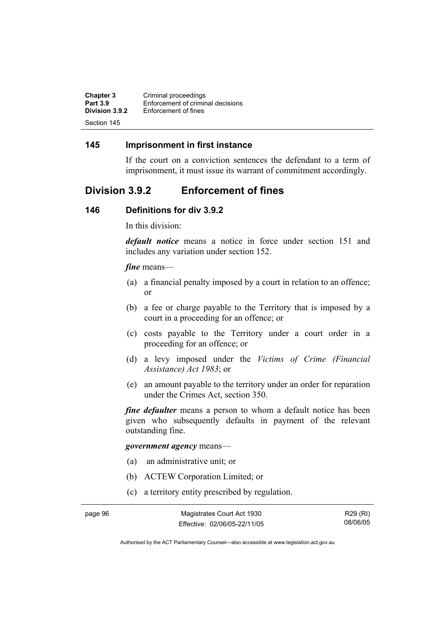| <b>Chapter 3</b> | Criminal proceedings              |
|------------------|-----------------------------------|
| <b>Part 3.9</b>  | Enforcement of criminal decisions |
| Division 3.9.2   | Enforcement of fines              |
| Section 145      |                                   |

### **145 Imprisonment in first instance**

If the court on a conviction sentences the defendant to a term of imprisonment, it must issue its warrant of commitment accordingly.

## **Division 3.9.2 Enforcement of fines**

#### **146 Definitions for div 3.9.2**

In this division:

*default notice* means a notice in force under section 151 and includes any variation under section 152.

#### *fine* means—

- (a) a financial penalty imposed by a court in relation to an offence; or
- (b) a fee or charge payable to the Territory that is imposed by a court in a proceeding for an offence; or
- (c) costs payable to the Territory under a court order in a proceeding for an offence; or
- (d) a levy imposed under the *Victims of Crime (Financial Assistance) Act 1983*; or
- (e) an amount payable to the territory under an order for reparation under the Crimes Act, section 350.

*fine defaulter* means a person to whom a default notice has been given who subsequently defaults in payment of the relevant outstanding fine.

#### *government agency* means—

- (a) an administrative unit; or
- (b) ACTEW Corporation Limited; or
- (c) a territory entity prescribed by regulation.

R29 (RI) 08/06/05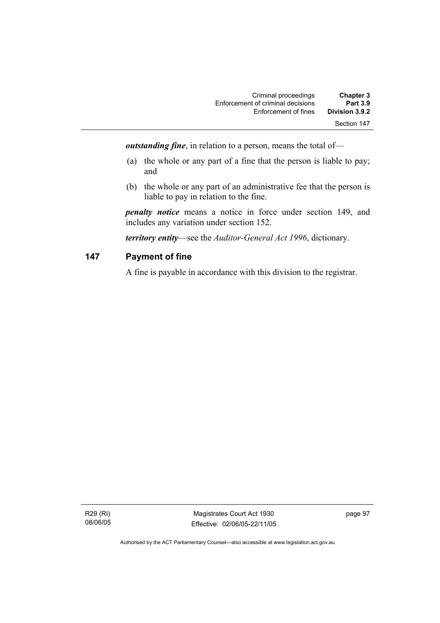| <b>Chapter 3</b> | Criminal proceedings              |
|------------------|-----------------------------------|
| <b>Part 3.9</b>  | Enforcement of criminal decisions |
| Division 3.9.2   | Enforcement of fines              |
| Section 147      |                                   |

*outstanding fine*, in relation to a person, means the total of—

- (a) the whole or any part of a fine that the person is liable to pay; and
- (b) the whole or any part of an administrative fee that the person is liable to pay in relation to the fine.

*penalty notice* means a notice in force under section 149, and includes any variation under section 152.

*territory entity*—see the *Auditor-General Act 1996*, dictionary.

## **147 Payment of fine**

A fine is payable in accordance with this division to the registrar.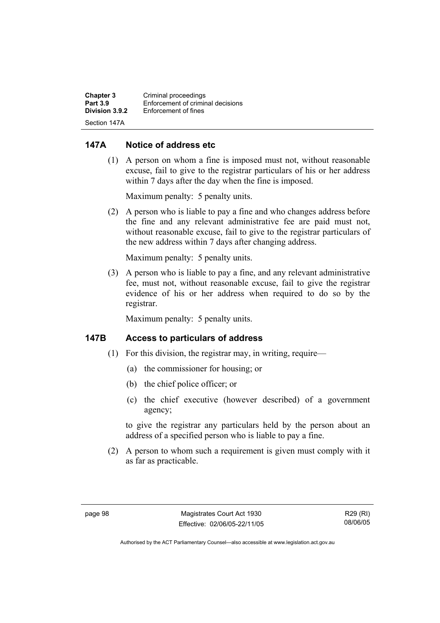| Chapter 3       | Criminal proceedings              |
|-----------------|-----------------------------------|
| <b>Part 3.9</b> | Enforcement of criminal decisions |
| Division 3.9.2  | Enforcement of fines              |
| Section 147A    |                                   |

### **147A Notice of address etc**

 (1) A person on whom a fine is imposed must not, without reasonable excuse, fail to give to the registrar particulars of his or her address within 7 days after the day when the fine is imposed.

Maximum penalty: 5 penalty units.

 (2) A person who is liable to pay a fine and who changes address before the fine and any relevant administrative fee are paid must not, without reasonable excuse, fail to give to the registrar particulars of the new address within 7 days after changing address.

Maximum penalty: 5 penalty units.

 (3) A person who is liable to pay a fine, and any relevant administrative fee, must not, without reasonable excuse, fail to give the registrar evidence of his or her address when required to do so by the registrar.

Maximum penalty: 5 penalty units.

### **147B Access to particulars of address**

- (1) For this division, the registrar may, in writing, require—
	- (a) the commissioner for housing; or
	- (b) the chief police officer; or
	- (c) the chief executive (however described) of a government agency;

to give the registrar any particulars held by the person about an address of a specified person who is liable to pay a fine.

 (2) A person to whom such a requirement is given must comply with it as far as practicable.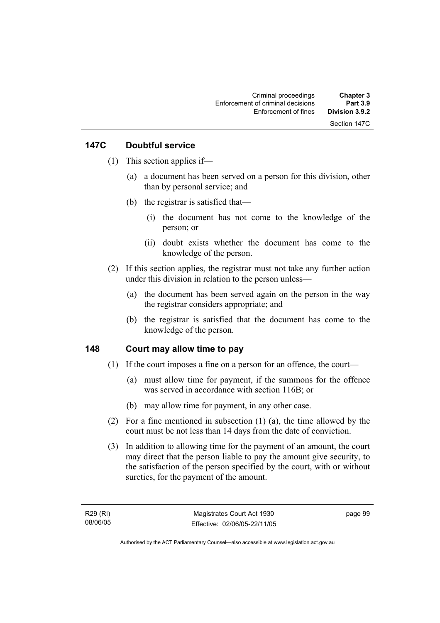## **147C Doubtful service**

- (1) This section applies if—
	- (a) a document has been served on a person for this division, other than by personal service; and
	- (b) the registrar is satisfied that—
		- (i) the document has not come to the knowledge of the person; or
		- (ii) doubt exists whether the document has come to the knowledge of the person.
- (2) If this section applies, the registrar must not take any further action under this division in relation to the person unless—
	- (a) the document has been served again on the person in the way the registrar considers appropriate; and
	- (b) the registrar is satisfied that the document has come to the knowledge of the person.

## **148 Court may allow time to pay**

- (1) If the court imposes a fine on a person for an offence, the court—
	- (a) must allow time for payment, if the summons for the offence was served in accordance with section 116B; or
	- (b) may allow time for payment, in any other case.
- (2) For a fine mentioned in subsection (1) (a), the time allowed by the court must be not less than 14 days from the date of conviction.
- (3) In addition to allowing time for the payment of an amount, the court may direct that the person liable to pay the amount give security, to the satisfaction of the person specified by the court, with or without sureties, for the payment of the amount.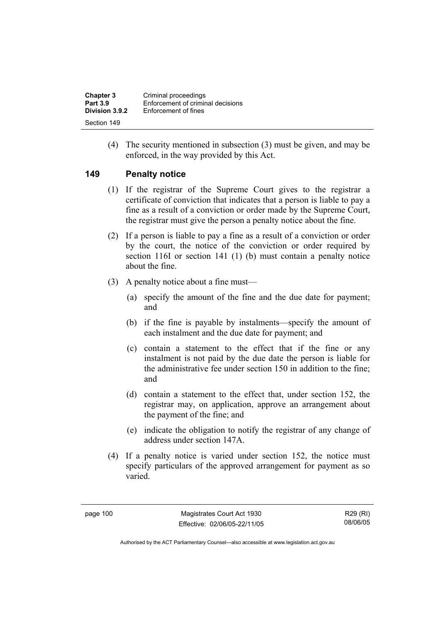| <b>Chapter 3</b> | Criminal proceedings              |
|------------------|-----------------------------------|
| <b>Part 3.9</b>  | Enforcement of criminal decisions |
| Division 3.9.2   | Enforcement of fines              |
| Section 149      |                                   |

 (4) The security mentioned in subsection (3) must be given, and may be enforced, in the way provided by this Act.

#### **149 Penalty notice**

- (1) If the registrar of the Supreme Court gives to the registrar a certificate of conviction that indicates that a person is liable to pay a fine as a result of a conviction or order made by the Supreme Court, the registrar must give the person a penalty notice about the fine.
- (2) If a person is liable to pay a fine as a result of a conviction or order by the court, the notice of the conviction or order required by section 116I or section 141 (1) (b) must contain a penalty notice about the fine.
- (3) A penalty notice about a fine must—
	- (a) specify the amount of the fine and the due date for payment; and
	- (b) if the fine is payable by instalments—specify the amount of each instalment and the due date for payment; and
	- (c) contain a statement to the effect that if the fine or any instalment is not paid by the due date the person is liable for the administrative fee under section 150 in addition to the fine; and
	- (d) contain a statement to the effect that, under section 152, the registrar may, on application, approve an arrangement about the payment of the fine; and
	- (e) indicate the obligation to notify the registrar of any change of address under section 147A.
- (4) If a penalty notice is varied under section 152, the notice must specify particulars of the approved arrangement for payment as so varied.

page 100 Magistrates Court Act 1930 Effective: 02/06/05-22/11/05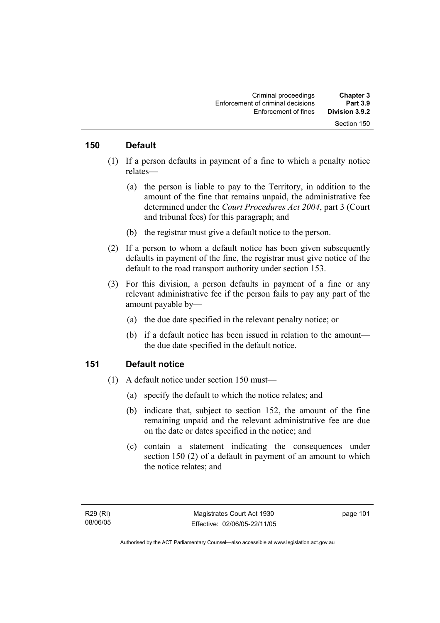#### **150 Default**

- (1) If a person defaults in payment of a fine to which a penalty notice relates—
	- (a) the person is liable to pay to the Territory, in addition to the amount of the fine that remains unpaid, the administrative fee determined under the *Court Procedures Act 2004*, part 3 (Court and tribunal fees) for this paragraph; and
	- (b) the registrar must give a default notice to the person.
- (2) If a person to whom a default notice has been given subsequently defaults in payment of the fine, the registrar must give notice of the default to the road transport authority under section 153.
- (3) For this division, a person defaults in payment of a fine or any relevant administrative fee if the person fails to pay any part of the amount payable by—
	- (a) the due date specified in the relevant penalty notice; or
	- (b) if a default notice has been issued in relation to the amount the due date specified in the default notice.

#### **151 Default notice**

- (1) A default notice under section 150 must—
	- (a) specify the default to which the notice relates; and
	- (b) indicate that, subject to section 152, the amount of the fine remaining unpaid and the relevant administrative fee are due on the date or dates specified in the notice; and
	- (c) contain a statement indicating the consequences under section 150 (2) of a default in payment of an amount to which the notice relates; and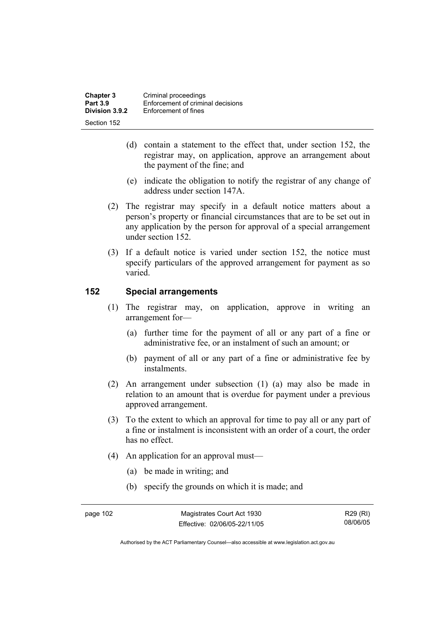| <b>Chapter 3</b> | Criminal proceedings              |
|------------------|-----------------------------------|
| <b>Part 3.9</b>  | Enforcement of criminal decisions |
| Division 3.9.2   | Enforcement of fines              |
| Section 152      |                                   |

- (d) contain a statement to the effect that, under section 152, the registrar may, on application, approve an arrangement about the payment of the fine; and
- (e) indicate the obligation to notify the registrar of any change of address under section 147A.
- (2) The registrar may specify in a default notice matters about a person's property or financial circumstances that are to be set out in any application by the person for approval of a special arrangement under section 152.
- (3) If a default notice is varied under section 152, the notice must specify particulars of the approved arrangement for payment as so varied.

#### **152 Special arrangements**

- (1) The registrar may, on application, approve in writing an arrangement for—
	- (a) further time for the payment of all or any part of a fine or administrative fee, or an instalment of such an amount; or
	- (b) payment of all or any part of a fine or administrative fee by instalments.
- (2) An arrangement under subsection (1) (a) may also be made in relation to an amount that is overdue for payment under a previous approved arrangement.
- (3) To the extent to which an approval for time to pay all or any part of a fine or instalment is inconsistent with an order of a court, the order has no effect.
- (4) An application for an approval must—
	- (a) be made in writing; and
	- (b) specify the grounds on which it is made; and

R29 (RI) 08/06/05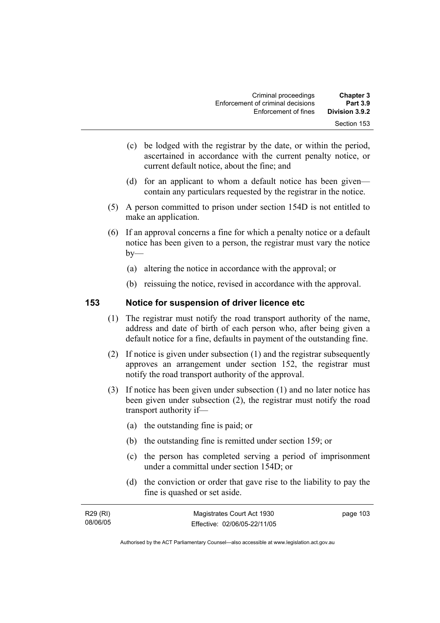| <b>Chapter 3</b><br><b>Part 3.9</b> | Criminal proceedings<br>Enforcement of criminal decisions |
|-------------------------------------|-----------------------------------------------------------|
| Division 3.9.2                      | Enforcement of fines                                      |
| Section 153                         |                                                           |

- (c) be lodged with the registrar by the date, or within the period, ascertained in accordance with the current penalty notice, or current default notice, about the fine; and
- (d) for an applicant to whom a default notice has been given contain any particulars requested by the registrar in the notice.
- (5) A person committed to prison under section 154D is not entitled to make an application.
- (6) If an approval concerns a fine for which a penalty notice or a default notice has been given to a person, the registrar must vary the notice  $by-$ 
	- (a) altering the notice in accordance with the approval; or
	- (b) reissuing the notice, revised in accordance with the approval.

#### **153 Notice for suspension of driver licence etc**

- (1) The registrar must notify the road transport authority of the name, address and date of birth of each person who, after being given a default notice for a fine, defaults in payment of the outstanding fine.
- (2) If notice is given under subsection (1) and the registrar subsequently approves an arrangement under section 152, the registrar must notify the road transport authority of the approval.
- (3) If notice has been given under subsection (1) and no later notice has been given under subsection (2), the registrar must notify the road transport authority if—
	- (a) the outstanding fine is paid; or
	- (b) the outstanding fine is remitted under section 159; or
	- (c) the person has completed serving a period of imprisonment under a committal under section 154D; or
	- (d) the conviction or order that gave rise to the liability to pay the fine is quashed or set aside.

| R29 (RI) | Magistrates Court Act 1930   | page 103 |
|----------|------------------------------|----------|
| 08/06/05 | Effective: 02/06/05-22/11/05 |          |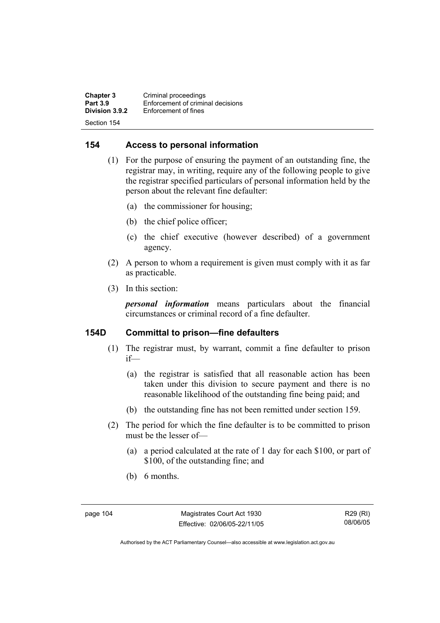**Chapter 3 Criminal proceedings**<br>**Part 3.9 Enforcement of criminal Part 3.9 Enforcement of criminal decisions**<br>**Division 3.9.2 Enforcement of fines Enforcement of fines** Section 154

### **154 Access to personal information**

- (1) For the purpose of ensuring the payment of an outstanding fine, the registrar may, in writing, require any of the following people to give the registrar specified particulars of personal information held by the person about the relevant fine defaulter:
	- (a) the commissioner for housing;
	- (b) the chief police officer;
	- (c) the chief executive (however described) of a government agency.
- (2) A person to whom a requirement is given must comply with it as far as practicable.
- (3) In this section:

*personal information* means particulars about the financial circumstances or criminal record of a fine defaulter.

### **154D Committal to prison—fine defaulters**

- (1) The registrar must, by warrant, commit a fine defaulter to prison if—
	- (a) the registrar is satisfied that all reasonable action has been taken under this division to secure payment and there is no reasonable likelihood of the outstanding fine being paid; and
	- (b) the outstanding fine has not been remitted under section 159.
- (2) The period for which the fine defaulter is to be committed to prison must be the lesser of—
	- (a) a period calculated at the rate of 1 day for each \$100, or part of \$100, of the outstanding fine; and
	- (b) 6 months.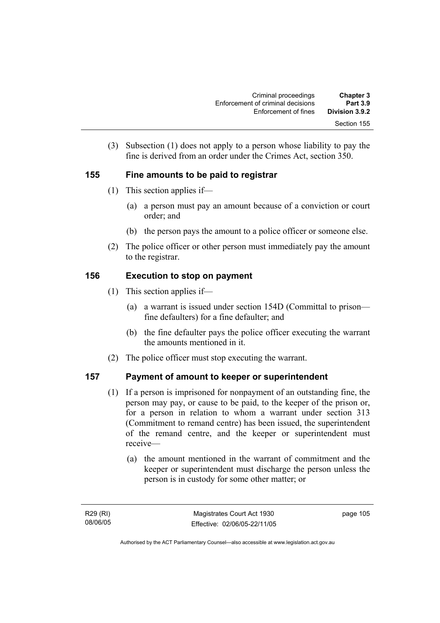| <b>Chapter 3</b><br><b>Part 3.9</b> | Criminal proceedings<br>Enforcement of criminal decisions |
|-------------------------------------|-----------------------------------------------------------|
| Division 3.9.2                      | Enforcement of fines                                      |
| Section 155                         |                                                           |

 (3) Subsection (1) does not apply to a person whose liability to pay the fine is derived from an order under the Crimes Act, section 350.

## **155 Fine amounts to be paid to registrar**

- (1) This section applies if—
	- (a) a person must pay an amount because of a conviction or court order; and
	- (b) the person pays the amount to a police officer or someone else.
- (2) The police officer or other person must immediately pay the amount to the registrar.

## **156 Execution to stop on payment**

- (1) This section applies if—
	- (a) a warrant is issued under section 154D (Committal to prison fine defaulters) for a fine defaulter; and
	- (b) the fine defaulter pays the police officer executing the warrant the amounts mentioned in it.
- (2) The police officer must stop executing the warrant.

## **157 Payment of amount to keeper or superintendent**

- (1) If a person is imprisoned for nonpayment of an outstanding fine, the person may pay, or cause to be paid, to the keeper of the prison or, for a person in relation to whom a warrant under section 313 (Commitment to remand centre) has been issued, the superintendent of the remand centre, and the keeper or superintendent must receive—
	- (a) the amount mentioned in the warrant of commitment and the keeper or superintendent must discharge the person unless the person is in custody for some other matter; or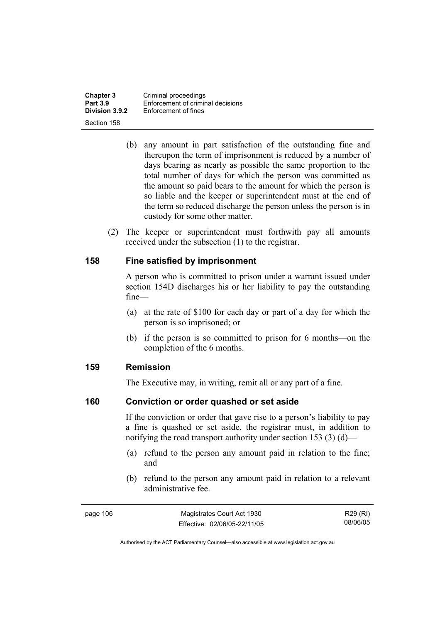**Chapter 3 Criminal proceedings**<br>**Part 3.9 Enforcement of criminal Part 3.9 Enforcement of criminal decisions**<br>**Division 3.9.2 Enforcement of fines Enforcement of fines** Section 158

- (b) any amount in part satisfaction of the outstanding fine and thereupon the term of imprisonment is reduced by a number of days bearing as nearly as possible the same proportion to the total number of days for which the person was committed as the amount so paid bears to the amount for which the person is so liable and the keeper or superintendent must at the end of the term so reduced discharge the person unless the person is in custody for some other matter.
- (2) The keeper or superintendent must forthwith pay all amounts received under the subsection (1) to the registrar.

#### **158 Fine satisfied by imprisonment**

A person who is committed to prison under a warrant issued under section 154D discharges his or her liability to pay the outstanding fine—

- (a) at the rate of \$100 for each day or part of a day for which the person is so imprisoned; or
- (b) if the person is so committed to prison for 6 months—on the completion of the 6 months.

#### **159 Remission**

The Executive may, in writing, remit all or any part of a fine.

#### **160 Conviction or order quashed or set aside**

If the conviction or order that gave rise to a person's liability to pay a fine is quashed or set aside, the registrar must, in addition to notifying the road transport authority under section 153 (3) (d)—

- (a) refund to the person any amount paid in relation to the fine; and
- (b) refund to the person any amount paid in relation to a relevant administrative fee.

R29 (RI) 08/06/05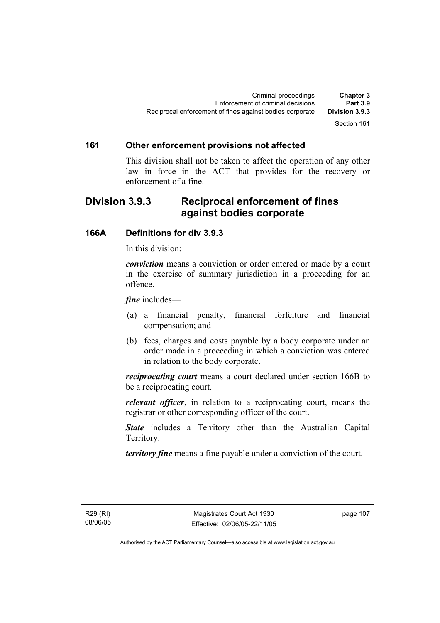### Section 161

#### **161 Other enforcement provisions not affected**

This division shall not be taken to affect the operation of any other law in force in the ACT that provides for the recovery or enforcement of a fine.

## **Division 3.9.3 Reciprocal enforcement of fines against bodies corporate**

#### **166A Definitions for div 3.9.3**

In this division:

*conviction* means a conviction or order entered or made by a court in the exercise of summary jurisdiction in a proceeding for an offence.

*fine* includes—

- (a) a financial penalty, financial forfeiture and financial compensation; and
- (b) fees, charges and costs payable by a body corporate under an order made in a proceeding in which a conviction was entered in relation to the body corporate.

*reciprocating court* means a court declared under section 166B to be a reciprocating court.

*relevant officer*, in relation to a reciprocating court, means the registrar or other corresponding officer of the court.

*State* includes a Territory other than the Australian Capital Territory.

*territory fine* means a fine payable under a conviction of the court.

R29 (RI) 08/06/05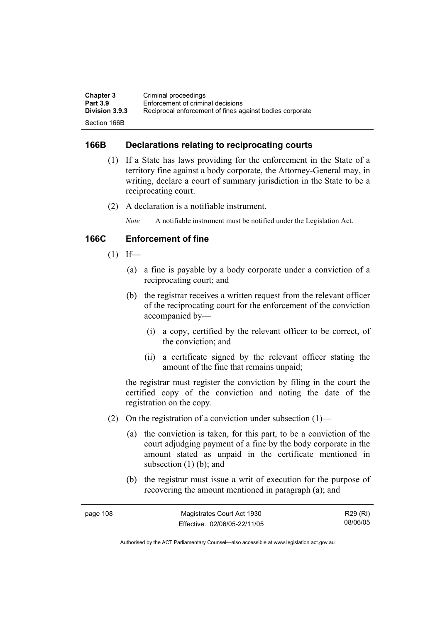| <b>Chapter 3</b>      | Criminal proceedings                                     |
|-----------------------|----------------------------------------------------------|
| <b>Part 3.9</b>       | Enforcement of criminal decisions                        |
| <b>Division 3.9.3</b> | Reciprocal enforcement of fines against bodies corporate |
| Section 166B          |                                                          |

### **166B Declarations relating to reciprocating courts**

- (1) If a State has laws providing for the enforcement in the State of a territory fine against a body corporate, the Attorney-General may, in writing, declare a court of summary jurisdiction in the State to be a reciprocating court.
- (2) A declaration is a notifiable instrument.

*Note* A notifiable instrument must be notified under the Legislation Act.

### **166C Enforcement of fine**

- $(1)$  If—
	- (a) a fine is payable by a body corporate under a conviction of a reciprocating court; and
	- (b) the registrar receives a written request from the relevant officer of the reciprocating court for the enforcement of the conviction accompanied by—
		- (i) a copy, certified by the relevant officer to be correct, of the conviction; and
		- (ii) a certificate signed by the relevant officer stating the amount of the fine that remains unpaid;

the registrar must register the conviction by filing in the court the certified copy of the conviction and noting the date of the registration on the copy.

- (2) On the registration of a conviction under subsection  $(1)$ 
	- (a) the conviction is taken, for this part, to be a conviction of the court adjudging payment of a fine by the body corporate in the amount stated as unpaid in the certificate mentioned in subsection  $(1)$  (b); and
	- (b) the registrar must issue a writ of execution for the purpose of recovering the amount mentioned in paragraph (a); and

| page 108 | Magistrates Court Act 1930   | R29 (RI) |
|----------|------------------------------|----------|
|          | Effective: 02/06/05-22/11/05 | 08/06/05 |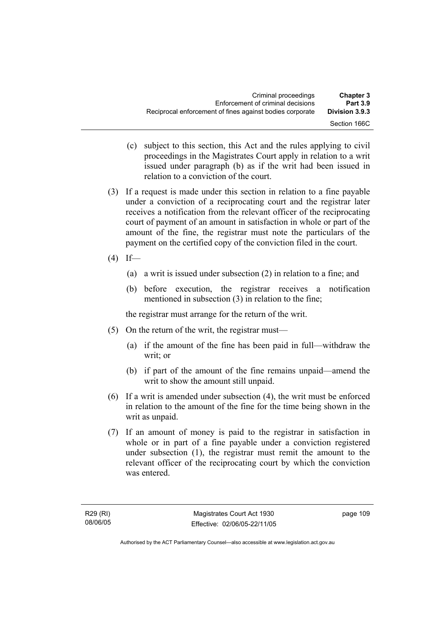- (c) subject to this section, this Act and the rules applying to civil proceedings in the Magistrates Court apply in relation to a writ issued under paragraph (b) as if the writ had been issued in relation to a conviction of the court.
- (3) If a request is made under this section in relation to a fine payable under a conviction of a reciprocating court and the registrar later receives a notification from the relevant officer of the reciprocating court of payment of an amount in satisfaction in whole or part of the amount of the fine, the registrar must note the particulars of the payment on the certified copy of the conviction filed in the court.
- $(4)$  If—
	- (a) a writ is issued under subsection (2) in relation to a fine; and
	- (b) before execution, the registrar receives a notification mentioned in subsection (3) in relation to the fine;

the registrar must arrange for the return of the writ.

- (5) On the return of the writ, the registrar must—
	- (a) if the amount of the fine has been paid in full—withdraw the writ; or
	- (b) if part of the amount of the fine remains unpaid—amend the writ to show the amount still unpaid.
- (6) If a writ is amended under subsection (4), the writ must be enforced in relation to the amount of the fine for the time being shown in the writ as unpaid.
- (7) If an amount of money is paid to the registrar in satisfaction in whole or in part of a fine payable under a conviction registered under subsection (1), the registrar must remit the amount to the relevant officer of the reciprocating court by which the conviction was entered.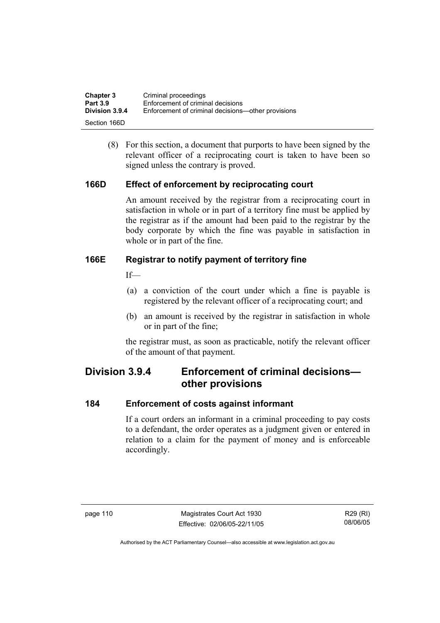| <b>Chapter 3</b> | Criminal proceedings                               |
|------------------|----------------------------------------------------|
| <b>Part 3.9</b>  | Enforcement of criminal decisions                  |
| Division 3.9.4   | Enforcement of criminal decisions—other provisions |
| Section 166D     |                                                    |

 (8) For this section, a document that purports to have been signed by the relevant officer of a reciprocating court is taken to have been so signed unless the contrary is proved.

### **166D Effect of enforcement by reciprocating court**

An amount received by the registrar from a reciprocating court in satisfaction in whole or in part of a territory fine must be applied by the registrar as if the amount had been paid to the registrar by the body corporate by which the fine was payable in satisfaction in whole or in part of the fine.

### **166E Registrar to notify payment of territory fine**

 $If$ <sub>—</sub>

- (a) a conviction of the court under which a fine is payable is registered by the relevant officer of a reciprocating court; and
- (b) an amount is received by the registrar in satisfaction in whole or in part of the fine;

the registrar must, as soon as practicable, notify the relevant officer of the amount of that payment.

## **Division 3.9.4 Enforcement of criminal decisions other provisions**

#### **184 Enforcement of costs against informant**

If a court orders an informant in a criminal proceeding to pay costs to a defendant, the order operates as a judgment given or entered in relation to a claim for the payment of money and is enforceable accordingly.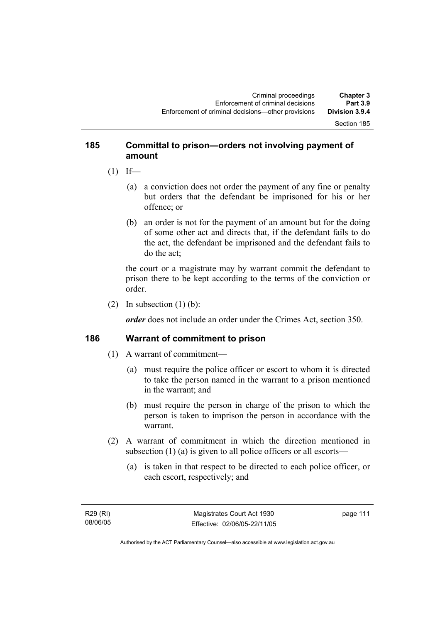#### Section 185

### **185 Committal to prison—orders not involving payment of amount**

- $(1)$  If—
	- (a) a conviction does not order the payment of any fine or penalty but orders that the defendant be imprisoned for his or her offence; or
	- (b) an order is not for the payment of an amount but for the doing of some other act and directs that, if the defendant fails to do the act, the defendant be imprisoned and the defendant fails to do the act;

the court or a magistrate may by warrant commit the defendant to prison there to be kept according to the terms of the conviction or order.

(2) In subsection  $(1)$  (b):

*order* does not include an order under the Crimes Act, section 350.

#### **186 Warrant of commitment to prison**

- (1) A warrant of commitment—
	- (a) must require the police officer or escort to whom it is directed to take the person named in the warrant to a prison mentioned in the warrant; and
	- (b) must require the person in charge of the prison to which the person is taken to imprison the person in accordance with the warrant.
- (2) A warrant of commitment in which the direction mentioned in subsection (1) (a) is given to all police officers or all escorts—
	- (a) is taken in that respect to be directed to each police officer, or each escort, respectively; and

page 111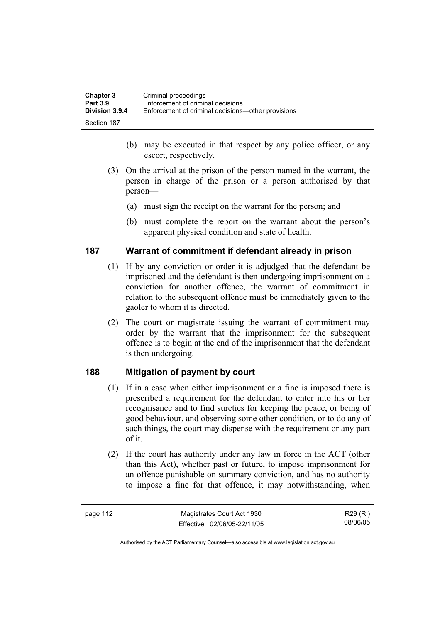| <b>Chapter 3</b> | Criminal proceedings                               |
|------------------|----------------------------------------------------|
| <b>Part 3.9</b>  | Enforcement of criminal decisions                  |
| Division 3.9.4   | Enforcement of criminal decisions—other provisions |
| Section 187      |                                                    |

- (b) may be executed in that respect by any police officer, or any escort, respectively.
- (3) On the arrival at the prison of the person named in the warrant, the person in charge of the prison or a person authorised by that person—
	- (a) must sign the receipt on the warrant for the person; and
	- (b) must complete the report on the warrant about the person's apparent physical condition and state of health.

#### **187 Warrant of commitment if defendant already in prison**

- (1) If by any conviction or order it is adjudged that the defendant be imprisoned and the defendant is then undergoing imprisonment on a conviction for another offence, the warrant of commitment in relation to the subsequent offence must be immediately given to the gaoler to whom it is directed.
- (2) The court or magistrate issuing the warrant of commitment may order by the warrant that the imprisonment for the subsequent offence is to begin at the end of the imprisonment that the defendant is then undergoing.

## **188 Mitigation of payment by court**

- (1) If in a case when either imprisonment or a fine is imposed there is prescribed a requirement for the defendant to enter into his or her recognisance and to find sureties for keeping the peace, or being of good behaviour, and observing some other condition, or to do any of such things, the court may dispense with the requirement or any part of it.
- (2) If the court has authority under any law in force in the ACT (other than this Act), whether past or future, to impose imprisonment for an offence punishable on summary conviction, and has no authority to impose a fine for that offence, it may notwithstanding, when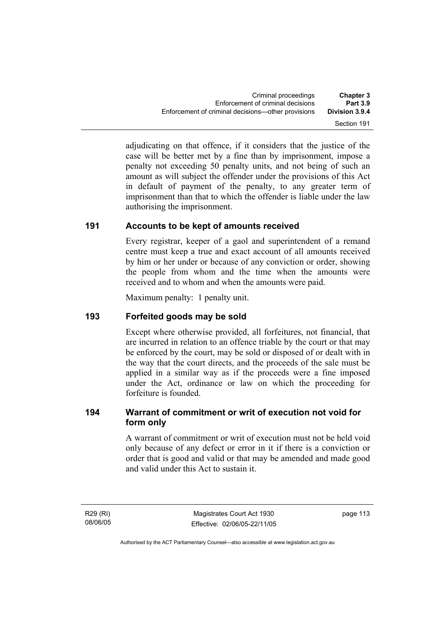adjudicating on that offence, if it considers that the justice of the case will be better met by a fine than by imprisonment, impose a penalty not exceeding 50 penalty units, and not being of such an amount as will subject the offender under the provisions of this Act in default of payment of the penalty, to any greater term of imprisonment than that to which the offender is liable under the law authorising the imprisonment.

## **191 Accounts to be kept of amounts received**

Every registrar, keeper of a gaol and superintendent of a remand centre must keep a true and exact account of all amounts received by him or her under or because of any conviction or order, showing the people from whom and the time when the amounts were received and to whom and when the amounts were paid.

Maximum penalty: 1 penalty unit.

## **193 Forfeited goods may be sold**

Except where otherwise provided, all forfeitures, not financial, that are incurred in relation to an offence triable by the court or that may be enforced by the court, may be sold or disposed of or dealt with in the way that the court directs, and the proceeds of the sale must be applied in a similar way as if the proceeds were a fine imposed under the Act, ordinance or law on which the proceeding for forfeiture is founded.

## **194 Warrant of commitment or writ of execution not void for form only**

A warrant of commitment or writ of execution must not be held void only because of any defect or error in it if there is a conviction or order that is good and valid or that may be amended and made good and valid under this Act to sustain it.

R29 (RI) 08/06/05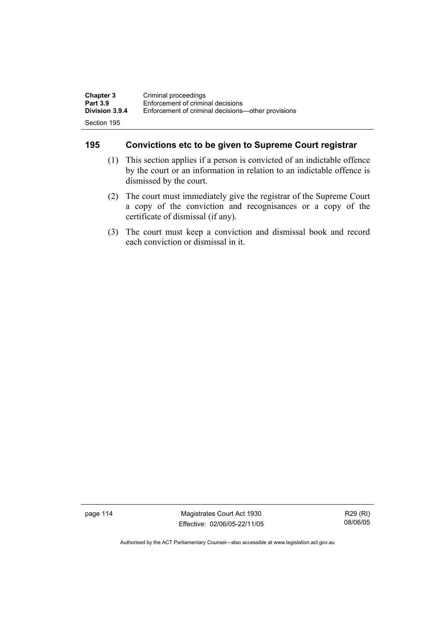| <b>Chapter 3</b>      | Criminal proceedings                               |
|-----------------------|----------------------------------------------------|
| <b>Part 3.9</b>       | Enforcement of criminal decisions                  |
| <b>Division 3.9.4</b> | Enforcement of criminal decisions—other provisions |
| Section 195           |                                                    |

## **195 Convictions etc to be given to Supreme Court registrar**

- (1) This section applies if a person is convicted of an indictable offence by the court or an information in relation to an indictable offence is dismissed by the court.
- (2) The court must immediately give the registrar of the Supreme Court a copy of the conviction and recognisances or a copy of the certificate of dismissal (if any).
- (3) The court must keep a conviction and dismissal book and record each conviction or dismissal in it.

page 114 Magistrates Court Act 1930 Effective: 02/06/05-22/11/05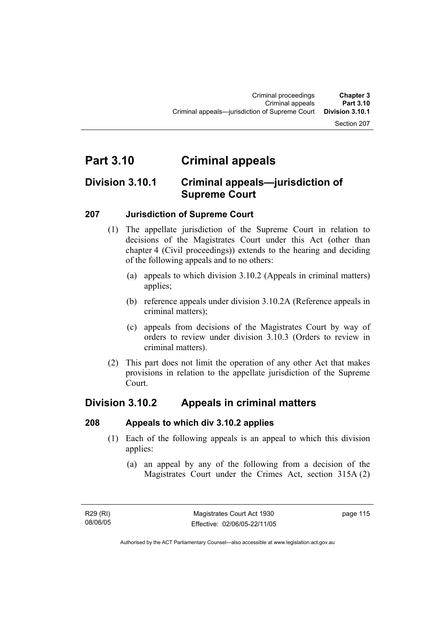#### Section 207

# **Part 3.10 Criminal appeals**

## **Division 3.10.1 Criminal appeals—jurisdiction of Supreme Court**

### **207 Jurisdiction of Supreme Court**

- (1) The appellate jurisdiction of the Supreme Court in relation to decisions of the Magistrates Court under this Act (other than chapter 4 (Civil proceedings)) extends to the hearing and deciding of the following appeals and to no others:
	- (a) appeals to which division 3.10.2 (Appeals in criminal matters) applies;
	- (b) reference appeals under division 3.10.2A (Reference appeals in criminal matters);
	- (c) appeals from decisions of the Magistrates Court by way of orders to review under division 3.10.3 (Orders to review in criminal matters).
- (2) This part does not limit the operation of any other Act that makes provisions in relation to the appellate jurisdiction of the Supreme Court.

## **Division 3.10.2 Appeals in criminal matters**

#### **208 Appeals to which div 3.10.2 applies**

- (1) Each of the following appeals is an appeal to which this division applies:
	- (a) an appeal by any of the following from a decision of the Magistrates Court under the Crimes Act, section 315A (2)

Authorised by the ACT Parliamentary Counsel—also accessible at www.legislation.act.gov.au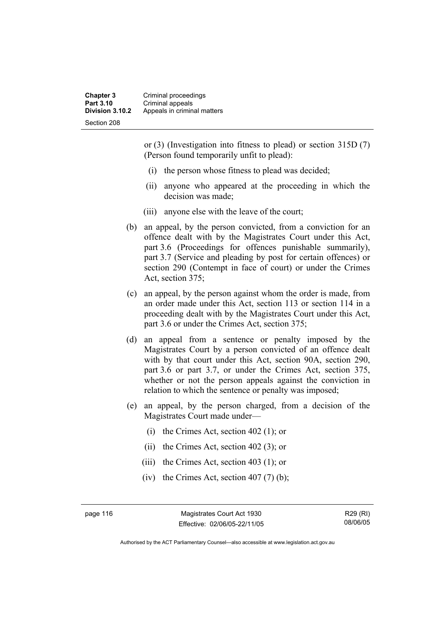**Chapter 3** Criminal proceedings **Part 3.10 Criminal appeals**<br>**Division 3.10.2** Appeals in crimin **Division 3.10.2** Appeals in criminal matters Section 208

> or (3) (Investigation into fitness to plead) or section 315D (7) (Person found temporarily unfit to plead):

- (i) the person whose fitness to plead was decided;
- (ii) anyone who appeared at the proceeding in which the decision was made;
- (iii) anyone else with the leave of the court;
- (b) an appeal, by the person convicted, from a conviction for an offence dealt with by the Magistrates Court under this Act, part 3.6 (Proceedings for offences punishable summarily), part 3.7 (Service and pleading by post for certain offences) or section 290 (Contempt in face of court) or under the Crimes Act, section 375;
- (c) an appeal, by the person against whom the order is made, from an order made under this Act, section 113 or section 114 in a proceeding dealt with by the Magistrates Court under this Act, part 3.6 or under the Crimes Act, section 375;
- (d) an appeal from a sentence or penalty imposed by the Magistrates Court by a person convicted of an offence dealt with by that court under this Act, section 90A, section 290, part 3.6 or part 3.7, or under the Crimes Act, section 375, whether or not the person appeals against the conviction in relation to which the sentence or penalty was imposed;
- (e) an appeal, by the person charged, from a decision of the Magistrates Court made under—
	- (i) the Crimes Act, section 402 (1); or
	- (ii) the Crimes Act, section 402 (3); or
	- (iii) the Crimes Act, section 403 (1); or
	- (iv) the Crimes Act, section  $407(7)$  (b);

page 116 Magistrates Court Act 1930 Effective: 02/06/05-22/11/05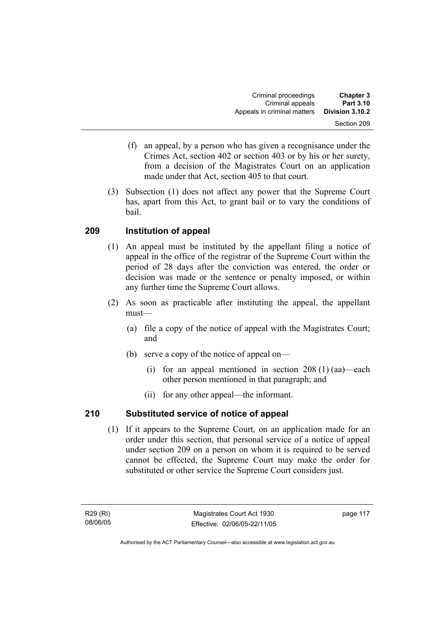| <b>Chapter 3</b> | Criminal proceedings        |
|------------------|-----------------------------|
| <b>Part 3.10</b> | Criminal appeals            |
| Division 3.10.2  | Appeals in criminal matters |
| Section 209      |                             |

- (f) an appeal, by a person who has given a recognisance under the Crimes Act, section 402 or section 403 or by his or her surety, from a decision of the Magistrates Court on an application made under that Act, section 405 to that court.
- (3) Subsection (1) does not affect any power that the Supreme Court has, apart from this Act, to grant bail or to vary the conditions of bail.

## **209 Institution of appeal**

- (1) An appeal must be instituted by the appellant filing a notice of appeal in the office of the registrar of the Supreme Court within the period of 28 days after the conviction was entered, the order or decision was made or the sentence or penalty imposed, or within any further time the Supreme Court allows.
- (2) As soon as practicable after instituting the appeal, the appellant must—
	- (a) file a copy of the notice of appeal with the Magistrates Court; and
	- (b) serve a copy of the notice of appeal on—
		- (i) for an appeal mentioned in section 208 (1) (aa)—each other person mentioned in that paragraph; and
		- (ii) for any other appeal—the informant.

## **210 Substituted service of notice of appeal**

 (1) If it appears to the Supreme Court, on an application made for an order under this section, that personal service of a notice of appeal under section 209 on a person on whom it is required to be served cannot be effected, the Supreme Court may make the order for substituted or other service the Supreme Court considers just.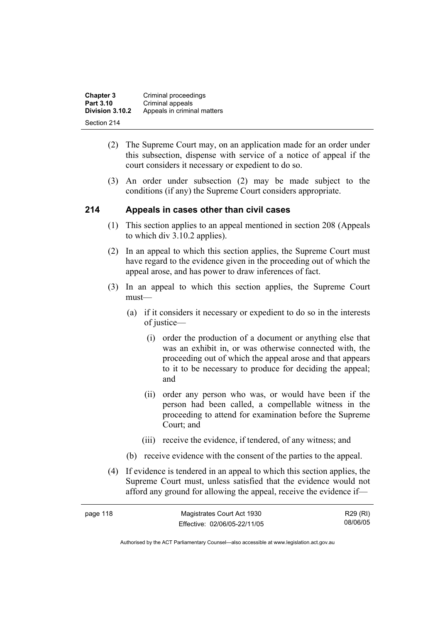| <b>Chapter 3</b>               | Criminal proceedings        |
|--------------------------------|-----------------------------|
| Part 3.10                      | Criminal appeals            |
| Division 3.10.2<br>Section 214 | Appeals in criminal matters |

- (2) The Supreme Court may, on an application made for an order under this subsection, dispense with service of a notice of appeal if the court considers it necessary or expedient to do so.
- (3) An order under subsection (2) may be made subject to the conditions (if any) the Supreme Court considers appropriate.

### **214 Appeals in cases other than civil cases**

- (1) This section applies to an appeal mentioned in section 208 (Appeals to which div 3.10.2 applies).
- (2) In an appeal to which this section applies, the Supreme Court must have regard to the evidence given in the proceeding out of which the appeal arose, and has power to draw inferences of fact.
- (3) In an appeal to which this section applies, the Supreme Court must—
	- (a) if it considers it necessary or expedient to do so in the interests of justice—
		- (i) order the production of a document or anything else that was an exhibit in, or was otherwise connected with, the proceeding out of which the appeal arose and that appears to it to be necessary to produce for deciding the appeal; and
		- (ii) order any person who was, or would have been if the person had been called, a compellable witness in the proceeding to attend for examination before the Supreme Court; and
		- (iii) receive the evidence, if tendered, of any witness; and
	- (b) receive evidence with the consent of the parties to the appeal.
- (4) If evidence is tendered in an appeal to which this section applies, the Supreme Court must, unless satisfied that the evidence would not afford any ground for allowing the appeal, receive the evidence if—

| page 118 | Magistrates Court Act 1930   | R29 (RI) |
|----------|------------------------------|----------|
|          | Effective: 02/06/05-22/11/05 | 08/06/05 |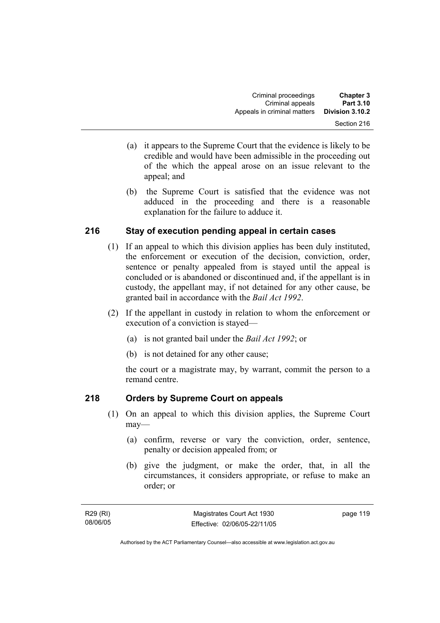- (a) it appears to the Supreme Court that the evidence is likely to be credible and would have been admissible in the proceeding out of the which the appeal arose on an issue relevant to the appeal; and
- (b) the Supreme Court is satisfied that the evidence was not adduced in the proceeding and there is a reasonable explanation for the failure to adduce it.

## **216 Stay of execution pending appeal in certain cases**

- (1) If an appeal to which this division applies has been duly instituted, the enforcement or execution of the decision, conviction, order, sentence or penalty appealed from is stayed until the appeal is concluded or is abandoned or discontinued and, if the appellant is in custody, the appellant may, if not detained for any other cause, be granted bail in accordance with the *Bail Act 1992*.
- (2) If the appellant in custody in relation to whom the enforcement or execution of a conviction is stayed—
	- (a) is not granted bail under the *Bail Act 1992*; or
	- (b) is not detained for any other cause;

the court or a magistrate may, by warrant, commit the person to a remand centre.

## **218 Orders by Supreme Court on appeals**

- (1) On an appeal to which this division applies, the Supreme Court may—
	- (a) confirm, reverse or vary the conviction, order, sentence, penalty or decision appealed from; or
	- (b) give the judgment, or make the order, that, in all the circumstances, it considers appropriate, or refuse to make an order; or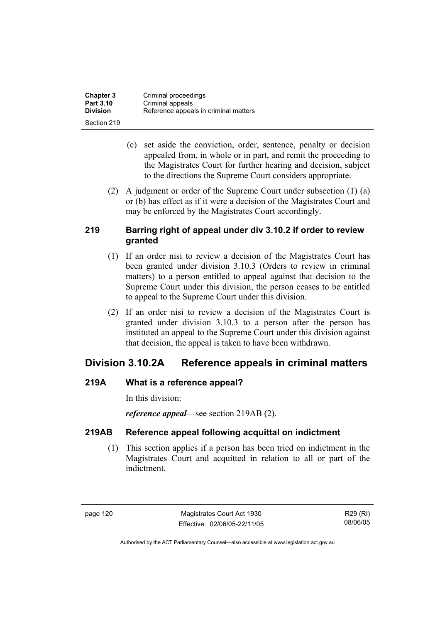| <b>Chapter 3</b> | Criminal proceedings                  |
|------------------|---------------------------------------|
| <b>Part 3.10</b> | Criminal appeals                      |
| <b>Division</b>  | Reference appeals in criminal matters |
| Section 219      |                                       |

- (c) set aside the conviction, order, sentence, penalty or decision appealed from, in whole or in part, and remit the proceeding to the Magistrates Court for further hearing and decision, subject to the directions the Supreme Court considers appropriate.
- (2) A judgment or order of the Supreme Court under subsection (1) (a) or (b) has effect as if it were a decision of the Magistrates Court and may be enforced by the Magistrates Court accordingly.

## **219 Barring right of appeal under div 3.10.2 if order to review granted**

- (1) If an order nisi to review a decision of the Magistrates Court has been granted under division 3.10.3 (Orders to review in criminal matters) to a person entitled to appeal against that decision to the Supreme Court under this division, the person ceases to be entitled to appeal to the Supreme Court under this division.
- (2) If an order nisi to review a decision of the Magistrates Court is granted under division 3.10.3 to a person after the person has instituted an appeal to the Supreme Court under this division against that decision, the appeal is taken to have been withdrawn.

## **Division 3.10.2A Reference appeals in criminal matters**

## **219A What is a reference appeal?**

In this division:

*reference appeal*—see section 219AB (2).

## **219AB Reference appeal following acquittal on indictment**

 (1) This section applies if a person has been tried on indictment in the Magistrates Court and acquitted in relation to all or part of the indictment.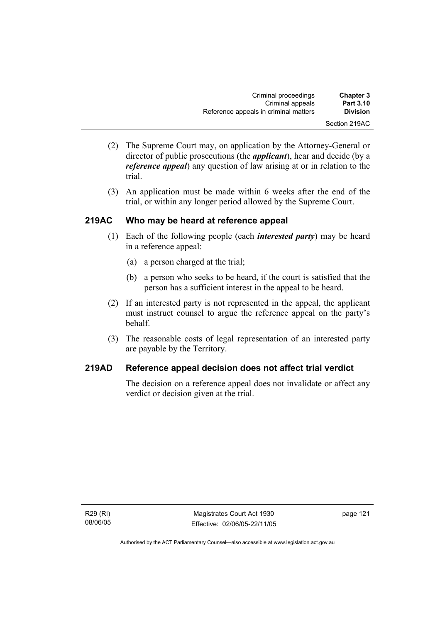| <b>Chapter 3</b> | Criminal proceedings                  |
|------------------|---------------------------------------|
| <b>Part 3.10</b> | Criminal appeals                      |
| <b>Division</b>  | Reference appeals in criminal matters |
| Section 219AC    |                                       |

- (2) The Supreme Court may, on application by the Attorney-General or director of public prosecutions (the *applicant*), hear and decide (by a *reference appeal*) any question of law arising at or in relation to the trial.
- (3) An application must be made within 6 weeks after the end of the trial, or within any longer period allowed by the Supreme Court.

### **219AC Who may be heard at reference appeal**

- (1) Each of the following people (each *interested party*) may be heard in a reference appeal:
	- (a) a person charged at the trial;
	- (b) a person who seeks to be heard, if the court is satisfied that the person has a sufficient interest in the appeal to be heard.
- (2) If an interested party is not represented in the appeal, the applicant must instruct counsel to argue the reference appeal on the party's behalf.
- (3) The reasonable costs of legal representation of an interested party are payable by the Territory.

## **219AD Reference appeal decision does not affect trial verdict**

The decision on a reference appeal does not invalidate or affect any verdict or decision given at the trial.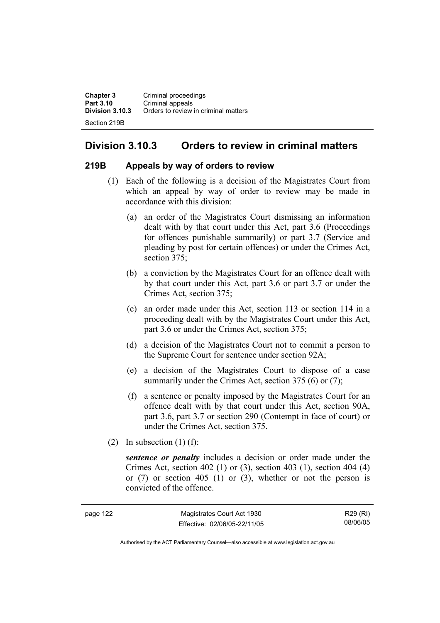**Chapter 3 Criminal proceedings**<br>**Part 3.10 Criminal appeals Part 3.10** Criminal appeals<br>**Division 3.10.3** Orders to review **Division 3.10.3** Orders to review in criminal matters Section 219B

## **Division 3.10.3 Orders to review in criminal matters**

#### **219B Appeals by way of orders to review**

- (1) Each of the following is a decision of the Magistrates Court from which an appeal by way of order to review may be made in accordance with this division:
	- (a) an order of the Magistrates Court dismissing an information dealt with by that court under this Act, part 3.6 (Proceedings for offences punishable summarily) or part 3.7 (Service and pleading by post for certain offences) or under the Crimes Act, section 375:
	- (b) a conviction by the Magistrates Court for an offence dealt with by that court under this Act, part 3.6 or part 3.7 or under the Crimes Act, section 375;
	- (c) an order made under this Act, section 113 or section 114 in a proceeding dealt with by the Magistrates Court under this Act, part 3.6 or under the Crimes Act, section 375;
	- (d) a decision of the Magistrates Court not to commit a person to the Supreme Court for sentence under section 92A;
	- (e) a decision of the Magistrates Court to dispose of a case summarily under the Crimes Act, section 375 (6) or (7);
	- (f) a sentence or penalty imposed by the Magistrates Court for an offence dealt with by that court under this Act, section 90A, part 3.6, part 3.7 or section 290 (Contempt in face of court) or under the Crimes Act, section 375.
- (2) In subsection  $(1)$  (f):

*sentence or penalty* includes a decision or order made under the Crimes Act, section 402 (1) or (3), section 403 (1), section 404 (4) or (7) or section 405 (1) or (3), whether or not the person is convicted of the offence.

| page 122 | Magistrates Court Act 1930   | R29 (RI) |
|----------|------------------------------|----------|
|          | Effective: 02/06/05-22/11/05 | 08/06/05 |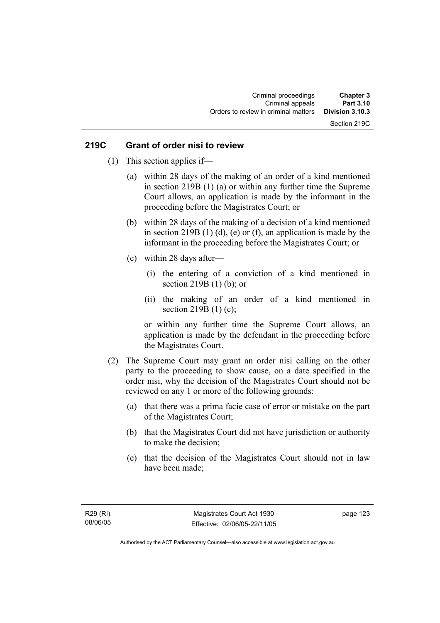## Section 219C

#### **219C Grant of order nisi to review**

- (1) This section applies if—
	- (a) within 28 days of the making of an order of a kind mentioned in section 219B (1) (a) or within any further time the Supreme Court allows, an application is made by the informant in the proceeding before the Magistrates Court; or
	- (b) within 28 days of the making of a decision of a kind mentioned in section 219B  $(1)$   $(d)$ ,  $(e)$  or  $(f)$ , an application is made by the informant in the proceeding before the Magistrates Court; or
	- (c) within 28 days after—
		- (i) the entering of a conviction of a kind mentioned in section 219B (1) (b); or
		- (ii) the making of an order of a kind mentioned in section 219B (1) (c);

or within any further time the Supreme Court allows, an application is made by the defendant in the proceeding before the Magistrates Court.

- (2) The Supreme Court may grant an order nisi calling on the other party to the proceeding to show cause, on a date specified in the order nisi, why the decision of the Magistrates Court should not be reviewed on any 1 or more of the following grounds:
	- (a) that there was a prima facie case of error or mistake on the part of the Magistrates Court;
	- (b) that the Magistrates Court did not have jurisdiction or authority to make the decision;
	- (c) that the decision of the Magistrates Court should not in law have been made;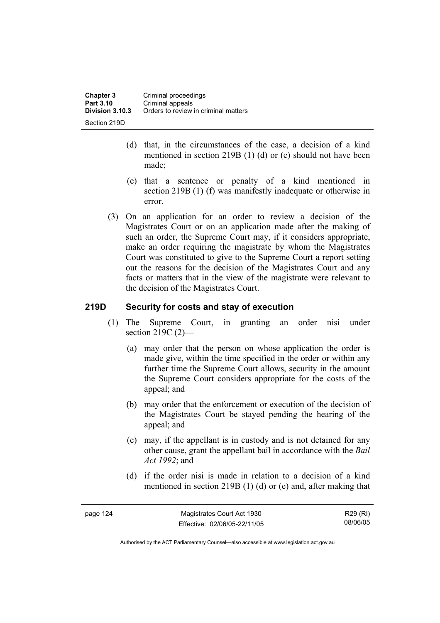- (d) that, in the circumstances of the case, a decision of a kind mentioned in section 219B (1) (d) or (e) should not have been made;
- (e) that a sentence or penalty of a kind mentioned in section 219B (1) (f) was manifestly inadequate or otherwise in error.
- (3) On an application for an order to review a decision of the Magistrates Court or on an application made after the making of such an order, the Supreme Court may, if it considers appropriate, make an order requiring the magistrate by whom the Magistrates Court was constituted to give to the Supreme Court a report setting out the reasons for the decision of the Magistrates Court and any facts or matters that in the view of the magistrate were relevant to the decision of the Magistrates Court.

## **219D Security for costs and stay of execution**

- (1) The Supreme Court, in granting an order nisi under section 219C (2)—
	- (a) may order that the person on whose application the order is made give, within the time specified in the order or within any further time the Supreme Court allows, security in the amount the Supreme Court considers appropriate for the costs of the appeal; and
	- (b) may order that the enforcement or execution of the decision of the Magistrates Court be stayed pending the hearing of the appeal; and
	- (c) may, if the appellant is in custody and is not detained for any other cause, grant the appellant bail in accordance with the *Bail Act 1992*; and
	- (d) if the order nisi is made in relation to a decision of a kind mentioned in section 219B (1) (d) or (e) and, after making that

| page 124 | Magistrates Court Act 1930   | R29 (RI) |
|----------|------------------------------|----------|
|          | Effective: 02/06/05-22/11/05 | 08/06/05 |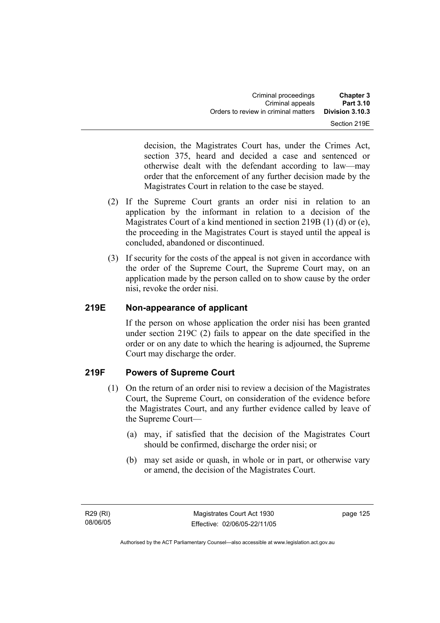| <b>Chapter 3</b> | Criminal proceedings                 |
|------------------|--------------------------------------|
| Part 3.10        | Criminal appeals                     |
| Division 3.10.3  | Orders to review in criminal matters |
| Section 219E     |                                      |

decision, the Magistrates Court has, under the Crimes Act, section 375, heard and decided a case and sentenced or otherwise dealt with the defendant according to law—may order that the enforcement of any further decision made by the Magistrates Court in relation to the case be stayed.

- (2) If the Supreme Court grants an order nisi in relation to an application by the informant in relation to a decision of the Magistrates Court of a kind mentioned in section 219B (1) (d) or (e), the proceeding in the Magistrates Court is stayed until the appeal is concluded, abandoned or discontinued.
- (3) If security for the costs of the appeal is not given in accordance with the order of the Supreme Court, the Supreme Court may, on an application made by the person called on to show cause by the order nisi, revoke the order nisi.

## **219E Non-appearance of applicant**

If the person on whose application the order nisi has been granted under section 219C (2) fails to appear on the date specified in the order or on any date to which the hearing is adjourned, the Supreme Court may discharge the order.

## **219F Powers of Supreme Court**

- (1) On the return of an order nisi to review a decision of the Magistrates Court, the Supreme Court, on consideration of the evidence before the Magistrates Court, and any further evidence called by leave of the Supreme Court—
	- (a) may, if satisfied that the decision of the Magistrates Court should be confirmed, discharge the order nisi; or
	- (b) may set aside or quash, in whole or in part, or otherwise vary or amend, the decision of the Magistrates Court.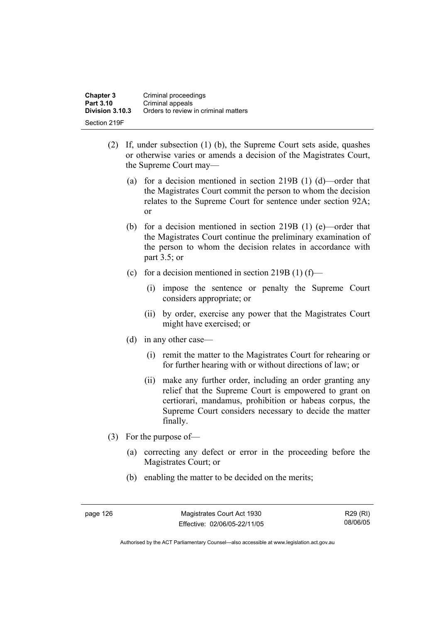| <b>Chapter 3</b> | Criminal proceedings                 |
|------------------|--------------------------------------|
| Part 3.10        | Criminal appeals                     |
| Division 3.10.3  | Orders to review in criminal matters |
| Section 219F     |                                      |

- (2) If, under subsection (1) (b), the Supreme Court sets aside, quashes or otherwise varies or amends a decision of the Magistrates Court, the Supreme Court may—
	- (a) for a decision mentioned in section 219B (1) (d)—order that the Magistrates Court commit the person to whom the decision relates to the Supreme Court for sentence under section 92A; or
	- (b) for a decision mentioned in section 219B (1) (e)—order that the Magistrates Court continue the preliminary examination of the person to whom the decision relates in accordance with part 3.5; or
	- (c) for a decision mentioned in section 219B (1) (f)—
		- (i) impose the sentence or penalty the Supreme Court considers appropriate; or
		- (ii) by order, exercise any power that the Magistrates Court might have exercised; or
	- (d) in any other case—
		- (i) remit the matter to the Magistrates Court for rehearing or for further hearing with or without directions of law; or
		- (ii) make any further order, including an order granting any relief that the Supreme Court is empowered to grant on certiorari, mandamus, prohibition or habeas corpus, the Supreme Court considers necessary to decide the matter finally.
- (3) For the purpose of—
	- (a) correcting any defect or error in the proceeding before the Magistrates Court; or
	- (b) enabling the matter to be decided on the merits;

page 126 Magistrates Court Act 1930 Effective: 02/06/05-22/11/05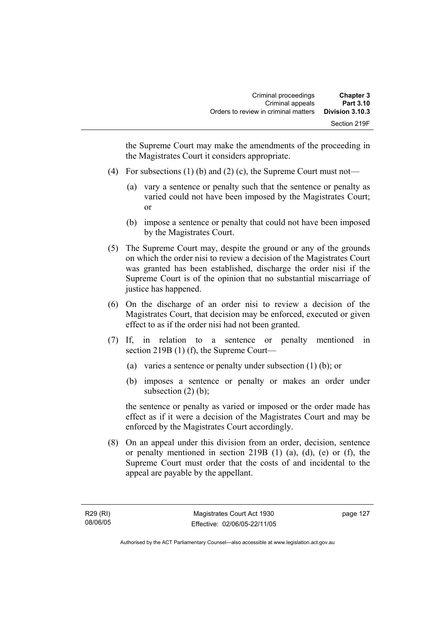the Supreme Court may make the amendments of the proceeding in the Magistrates Court it considers appropriate.

- (4) For subsections (1) (b) and (2) (c), the Supreme Court must not—
	- (a) vary a sentence or penalty such that the sentence or penalty as varied could not have been imposed by the Magistrates Court; or
	- (b) impose a sentence or penalty that could not have been imposed by the Magistrates Court.
- (5) The Supreme Court may, despite the ground or any of the grounds on which the order nisi to review a decision of the Magistrates Court was granted has been established, discharge the order nisi if the Supreme Court is of the opinion that no substantial miscarriage of justice has happened.
- (6) On the discharge of an order nisi to review a decision of the Magistrates Court, that decision may be enforced, executed or given effect to as if the order nisi had not been granted.
- (7) If, in relation to a sentence or penalty mentioned in section 219B (1) (f), the Supreme Court—
	- (a) varies a sentence or penalty under subsection (1) (b); or
	- (b) imposes a sentence or penalty or makes an order under subsection  $(2)$  (b);

the sentence or penalty as varied or imposed or the order made has effect as if it were a decision of the Magistrates Court and may be enforced by the Magistrates Court accordingly.

 (8) On an appeal under this division from an order, decision, sentence or penalty mentioned in section 219B (1) (a), (d), (e) or (f), the Supreme Court must order that the costs of and incidental to the appeal are payable by the appellant.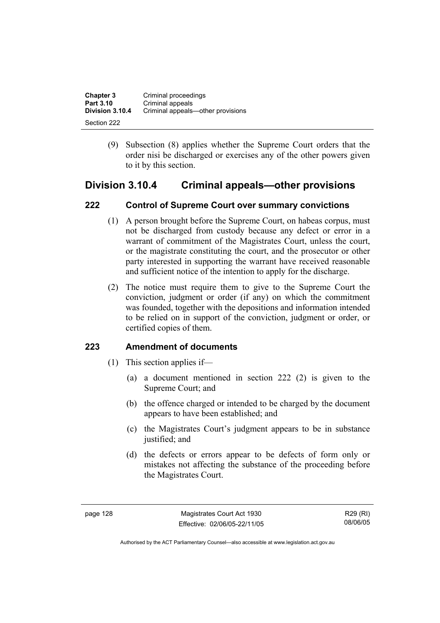| <b>Chapter 3</b><br>Part 3.10 | Criminal proceedings<br>Criminal appeals |
|-------------------------------|------------------------------------------|
| Division 3.10.4               | Criminal appeals—other provisions        |
| Section 222                   |                                          |

 (9) Subsection (8) applies whether the Supreme Court orders that the order nisi be discharged or exercises any of the other powers given to it by this section.

## **Division 3.10.4 Criminal appeals—other provisions**

## **222 Control of Supreme Court over summary convictions**

- (1) A person brought before the Supreme Court, on habeas corpus, must not be discharged from custody because any defect or error in a warrant of commitment of the Magistrates Court, unless the court, or the magistrate constituting the court, and the prosecutor or other party interested in supporting the warrant have received reasonable and sufficient notice of the intention to apply for the discharge.
- (2) The notice must require them to give to the Supreme Court the conviction, judgment or order (if any) on which the commitment was founded, together with the depositions and information intended to be relied on in support of the conviction, judgment or order, or certified copies of them.

#### **223 Amendment of documents**

- (1) This section applies if—
	- (a) a document mentioned in section 222 (2) is given to the Supreme Court; and
	- (b) the offence charged or intended to be charged by the document appears to have been established; and
	- (c) the Magistrates Court's judgment appears to be in substance justified; and
	- (d) the defects or errors appear to be defects of form only or mistakes not affecting the substance of the proceeding before the Magistrates Court.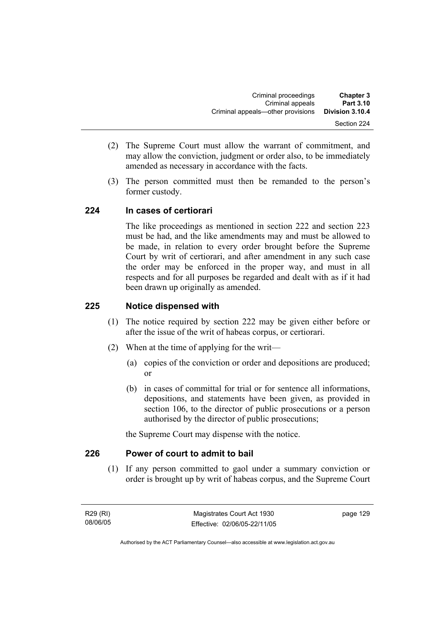- (2) The Supreme Court must allow the warrant of commitment, and may allow the conviction, judgment or order also, to be immediately amended as necessary in accordance with the facts.
- (3) The person committed must then be remanded to the person's former custody.

## **224 In cases of certiorari**

The like proceedings as mentioned in section 222 and section 223 must be had, and the like amendments may and must be allowed to be made, in relation to every order brought before the Supreme Court by writ of certiorari, and after amendment in any such case the order may be enforced in the proper way, and must in all respects and for all purposes be regarded and dealt with as if it had been drawn up originally as amended.

## **225 Notice dispensed with**

- (1) The notice required by section 222 may be given either before or after the issue of the writ of habeas corpus, or certiorari.
- (2) When at the time of applying for the writ—
	- (a) copies of the conviction or order and depositions are produced; or
	- (b) in cases of committal for trial or for sentence all informations, depositions, and statements have been given, as provided in section 106, to the director of public prosecutions or a person authorised by the director of public prosecutions;

the Supreme Court may dispense with the notice.

## **226 Power of court to admit to bail**

 (1) If any person committed to gaol under a summary conviction or order is brought up by writ of habeas corpus, and the Supreme Court

R29 (RI) 08/06/05 page 129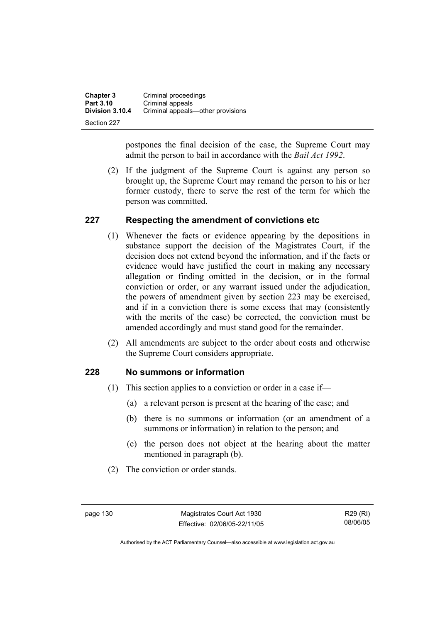| <b>Chapter 3</b> | Criminal proceedings              |
|------------------|-----------------------------------|
| Part 3.10        | Criminal appeals                  |
| Division 3.10.4  | Criminal appeals—other provisions |
| Section 227      |                                   |

postpones the final decision of the case, the Supreme Court may admit the person to bail in accordance with the *Bail Act 1992*.

 (2) If the judgment of the Supreme Court is against any person so brought up, the Supreme Court may remand the person to his or her former custody, there to serve the rest of the term for which the person was committed.

#### **227 Respecting the amendment of convictions etc**

- (1) Whenever the facts or evidence appearing by the depositions in substance support the decision of the Magistrates Court, if the decision does not extend beyond the information, and if the facts or evidence would have justified the court in making any necessary allegation or finding omitted in the decision, or in the formal conviction or order, or any warrant issued under the adjudication, the powers of amendment given by section 223 may be exercised, and if in a conviction there is some excess that may (consistently with the merits of the case) be corrected, the conviction must be amended accordingly and must stand good for the remainder.
- (2) All amendments are subject to the order about costs and otherwise the Supreme Court considers appropriate.

#### **228 No summons or information**

- (1) This section applies to a conviction or order in a case if—
	- (a) a relevant person is present at the hearing of the case; and
	- (b) there is no summons or information (or an amendment of a summons or information) in relation to the person; and
	- (c) the person does not object at the hearing about the matter mentioned in paragraph (b).
- (2) The conviction or order stands.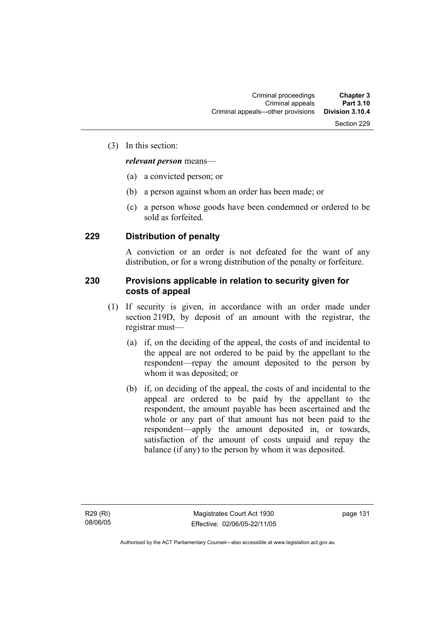#### (3) In this section:

#### *relevant person* means—

- (a) a convicted person; or
- (b) a person against whom an order has been made; or
- (c) a person whose goods have been condemned or ordered to be sold as forfeited.

#### **229 Distribution of penalty**

A conviction or an order is not defeated for the want of any distribution, or for a wrong distribution of the penalty or forfeiture.

#### **230 Provisions applicable in relation to security given for costs of appeal**

- (1) If security is given, in accordance with an order made under section 219D, by deposit of an amount with the registrar, the registrar must—
	- (a) if, on the deciding of the appeal, the costs of and incidental to the appeal are not ordered to be paid by the appellant to the respondent—repay the amount deposited to the person by whom it was deposited; or
	- (b) if, on deciding of the appeal, the costs of and incidental to the appeal are ordered to be paid by the appellant to the respondent, the amount payable has been ascertained and the whole or any part of that amount has not been paid to the respondent—apply the amount deposited in, or towards, satisfaction of the amount of costs unpaid and repay the balance (if any) to the person by whom it was deposited.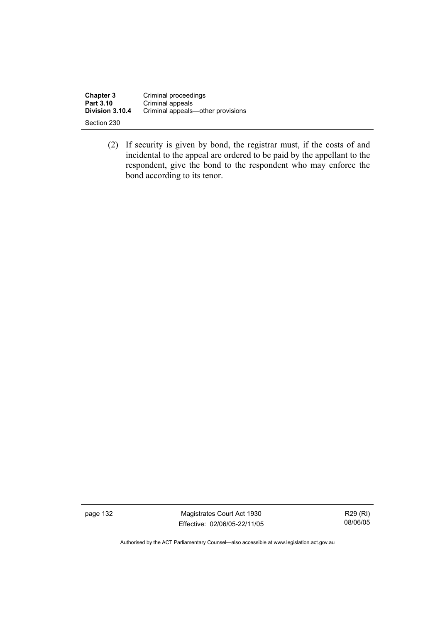| <b>Chapter 3</b> | Criminal proceedings              |
|------------------|-----------------------------------|
| Part 3.10        | Criminal appeals                  |
| Division 3.10.4  | Criminal appeals—other provisions |
| Section 230      |                                   |

 (2) If security is given by bond, the registrar must, if the costs of and incidental to the appeal are ordered to be paid by the appellant to the respondent, give the bond to the respondent who may enforce the bond according to its tenor.

page 132 Magistrates Court Act 1930 Effective: 02/06/05-22/11/05

R29 (RI) 08/06/05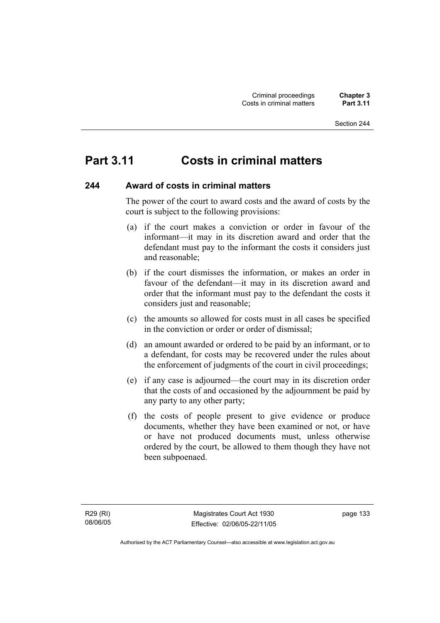# **Part 3.11 Costs in criminal matters**

#### **244 Award of costs in criminal matters**

The power of the court to award costs and the award of costs by the court is subject to the following provisions:

- (a) if the court makes a conviction or order in favour of the informant—it may in its discretion award and order that the defendant must pay to the informant the costs it considers just and reasonable;
- (b) if the court dismisses the information, or makes an order in favour of the defendant—it may in its discretion award and order that the informant must pay to the defendant the costs it considers just and reasonable;
- (c) the amounts so allowed for costs must in all cases be specified in the conviction or order or order of dismissal;
- (d) an amount awarded or ordered to be paid by an informant, or to a defendant, for costs may be recovered under the rules about the enforcement of judgments of the court in civil proceedings;
- (e) if any case is adjourned—the court may in its discretion order that the costs of and occasioned by the adjournment be paid by any party to any other party;
- (f) the costs of people present to give evidence or produce documents, whether they have been examined or not, or have or have not produced documents must, unless otherwise ordered by the court, be allowed to them though they have not been subpoenaed.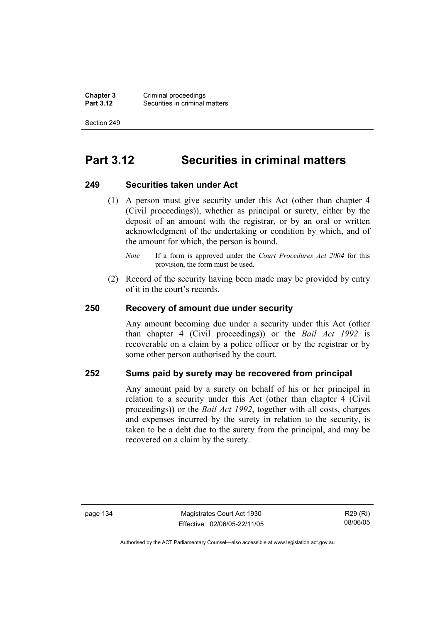**Chapter 3** Criminal proceedings<br>**Part 3.12** Securities in criminal **Securities in criminal matters** 

Section 249

# **Part 3.12 Securities in criminal matters**

#### **249 Securities taken under Act**

- (1) A person must give security under this Act (other than chapter 4 (Civil proceedings)), whether as principal or surety, either by the deposit of an amount with the registrar, or by an oral or written acknowledgment of the undertaking or condition by which, and of the amount for which, the person is bound.
	- *Note* If a form is approved under the *Court Procedures Act 2004* for this provision, the form must be used.
- (2) Record of the security having been made may be provided by entry of it in the court's records.

#### **250 Recovery of amount due under security**

Any amount becoming due under a security under this Act (other than chapter 4 (Civil proceedings)) or the *Bail Act 1992* is recoverable on a claim by a police officer or by the registrar or by some other person authorised by the court.

#### **252 Sums paid by surety may be recovered from principal**

Any amount paid by a surety on behalf of his or her principal in relation to a security under this Act (other than chapter 4 (Civil proceedings)) or the *Bail Act 1992*, together with all costs, charges and expenses incurred by the surety in relation to the security, is taken to be a debt due to the surety from the principal, and may be recovered on a claim by the surety.

page 134 Magistrates Court Act 1930 Effective: 02/06/05-22/11/05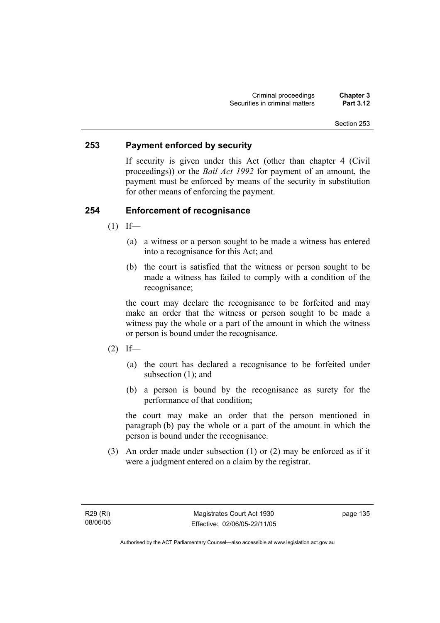#### **253 Payment enforced by security**

If security is given under this Act (other than chapter 4 (Civil proceedings)) or the *Bail Act 1992* for payment of an amount, the payment must be enforced by means of the security in substitution for other means of enforcing the payment.

## **254 Enforcement of recognisance**

- $(1)$  If—
	- (a) a witness or a person sought to be made a witness has entered into a recognisance for this Act; and
	- (b) the court is satisfied that the witness or person sought to be made a witness has failed to comply with a condition of the recognisance;

the court may declare the recognisance to be forfeited and may make an order that the witness or person sought to be made a witness pay the whole or a part of the amount in which the witness or person is bound under the recognisance.

- $(2)$  If—
	- (a) the court has declared a recognisance to be forfeited under subsection (1); and
	- (b) a person is bound by the recognisance as surety for the performance of that condition;

the court may make an order that the person mentioned in paragraph (b) pay the whole or a part of the amount in which the person is bound under the recognisance.

 (3) An order made under subsection (1) or (2) may be enforced as if it were a judgment entered on a claim by the registrar.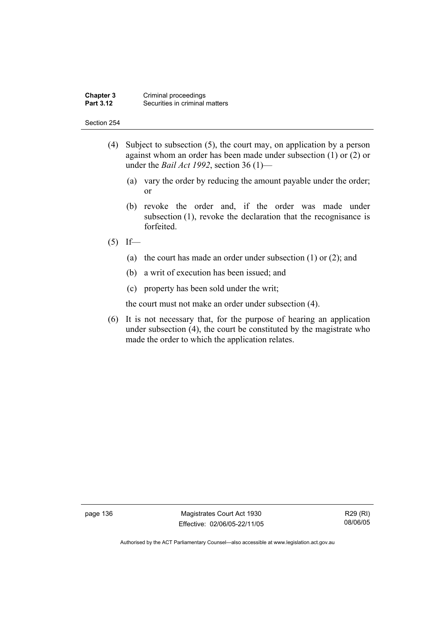#### **Chapter 3** Criminal proceedings<br>**Part 3.12** Securities in criminal **Securities in criminal matters**

#### Section 254

- (4) Subject to subsection (5), the court may, on application by a person against whom an order has been made under subsection (1) or (2) or under the *Bail Act 1992*, section 36 (1)—
	- (a) vary the order by reducing the amount payable under the order; or
	- (b) revoke the order and, if the order was made under subsection (1), revoke the declaration that the recognisance is forfeited.
- $(5)$  If—
	- (a) the court has made an order under subsection (1) or (2); and
	- (b) a writ of execution has been issued; and
	- (c) property has been sold under the writ;

the court must not make an order under subsection (4).

 (6) It is not necessary that, for the purpose of hearing an application under subsection (4), the court be constituted by the magistrate who made the order to which the application relates.

page 136 Magistrates Court Act 1930 Effective: 02/06/05-22/11/05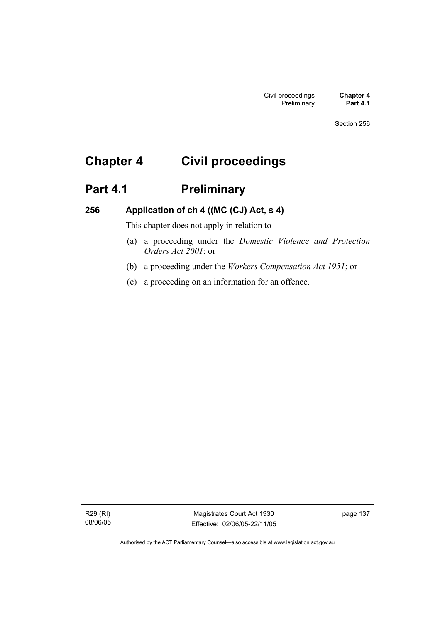# **Chapter 4 Civil proceedings**

# Part 4.1 **Preliminary**

## **256 Application of ch 4 ((MC (CJ) Act, s 4)**

This chapter does not apply in relation to—

- (a) a proceeding under the *Domestic Violence and Protection Orders Act 2001*; or
- (b) a proceeding under the *Workers Compensation Act 1951*; or
- (c) a proceeding on an information for an offence.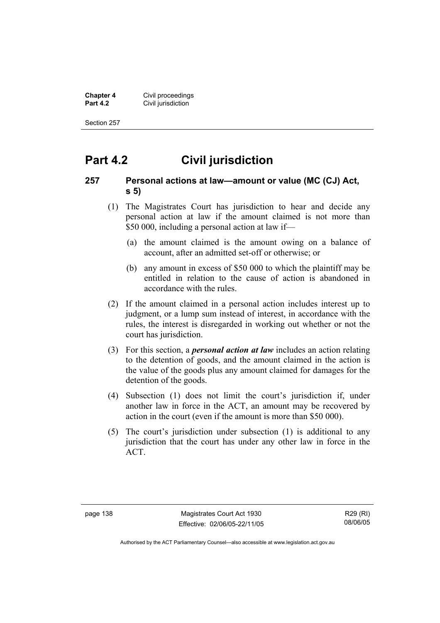**Chapter 4 Civil proceedings**<br>**Part 4.2 Civil jurisdiction Civil jurisdiction** 

Section 257

# **Part 4.2 Civil jurisdiction**

#### **257 Personal actions at law—amount or value (MC (CJ) Act, s 5)**

- (1) The Magistrates Court has jurisdiction to hear and decide any personal action at law if the amount claimed is not more than \$50 000, including a personal action at law if—
	- (a) the amount claimed is the amount owing on a balance of account, after an admitted set-off or otherwise; or
	- (b) any amount in excess of \$50 000 to which the plaintiff may be entitled in relation to the cause of action is abandoned in accordance with the rules.
- (2) If the amount claimed in a personal action includes interest up to judgment, or a lump sum instead of interest, in accordance with the rules, the interest is disregarded in working out whether or not the court has jurisdiction.
- (3) For this section, a *personal action at law* includes an action relating to the detention of goods, and the amount claimed in the action is the value of the goods plus any amount claimed for damages for the detention of the goods.
- (4) Subsection (1) does not limit the court's jurisdiction if, under another law in force in the ACT, an amount may be recovered by action in the court (even if the amount is more than \$50 000).
- (5) The court's jurisdiction under subsection (1) is additional to any jurisdiction that the court has under any other law in force in the ACT.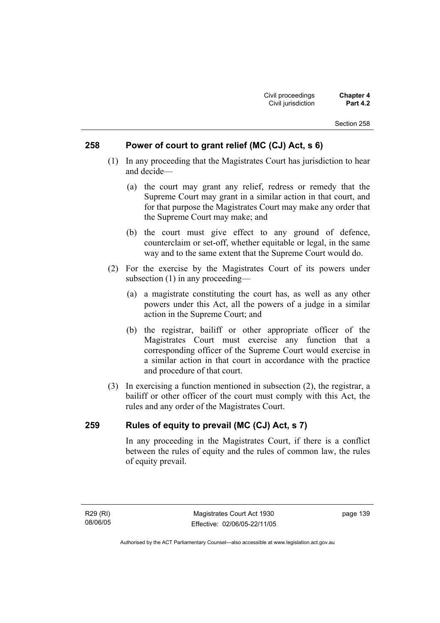#### **258 Power of court to grant relief (MC (CJ) Act, s 6)**

- (1) In any proceeding that the Magistrates Court has jurisdiction to hear and decide—
	- (a) the court may grant any relief, redress or remedy that the Supreme Court may grant in a similar action in that court, and for that purpose the Magistrates Court may make any order that the Supreme Court may make; and
	- (b) the court must give effect to any ground of defence, counterclaim or set-off, whether equitable or legal, in the same way and to the same extent that the Supreme Court would do.
- (2) For the exercise by the Magistrates Court of its powers under subsection (1) in any proceeding—
	- (a) a magistrate constituting the court has, as well as any other powers under this Act, all the powers of a judge in a similar action in the Supreme Court; and
	- (b) the registrar, bailiff or other appropriate officer of the Magistrates Court must exercise any function that a corresponding officer of the Supreme Court would exercise in a similar action in that court in accordance with the practice and procedure of that court.
- (3) In exercising a function mentioned in subsection (2), the registrar, a bailiff or other officer of the court must comply with this Act, the rules and any order of the Magistrates Court.

## **259 Rules of equity to prevail (MC (CJ) Act, s 7)**

In any proceeding in the Magistrates Court, if there is a conflict between the rules of equity and the rules of common law, the rules of equity prevail.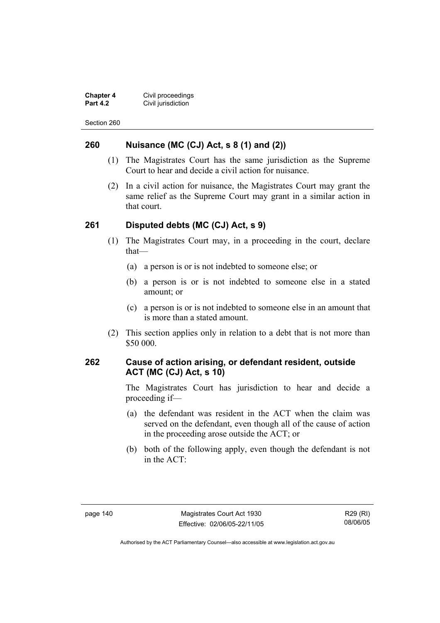**Chapter 4 Civil proceedings**<br>**Part 4.2 Civil jurisdiction Civil jurisdiction** 

Section 260

#### **260 Nuisance (MC (CJ) Act, s 8 (1) and (2))**

- (1) The Magistrates Court has the same jurisdiction as the Supreme Court to hear and decide a civil action for nuisance.
- (2) In a civil action for nuisance, the Magistrates Court may grant the same relief as the Supreme Court may grant in a similar action in that court.

#### **261 Disputed debts (MC (CJ) Act, s 9)**

- (1) The Magistrates Court may, in a proceeding in the court, declare that—
	- (a) a person is or is not indebted to someone else; or
	- (b) a person is or is not indebted to someone else in a stated amount; or
	- (c) a person is or is not indebted to someone else in an amount that is more than a stated amount.
- (2) This section applies only in relation to a debt that is not more than \$50 000.

#### **262 Cause of action arising, or defendant resident, outside ACT (MC (CJ) Act, s 10)**

The Magistrates Court has jurisdiction to hear and decide a proceeding if—

- (a) the defendant was resident in the ACT when the claim was served on the defendant, even though all of the cause of action in the proceeding arose outside the ACT; or
- (b) both of the following apply, even though the defendant is not in the ACT: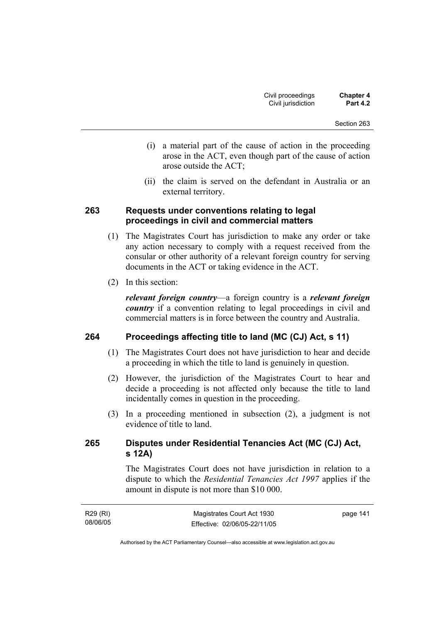- (i) a material part of the cause of action in the proceeding arose in the ACT, even though part of the cause of action arose outside the ACT;
- (ii) the claim is served on the defendant in Australia or an external territory.

#### **263 Requests under conventions relating to legal proceedings in civil and commercial matters**

- (1) The Magistrates Court has jurisdiction to make any order or take any action necessary to comply with a request received from the consular or other authority of a relevant foreign country for serving documents in the ACT or taking evidence in the ACT.
- (2) In this section:

*relevant foreign country*—a foreign country is a *relevant foreign country* if a convention relating to legal proceedings in civil and commercial matters is in force between the country and Australia.

## **264 Proceedings affecting title to land (MC (CJ) Act, s 11)**

- (1) The Magistrates Court does not have jurisdiction to hear and decide a proceeding in which the title to land is genuinely in question.
- (2) However, the jurisdiction of the Magistrates Court to hear and decide a proceeding is not affected only because the title to land incidentally comes in question in the proceeding.
- (3) In a proceeding mentioned in subsection (2), a judgment is not evidence of title to land.

## **265 Disputes under Residential Tenancies Act (MC (CJ) Act, s 12A)**

The Magistrates Court does not have jurisdiction in relation to a dispute to which the *Residential Tenancies Act 1997* applies if the amount in dispute is not more than \$10 000.

| R29 (RI) | Magistrates Court Act 1930   | page 141 |
|----------|------------------------------|----------|
| 08/06/05 | Effective: 02/06/05-22/11/05 |          |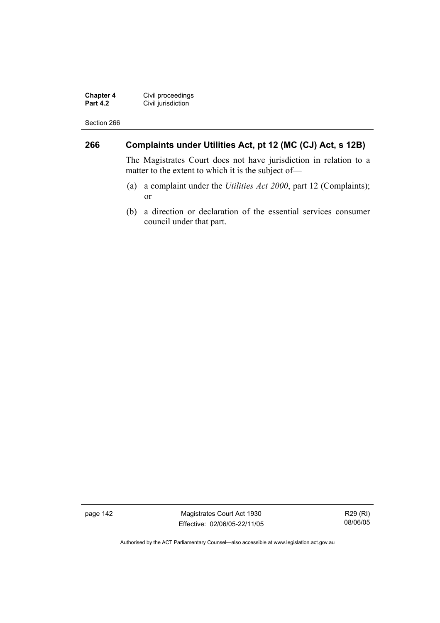**Chapter 4** Civil proceedings **Part 4.2 Civil jurisdiction** 

Section 266

## **266 Complaints under Utilities Act, pt 12 (MC (CJ) Act, s 12B)**

The Magistrates Court does not have jurisdiction in relation to a matter to the extent to which it is the subject of—

- (a) a complaint under the *Utilities Act 2000*, part 12 (Complaints); or
- (b) a direction or declaration of the essential services consumer council under that part.

page 142 Magistrates Court Act 1930 Effective: 02/06/05-22/11/05

R29 (RI) 08/06/05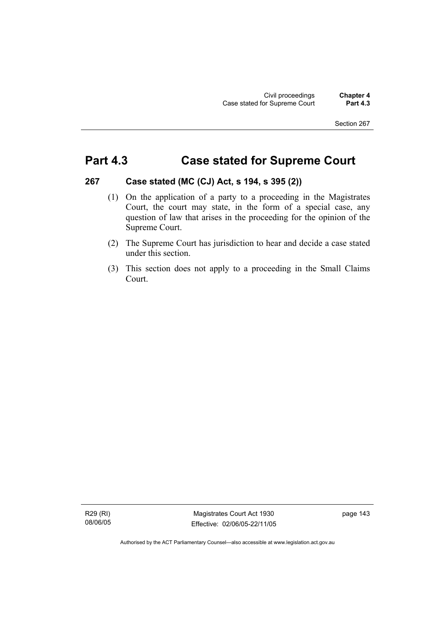# **Part 4.3 Case stated for Supreme Court**

#### **267 Case stated (MC (CJ) Act, s 194, s 395 (2))**

- (1) On the application of a party to a proceeding in the Magistrates Court, the court may state, in the form of a special case, any question of law that arises in the proceeding for the opinion of the Supreme Court.
- (2) The Supreme Court has jurisdiction to hear and decide a case stated under this section.
- (3) This section does not apply to a proceeding in the Small Claims Court.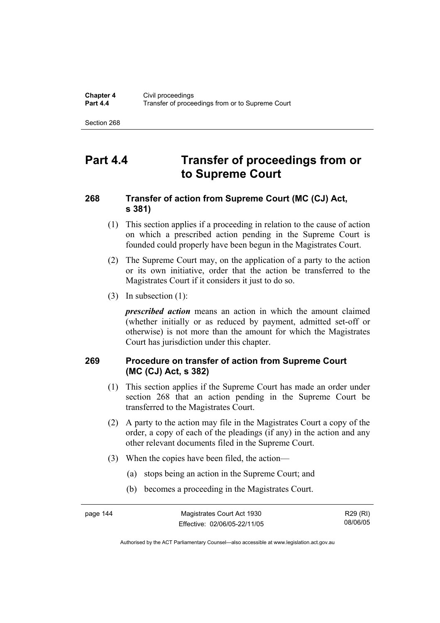# **Part 4.4 Transfer of proceedings from or to Supreme Court**

## **268 Transfer of action from Supreme Court (MC (CJ) Act, s 381)**

- (1) This section applies if a proceeding in relation to the cause of action on which a prescribed action pending in the Supreme Court is founded could properly have been begun in the Magistrates Court.
- (2) The Supreme Court may, on the application of a party to the action or its own initiative, order that the action be transferred to the Magistrates Court if it considers it just to do so.
- (3) In subsection (1):

*prescribed action* means an action in which the amount claimed (whether initially or as reduced by payment, admitted set-off or otherwise) is not more than the amount for which the Magistrates Court has jurisdiction under this chapter.

## **269 Procedure on transfer of action from Supreme Court (MC (CJ) Act, s 382)**

- (1) This section applies if the Supreme Court has made an order under section 268 that an action pending in the Supreme Court be transferred to the Magistrates Court.
- (2) A party to the action may file in the Magistrates Court a copy of the order, a copy of each of the pleadings (if any) in the action and any other relevant documents filed in the Supreme Court.
- (3) When the copies have been filed, the action—
	- (a) stops being an action in the Supreme Court; and
	- (b) becomes a proceeding in the Magistrates Court.

R29 (RI) 08/06/05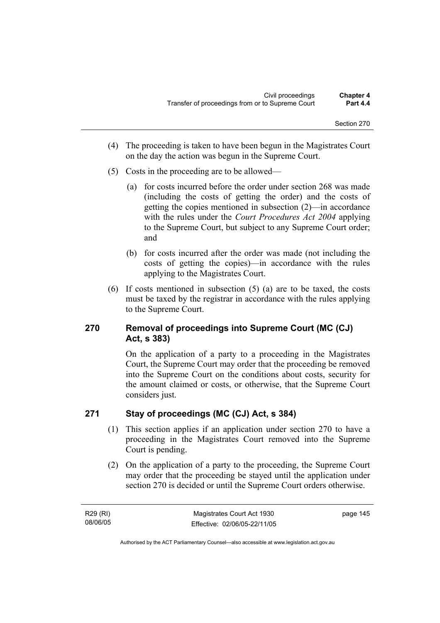- (4) The proceeding is taken to have been begun in the Magistrates Court on the day the action was begun in the Supreme Court.
- (5) Costs in the proceeding are to be allowed—
	- (a) for costs incurred before the order under section 268 was made (including the costs of getting the order) and the costs of getting the copies mentioned in subsection (2)—in accordance with the rules under the *Court Procedures Act 2004* applying to the Supreme Court, but subject to any Supreme Court order; and
	- (b) for costs incurred after the order was made (not including the costs of getting the copies)—in accordance with the rules applying to the Magistrates Court.
- (6) If costs mentioned in subsection (5) (a) are to be taxed, the costs must be taxed by the registrar in accordance with the rules applying to the Supreme Court.

## **270 Removal of proceedings into Supreme Court (MC (CJ) Act, s 383)**

On the application of a party to a proceeding in the Magistrates Court, the Supreme Court may order that the proceeding be removed into the Supreme Court on the conditions about costs, security for the amount claimed or costs, or otherwise, that the Supreme Court considers just.

## **271 Stay of proceedings (MC (CJ) Act, s 384)**

- (1) This section applies if an application under section 270 to have a proceeding in the Magistrates Court removed into the Supreme Court is pending.
- (2) On the application of a party to the proceeding, the Supreme Court may order that the proceeding be stayed until the application under section 270 is decided or until the Supreme Court orders otherwise.

R29 (RI) 08/06/05 page 145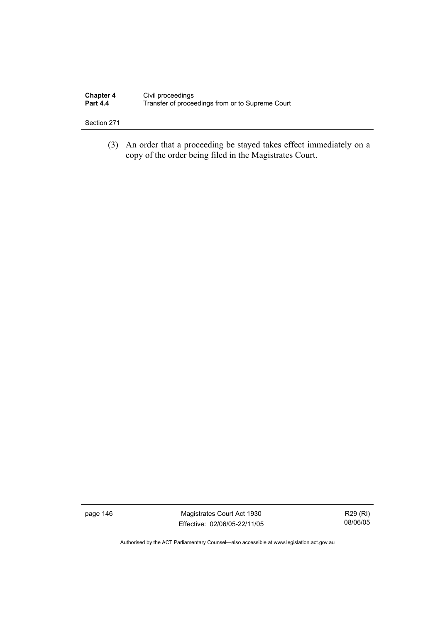| <b>Chapter 4</b> | Civil proceedings                                |
|------------------|--------------------------------------------------|
| <b>Part 4.4</b>  | Transfer of proceedings from or to Supreme Court |

 (3) An order that a proceeding be stayed takes effect immediately on a copy of the order being filed in the Magistrates Court.

page 146 Magistrates Court Act 1930 Effective: 02/06/05-22/11/05

R29 (RI) 08/06/05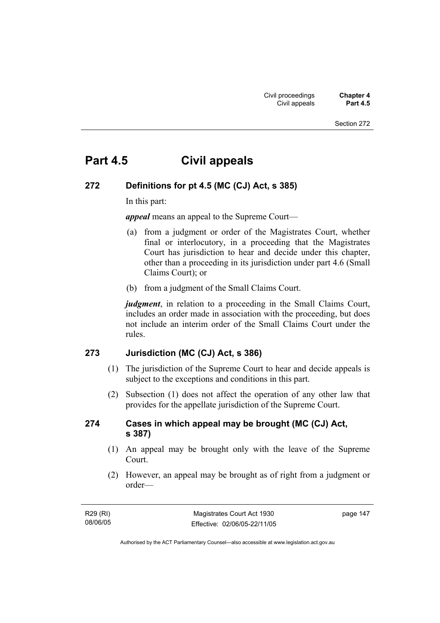# **Part 4.5 Civil appeals**

## **272 Definitions for pt 4.5 (MC (CJ) Act, s 385)**

In this part:

*appeal* means an appeal to the Supreme Court—

- (a) from a judgment or order of the Magistrates Court, whether final or interlocutory, in a proceeding that the Magistrates Court has jurisdiction to hear and decide under this chapter, other than a proceeding in its jurisdiction under part 4.6 (Small Claims Court); or
- (b) from a judgment of the Small Claims Court.

*judgment*, in relation to a proceeding in the Small Claims Court, includes an order made in association with the proceeding, but does not include an interim order of the Small Claims Court under the rules.

#### **273 Jurisdiction (MC (CJ) Act, s 386)**

- (1) The jurisdiction of the Supreme Court to hear and decide appeals is subject to the exceptions and conditions in this part.
- (2) Subsection (1) does not affect the operation of any other law that provides for the appellate jurisdiction of the Supreme Court.

#### **274 Cases in which appeal may be brought (MC (CJ) Act, s 387)**

- (1) An appeal may be brought only with the leave of the Supreme **Court**.
- (2) However, an appeal may be brought as of right from a judgment or order—

| R29 (RI) | Magistrates Court Act 1930   | page 147 |
|----------|------------------------------|----------|
| 08/06/05 | Effective: 02/06/05-22/11/05 |          |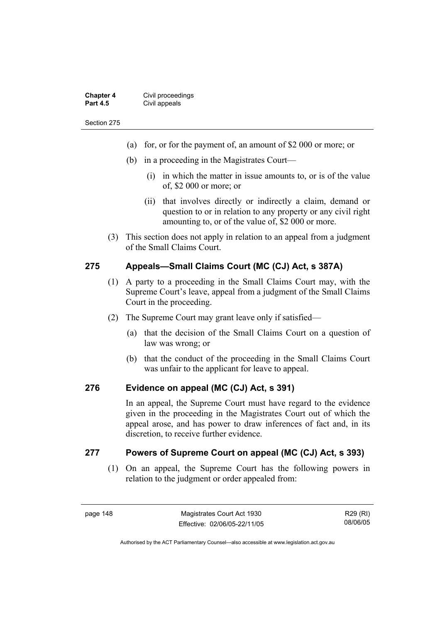| <b>Chapter 4</b> | Civil proceedings |
|------------------|-------------------|
| <b>Part 4.5</b>  | Civil appeals     |

- (a) for, or for the payment of, an amount of \$2 000 or more; or
- (b) in a proceeding in the Magistrates Court—
	- (i) in which the matter in issue amounts to, or is of the value of, \$2 000 or more; or
	- (ii) that involves directly or indirectly a claim, demand or question to or in relation to any property or any civil right amounting to, or of the value of, \$2 000 or more.
- (3) This section does not apply in relation to an appeal from a judgment of the Small Claims Court.

#### **275 Appeals—Small Claims Court (MC (CJ) Act, s 387A)**

- (1) A party to a proceeding in the Small Claims Court may, with the Supreme Court's leave, appeal from a judgment of the Small Claims Court in the proceeding.
- (2) The Supreme Court may grant leave only if satisfied—
	- (a) that the decision of the Small Claims Court on a question of law was wrong; or
	- (b) that the conduct of the proceeding in the Small Claims Court was unfair to the applicant for leave to appeal.

#### **276 Evidence on appeal (MC (CJ) Act, s 391)**

In an appeal, the Supreme Court must have regard to the evidence given in the proceeding in the Magistrates Court out of which the appeal arose, and has power to draw inferences of fact and, in its discretion, to receive further evidence.

#### **277 Powers of Supreme Court on appeal (MC (CJ) Act, s 393)**

 (1) On an appeal, the Supreme Court has the following powers in relation to the judgment or order appealed from: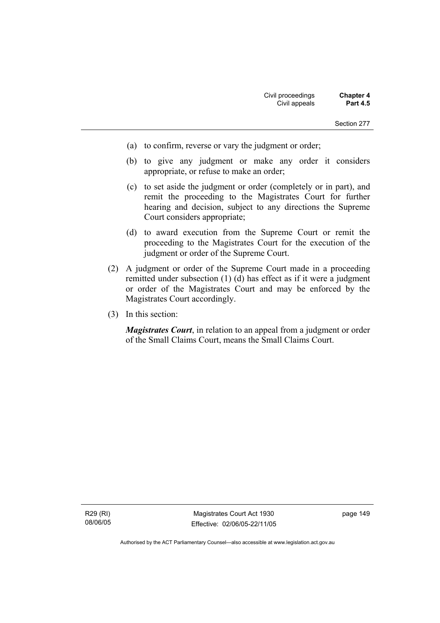- (a) to confirm, reverse or vary the judgment or order;
- (b) to give any judgment or make any order it considers appropriate, or refuse to make an order;
- (c) to set aside the judgment or order (completely or in part), and remit the proceeding to the Magistrates Court for further hearing and decision, subject to any directions the Supreme Court considers appropriate;
- (d) to award execution from the Supreme Court or remit the proceeding to the Magistrates Court for the execution of the judgment or order of the Supreme Court.
- (2) A judgment or order of the Supreme Court made in a proceeding remitted under subsection (1) (d) has effect as if it were a judgment or order of the Magistrates Court and may be enforced by the Magistrates Court accordingly.
- (3) In this section:

*Magistrates Court*, in relation to an appeal from a judgment or order of the Small Claims Court, means the Small Claims Court.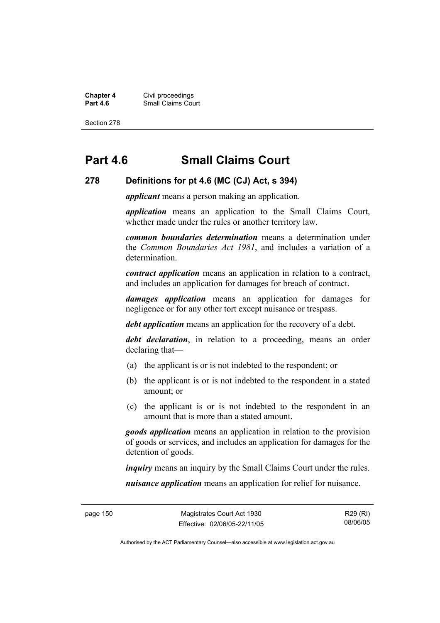**Chapter 4** Civil proceedings **Part 4.6 Part 4.6 Part 4.6 Part 4.6 Part 4.6 Part 4.6 Part 4.6 Part 4.6 Part 4.6 Part 4.6 Part 4.6 Part 4.6 Part 4.6 Part 4.6 Part 4.6 Part 4.6 Part 4.6 Part 4.6 Part 4.6 Part 4.6 Part 4.6 Part 4.6 Part 4.6 Part 4.6 Part** 

Section 278

# **Part 4.6 Small Claims Court**

#### **278 Definitions for pt 4.6 (MC (CJ) Act, s 394)**

*applicant* means a person making an application.

*application* means an application to the Small Claims Court, whether made under the rules or another territory law.

*common boundaries determination* means a determination under the *Common Boundaries Act 1981*, and includes a variation of a determination.

*contract application* means an application in relation to a contract, and includes an application for damages for breach of contract.

*damages application* means an application for damages for negligence or for any other tort except nuisance or trespass.

*debt application* means an application for the recovery of a debt.

*debt declaration*, in relation to a proceeding, means an order declaring that—

- (a) the applicant is or is not indebted to the respondent; or
- (b) the applicant is or is not indebted to the respondent in a stated amount; or
- (c) the applicant is or is not indebted to the respondent in an amount that is more than a stated amount.

*goods application* means an application in relation to the provision of goods or services, and includes an application for damages for the detention of goods.

*inquiry* means an inquiry by the Small Claims Court under the rules.

*nuisance application* means an application for relief for nuisance.

R29 (RI) 08/06/05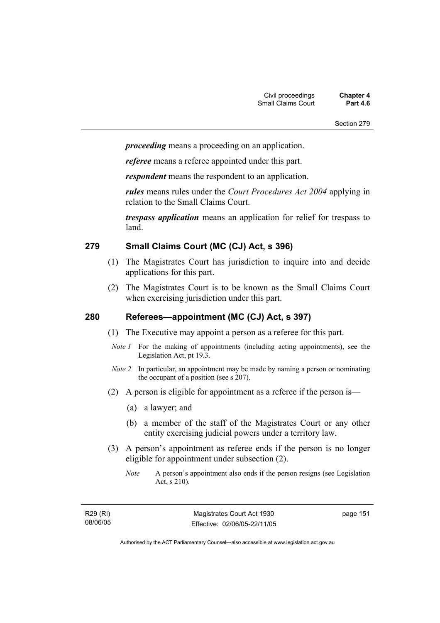*proceeding* means a proceeding on an application.

*referee* means a referee appointed under this part.

*respondent* means the respondent to an application.

*rules* means rules under the *Court Procedures Act 2004* applying in relation to the Small Claims Court.

*trespass application* means an application for relief for trespass to land.

#### **279 Small Claims Court (MC (CJ) Act, s 396)**

- (1) The Magistrates Court has jurisdiction to inquire into and decide applications for this part.
- (2) The Magistrates Court is to be known as the Small Claims Court when exercising jurisdiction under this part.

## **280 Referees—appointment (MC (CJ) Act, s 397)**

- (1) The Executive may appoint a person as a referee for this part.
- *Note 1* For the making of appointments (including acting appointments), see the Legislation Act, pt 19.3.
- *Note 2* In particular, an appointment may be made by naming a person or nominating the occupant of a position (see s 207).
- (2) A person is eligible for appointment as a referee if the person is—
	- (a) a lawyer; and
	- (b) a member of the staff of the Magistrates Court or any other entity exercising judicial powers under a territory law.
- (3) A person's appointment as referee ends if the person is no longer eligible for appointment under subsection (2).
	- *Note* A person's appointment also ends if the person resigns (see Legislation Act, s 210).

| R29 (RI) |  |
|----------|--|
| 08/06/05 |  |

page 151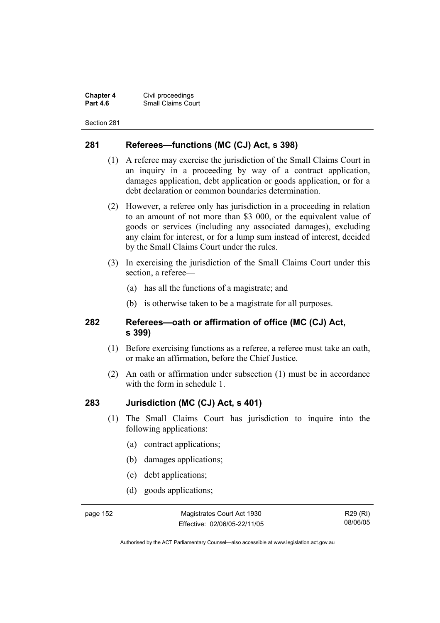**Chapter 4** Civil proceedings **Small Claims Court** 

Section 281

#### **281 Referees—functions (MC (CJ) Act, s 398)**

- (1) A referee may exercise the jurisdiction of the Small Claims Court in an inquiry in a proceeding by way of a contract application, damages application, debt application or goods application, or for a debt declaration or common boundaries determination.
- (2) However, a referee only has jurisdiction in a proceeding in relation to an amount of not more than \$3 000, or the equivalent value of goods or services (including any associated damages), excluding any claim for interest, or for a lump sum instead of interest, decided by the Small Claims Court under the rules.
- (3) In exercising the jurisdiction of the Small Claims Court under this section, a referee—
	- (a) has all the functions of a magistrate; and
	- (b) is otherwise taken to be a magistrate for all purposes.

#### **282 Referees—oath or affirmation of office (MC (CJ) Act, s 399)**

- (1) Before exercising functions as a referee, a referee must take an oath, or make an affirmation, before the Chief Justice.
- (2) An oath or affirmation under subsection (1) must be in accordance with the form in schedule 1.

#### **283 Jurisdiction (MC (CJ) Act, s 401)**

- (1) The Small Claims Court has jurisdiction to inquire into the following applications:
	- (a) contract applications;
	- (b) damages applications;
	- (c) debt applications;
	- (d) goods applications;

page 152 Magistrates Court Act 1930 Effective: 02/06/05-22/11/05

R29 (RI) 08/06/05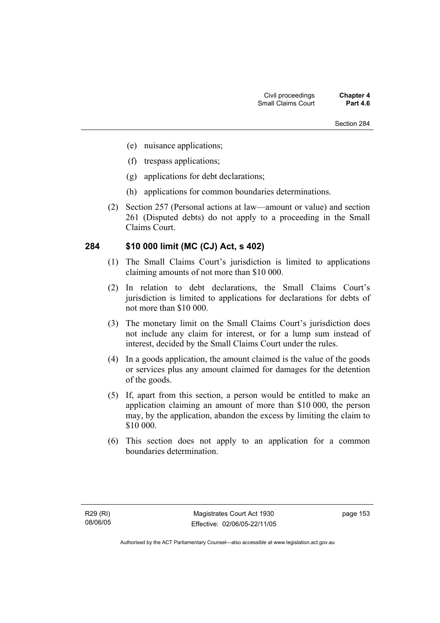- (e) nuisance applications;
- (f) trespass applications;
- (g) applications for debt declarations;
- (h) applications for common boundaries determinations.
- (2) Section 257 (Personal actions at law—amount or value) and section 261 (Disputed debts) do not apply to a proceeding in the Small Claims Court.

#### **284 \$10 000 limit (MC (CJ) Act, s 402)**

- (1) The Small Claims Court's jurisdiction is limited to applications claiming amounts of not more than \$10 000.
- (2) In relation to debt declarations, the Small Claims Court's jurisdiction is limited to applications for declarations for debts of not more than \$10 000.
- (3) The monetary limit on the Small Claims Court's jurisdiction does not include any claim for interest, or for a lump sum instead of interest, decided by the Small Claims Court under the rules.
- (4) In a goods application, the amount claimed is the value of the goods or services plus any amount claimed for damages for the detention of the goods.
- (5) If, apart from this section, a person would be entitled to make an application claiming an amount of more than \$10 000, the person may, by the application, abandon the excess by limiting the claim to \$10 000.
- (6) This section does not apply to an application for a common boundaries determination.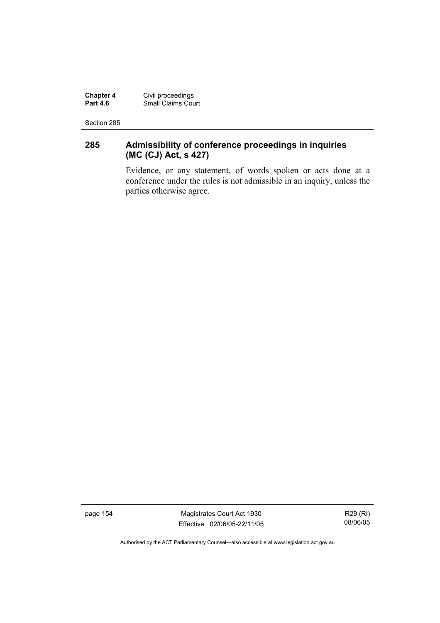**Chapter 4** Civil proceedings **Part 4.6** Small Claims Court

Section 285

## **285 Admissibility of conference proceedings in inquiries (MC (CJ) Act, s 427)**

Evidence, or any statement, of words spoken or acts done at a conference under the rules is not admissible in an inquiry, unless the parties otherwise agree.

page 154 Magistrates Court Act 1930 Effective: 02/06/05-22/11/05

R29 (RI) 08/06/05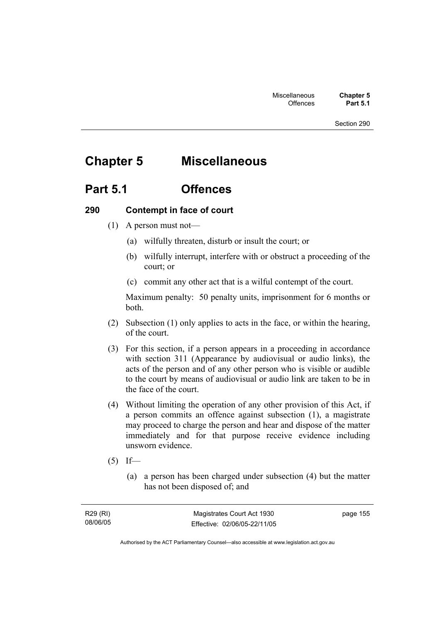# **Chapter 5 Miscellaneous**

## **Part 5.1 Offences**

#### **290 Contempt in face of court**

- (1) A person must not—
	- (a) wilfully threaten, disturb or insult the court; or
	- (b) wilfully interrupt, interfere with or obstruct a proceeding of the court; or
	- (c) commit any other act that is a wilful contempt of the court.

Maximum penalty: 50 penalty units, imprisonment for 6 months or both.

- (2) Subsection (1) only applies to acts in the face, or within the hearing, of the court.
- (3) For this section, if a person appears in a proceeding in accordance with section 311 (Appearance by audiovisual or audio links), the acts of the person and of any other person who is visible or audible to the court by means of audiovisual or audio link are taken to be in the face of the court.
- (4) Without limiting the operation of any other provision of this Act, if a person commits an offence against subsection (1), a magistrate may proceed to charge the person and hear and dispose of the matter immediately and for that purpose receive evidence including unsworn evidence.
- $(5)$  If—
	- (a) a person has been charged under subsection (4) but the matter has not been disposed of; and

page 155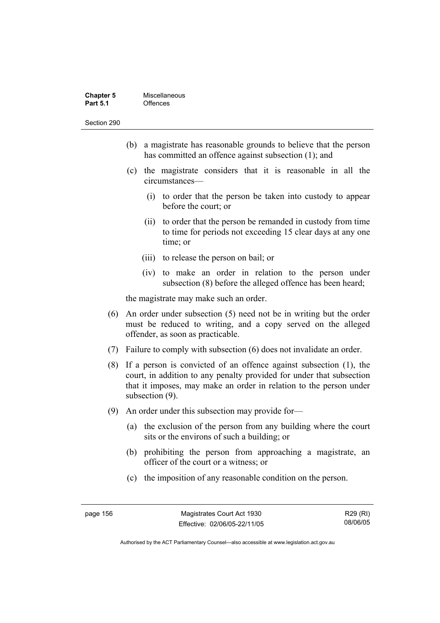| <b>Chapter 5</b> | Miscellaneous |
|------------------|---------------|
| <b>Part 5.1</b>  | Offences      |

- (b) a magistrate has reasonable grounds to believe that the person has committed an offence against subsection (1); and
- (c) the magistrate considers that it is reasonable in all the circumstances—
	- (i) to order that the person be taken into custody to appear before the court; or
	- (ii) to order that the person be remanded in custody from time to time for periods not exceeding 15 clear days at any one time; or
	- (iii) to release the person on bail; or
	- (iv) to make an order in relation to the person under subsection (8) before the alleged offence has been heard;

the magistrate may make such an order.

- (6) An order under subsection (5) need not be in writing but the order must be reduced to writing, and a copy served on the alleged offender, as soon as practicable.
- (7) Failure to comply with subsection (6) does not invalidate an order.
- (8) If a person is convicted of an offence against subsection (1), the court, in addition to any penalty provided for under that subsection that it imposes, may make an order in relation to the person under subsection (9).
- (9) An order under this subsection may provide for—
	- (a) the exclusion of the person from any building where the court sits or the environs of such a building; or
	- (b) prohibiting the person from approaching a magistrate, an officer of the court or a witness; or
	- (c) the imposition of any reasonable condition on the person.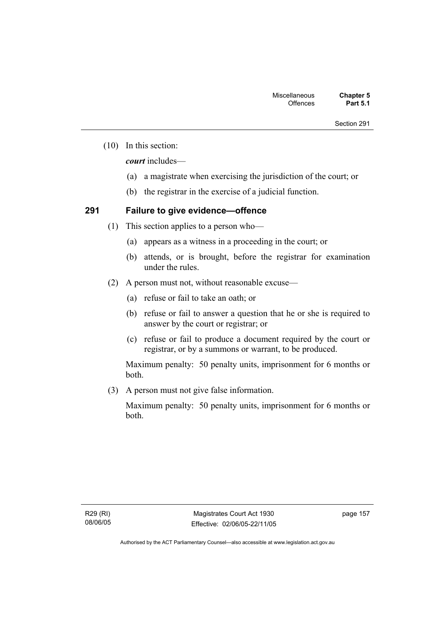(10) In this section:

*court* includes—

- (a) a magistrate when exercising the jurisdiction of the court; or
- (b) the registrar in the exercise of a judicial function.

## **291 Failure to give evidence—offence**

- (1) This section applies to a person who—
	- (a) appears as a witness in a proceeding in the court; or
	- (b) attends, or is brought, before the registrar for examination under the rules.
- (2) A person must not, without reasonable excuse—
	- (a) refuse or fail to take an oath; or
	- (b) refuse or fail to answer a question that he or she is required to answer by the court or registrar; or
	- (c) refuse or fail to produce a document required by the court or registrar, or by a summons or warrant, to be produced.

Maximum penalty: 50 penalty units, imprisonment for 6 months or both.

(3) A person must not give false information.

Maximum penalty: 50 penalty units, imprisonment for 6 months or both.

page 157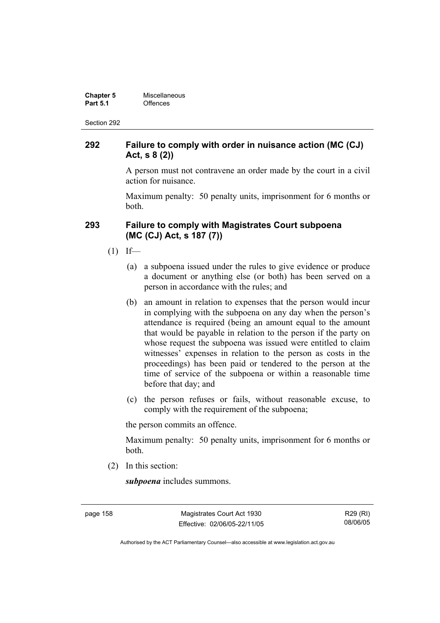| <b>Chapter 5</b> | Miscellaneous |
|------------------|---------------|
| <b>Part 5.1</b>  | Offences      |

#### **292 Failure to comply with order in nuisance action (MC (CJ) Act, s 8 (2))**

A person must not contravene an order made by the court in a civil action for nuisance.

Maximum penalty: 50 penalty units, imprisonment for 6 months or both.

#### **293 Failure to comply with Magistrates Court subpoena (MC (CJ) Act, s 187 (7))**

- $(1)$  If—
	- (a) a subpoena issued under the rules to give evidence or produce a document or anything else (or both) has been served on a person in accordance with the rules; and
	- (b) an amount in relation to expenses that the person would incur in complying with the subpoena on any day when the person's attendance is required (being an amount equal to the amount that would be payable in relation to the person if the party on whose request the subpoena was issued were entitled to claim witnesses' expenses in relation to the person as costs in the proceedings) has been paid or tendered to the person at the time of service of the subpoena or within a reasonable time before that day; and
	- (c) the person refuses or fails, without reasonable excuse, to comply with the requirement of the subpoena;

the person commits an offence.

Maximum penalty: 50 penalty units, imprisonment for 6 months or both.

(2) In this section:

*subpoena* includes summons.

page 158 Magistrates Court Act 1930 Effective: 02/06/05-22/11/05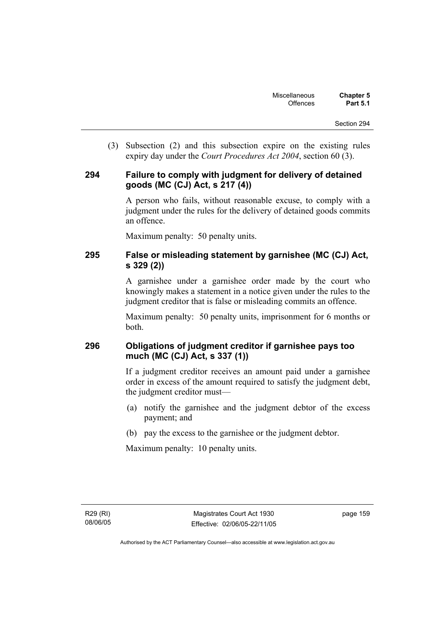(3) Subsection (2) and this subsection expire on the existing rules expiry day under the *Court Procedures Act 2004*, section 60 (3).

#### **294 Failure to comply with judgment for delivery of detained goods (MC (CJ) Act, s 217 (4))**

A person who fails, without reasonable excuse, to comply with a judgment under the rules for the delivery of detained goods commits an offence.

Maximum penalty: 50 penalty units.

#### **295 False or misleading statement by garnishee (MC (CJ) Act, s 329 (2))**

A garnishee under a garnishee order made by the court who knowingly makes a statement in a notice given under the rules to the judgment creditor that is false or misleading commits an offence.

Maximum penalty: 50 penalty units, imprisonment for 6 months or both.

## **296 Obligations of judgment creditor if garnishee pays too much (MC (CJ) Act, s 337 (1))**

If a judgment creditor receives an amount paid under a garnishee order in excess of the amount required to satisfy the judgment debt, the judgment creditor must—

- (a) notify the garnishee and the judgment debtor of the excess payment; and
- (b) pay the excess to the garnishee or the judgment debtor.

Maximum penalty: 10 penalty units.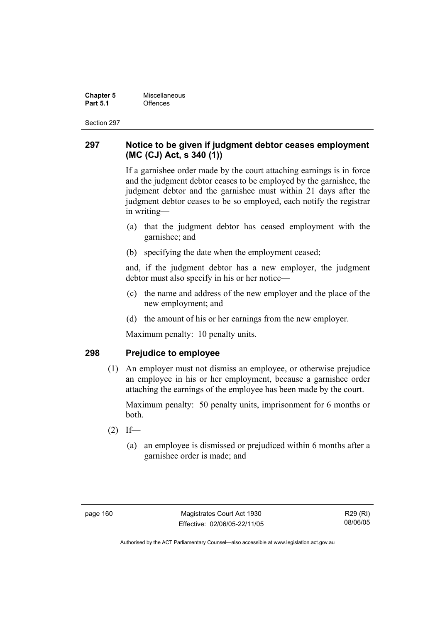**Chapter 5 Miscellaneous**<br>**Part 5.1** Offences **Part 5.1** Offences

Section 297

#### **297 Notice to be given if judgment debtor ceases employment (MC (CJ) Act, s 340 (1))**

If a garnishee order made by the court attaching earnings is in force and the judgment debtor ceases to be employed by the garnishee, the judgment debtor and the garnishee must within 21 days after the judgment debtor ceases to be so employed, each notify the registrar in writing—

- (a) that the judgment debtor has ceased employment with the garnishee; and
- (b) specifying the date when the employment ceased;

and, if the judgment debtor has a new employer, the judgment debtor must also specify in his or her notice—

- (c) the name and address of the new employer and the place of the new employment; and
- (d) the amount of his or her earnings from the new employer.

Maximum penalty: 10 penalty units.

#### **298 Prejudice to employee**

 (1) An employer must not dismiss an employee, or otherwise prejudice an employee in his or her employment, because a garnishee order attaching the earnings of the employee has been made by the court.

Maximum penalty: 50 penalty units, imprisonment for 6 months or both.

- $(2)$  If—
	- (a) an employee is dismissed or prejudiced within 6 months after a garnishee order is made; and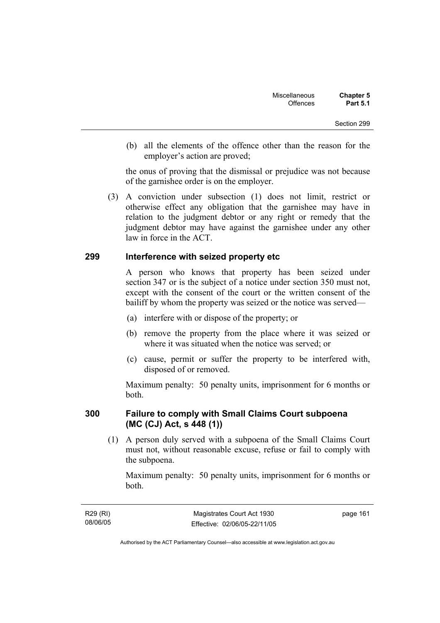(b) all the elements of the offence other than the reason for the employer's action are proved;

the onus of proving that the dismissal or prejudice was not because of the garnishee order is on the employer.

 (3) A conviction under subsection (1) does not limit, restrict or otherwise effect any obligation that the garnishee may have in relation to the judgment debtor or any right or remedy that the judgment debtor may have against the garnishee under any other law in force in the ACT.

#### **299 Interference with seized property etc**

A person who knows that property has been seized under section 347 or is the subject of a notice under section 350 must not, except with the consent of the court or the written consent of the bailiff by whom the property was seized or the notice was served—

- (a) interfere with or dispose of the property; or
- (b) remove the property from the place where it was seized or where it was situated when the notice was served; or
- (c) cause, permit or suffer the property to be interfered with, disposed of or removed.

Maximum penalty: 50 penalty units, imprisonment for 6 months or both.

#### **300 Failure to comply with Small Claims Court subpoena (MC (CJ) Act, s 448 (1))**

 (1) A person duly served with a subpoena of the Small Claims Court must not, without reasonable excuse, refuse or fail to comply with the subpoena.

Maximum penalty: 50 penalty units, imprisonment for 6 months or both.

R29 (RI) 08/06/05 page 161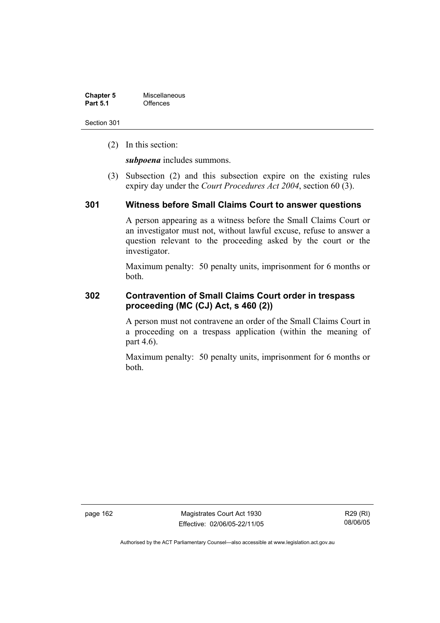| <b>Chapter 5</b> | Miscellaneous |
|------------------|---------------|
| <b>Part 5.1</b>  | Offences      |

(2) In this section:

*subpoena* includes summons.

 (3) Subsection (2) and this subsection expire on the existing rules expiry day under the *Court Procedures Act 2004*, section 60 (3).

#### **301 Witness before Small Claims Court to answer questions**

A person appearing as a witness before the Small Claims Court or an investigator must not, without lawful excuse, refuse to answer a question relevant to the proceeding asked by the court or the investigator.

Maximum penalty: 50 penalty units, imprisonment for 6 months or both.

## **302 Contravention of Small Claims Court order in trespass proceeding (MC (CJ) Act, s 460 (2))**

A person must not contravene an order of the Small Claims Court in a proceeding on a trespass application (within the meaning of part 4.6).

Maximum penalty: 50 penalty units, imprisonment for 6 months or both.

page 162 Magistrates Court Act 1930 Effective: 02/06/05-22/11/05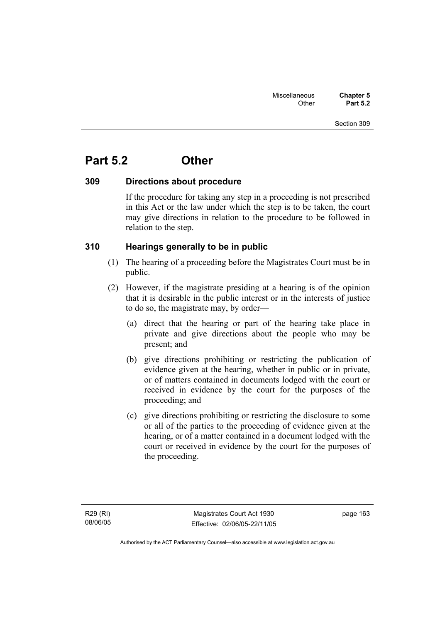## **Part 5.2 Other**

#### **309 Directions about procedure**

If the procedure for taking any step in a proceeding is not prescribed in this Act or the law under which the step is to be taken, the court may give directions in relation to the procedure to be followed in relation to the step.

#### **310 Hearings generally to be in public**

- (1) The hearing of a proceeding before the Magistrates Court must be in public.
- (2) However, if the magistrate presiding at a hearing is of the opinion that it is desirable in the public interest or in the interests of justice to do so, the magistrate may, by order—
	- (a) direct that the hearing or part of the hearing take place in private and give directions about the people who may be present; and
	- (b) give directions prohibiting or restricting the publication of evidence given at the hearing, whether in public or in private, or of matters contained in documents lodged with the court or received in evidence by the court for the purposes of the proceeding; and
	- (c) give directions prohibiting or restricting the disclosure to some or all of the parties to the proceeding of evidence given at the hearing, or of a matter contained in a document lodged with the court or received in evidence by the court for the purposes of the proceeding.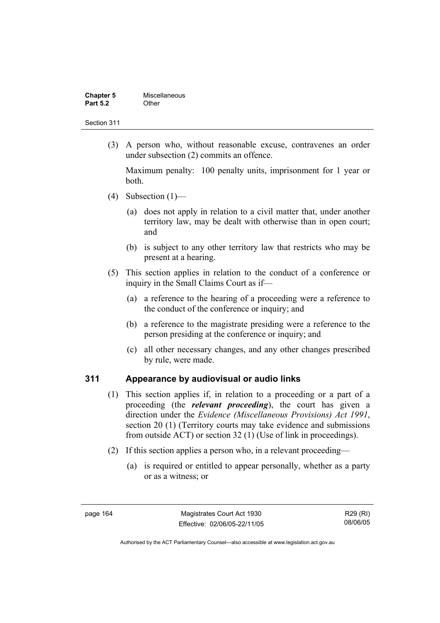| <b>Chapter 5</b> | Miscellaneous |
|------------------|---------------|
| <b>Part 5.2</b>  | Other         |

 (3) A person who, without reasonable excuse, contravenes an order under subsection (2) commits an offence.

Maximum penalty: 100 penalty units, imprisonment for 1 year or both.

- (4) Subsection  $(1)$ 
	- (a) does not apply in relation to a civil matter that, under another territory law, may be dealt with otherwise than in open court; and
	- (b) is subject to any other territory law that restricts who may be present at a hearing.
- (5) This section applies in relation to the conduct of a conference or inquiry in the Small Claims Court as if—
	- (a) a reference to the hearing of a proceeding were a reference to the conduct of the conference or inquiry; and
	- (b) a reference to the magistrate presiding were a reference to the person presiding at the conference or inquiry; and
	- (c) all other necessary changes, and any other changes prescribed by rule, were made.

#### **311 Appearance by audiovisual or audio links**

- (1) This section applies if, in relation to a proceeding or a part of a proceeding (the *relevant proceeding*), the court has given a direction under the *Evidence (Miscellaneous Provisions) Act 1991*, section 20 (1) (Territory courts may take evidence and submissions from outside ACT) or section 32 (1) (Use of link in proceedings).
- (2) If this section applies a person who, in a relevant proceeding—
	- (a) is required or entitled to appear personally, whether as a party or as a witness; or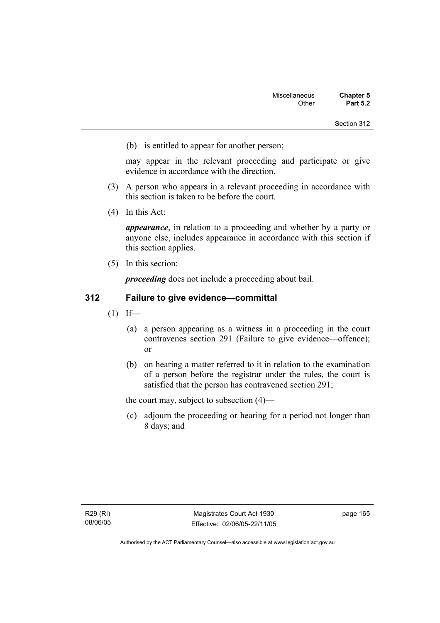(b) is entitled to appear for another person;

may appear in the relevant proceeding and participate or give evidence in accordance with the direction.

- (3) A person who appears in a relevant proceeding in accordance with this section is taken to be before the court.
- (4) In this Act:

*appearance*, in relation to a proceeding and whether by a party or anyone else, includes appearance in accordance with this section if this section applies.

(5) In this section:

*proceeding* does not include a proceeding about bail.

## **312 Failure to give evidence—committal**

- $(1)$  If—
	- (a) a person appearing as a witness in a proceeding in the court contravenes section 291 (Failure to give evidence—offence); or
	- (b) on hearing a matter referred to it in relation to the examination of a person before the registrar under the rules, the court is satisfied that the person has contravened section 291;

the court may, subject to subsection (4)—

 (c) adjourn the proceeding or hearing for a period not longer than 8 days; and

page 165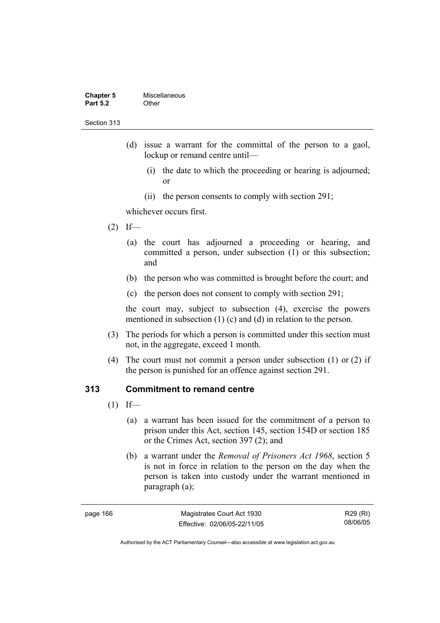| <b>Chapter 5</b> | Miscellaneous |
|------------------|---------------|
| <b>Part 5.2</b>  | Other         |

- (d) issue a warrant for the committal of the person to a gaol, lockup or remand centre until—
	- (i) the date to which the proceeding or hearing is adjourned; or
	- (ii) the person consents to comply with section 291;

whichever occurs first.

- $(2)$  If—
	- (a) the court has adjourned a proceeding or hearing, and committed a person, under subsection (1) or this subsection; and
	- (b) the person who was committed is brought before the court; and
	- (c) the person does not consent to comply with section 291;

the court may, subject to subsection (4), exercise the powers mentioned in subsection (1) (c) and (d) in relation to the person.

- (3) The periods for which a person is committed under this section must not, in the aggregate, exceed 1 month.
- (4) The court must not commit a person under subsection (1) or (2) if the person is punished for an offence against section 291.

## **313 Commitment to remand centre**

- $(1)$  If—
	- (a) a warrant has been issued for the commitment of a person to prison under this Act, section 145, section 154D or section 185 or the Crimes Act, section 397 (2); and
	- (b) a warrant under the *Removal of Prisoners Act 1968*, section 5 is not in force in relation to the person on the day when the person is taken into custody under the warrant mentioned in paragraph (a);

| page 166 |  |
|----------|--|
|----------|--|

R29 (RI) 08/06/05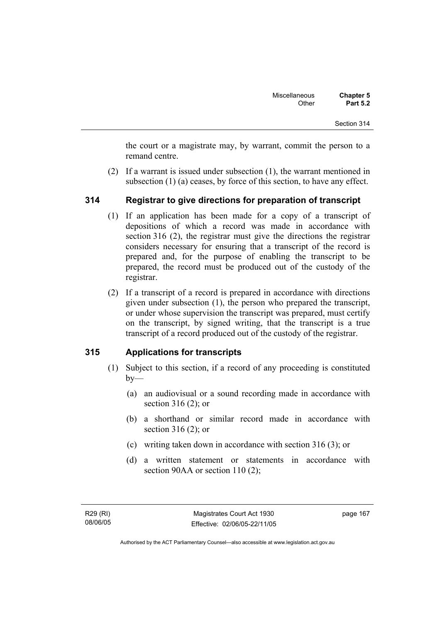the court or a magistrate may, by warrant, commit the person to a remand centre.

 (2) If a warrant is issued under subsection (1), the warrant mentioned in subsection (1) (a) ceases, by force of this section, to have any effect.

## **314 Registrar to give directions for preparation of transcript**

- (1) If an application has been made for a copy of a transcript of depositions of which a record was made in accordance with section 316 (2), the registrar must give the directions the registrar considers necessary for ensuring that a transcript of the record is prepared and, for the purpose of enabling the transcript to be prepared, the record must be produced out of the custody of the registrar.
- (2) If a transcript of a record is prepared in accordance with directions given under subsection (1), the person who prepared the transcript, or under whose supervision the transcript was prepared, must certify on the transcript, by signed writing, that the transcript is a true transcript of a record produced out of the custody of the registrar.

## **315 Applications for transcripts**

- (1) Subject to this section, if a record of any proceeding is constituted  $by-$ 
	- (a) an audiovisual or a sound recording made in accordance with section 316 (2); or
	- (b) a shorthand or similar record made in accordance with section 316 (2); or
	- (c) writing taken down in accordance with section 316 (3); or
	- (d) a written statement or statements in accordance with section 90AA or section 110 (2);

page 167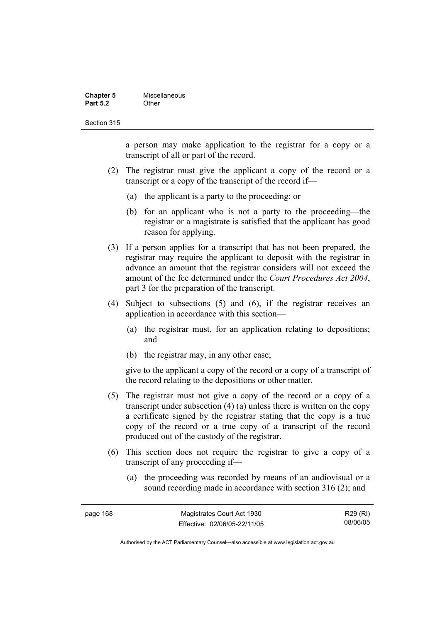| <b>Chapter 5</b> | Miscellaneous |
|------------------|---------------|
| <b>Part 5.2</b>  | Other         |

a person may make application to the registrar for a copy or a transcript of all or part of the record.

- (2) The registrar must give the applicant a copy of the record or a transcript or a copy of the transcript of the record if—
	- (a) the applicant is a party to the proceeding; or
	- (b) for an applicant who is not a party to the proceeding—the registrar or a magistrate is satisfied that the applicant has good reason for applying.
- (3) If a person applies for a transcript that has not been prepared, the registrar may require the applicant to deposit with the registrar in advance an amount that the registrar considers will not exceed the amount of the fee determined under the *Court Procedures Act 2004*, part 3 for the preparation of the transcript.
- (4) Subject to subsections (5) and (6), if the registrar receives an application in accordance with this section—
	- (a) the registrar must, for an application relating to depositions; and
	- (b) the registrar may, in any other case;

give to the applicant a copy of the record or a copy of a transcript of the record relating to the depositions or other matter.

- (5) The registrar must not give a copy of the record or a copy of a transcript under subsection (4) (a) unless there is written on the copy a certificate signed by the registrar stating that the copy is a true copy of the record or a true copy of a transcript of the record produced out of the custody of the registrar.
- (6) This section does not require the registrar to give a copy of a transcript of any proceeding if—
	- (a) the proceeding was recorded by means of an audiovisual or a sound recording made in accordance with section 316 (2); and

| page 168 | Magistrates Court Act 1930   | R29 (RI) |
|----------|------------------------------|----------|
|          | Effective: 02/06/05-22/11/05 | 08/06/05 |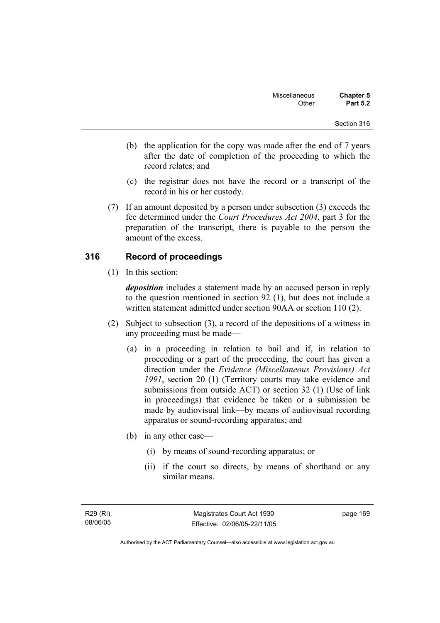- (b) the application for the copy was made after the end of 7 years after the date of completion of the proceeding to which the record relates; and
- (c) the registrar does not have the record or a transcript of the record in his or her custody.
- (7) If an amount deposited by a person under subsection (3) exceeds the fee determined under the *Court Procedures Act 2004*, part 3 for the preparation of the transcript, there is payable to the person the amount of the excess.

## **316 Record of proceedings**

(1) In this section:

*deposition* includes a statement made by an accused person in reply to the question mentioned in section 92 (1), but does not include a written statement admitted under section 90AA or section 110 (2).

- (2) Subject to subsection (3), a record of the depositions of a witness in any proceeding must be made—
	- (a) in a proceeding in relation to bail and if, in relation to proceeding or a part of the proceeding, the court has given a direction under the *Evidence (Miscellaneous Provisions) Act 1991*, section 20 (1) (Territory courts may take evidence and submissions from outside ACT) or section 32 (1) (Use of link in proceedings) that evidence be taken or a submission be made by audiovisual link—by means of audiovisual recording apparatus or sound-recording apparatus; and
	- (b) in any other case—
		- (i) by means of sound-recording apparatus; or
		- (ii) if the court so directs, by means of shorthand or any similar means.

page 169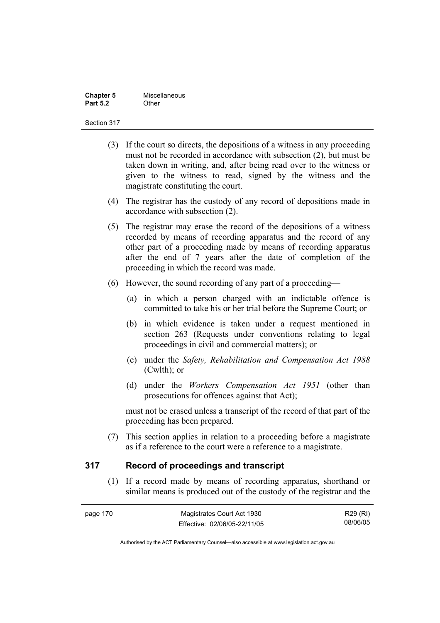| <b>Chapter 5</b> | Miscellaneous |
|------------------|---------------|
| <b>Part 5.2</b>  | Other         |

- (3) If the court so directs, the depositions of a witness in any proceeding must not be recorded in accordance with subsection (2), but must be taken down in writing, and, after being read over to the witness or given to the witness to read, signed by the witness and the magistrate constituting the court.
- (4) The registrar has the custody of any record of depositions made in accordance with subsection (2).
- (5) The registrar may erase the record of the depositions of a witness recorded by means of recording apparatus and the record of any other part of a proceeding made by means of recording apparatus after the end of 7 years after the date of completion of the proceeding in which the record was made.
- (6) However, the sound recording of any part of a proceeding—
	- (a) in which a person charged with an indictable offence is committed to take his or her trial before the Supreme Court; or
	- (b) in which evidence is taken under a request mentioned in section 263 (Requests under conventions relating to legal proceedings in civil and commercial matters); or
	- (c) under the *Safety, Rehabilitation and Compensation Act 1988* (Cwlth); or
	- (d) under the *Workers Compensation Act 1951* (other than prosecutions for offences against that Act);

must not be erased unless a transcript of the record of that part of the proceeding has been prepared.

 (7) This section applies in relation to a proceeding before a magistrate as if a reference to the court were a reference to a magistrate.

## **317 Record of proceedings and transcript**

 (1) If a record made by means of recording apparatus, shorthand or similar means is produced out of the custody of the registrar and the

| page 170 | Magistrates Court Act 1930   | R29 (RI) |
|----------|------------------------------|----------|
|          | Effective: 02/06/05-22/11/05 | 08/06/05 |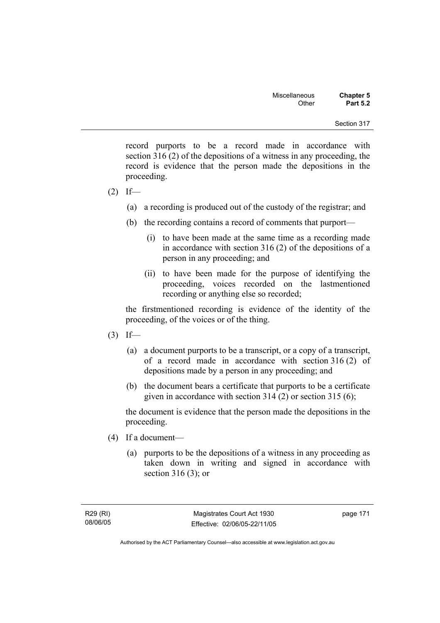record purports to be a record made in accordance with section 316 (2) of the depositions of a witness in any proceeding, the record is evidence that the person made the depositions in the proceeding.

- $(2)$  If—
	- (a) a recording is produced out of the custody of the registrar; and
	- (b) the recording contains a record of comments that purport—
		- (i) to have been made at the same time as a recording made in accordance with section 316 (2) of the depositions of a person in any proceeding; and
		- (ii) to have been made for the purpose of identifying the proceeding, voices recorded on the lastmentioned recording or anything else so recorded;

the firstmentioned recording is evidence of the identity of the proceeding, of the voices or of the thing.

- $(3)$  If—
	- (a) a document purports to be a transcript, or a copy of a transcript, of a record made in accordance with section 316 (2) of depositions made by a person in any proceeding; and
	- (b) the document bears a certificate that purports to be a certificate given in accordance with section 314 (2) or section 315 (6);

the document is evidence that the person made the depositions in the proceeding.

- (4) If a document—
	- (a) purports to be the depositions of a witness in any proceeding as taken down in writing and signed in accordance with section 316 (3); or

page 171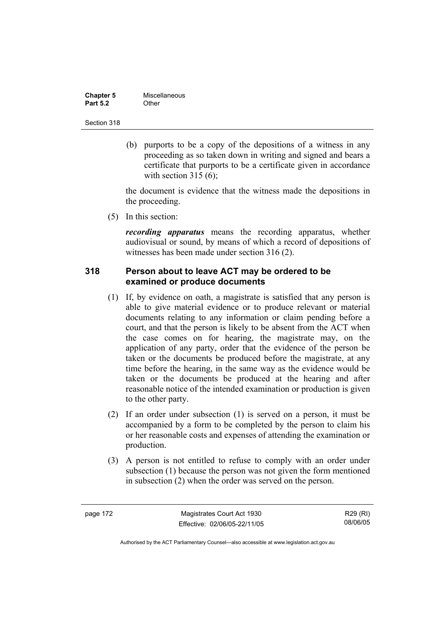| <b>Chapter 5</b> | Miscellaneous |
|------------------|---------------|
| <b>Part 5.2</b>  | Other         |

 (b) purports to be a copy of the depositions of a witness in any proceeding as so taken down in writing and signed and bears a certificate that purports to be a certificate given in accordance with section  $315(6)$ :

the document is evidence that the witness made the depositions in the proceeding.

(5) In this section:

*recording apparatus* means the recording apparatus, whether audiovisual or sound, by means of which a record of depositions of witnesses has been made under section 316 (2).

## **318 Person about to leave ACT may be ordered to be examined or produce documents**

- (1) If, by evidence on oath, a magistrate is satisfied that any person is able to give material evidence or to produce relevant or material documents relating to any information or claim pending before a court, and that the person is likely to be absent from the ACT when the case comes on for hearing, the magistrate may, on the application of any party, order that the evidence of the person be taken or the documents be produced before the magistrate, at any time before the hearing, in the same way as the evidence would be taken or the documents be produced at the hearing and after reasonable notice of the intended examination or production is given to the other party.
- (2) If an order under subsection (1) is served on a person, it must be accompanied by a form to be completed by the person to claim his or her reasonable costs and expenses of attending the examination or production.
- (3) A person is not entitled to refuse to comply with an order under subsection (1) because the person was not given the form mentioned in subsection (2) when the order was served on the person.

page 172 Magistrates Court Act 1930 Effective: 02/06/05-22/11/05

R29 (RI) 08/06/05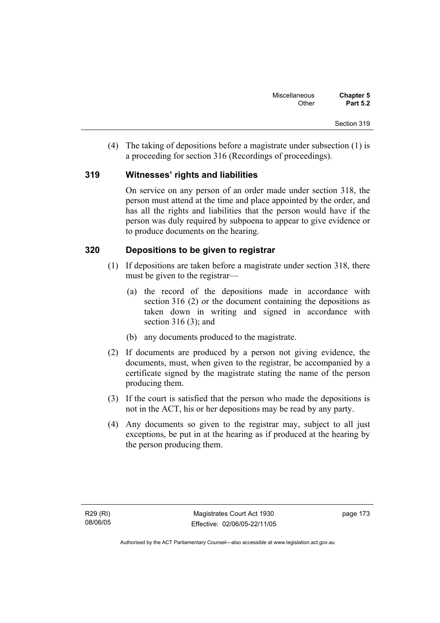(4) The taking of depositions before a magistrate under subsection (1) is a proceeding for section 316 (Recordings of proceedings).

## **319 Witnesses' rights and liabilities**

On service on any person of an order made under section 318, the person must attend at the time and place appointed by the order, and has all the rights and liabilities that the person would have if the person was duly required by subpoena to appear to give evidence or to produce documents on the hearing.

## **320 Depositions to be given to registrar**

- (1) If depositions are taken before a magistrate under section 318, there must be given to the registrar—
	- (a) the record of the depositions made in accordance with section 316 (2) or the document containing the depositions as taken down in writing and signed in accordance with section 316 (3); and
	- (b) any documents produced to the magistrate.
- (2) If documents are produced by a person not giving evidence, the documents, must, when given to the registrar, be accompanied by a certificate signed by the magistrate stating the name of the person producing them.
- (3) If the court is satisfied that the person who made the depositions is not in the ACT, his or her depositions may be read by any party.
- (4) Any documents so given to the registrar may, subject to all just exceptions, be put in at the hearing as if produced at the hearing by the person producing them.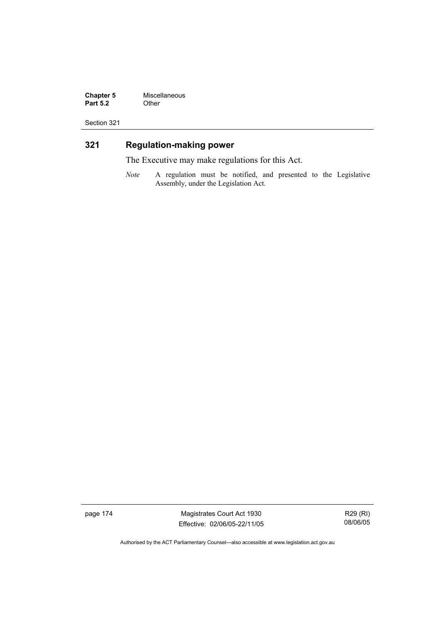**Chapter 5** Miscellaneous<br>**Part 5.2** Other **Part 5.2** 

Section 321

## **321 Regulation-making power**

The Executive may make regulations for this Act.

*Note* A regulation must be notified, and presented to the Legislative Assembly, under the Legislation Act.

page 174 Magistrates Court Act 1930 Effective: 02/06/05-22/11/05

R29 (RI) 08/06/05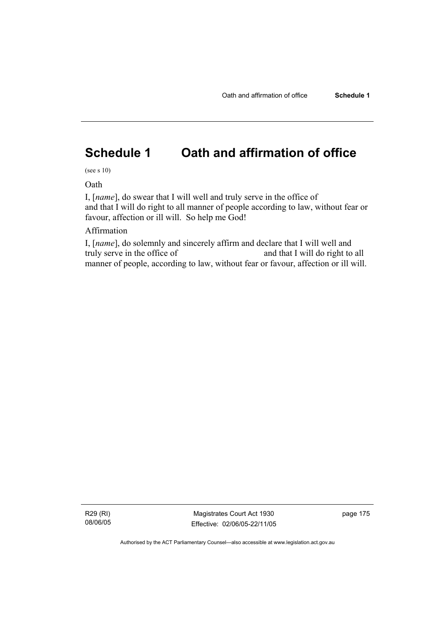# **Schedule 1 Oath and affirmation of office**

(see s 10)

Oath

I, [*name*], do swear that I will well and truly serve in the office of and that I will do right to all manner of people according to law, without fear or favour, affection or ill will. So help me God!

## Affirmation

I, [*name*], do solemnly and sincerely affirm and declare that I will well and truly serve in the office of and that I will do right to all manner of people, according to law, without fear or favour, affection or ill will.

R29 (RI) 08/06/05

Magistrates Court Act 1930 Effective: 02/06/05-22/11/05 page 175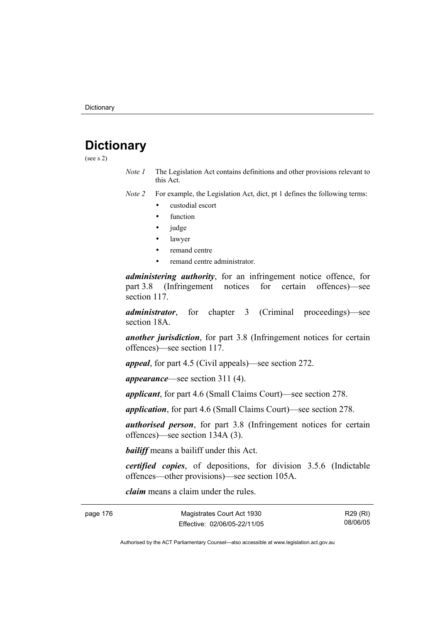# **Dictionary**

(see s 2)

*Note 1* The Legislation Act contains definitions and other provisions relevant to this Act.

*Note 2* For example, the Legislation Act, dict, pt 1 defines the following terms:

- custodial escort
- function
- judge
- lawyer
- remand centre
- remand centre administrator.

*administering authority*, for an infringement notice offence, for part 3.8 (Infringement notices for certain offences)—see section 117.

*administrator*, for chapter 3 (Criminal proceedings)—see section 18A.

*another jurisdiction*, for part 3.8 (Infringement notices for certain offences)—see section 117.

*appeal*, for part 4.5 (Civil appeals)—see section 272.

*appearance*—see section 311 (4).

*applicant*, for part 4.6 (Small Claims Court)—see section 278.

*application*, for part 4.6 (Small Claims Court)—see section 278.

*authorised person*, for part 3.8 (Infringement notices for certain offences)—see section 134A (3).

*bailiff* means a bailiff under this Act.

*certified copies*, of depositions, for division 3.5.6 (Indictable offences—other provisions)—see section 105A.

*claim* means a claim under the rules.

| page 176 | Magistrates Court Act 1930   |
|----------|------------------------------|
|          | Effective: 02/06/05-22/11/05 |

R29 (RI) 08/06/05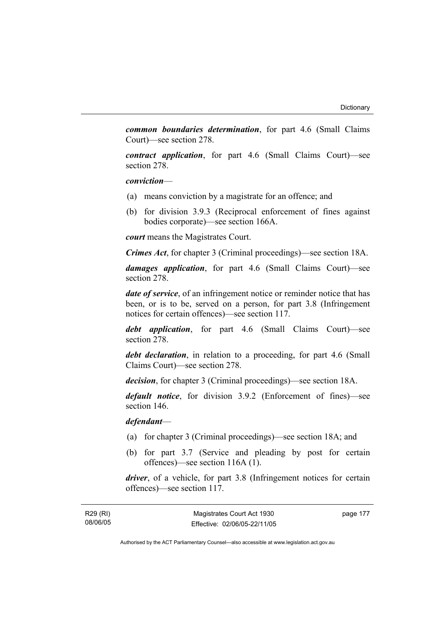*common boundaries determination*, for part 4.6 (Small Claims Court)—see section 278.

*contract application*, for part 4.6 (Small Claims Court)—see section 278.

*conviction*—

- (a) means conviction by a magistrate for an offence; and
- (b) for division 3.9.3 (Reciprocal enforcement of fines against bodies corporate)—see section 166A.

*court* means the Magistrates Court.

*Crimes Act*, for chapter 3 (Criminal proceedings)—see section 18A.

*damages application*, for part 4.6 (Small Claims Court)—see section 278.

*date of service*, of an infringement notice or reminder notice that has been, or is to be, served on a person, for part 3.8 (Infringement notices for certain offences)—see section 117.

*debt application*, for part 4.6 (Small Claims Court)—see section 278.

*debt declaration*, in relation to a proceeding, for part 4.6 (Small Claims Court)—see section 278.

*decision*, for chapter 3 (Criminal proceedings)—see section 18A.

*default notice*, for division 3.9.2 (Enforcement of fines)—see section 146.

*defendant*—

- (a) for chapter 3 (Criminal proceedings)—see section 18A; and
- (b) for part 3.7 (Service and pleading by post for certain offences)—see section 116A (1).

*driver*, of a vehicle, for part 3.8 (Infringement notices for certain offences)—see section 117.

page 177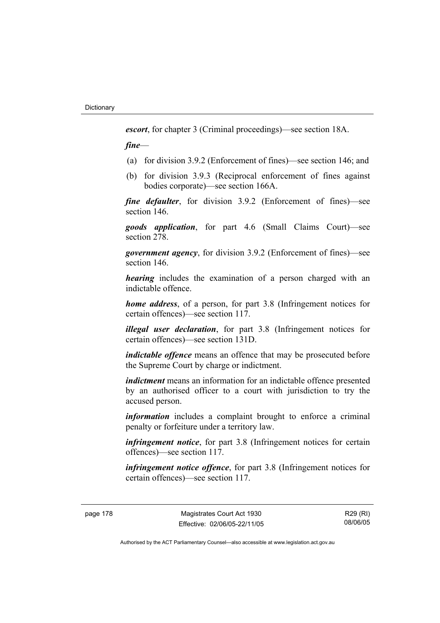*escort*, for chapter 3 (Criminal proceedings)—see section 18A.

*fine*—

- (a) for division 3.9.2 (Enforcement of fines)—see section 146; and
- (b) for division 3.9.3 (Reciprocal enforcement of fines against bodies corporate)—see section 166A.

*fine defaulter*, for division 3.9.2 (Enforcement of fines)—see section 146.

*goods application*, for part 4.6 (Small Claims Court)—see section 278.

*government agency*, for division 3.9.2 (Enforcement of fines)—see section 146.

*hearing* includes the examination of a person charged with an indictable offence.

*home address*, of a person, for part 3.8 (Infringement notices for certain offences)—see section 117.

*illegal user declaration*, for part 3.8 (Infringement notices for certain offences)—see section 131D.

*indictable offence* means an offence that may be prosecuted before the Supreme Court by charge or indictment.

*indictment* means an information for an indictable offence presented by an authorised officer to a court with jurisdiction to try the accused person.

*information* includes a complaint brought to enforce a criminal penalty or forfeiture under a territory law.

*infringement notice*, for part 3.8 (Infringement notices for certain offences)—see section 117.

*infringement notice offence*, for part 3.8 (Infringement notices for certain offences)—see section 117.

page 178 Magistrates Court Act 1930 Effective: 02/06/05-22/11/05

R29 (RI) 08/06/05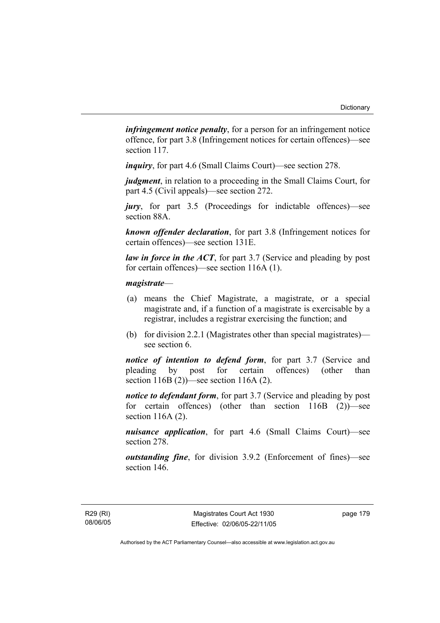*infringement notice penalty*, for a person for an infringement notice offence, for part 3.8 (Infringement notices for certain offences)—see section 117.

*inquiry*, for part 4.6 (Small Claims Court)—see section 278.

*judgment*, in relation to a proceeding in the Small Claims Court, for part 4.5 (Civil appeals)—see section 272.

*jury*, for part 3.5 (Proceedings for indictable offences)—see section 88A.

*known offender declaration*, for part 3.8 (Infringement notices for certain offences)—see section 131E.

*law in force in the ACT*, for part 3.7 (Service and pleading by post) for certain offences)—see section 116A (1).

#### *magistrate*—

- (a) means the Chief Magistrate, a magistrate, or a special magistrate and, if a function of a magistrate is exercisable by a registrar, includes a registrar exercising the function; and
- (b) for division 2.2.1 (Magistrates other than special magistrates) see section 6.

*notice of intention to defend form*, for part 3.7 (Service and pleading by post for certain offences) (other than section 116B (2))—see section 116A (2).

*notice to defendant form*, for part 3.7 (Service and pleading by post for certain offences) (other than section 116B (2))—see section 116A (2).

*nuisance application*, for part 4.6 (Small Claims Court)—see section 278.

*outstanding fine*, for division 3.9.2 (Enforcement of fines)—see section 146.

R29 (RI) 08/06/05 page 179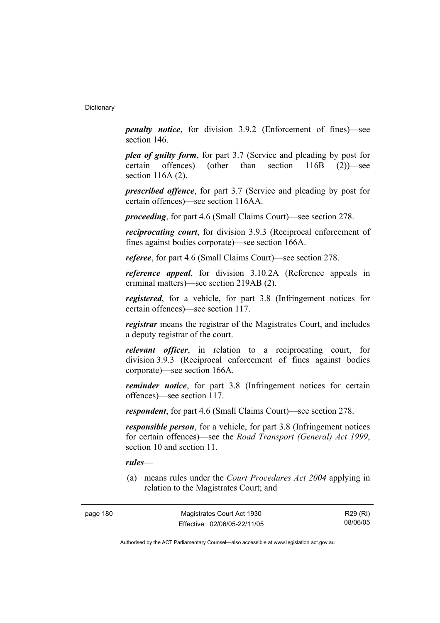*penalty notice*, for division 3.9.2 (Enforcement of fines)—see section 146.

*plea of guilty form*, for part 3.7 (Service and pleading by post for certain offences) (other than section 116B (2))—see section 116A (2).

*prescribed offence*, for part 3.7 (Service and pleading by post for certain offences)—see section 116AA.

*proceeding*, for part 4.6 (Small Claims Court)—see section 278.

*reciprocating court*, for division 3.9.3 (Reciprocal enforcement of fines against bodies corporate)—see section 166A.

*referee*, for part 4.6 (Small Claims Court)—see section 278.

*reference appeal*, for division 3.10.2A (Reference appeals in criminal matters)—see section 219AB (2).

*registered*, for a vehicle, for part 3.8 (Infringement notices for certain offences)—see section 117.

*registrar* means the registrar of the Magistrates Court, and includes a deputy registrar of the court.

*relevant officer*, in relation to a reciprocating court, for division 3.9.3 (Reciprocal enforcement of fines against bodies corporate)—see section 166A.

*reminder notice*, for part 3.8 (Infringement notices for certain offences)—see section 117.

*respondent*, for part 4.6 (Small Claims Court)—see section 278.

*responsible person*, for a vehicle, for part 3.8 (Infringement notices for certain offences)—see the *Road Transport (General) Act 1999*, section 10 and section 11.

#### *rules*—

 (a) means rules under the *Court Procedures Act 2004* applying in relation to the Magistrates Court; and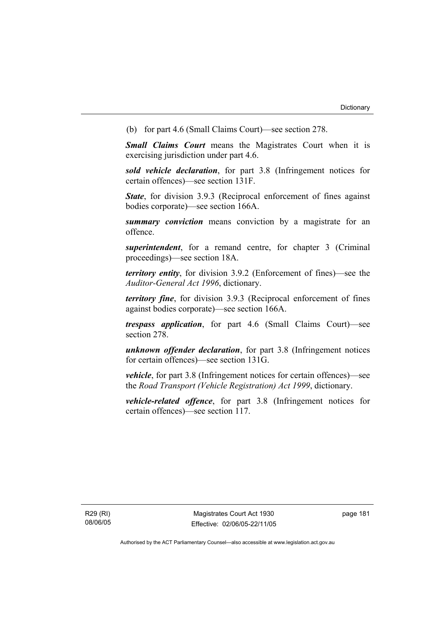(b) for part 4.6 (Small Claims Court)—see section 278.

*Small Claims Court* means the Magistrates Court when it is exercising jurisdiction under part 4.6.

*sold vehicle declaration*, for part 3.8 (Infringement notices for certain offences)—see section 131F.

*State*, for division 3.9.3 (Reciprocal enforcement of fines against bodies corporate)—see section 166A.

*summary conviction* means conviction by a magistrate for an offence.

*superintendent*, for a remand centre, for chapter 3 (Criminal proceedings)—see section 18A.

*territory entity*, for division 3.9.2 (Enforcement of fines)—see the *Auditor-General Act 1996*, dictionary.

*territory fine*, for division 3.9.3 (Reciprocal enforcement of fines against bodies corporate)—see section 166A.

*trespass application*, for part 4.6 (Small Claims Court)—see section 278.

*unknown offender declaration*, for part 3.8 (Infringement notices for certain offences)—see section 131G.

*vehicle*, for part 3.8 (Infringement notices for certain offences)—see the *Road Transport (Vehicle Registration) Act 1999*, dictionary.

*vehicle-related offence*, for part 3.8 (Infringement notices for certain offences)—see section 117.

R29 (RI) 08/06/05 page 181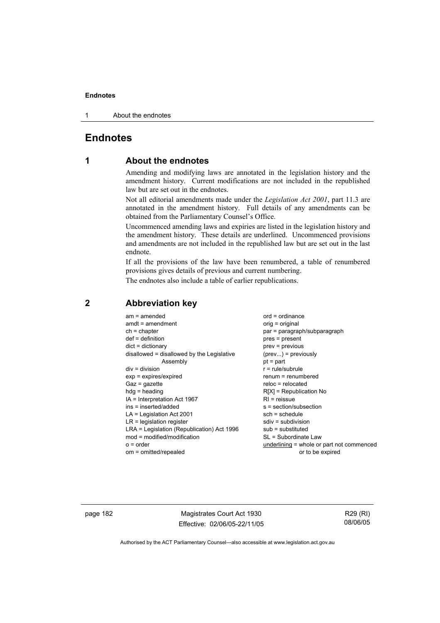1 About the endnotes

## **Endnotes**

## **1 About the endnotes**

Amending and modifying laws are annotated in the legislation history and the amendment history. Current modifications are not included in the republished law but are set out in the endnotes.

Not all editorial amendments made under the *Legislation Act 2001*, part 11.3 are annotated in the amendment history. Full details of any amendments can be obtained from the Parliamentary Counsel's Office.

Uncommenced amending laws and expiries are listed in the legislation history and the amendment history. These details are underlined. Uncommenced provisions and amendments are not included in the republished law but are set out in the last endnote.

If all the provisions of the law have been renumbered, a table of renumbered provisions gives details of previous and current numbering.

The endnotes also include a table of earlier republications.

| $am = amended$                             | $ord = ordinance$                         |
|--------------------------------------------|-------------------------------------------|
| $amdt = amendment$                         | $orig = original$                         |
| $ch = chapter$                             | par = paragraph/subparagraph              |
| $def = definition$                         | $pres = present$                          |
| $dict = dictionary$                        | $prev = previous$                         |
| disallowed = disallowed by the Legislative | $(\text{prev}) = \text{previously}$       |
| Assembly                                   | $pt = part$                               |
| $div = division$                           | $r = rule/subrule$                        |
| $exp = expires/expired$                    | $renum = renumbered$                      |
| $Gaz = gazette$                            | $reloc = relocated$                       |
| $h dq =$ heading                           | $R[X]$ = Republication No                 |
| IA = Interpretation Act 1967               | $RI =$ reissue                            |
| ins = inserted/added                       | $s = section/subsection$                  |
| $LA =$ Legislation Act 2001                | $sch = schedule$                          |
| $LR =$ legislation register                | $sdiv = subdivision$                      |
| LRA = Legislation (Republication) Act 1996 | $sub =$ substituted                       |
| $mod = modified/modification$              | SL = Subordinate Law                      |
| $o = order$                                | underlining = whole or part not commenced |
| om = omitted/repealed                      | or to be expired                          |
|                                            |                                           |

## **2 Abbreviation key**

page 182 Magistrates Court Act 1930 Effective: 02/06/05-22/11/05

R29 (RI) 08/06/05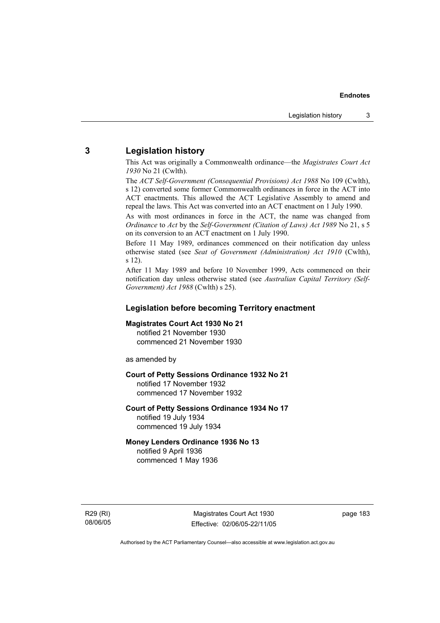## **3 Legislation history**

This Act was originally a Commonwealth ordinance—the *Magistrates Court Act 1930* No 21 (Cwlth).

The *ACT Self-Government (Consequential Provisions) Act 1988* No 109 (Cwlth), s 12) converted some former Commonwealth ordinances in force in the ACT into ACT enactments. This allowed the ACT Legislative Assembly to amend and repeal the laws. This Act was converted into an ACT enactment on 1 July 1990.

As with most ordinances in force in the ACT, the name was changed from *Ordinance* to *Act* by the *Self-Government (Citation of Laws) Act 1989* No 21, s 5 on its conversion to an ACT enactment on 1 July 1990.

Before 11 May 1989, ordinances commenced on their notification day unless otherwise stated (see *Seat of Government (Administration) Act 1910* (Cwlth), s 12).

After 11 May 1989 and before 10 November 1999, Acts commenced on their notification day unless otherwise stated (see *Australian Capital Territory (Self-Government) Act 1988* (Cwlth) s 25).

#### **Legislation before becoming Territory enactment**

#### **Magistrates Court Act 1930 No 21**

notified 21 November 1930 commenced 21 November 1930

as amended by

#### **Court of Petty Sessions Ordinance 1932 No 21**

notified 17 November 1932 commenced 17 November 1932

#### **Court of Petty Sessions Ordinance 1934 No 17**  notified 19 July 1934

commenced 19 July 1934

## **Money Lenders Ordinance 1936 No 13**

notified 9 April 1936 commenced 1 May 1936

R29 (RI) 08/06/05

Magistrates Court Act 1930 Effective: 02/06/05-22/11/05 page 183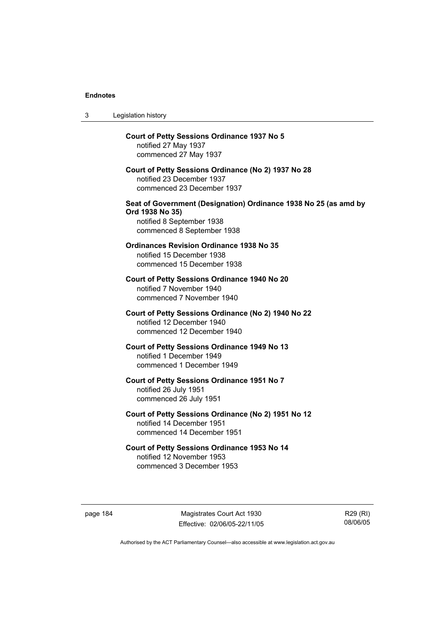| 3 | Legislation history                                                                                                                            |
|---|------------------------------------------------------------------------------------------------------------------------------------------------|
|   | <b>Court of Petty Sessions Ordinance 1937 No 5</b><br>notified 27 May 1937<br>commenced 27 May 1937                                            |
|   | Court of Petty Sessions Ordinance (No 2) 1937 No 28<br>notified 23 December 1937<br>commenced 23 December 1937                                 |
|   | Seat of Government (Designation) Ordinance 1938 No 25 (as amd by<br>Ord 1938 No 35)<br>notified 8 September 1938<br>commenced 8 September 1938 |
|   | <b>Ordinances Revision Ordinance 1938 No 35</b><br>notified 15 December 1938<br>commenced 15 December 1938                                     |
|   | Court of Petty Sessions Ordinance 1940 No 20<br>notified 7 November 1940<br>commenced 7 November 1940                                          |
|   | Court of Petty Sessions Ordinance (No 2) 1940 No 22<br>notified 12 December 1940<br>commenced 12 December 1940                                 |
|   | <b>Court of Petty Sessions Ordinance 1949 No 13</b><br>notified 1 December 1949<br>commenced 1 December 1949                                   |
|   | Court of Petty Sessions Ordinance 1951 No 7<br>notified 26 July 1951<br>commenced 26 July 1951                                                 |
|   | Court of Petty Sessions Ordinance (No 2) 1951 No 12<br>notified 14 December 1951<br>commenced 14 December 1951                                 |
|   | Court of Petty Sessions Ordinance 1953 No 14<br>notified 12 November 1953<br>commenced 3 December 1953                                         |

page 184 Magistrates Court Act 1930 Effective: 02/06/05-22/11/05

R29 (RI) 08/06/05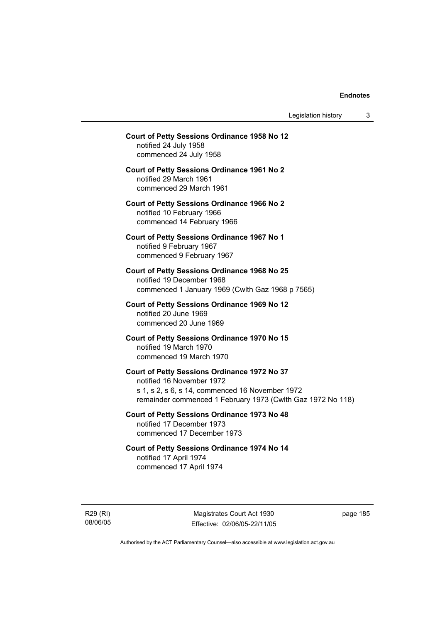Legislation history 3

## **Court of Petty Sessions Ordinance 1958 No 12**  notified 24 July 1958 commenced 24 July 1958 **Court of Petty Sessions Ordinance 1961 No 2**  notified 29 March 1961 commenced 29 March 1961 **Court of Petty Sessions Ordinance 1966 No 2**  notified 10 February 1966 commenced 14 February 1966 **Court of Petty Sessions Ordinance 1967 No 1**  notified 9 February 1967 commenced 9 February 1967 **Court of Petty Sessions Ordinance 1968 No 25**  notified 19 December 1968 commenced 1 January 1969 (Cwlth Gaz 1968 p 7565) **Court of Petty Sessions Ordinance 1969 No 12**  notified 20 June 1969 commenced 20 June 1969 **Court of Petty Sessions Ordinance 1970 No 15**  notified 19 March 1970 commenced 19 March 1970 **Court of Petty Sessions Ordinance 1972 No 37**  notified 16 November 1972 s 1, s 2, s 6, s 14, commenced 16 November 1972 remainder commenced 1 February 1973 (Cwlth Gaz 1972 No 118) **Court of Petty Sessions Ordinance 1973 No 48**  notified 17 December 1973 commenced 17 December 1973 **Court of Petty Sessions Ordinance 1974 No 14**  notified 17 April 1974 commenced 17 April 1974

R29 (RI) 08/06/05

Magistrates Court Act 1930 Effective: 02/06/05-22/11/05 page 185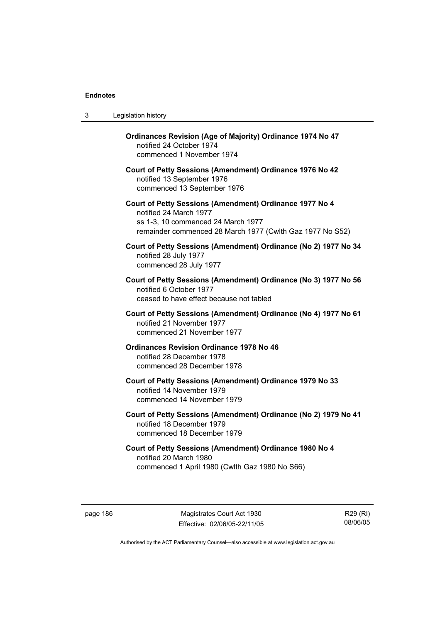| 3 | Legislation history                                                                                                                                                                  |
|---|--------------------------------------------------------------------------------------------------------------------------------------------------------------------------------------|
|   | Ordinances Revision (Age of Majority) Ordinance 1974 No 47<br>notified 24 October 1974<br>commenced 1 November 1974                                                                  |
|   | Court of Petty Sessions (Amendment) Ordinance 1976 No 42<br>notified 13 September 1976<br>commenced 13 September 1976                                                                |
|   | Court of Petty Sessions (Amendment) Ordinance 1977 No 4<br>notified 24 March 1977<br>ss 1-3, 10 commenced 24 March 1977<br>remainder commenced 28 March 1977 (Cwlth Gaz 1977 No S52) |
|   | Court of Petty Sessions (Amendment) Ordinance (No 2) 1977 No 34<br>notified 28 July 1977<br>commenced 28 July 1977                                                                   |
|   | Court of Petty Sessions (Amendment) Ordinance (No 3) 1977 No 56<br>notified 6 October 1977<br>ceased to have effect because not tabled                                               |
|   | Court of Petty Sessions (Amendment) Ordinance (No 4) 1977 No 61<br>notified 21 November 1977<br>commenced 21 November 1977                                                           |
|   | <b>Ordinances Revision Ordinance 1978 No 46</b><br>notified 28 December 1978<br>commenced 28 December 1978                                                                           |
|   | Court of Petty Sessions (Amendment) Ordinance 1979 No 33<br>notified 14 November 1979<br>commenced 14 November 1979                                                                  |
|   | Court of Petty Sessions (Amendment) Ordinance (No 2) 1979 No 41<br>notified 18 December 1979<br>commenced 18 December 1979                                                           |
|   | Court of Petty Sessions (Amendment) Ordinance 1980 No 4<br>notified 20 March 1980<br>commenced 1 April 1980 (Cwlth Gaz 1980 No S66)                                                  |

page 186 Magistrates Court Act 1930 Effective: 02/06/05-22/11/05

R29 (RI) 08/06/05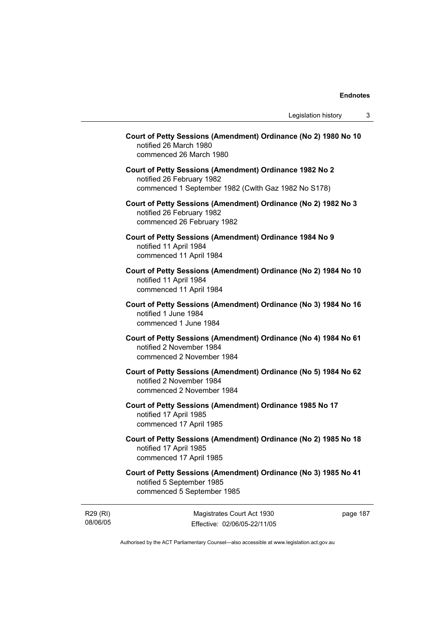| Court of Petty Sessions (Amendment) Ordinance (No 2) 1980 No 10<br>notified 26 March 1980<br>commenced 26 March 1980                        |
|---------------------------------------------------------------------------------------------------------------------------------------------|
| Court of Petty Sessions (Amendment) Ordinance 1982 No 2<br>notified 26 February 1982<br>commenced 1 September 1982 (Cwlth Gaz 1982 No S178) |
| Court of Petty Sessions (Amendment) Ordinance (No 2) 1982 No 3<br>notified 26 February 1982<br>commenced 26 February 1982                   |
| Court of Petty Sessions (Amendment) Ordinance 1984 No 9<br>notified 11 April 1984<br>commenced 11 April 1984                                |
| Court of Petty Sessions (Amendment) Ordinance (No 2) 1984 No 10<br>notified 11 April 1984<br>commenced 11 April 1984                        |
| Court of Petty Sessions (Amendment) Ordinance (No 3) 1984 No 16<br>notified 1 June 1984<br>commenced 1 June 1984                            |
| Court of Petty Sessions (Amendment) Ordinance (No 4) 1984 No 61<br>notified 2 November 1984<br>commenced 2 November 1984                    |
| Court of Petty Sessions (Amendment) Ordinance (No 5) 1984 No 62<br>notified 2 November 1984<br>commenced 2 November 1984                    |
| Court of Petty Sessions (Amendment) Ordinance 1985 No 17<br>notified 17 April 1985<br>commenced 17 April 1985                               |
| Court of Petty Sessions (Amendment) Ordinance (No 2) 1985 No 18<br>notified 17 April 1985<br>commenced 17 April 1985                        |
| Court of Petty Sessions (Amendment) Ordinance (No 3) 1985 No 41<br>notified 5 September 1985<br>commenced 5 September 1985                  |

R29 (RI) 08/06/05

Magistrates Court Act 1930 Effective: 02/06/05-22/11/05 page 187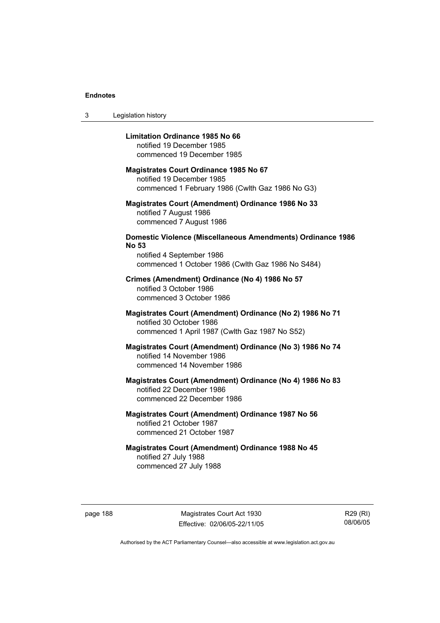3 Legislation history

#### **Limitation Ordinance 1985 No 66**

notified 19 December 1985 commenced 19 December 1985

#### **Magistrates Court Ordinance 1985 No 67**

notified 19 December 1985 commenced 1 February 1986 (Cwlth Gaz 1986 No G3)

#### **Magistrates Court (Amendment) Ordinance 1986 No 33**  notified 7 August 1986 commenced 7 August 1986

## **Domestic Violence (Miscellaneous Amendments) Ordinance 1986 No 53**

notified 4 September 1986 commenced 1 October 1986 (Cwlth Gaz 1986 No S484)

#### **Crimes (Amendment) Ordinance (No 4) 1986 No 57**  notified 3 October 1986

commenced 3 October 1986

#### **Magistrates Court (Amendment) Ordinance (No 2) 1986 No 71**  notified 30 October 1986 commenced 1 April 1987 (Cwlth Gaz 1987 No S52)

#### **Magistrates Court (Amendment) Ordinance (No 3) 1986 No 74**  notified 14 November 1986 commenced 14 November 1986

## **Magistrates Court (Amendment) Ordinance (No 4) 1986 No 83**  notified 22 December 1986 commenced 22 December 1986

## **Magistrates Court (Amendment) Ordinance 1987 No 56**  notified 21 October 1987 commenced 21 October 1987

## **Magistrates Court (Amendment) Ordinance 1988 No 45**  notified 27 July 1988 commenced 27 July 1988

page 188 Magistrates Court Act 1930 Effective: 02/06/05-22/11/05

R29 (RI) 08/06/05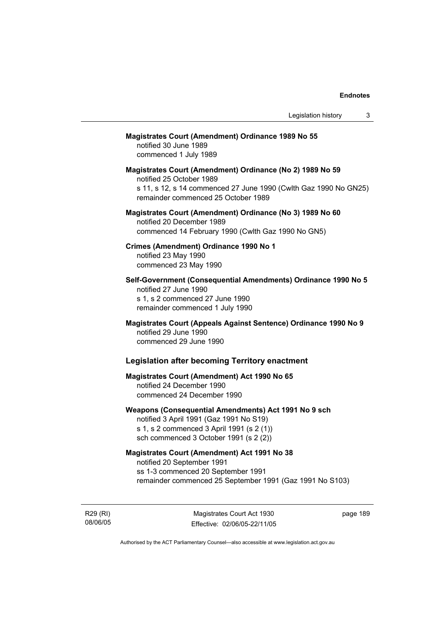#### **Magistrates Court (Amendment) Ordinance 1989 No 55**

notified 30 June 1989 commenced 1 July 1989

**Magistrates Court (Amendment) Ordinance (No 2) 1989 No 59**  notified 25 October 1989 s 11, s 12, s 14 commenced 27 June 1990 (Cwlth Gaz 1990 No GN25) remainder commenced 25 October 1989

#### **Magistrates Court (Amendment) Ordinance (No 3) 1989 No 60**  notified 20 December 1989 commenced 14 February 1990 (Cwlth Gaz 1990 No GN5)

**Crimes (Amendment) Ordinance 1990 No 1**  notified 23 May 1990 commenced 23 May 1990

**Self-Government (Consequential Amendments) Ordinance 1990 No 5**  notified 27 June 1990 s 1, s 2 commenced 27 June 1990 remainder commenced 1 July 1990

**Magistrates Court (Appeals Against Sentence) Ordinance 1990 No 9**  notified 29 June 1990 commenced 29 June 1990

## **Legislation after becoming Territory enactment**

## **Magistrates Court (Amendment) Act 1990 No 65**  notified 24 December 1990 commenced 24 December 1990

## **Weapons (Consequential Amendments) Act 1991 No 9 sch**

notified 3 April 1991 (Gaz 1991 No S19) s 1, s 2 commenced 3 April 1991 (s 2 (1)) sch commenced 3 October 1991 (s 2 (2))

#### **Magistrates Court (Amendment) Act 1991 No 38**

notified 20 September 1991 ss 1-3 commenced 20 September 1991 remainder commenced 25 September 1991 (Gaz 1991 No S103)

R29 (RI) 08/06/05

Magistrates Court Act 1930 Effective: 02/06/05-22/11/05 page 189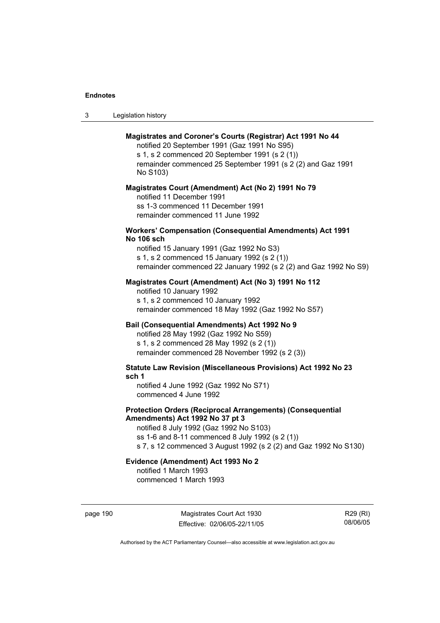| -3 | Legislation history |  |
|----|---------------------|--|
|----|---------------------|--|

#### **Magistrates and Coroner's Courts (Registrar) Act 1991 No 44**

notified 20 September 1991 (Gaz 1991 No S95) s 1, s 2 commenced 20 September 1991 (s 2 (1)) remainder commenced 25 September 1991 (s 2 (2) and Gaz 1991 No S103)

#### **Magistrates Court (Amendment) Act (No 2) 1991 No 79**

notified 11 December 1991 ss 1-3 commenced 11 December 1991 remainder commenced 11 June 1992

#### **Workers' Compensation (Consequential Amendments) Act 1991 No 106 sch**

notified 15 January 1991 (Gaz 1992 No S3) s 1, s 2 commenced 15 January 1992 (s 2 (1)) remainder commenced 22 January 1992 (s 2 (2) and Gaz 1992 No S9)

#### **Magistrates Court (Amendment) Act (No 3) 1991 No 112**

notified 10 January 1992 s 1, s 2 commenced 10 January 1992 remainder commenced 18 May 1992 (Gaz 1992 No S57)

## **Bail (Consequential Amendments) Act 1992 No 9**

notified 28 May 1992 (Gaz 1992 No S59) s 1, s 2 commenced 28 May 1992 (s 2 (1)) remainder commenced 28 November 1992 (s 2 (3))

**Statute Law Revision (Miscellaneous Provisions) Act 1992 No 23 sch 1** 

notified 4 June 1992 (Gaz 1992 No S71) commenced 4 June 1992

#### **Protection Orders (Reciprocal Arrangements) (Consequential Amendments) Act 1992 No 37 pt 3**

notified 8 July 1992 (Gaz 1992 No S103) ss 1-6 and 8-11 commenced 8 July 1992 (s 2 (1)) s 7, s 12 commenced 3 August 1992 (s 2 (2) and Gaz 1992 No S130)

## **Evidence (Amendment) Act 1993 No 2**

notified 1 March 1993 commenced 1 March 1993

page 190 Magistrates Court Act 1930 Effective: 02/06/05-22/11/05

R29 (RI) 08/06/05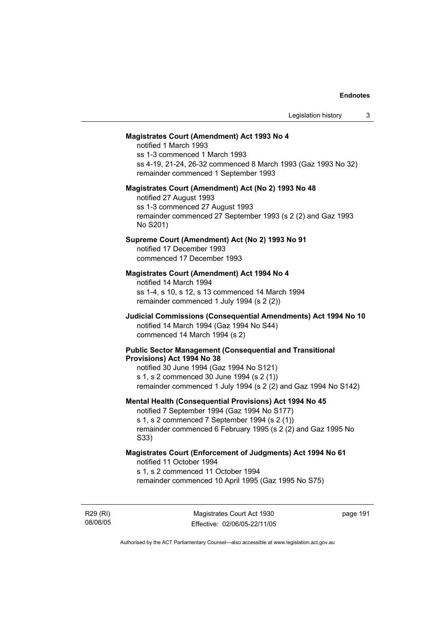#### **Magistrates Court (Amendment) Act 1993 No 4**

notified 1 March 1993 ss 1-3 commenced 1 March 1993 ss 4-19, 21-24, 26-32 commenced 8 March 1993 (Gaz 1993 No 32) remainder commenced 1 September 1993

#### **Magistrates Court (Amendment) Act (No 2) 1993 No 48**

notified 27 August 1993 ss 1-3 commenced 27 August 1993 remainder commenced 27 September 1993 (s 2 (2) and Gaz 1993 No S201)

#### **Supreme Court (Amendment) Act (No 2) 1993 No 91**

notified 17 December 1993 commenced 17 December 1993

#### **Magistrates Court (Amendment) Act 1994 No 4**

notified 14 March 1994 ss 1-4, s 10, s 12, s 13 commenced 14 March 1994 remainder commenced 1 July 1994 (s 2 (2))

#### **Judicial Commissions (Consequential Amendments) Act 1994 No 10**  notified 14 March 1994 (Gaz 1994 No S44) commenced 14 March 1994 (s 2)

#### **Public Sector Management (Consequential and Transitional Provisions) Act 1994 No 38**

notified 30 June 1994 (Gaz 1994 No S121) s 1, s 2 commenced 30 June 1994 (s 2 (1)) remainder commenced 1 July 1994 (s 2 (2) and Gaz 1994 No S142)

#### **Mental Health (Consequential Provisions) Act 1994 No 45**

notified 7 September 1994 (Gaz 1994 No S177) s 1, s 2 commenced 7 September 1994 (s 2 (1)) remainder commenced 6 February 1995 (s 2 (2) and Gaz 1995 No S33)

#### **Magistrates Court (Enforcement of Judgments) Act 1994 No 61**  notified 11 October 1994

s 1, s 2 commenced 11 October 1994

remainder commenced 10 April 1995 (Gaz 1995 No S75)

R29 (RI) 08/06/05

Magistrates Court Act 1930 Effective: 02/06/05-22/11/05 page 191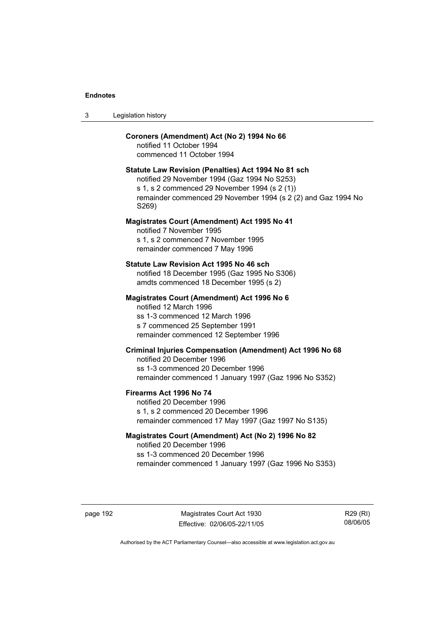| Legislation history<br>-3 |  |
|---------------------------|--|
|---------------------------|--|

#### **Coroners (Amendment) Act (No 2) 1994 No 66**

notified 11 October 1994 commenced 11 October 1994

#### **Statute Law Revision (Penalties) Act 1994 No 81 sch**

notified 29 November 1994 (Gaz 1994 No S253) s 1, s 2 commenced 29 November 1994 (s 2 (1)) remainder commenced 29 November 1994 (s 2 (2) and Gaz 1994 No S269)

#### **Magistrates Court (Amendment) Act 1995 No 41**

notified 7 November 1995 s 1, s 2 commenced 7 November 1995 remainder commenced 7 May 1996

#### **Statute Law Revision Act 1995 No 46 sch**

notified 18 December 1995 (Gaz 1995 No S306) amdts commenced 18 December 1995 (s 2)

#### **Magistrates Court (Amendment) Act 1996 No 6**

notified 12 March 1996 ss 1-3 commenced 12 March 1996 s 7 commenced 25 September 1991 remainder commenced 12 September 1996

## **Criminal Injuries Compensation (Amendment) Act 1996 No 68**

notified 20 December 1996 ss 1-3 commenced 20 December 1996 remainder commenced 1 January 1997 (Gaz 1996 No S352)

#### **Firearms Act 1996 No 74**

notified 20 December 1996 s 1, s 2 commenced 20 December 1996 remainder commenced 17 May 1997 (Gaz 1997 No S135)

#### **Magistrates Court (Amendment) Act (No 2) 1996 No 82**

notified 20 December 1996 ss 1-3 commenced 20 December 1996 remainder commenced 1 January 1997 (Gaz 1996 No S353)

page 192 Magistrates Court Act 1930 Effective: 02/06/05-22/11/05

R29 (RI) 08/06/05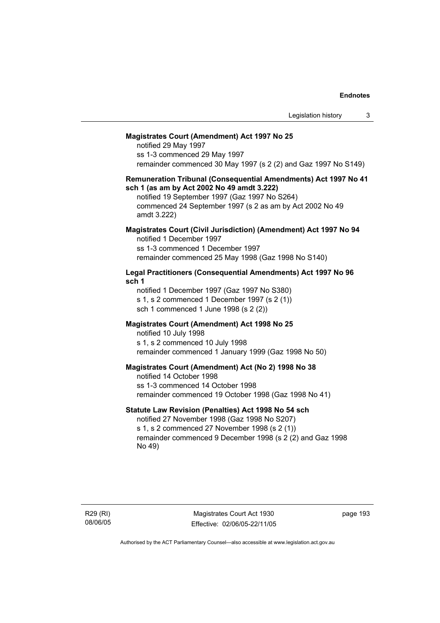#### **Magistrates Court (Amendment) Act 1997 No 25**

notified 29 May 1997 ss 1-3 commenced 29 May 1997 remainder commenced 30 May 1997 (s 2 (2) and Gaz 1997 No S149)

#### **Remuneration Tribunal (Consequential Amendments) Act 1997 No 41 sch 1 (as am by Act 2002 No 49 amdt 3.222)**

notified 19 September 1997 (Gaz 1997 No S264) commenced 24 September 1997 (s 2 as am by Act 2002 No 49 amdt 3.222)

#### **Magistrates Court (Civil Jurisdiction) (Amendment) Act 1997 No 94**  notified 1 December 1997

ss 1-3 commenced 1 December 1997 remainder commenced 25 May 1998 (Gaz 1998 No S140)

#### **Legal Practitioners (Consequential Amendments) Act 1997 No 96 sch 1**

notified 1 December 1997 (Gaz 1997 No S380) s 1, s 2 commenced 1 December 1997 (s 2 (1)) sch 1 commenced 1 June 1998 (s 2 (2))

#### **Magistrates Court (Amendment) Act 1998 No 25**

notified 10 July 1998 s 1, s 2 commenced 10 July 1998 remainder commenced 1 January 1999 (Gaz 1998 No 50)

#### **Magistrates Court (Amendment) Act (No 2) 1998 No 38**

notified 14 October 1998 ss 1-3 commenced 14 October 1998 remainder commenced 19 October 1998 (Gaz 1998 No 41)

#### **Statute Law Revision (Penalties) Act 1998 No 54 sch**

notified 27 November 1998 (Gaz 1998 No S207) s 1, s 2 commenced 27 November 1998 (s 2 (1)) remainder commenced 9 December 1998 (s 2 (2) and Gaz 1998 No 49)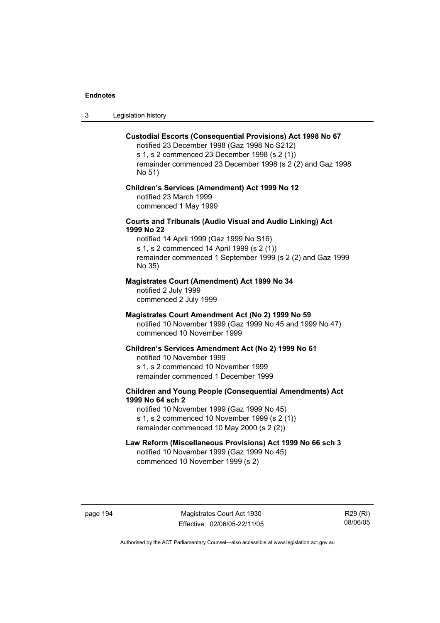3 Legislation history

#### **Custodial Escorts (Consequential Provisions) Act 1998 No 67**

notified 23 December 1998 (Gaz 1998 No S212) s 1, s 2 commenced 23 December 1998 (s 2 (1)) remainder commenced 23 December 1998 (s 2 (2) and Gaz 1998 No 51)

#### **Children's Services (Amendment) Act 1999 No 12**  notified 23 March 1999 commenced 1 May 1999

#### **Courts and Tribunals (Audio Visual and Audio Linking) Act 1999 No 22**

notified 14 April 1999 (Gaz 1999 No S16) s 1, s 2 commenced 14 April 1999 (s 2 (1)) remainder commenced 1 September 1999 (s 2 (2) and Gaz 1999 No 35)

## **Magistrates Court (Amendment) Act 1999 No 34**

notified 2 July 1999 commenced 2 July 1999

#### **Magistrates Court Amendment Act (No 2) 1999 No 59**

notified 10 November 1999 (Gaz 1999 No 45 and 1999 No 47) commenced 10 November 1999

#### **Children's Services Amendment Act (No 2) 1999 No 61**

notified 10 November 1999 s 1, s 2 commenced 10 November 1999 remainder commenced 1 December 1999

## **Children and Young People (Consequential Amendments) Act 1999 No 64 sch 2**

notified 10 November 1999 (Gaz 1999 No 45) s 1, s 2 commenced 10 November 1999 (s 2 (1)) remainder commenced 10 May 2000 (s 2 (2))

## **Law Reform (Miscellaneous Provisions) Act 1999 No 66 sch 3**

notified 10 November 1999 (Gaz 1999 No 45) commenced 10 November 1999 (s 2)

page 194 Magistrates Court Act 1930 Effective: 02/06/05-22/11/05

R29 (RI) 08/06/05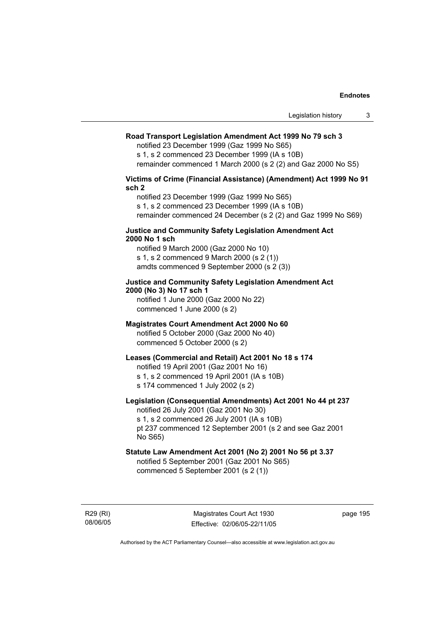#### **Road Transport Legislation Amendment Act 1999 No 79 sch 3**

notified 23 December 1999 (Gaz 1999 No S65)

s 1, s 2 commenced 23 December 1999 (IA s 10B) remainder commenced 1 March 2000 (s 2 (2) and Gaz 2000 No S5)

**Victims of Crime (Financial Assistance) (Amendment) Act 1999 No 91** 

**sch 2** 

notified 23 December 1999 (Gaz 1999 No S65) s 1, s 2 commenced 23 December 1999 (IA s 10B) remainder commenced 24 December (s 2 (2) and Gaz 1999 No S69)

#### **Justice and Community Safety Legislation Amendment Act 2000 No 1 sch**

notified 9 March 2000 (Gaz 2000 No 10) s 1, s 2 commenced 9 March 2000 (s 2 (1)) amdts commenced 9 September 2000 (s 2 (3))

## **Justice and Community Safety Legislation Amendment Act 2000 (No 3) No 17 sch 1**

notified 1 June 2000 (Gaz 2000 No 22) commenced 1 June 2000 (s 2)

#### **Magistrates Court Amendment Act 2000 No 60**

notified 5 October 2000 (Gaz 2000 No 40) commenced 5 October 2000 (s 2)

#### **Leases (Commercial and Retail) Act 2001 No 18 s 174**

notified 19 April 2001 (Gaz 2001 No 16)

s 1, s 2 commenced 19 April 2001 (IA s 10B)

s 174 commenced 1 July 2002 (s 2)

## **Legislation (Consequential Amendments) Act 2001 No 44 pt 237**

notified 26 July 2001 (Gaz 2001 No 30) s 1, s 2 commenced 26 July 2001 (IA s 10B)

pt 237 commenced 12 September 2001 (s 2 and see Gaz 2001 No S65)

## **Statute Law Amendment Act 2001 (No 2) 2001 No 56 pt 3.37**

notified 5 September 2001 (Gaz 2001 No S65) commenced 5 September 2001 (s 2 (1))

R29 (RI) 08/06/05

Magistrates Court Act 1930 Effective: 02/06/05-22/11/05 page 195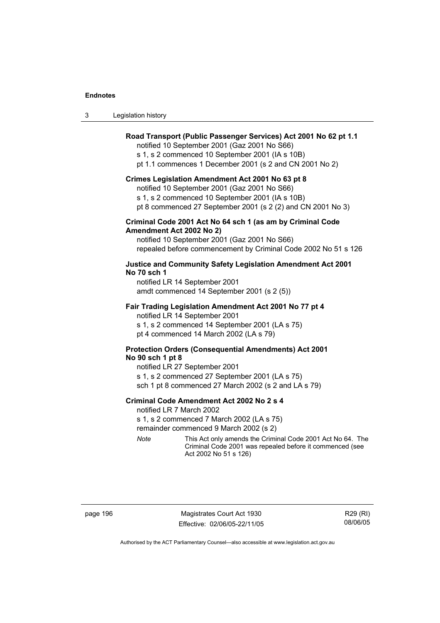| Legislation history |  |  | 3 |
|---------------------|--|--|---|
|---------------------|--|--|---|

#### **Road Transport (Public Passenger Services) Act 2001 No 62 pt 1.1**

notified 10 September 2001 (Gaz 2001 No S66)

s 1, s 2 commenced 10 September 2001 (IA s 10B)

pt 1.1 commences 1 December 2001 (s 2 and CN 2001 No 2)

#### **Crimes Legislation Amendment Act 2001 No 63 pt 8**

notified 10 September 2001 (Gaz 2001 No S66)

s 1, s 2 commenced 10 September 2001 (IA s 10B)

pt 8 commenced 27 September 2001 (s 2 (2) and CN 2001 No 3)

#### **Criminal Code 2001 Act No 64 sch 1 (as am by Criminal Code Amendment Act 2002 No 2)**

notified 10 September 2001 (Gaz 2001 No S66) repealed before commencement by Criminal Code 2002 No 51 s 126

#### **Justice and Community Safety Legislation Amendment Act 2001 No 70 sch 1**

notified LR 14 September 2001 amdt commenced 14 September 2001 (s 2 (5))

#### **Fair Trading Legislation Amendment Act 2001 No 77 pt 4**

notified LR 14 September 2001 s 1, s 2 commenced 14 September 2001 (LA s 75) pt 4 commenced 14 March 2002 (LA s 79)

#### **Protection Orders (Consequential Amendments) Act 2001 No 90 sch 1 pt 8**

notified LR 27 September 2001 s 1, s 2 commenced 27 September 2001 (LA s 75) sch 1 pt 8 commenced 27 March 2002 (s 2 and LA s 79)

#### **Criminal Code Amendment Act 2002 No 2 s 4**

notified LR 7 March 2002

s 1, s 2 commenced 7 March 2002 (LA s 75)

remainder commenced 9 March 2002 (s 2)

*Note* This Act only amends the Criminal Code 2001 Act No 64. The Criminal Code 2001 was repealed before it commenced (see Act 2002 No 51 s 126)

page 196 Magistrates Court Act 1930 Effective: 02/06/05-22/11/05

R29 (RI) 08/06/05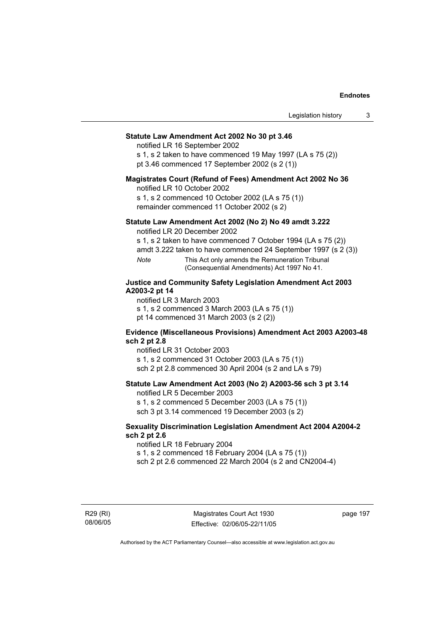## **Statute Law Amendment Act 2002 No 30 pt 3.46**

notified LR 16 September 2002

s 1, s 2 taken to have commenced 19 May 1997 (LA s 75 (2)) pt 3.46 commenced 17 September 2002 (s 2 (1))

#### **Magistrates Court (Refund of Fees) Amendment Act 2002 No 36**

notified LR 10 October 2002

s 1, s 2 commenced 10 October 2002 (LA s 75 (1)) remainder commenced 11 October 2002 (s 2)

#### **Statute Law Amendment Act 2002 (No 2) No 49 amdt 3.222**

notified LR 20 December 2002

s 1, s 2 taken to have commenced 7 October 1994 (LA s 75 (2))

amdt 3.222 taken to have commenced 24 September 1997 (s 2 (3))

*Note* This Act only amends the Remuneration Tribunal (Consequential Amendments) Act 1997 No 41.

#### **Justice and Community Safety Legislation Amendment Act 2003 A2003-2 pt 14**

notified LR 3 March 2003

s 1, s 2 commenced 3 March 2003 (LA s 75 (1))

pt 14 commenced 31 March 2003 (s 2 (2))

#### **Evidence (Miscellaneous Provisions) Amendment Act 2003 A2003-48 sch 2 pt 2.8**

notified LR 31 October 2003

s 1, s 2 commenced 31 October 2003 (LA s 75 (1)) sch 2 pt 2.8 commenced 30 April 2004 (s 2 and LA s 79)

#### **Statute Law Amendment Act 2003 (No 2) A2003-56 sch 3 pt 3.14**

notified LR 5 December 2003 s 1, s 2 commenced 5 December 2003 (LA s 75 (1))

sch 3 pt 3.14 commenced 19 December 2003 (s 2)

#### **Sexuality Discrimination Legislation Amendment Act 2004 A2004-2 sch 2 pt 2.6**

notified LR 18 February 2004

s 1, s 2 commenced 18 February 2004 (LA s 75 (1))

sch 2 pt 2.6 commenced 22 March 2004 (s 2 and CN2004-4)

R29 (RI) 08/06/05

Magistrates Court Act 1930 Effective: 02/06/05-22/11/05 page 197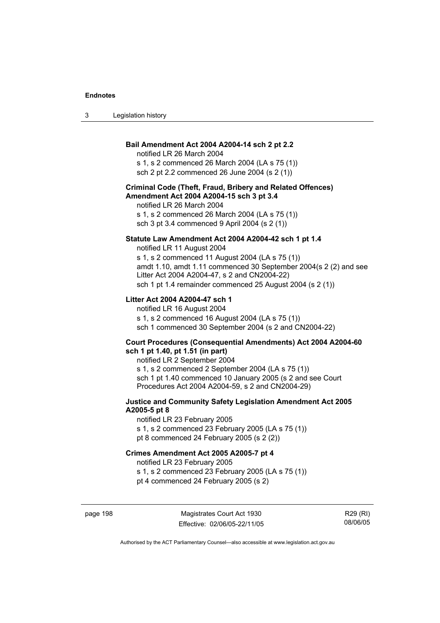3 Legislation history

## **Bail Amendment Act 2004 A2004-14 sch 2 pt 2.2**

notified LR 26 March 2004

s 1, s 2 commenced 26 March 2004 (LA s 75 (1)) sch 2 pt 2.2 commenced 26 June 2004 (s 2 (1))

#### **Criminal Code (Theft, Fraud, Bribery and Related Offences) Amendment Act 2004 A2004-15 sch 3 pt 3.4**

notified LR 26 March 2004 s 1, s 2 commenced 26 March 2004 (LA s 75 (1)) sch 3 pt 3.4 commenced 9 April 2004 (s 2 (1))

#### **Statute Law Amendment Act 2004 A2004-42 sch 1 pt 1.4**

notified LR 11 August 2004 s 1, s 2 commenced 11 August 2004 (LA s 75 (1)) amdt 1.10, amdt 1.11 commenced 30 September 2004(s 2 (2) and see Litter Act 2004 A2004-47, s 2 and CN2004-22) sch 1 pt 1.4 remainder commenced 25 August 2004 (s 2 (1))

#### **Litter Act 2004 A2004-47 sch 1**

notified LR 16 August 2004 s 1, s 2 commenced 16 August 2004 (LA s 75 (1)) sch 1 commenced 30 September 2004 (s 2 and CN2004-22)

#### **Court Procedures (Consequential Amendments) Act 2004 A2004-60 sch 1 pt 1.40, pt 1.51 (in part)**

notified LR 2 September 2004 s 1, s 2 commenced 2 September 2004 (LA s 75 (1)) sch 1 pt 1.40 commenced 10 January 2005 (s 2 and see Court Procedures Act 2004 A2004-59, s 2 and CN2004-29)

#### **Justice and Community Safety Legislation Amendment Act 2005 A2005-5 pt 8**

notified LR 23 February 2005 s 1, s 2 commenced 23 February 2005 (LA s 75 (1)) pt 8 commenced 24 February 2005 (s 2 (2))

#### **Crimes Amendment Act 2005 A2005-7 pt 4**

notified LR 23 February 2005

s 1, s 2 commenced 23 February 2005 (LA s 75 (1)) pt 4 commenced 24 February 2005 (s 2)

page 198 Magistrates Court Act 1930 Effective: 02/06/05-22/11/05

R29 (RI) 08/06/05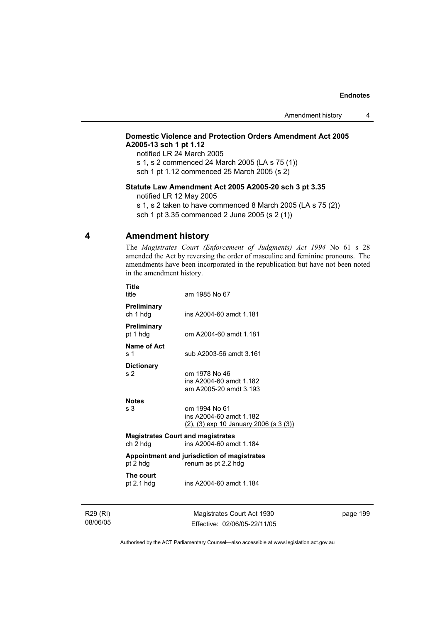## **Domestic Violence and Protection Orders Amendment Act 2005 A2005-13 sch 1 pt 1.12**

notified LR 24 March 2005

s 1, s 2 commenced 24 March 2005 (LA s 75 (1))

sch 1 pt 1.12 commenced 25 March 2005 (s 2)

#### **Statute Law Amendment Act 2005 A2005-20 sch 3 pt 3.35**

notified LR 12 May 2005

s 1, s 2 taken to have commenced 8 March 2005 (LA s 75 (2)) sch 1 pt 3.35 commenced 2 June 2005 (s 2 (1))

## **4 Amendment history**

The *Magistrates Court (Enforcement of Judgments) Act 1994* No 61 s 28 amended the Act by reversing the order of masculine and feminine pronouns. The amendments have been incorporated in the republication but have not been noted in the amendment history.

| Title<br>title                                                                  | am 1985 No 67                                                                      |  |
|---------------------------------------------------------------------------------|------------------------------------------------------------------------------------|--|
| <b>Preliminary</b><br>ch 1 hdg                                                  | ins A2004-60 amdt 1.181                                                            |  |
| <b>Preliminary</b><br>pt 1 hdg                                                  | om A2004-60 amdt 1.181                                                             |  |
| Name of Act<br>s <sub>1</sub>                                                   | sub A2003-56 amdt 3.161                                                            |  |
| <b>Dictionary</b><br>s <sub>2</sub>                                             | om 1978 No 46<br>ins A2004-60 amdt 1.182<br>am A2005-20 amdt 3.193                 |  |
| <b>Notes</b><br>s <sub>3</sub>                                                  | om 1994 No 61<br>ins A2004-60 amdt 1.182<br>(2), (3) exp 10 January 2006 (s 3 (3)) |  |
| <b>Magistrates Court and magistrates</b><br>ch 2 hdg<br>ins A2004-60 amdt 1.184 |                                                                                    |  |
| pt 2 hdg                                                                        | Appointment and jurisdiction of magistrates<br>renum as pt 2.2 hdg                 |  |
| The court<br>pt $2.1$ hdg                                                       | ins A2004-60 amdt 1.184                                                            |  |
|                                                                                 |                                                                                    |  |

R29 (RI) 08/06/05

Magistrates Court Act 1930 Effective: 02/06/05-22/11/05 page 199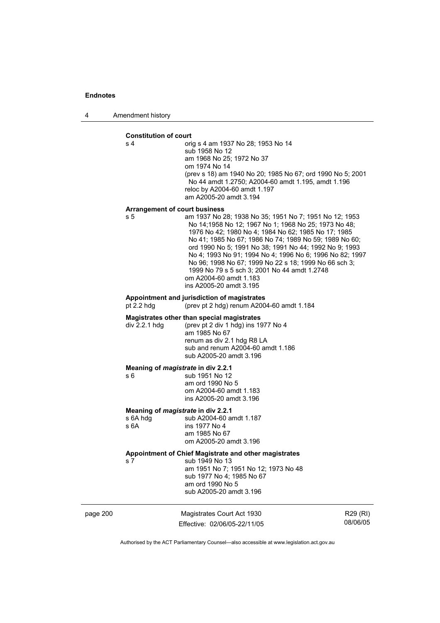4 Amendment history

#### **Constitution of court**

s 4 orig s 4 am 1937 No 28; 1953 No 14 sub 1958 No 12 am 1968 No 25; 1972 No 37 om 1974 No 14 (prev s 18) am 1940 No 20; 1985 No 67; ord 1990 No 5; 2001 No 44 amdt 1.2750; A2004-60 amdt 1.195, amdt 1.196 reloc by A2004-60 amdt 1.197 am A2005-20 amdt 3.194

#### **Arrangement of court business**

s 5 am 1937 No 28; 1938 No 35; 1951 No 7; 1951 No 12; 1953 No 14;1958 No 12; 1967 No 1; 1968 No 25; 1973 No 48; 1976 No 42; 1980 No 4; 1984 No 62; 1985 No 17; 1985 No 41; 1985 No 67; 1986 No 74; 1989 No 59; 1989 No 60; ord 1990 No 5; 1991 No 38; 1991 No 44; 1992 No 9; 1993 No 4; 1993 No 91; 1994 No 4; 1996 No 6; 1996 No 82; 1997 No 96; 1998 No 67; 1999 No 22 s 18; 1999 No 66 sch 3; 1999 No 79 s 5 sch 3; 2001 No 44 amdt 1.2748 om A2004-60 amdt 1.183 ins A2005-20 amdt 3.195

# **Appointment and jurisdiction of magistrates**

(prev pt 2 hdg) renum A2004-60 amdt  $1.184$ 

#### **Magistrates other than special magistrates**

div 2.2.1 hdg (prev pt 2 div 1 hdg) ins 1977 No 4 am 1985 No 67 renum as div 2.1 hdg R8 LA sub and renum A2004-60 amdt 1.186 sub A2005-20 amdt 3.196

#### **Meaning of** *magistrate* **in div 2.2.1**

s 6 sub 1951 No 12 am ord 1990 No 5 om A2004-60 amdt 1.183 ins A2005-20 amdt 3.196

# **Meaning of** *magistrate* **in div 2.2.1 s** 6A hdg sub A2004-60 at

s 6A hdg sub A2004-60 amdt 1.187<br>s 6A ins 1977 No 4 ins 1977 No 4 am 1985 No 67 om A2005-20 amdt 3.196

## **Appointment of Chief Magistrate and other magistrates**

s 7 sub 1949 No 13 am 1951 No 7; 1951 No 12; 1973 No 48 sub 1977 No 4; 1985 No 67 am ord 1990 No 5 sub A2005-20 amdt 3.196

page 200 Magistrates Court Act 1930 Effective: 02/06/05-22/11/05

R29 (RI) 08/06/05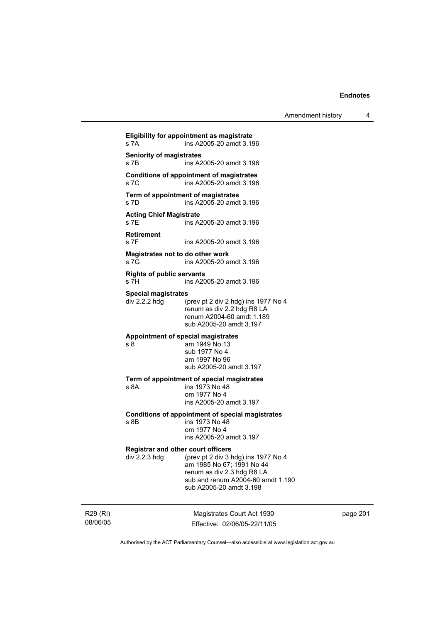| Amendment history |  |
|-------------------|--|
|-------------------|--|

**Eligibility for appointment as magistrate**  s 7A ins A2005-20 amdt 3.196 **Seniority of magistrates**  s 7B ins A2005-20 amdt 3.196 **Conditions of appointment of magistrates**  s 7C ins A2005-20 amdt 3.196 **Term of appointment of magistrates**  s 7D ins A2005-20 amdt 3.196 **Acting Chief Magistrate**  ins A2005-20 amdt 3.196 **Retirement**  s 7F ins A2005-20 amdt 3.196 **Magistrates not to do other work**  s 7G ins A2005-20 amdt 3.196 **Rights of public servants**  s 7H ins A2005-20 amdt 3.196 **Special magistrates**  div 2.2.2 hdg (prev pt 2 div 2 hdg) ins 1977 No 4 renum as div 2.2 hdg R8 LA renum A2004-60 amdt 1.189 sub A2005-20 amdt 3.197 **Appointment of special magistrates**  s 8 am 1949 No 13 sub 1977 No 4 am 1997 No 96 sub A2005-20 amdt 3.197 **Term of appointment of special magistrates**  ins 1973 No 48 om 1977 No 4 ins A2005-20 amdt 3.197 **Conditions of appointment of special magistrates**  s 8B ins 1973 No 48 om 1977 No 4 ins A2005-20 amdt 3.197 **Registrar and other court officers**<br>div 2.2.3 hdg (prev pt 2 div 3 html div 2.2.3 hdg (prev pt 2 div 3 hdg) ins 1977 No 4 am 1985 No 67; 1991 No 44 renum as div 2.3 hdg R8 LA sub and renum A2004-60 amdt 1.190 sub A2005-20 amdt 3.198

R29 (RI) 08/06/05

Magistrates Court Act 1930 Effective: 02/06/05-22/11/05 page 201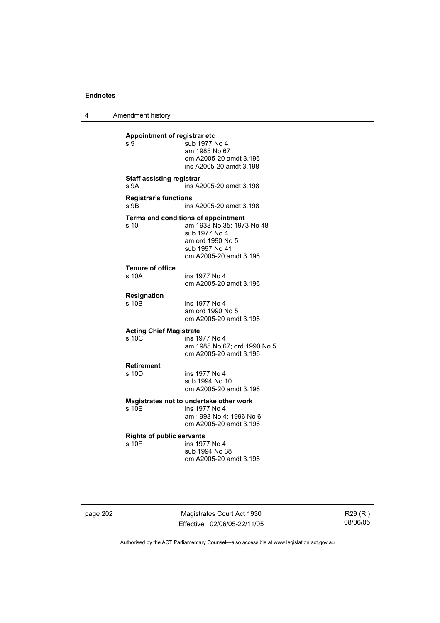4 Amendment history

| Appointment of registrar etc<br>s 9       | sub 1977 No 4<br>am 1985 No 67<br>om A2005-20 amdt 3.196<br>ins A2005-20 amdt 3.198                                                               |
|-------------------------------------------|---------------------------------------------------------------------------------------------------------------------------------------------------|
| <b>Staff assisting registrar</b><br>s 9A  | ins A2005-20 amdt 3.198                                                                                                                           |
| <b>Registrar's functions</b><br>s 9B      | ins A2005-20 amdt 3.198                                                                                                                           |
| s 10                                      | Terms and conditions of appointment<br>am 1938 No 35; 1973 No 48<br>sub 1977 No 4<br>am ord 1990 No 5<br>sub 1997 No 41<br>om A2005-20 amdt 3.196 |
| <b>Tenure of office</b><br>s 10A          | ins 1977 No 4<br>om A2005-20 amdt 3.196                                                                                                           |
| Resignation<br>s 10B                      | ins 1977 No 4<br>am ord 1990 No 5<br>om A2005-20 amdt 3.196                                                                                       |
| <b>Acting Chief Magistrate</b><br>s, 10C  | ins 1977 No 4<br>am 1985 No 67; ord 1990 No 5<br>om A2005-20 amdt 3.196                                                                           |
| <b>Retirement</b><br>s 10D                | ins 1977 No 4<br>sub 1994 No 10<br>om A2005-20 amdt 3.196                                                                                         |
| s 10E                                     | Magistrates not to undertake other work<br>ins 1977 No 4<br>am 1993 No 4; 1996 No 6<br>om A2005-20 amdt 3.196                                     |
| <b>Rights of public servants</b><br>s 10F | ins 1977 No 4<br>sub 1994 No 38<br>om A2005-20 amdt 3.196                                                                                         |

page 202 Magistrates Court Act 1930 Effective: 02/06/05-22/11/05

R29 (RI) 08/06/05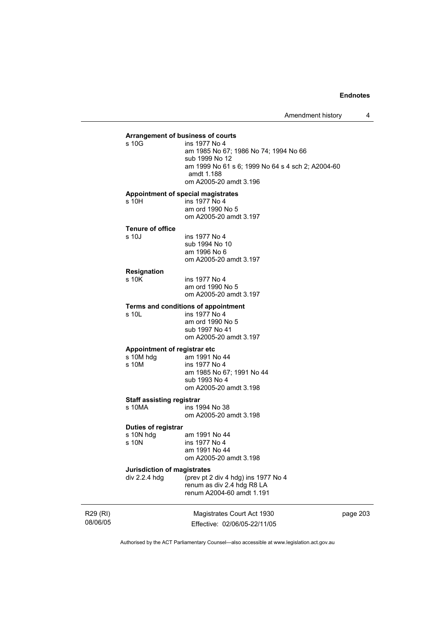### **Arrangement of business of courts**  ins 1977 No 4 am 1985 No 67; 1986 No 74; 1994 No 66 sub 1999 No 12 am 1999 No 61 s 6; 1999 No 64 s 4 sch 2; A2004-60 amdt 1.188 om A2005-20 amdt 3.196 **Appointment of special magistrates**  s 10H ins 1977 No 4 am ord 1990 No 5 om A2005-20 amdt 3.197 **Tenure of office**  s 10J ins 1977 No 4 sub 1994 No 10 am 1996 No 6 om A2005-20 amdt 3.197 **Resignation**  ins 1977 No 4 am ord 1990 No 5 om A2005-20 amdt 3.197 **Terms and conditions of appointment**<br>s 10L ins 1977 No 4  $ins$  1977 No 4 am ord 1990 No 5 sub 1997 No 41 om A2005-20 amdt 3.197 **Appointment of registrar etc**  s 10M hdg am 1991 No 44 s 10M ins 1977 No 4 am 1985 No 67; 1991 No 44 sub 1993 No 4 om A2005-20 amdt 3.198 **Staff assisting registrar**  ins 1994 No 38 om A2005-20 amdt 3.198 **Duties of registrar**  s 10N hdg am 1991 No 44<br>s 10N ins 1977 No 4 ins 1977 No 4 am 1991 No 44 om A2005-20 amdt 3.198 **Jurisdiction of magistrates**  div 2.2.4 hdg (prev pt 2 div 4 hdg) ins 1977 No 4 renum as div 2.4 hdg R8 LA renum A2004-60 amdt 1.191

R29 (RI) 08/06/05

Magistrates Court Act 1930 Effective: 02/06/05-22/11/05 page 203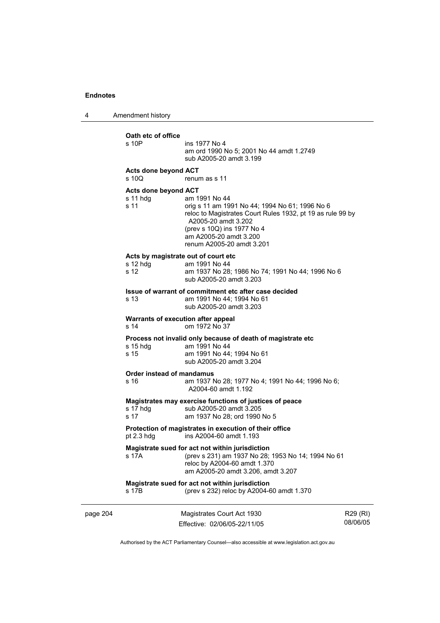4 Amendment history

|          | Oath etc of office<br>s 10P                                                                       | ins 1977 No 4<br>am ord 1990 No 5; 2001 No 44 amdt 1.2749<br>sub A2005-20 amdt 3.199                                                                                                                                                      |                      |  |  |
|----------|---------------------------------------------------------------------------------------------------|-------------------------------------------------------------------------------------------------------------------------------------------------------------------------------------------------------------------------------------------|----------------------|--|--|
|          | Acts done beyond ACT<br>s 10Q                                                                     | renum as s 11                                                                                                                                                                                                                             |                      |  |  |
|          | Acts done beyond ACT<br>s 11 hdg<br>s 11                                                          | am 1991 No 44<br>orig s 11 am 1991 No 44; 1994 No 61; 1996 No 6<br>reloc to Magistrates Court Rules 1932, pt 19 as rule 99 by<br>A2005-20 amdt 3.202<br>(prev s 10Q) ins 1977 No 4<br>am A2005-20 amdt 3.200<br>renum A2005-20 amdt 3.201 |                      |  |  |
|          | Acts by magistrate out of court etc.<br>$s$ 12 hdg<br>s 12                                        | am 1991 No 44<br>am 1937 No 28; 1986 No 74; 1991 No 44; 1996 No 6<br>sub A2005-20 amdt 3.203                                                                                                                                              |                      |  |  |
|          | s 13                                                                                              | Issue of warrant of commitment etc after case decided<br>am 1991 No 44: 1994 No 61<br>sub A2005-20 amdt 3.203                                                                                                                             |                      |  |  |
|          | Warrants of execution after appeal<br>s 14<br>om 1972 No 37                                       |                                                                                                                                                                                                                                           |                      |  |  |
|          | s 15 hdg<br>s 15                                                                                  | Process not invalid only because of death of magistrate etc<br>am 1991 No 44<br>am 1991 No 44; 1994 No 61<br>sub A2005-20 amdt 3.204                                                                                                      |                      |  |  |
|          | Order instead of mandamus<br>s 16                                                                 | am 1937 No 28; 1977 No 4; 1991 No 44; 1996 No 6;<br>A2004-60 amdt 1.192                                                                                                                                                                   |                      |  |  |
|          | s 17 hdg<br>s 17                                                                                  | Magistrates may exercise functions of justices of peace<br>sub A2005-20 amdt 3.205<br>am 1937 No 28; ord 1990 No 5                                                                                                                        |                      |  |  |
|          | Protection of magistrates in execution of their office<br>ins A2004-60 amdt 1.193<br>pt $2.3$ hdg |                                                                                                                                                                                                                                           |                      |  |  |
|          | s 17A                                                                                             | Magistrate sued for act not within jurisdiction<br>(prev s 231) am 1937 No 28; 1953 No 14; 1994 No 61<br>reloc by A2004-60 amdt 1.370<br>am A2005-20 amdt 3.206, amdt 3.207                                                               |                      |  |  |
|          | s 17B                                                                                             | Magistrate sued for act not within jurisdiction<br>(prev s 232) reloc by A2004-60 amdt 1.370                                                                                                                                              |                      |  |  |
| page 204 |                                                                                                   | Magistrates Court Act 1930<br>Effective: 02/06/05-22/11/05                                                                                                                                                                                | R29 (RI)<br>08/06/05 |  |  |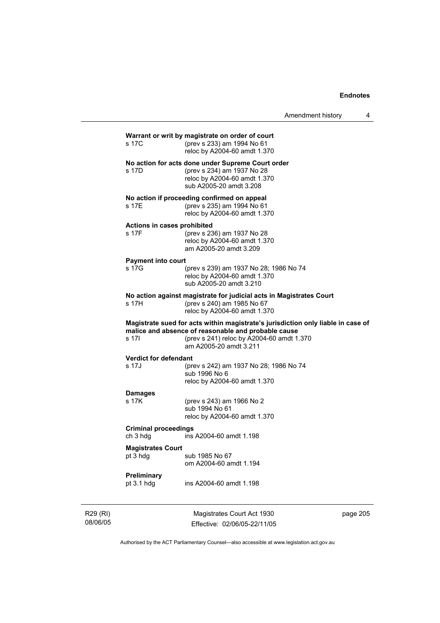| R29 (RI) |                                                                   | Magistrates Court Act 1930                                                                                                                                                                                     | page 205 |
|----------|-------------------------------------------------------------------|----------------------------------------------------------------------------------------------------------------------------------------------------------------------------------------------------------------|----------|
|          | Preliminary<br>pt $3.1$ hdg                                       | ins A2004-60 amdt 1.198                                                                                                                                                                                        |          |
|          | <b>Magistrates Court</b><br>pt 3 hdg                              | sub 1985 No 67<br>om A2004-60 amdt 1.194                                                                                                                                                                       |          |
|          | <b>Criminal proceedings</b><br>ch 3 hdg                           | ins A2004-60 amdt 1.198                                                                                                                                                                                        |          |
|          | <b>Damages</b><br>s 17K                                           | (prev s 243) am 1966 No 2<br>sub 1994 No 61<br>reloc by A2004-60 amdt 1.370                                                                                                                                    |          |
|          | Verdict for defendant<br>s 17J                                    | (prev s 242) am 1937 No 28; 1986 No 74<br>sub 1996 No 6<br>reloc by A2004-60 amdt 1.370                                                                                                                        |          |
|          | s 17I                                                             | Magistrate sued for acts within magistrate's jurisdiction only liable in case of<br>malice and absence of reasonable and probable cause<br>(prev s 241) reloc by A2004-60 amdt 1.370<br>am A2005-20 amdt 3.211 |          |
|          | s 17H                                                             | No action against magistrate for judicial acts in Magistrates Court<br>(prev s 240) am 1985 No 67<br>reloc by A2004-60 amdt 1.370                                                                              |          |
|          | s 17G                                                             | (prev s 239) am 1937 No 28; 1986 No 74<br>reloc by A2004-60 amdt 1.370<br>sub A2005-20 amdt 3.210                                                                                                              |          |
|          | Actions in cases prohibited<br>s 17F<br><b>Payment into court</b> | (prev s 236) am 1937 No 28<br>reloc by A2004-60 amdt 1.370<br>am A2005-20 amdt 3.209                                                                                                                           |          |
|          | s 17E                                                             | No action if proceeding confirmed on appeal<br>(prev s 235) am 1994 No 61<br>reloc by A2004-60 amdt 1.370                                                                                                      |          |
|          | s 17D                                                             | No action for acts done under Supreme Court order<br>(prev s 234) am 1937 No 28<br>reloc by A2004-60 amdt 1.370<br>sub A2005-20 amdt 3.208                                                                     |          |
|          | s 17C                                                             | Warrant or writ by magistrate on order of court<br>(prev s 233) am 1994 No 61<br>reloc by A2004-60 amdt 1.370                                                                                                  |          |
|          |                                                                   |                                                                                                                                                                                                                |          |

Authorised by the ACT Parliamentary Counsel—also accessible at www.legislation.act.gov.au

Effective: 02/06/05-22/11/05

08/06/05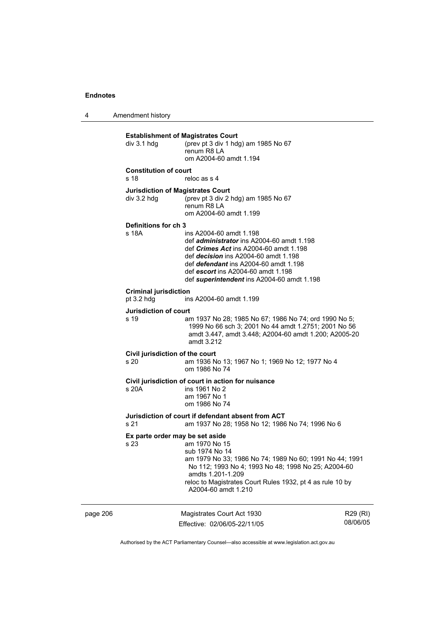4 Amendment history

|          | div 3.1 hdg                                     | <b>Establishment of Magistrates Court</b><br>(prev pt 3 div 1 hdg) am 1985 No 67<br>renum R8 LA<br>om A2004-60 amdt 1.194                                                                                                                                                                                       |                      |
|----------|-------------------------------------------------|-----------------------------------------------------------------------------------------------------------------------------------------------------------------------------------------------------------------------------------------------------------------------------------------------------------------|----------------------|
|          | <b>Constitution of court</b><br>s <sub>18</sub> | reloc as s 4                                                                                                                                                                                                                                                                                                    |                      |
|          | div 3.2 hdg                                     | <b>Jurisdiction of Magistrates Court</b><br>(prev pt 3 div 2 hdg) am 1985 No 67<br>renum R8 LA<br>om A2004-60 amdt 1.199                                                                                                                                                                                        |                      |
|          | Definitions for ch 3<br>s 18A                   | ins A2004-60 amdt 1.198<br>def <i>administrator</i> ins A2004-60 amdt 1.198<br>def <i>Crimes Act</i> ins A2004-60 amdt 1.198<br>def <i>decision</i> ins A2004-60 amdt 1.198<br>def <i>defendant</i> ins A2004-60 amdt 1.198<br>def escort ins A2004-60 amdt 1.198<br>def superintendent ins A2004-60 amdt 1.198 |                      |
|          | <b>Criminal jurisdiction</b><br>pt 3.2 hdg      | ins A2004-60 amdt 1.199                                                                                                                                                                                                                                                                                         |                      |
|          | Jurisdiction of court<br>s 19                   | am 1937 No 28; 1985 No 67; 1986 No 74; ord 1990 No 5;<br>1999 No 66 sch 3; 2001 No 44 amdt 1.2751; 2001 No 56<br>amdt 3.447, amdt 3.448; A2004-60 amdt 1.200; A2005-20<br>amdt 3.212                                                                                                                            |                      |
|          | Civil jurisdiction of the court<br>s 20         | am 1936 No 13; 1967 No 1; 1969 No 12; 1977 No 4<br>om 1986 No 74                                                                                                                                                                                                                                                |                      |
|          | s 20A                                           | Civil jurisdiction of court in action for nuisance<br>ins 1961 No 2<br>am 1967 No 1<br>om 1986 No 74                                                                                                                                                                                                            |                      |
|          | s 21                                            | Jurisdiction of court if defendant absent from ACT<br>am 1937 No 28; 1958 No 12; 1986 No 74; 1996 No 6                                                                                                                                                                                                          |                      |
|          | s 23                                            | Ex parte order may be set aside<br>am 1970 No 15<br>sub 1974 No 14<br>am 1979 No 33; 1986 No 74; 1989 No 60; 1991 No 44; 1991<br>No 112; 1993 No 4; 1993 No 48; 1998 No 25; A2004-60<br>amdts 1.201-1.209<br>reloc to Magistrates Court Rules 1932, pt 4 as rule 10 by<br>A2004-60 amdt 1.210                   |                      |
| page 206 |                                                 | Magistrates Court Act 1930<br>Effective: 02/06/05-22/11/05                                                                                                                                                                                                                                                      | R29 (RI)<br>08/06/05 |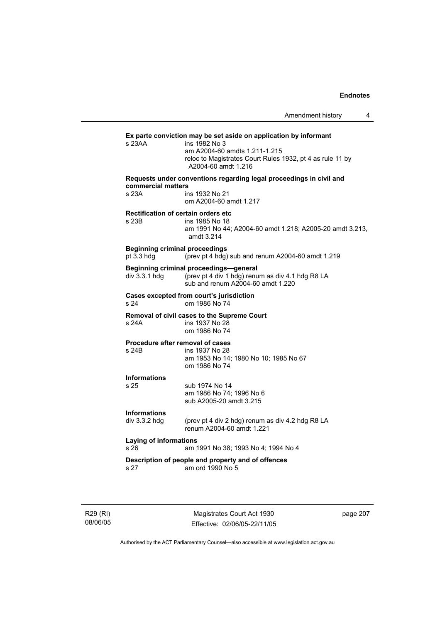# **Ex parte conviction may be set aside on application by informant**  ins 1982 No 3 am A2004-60 amdts 1.211-1.215 reloc to Magistrates Court Rules 1932, pt 4 as rule 11 by A2004-60 amdt 1.216 **Requests under conventions regarding legal proceedings in civil and commercial matters**  s 23A ins 1932 No 21 om A2004-60 amdt 1.217 **Rectification of certain orders etc**  ins 1985 No 18 am 1991 No 44; A2004-60 amdt 1.218; A2005-20 amdt 3.213, amdt 3.214 **Beginning criminal proceedings**  pt 3.3 hdg (prev pt 4 hdg) sub and renum A2004-60 amdt 1.219 **Beginning criminal proceedings—general**  div 3.3.1 hdg (prev pt 4 div 1 hdg) renum as div 4.1 hdg R8 LA sub and renum A2004-60 amdt 1.220 **Cases excepted from court's jurisdiction**  s 24 om 1986 No 74 **Removal of civil cases to the Supreme Court**  s 24A ins 1937 No 28 om 1986 No 74 **Procedure after removal of cases**  s 24B ins 1937 No 28 am 1953 No 14; 1980 No 10; 1985 No 67 om 1986 No 74 **Informations**  s 25 sub 1974 No 14 am 1986 No 74; 1996 No 6 sub A2005-20 amdt 3.215 **Informations**  div 3.3.2 hdg (prev pt 4 div 2 hdg) renum as div 4.2 hdg R8 LA renum A2004-60 amdt 1.221 **Laying of informations**  s 26 am 1991 No 38; 1993 No 4; 1994 No 4 **Description of people and property and of offences**  s 27 am ord 1990 No 5

R29 (RI) 08/06/05

Magistrates Court Act 1930 Effective: 02/06/05-22/11/05 page 207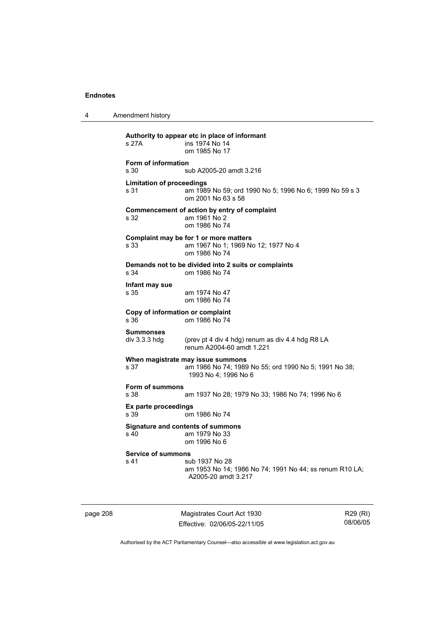4 Amendment history

**Authority to appear etc in place of informant**  ins 1974 No 14 om 1985 No 17 **Form of information**  s 30 sub A2005-20 amdt 3.216 **Limitation of proceedings**  s 31 am 1989 No 59; ord 1990 No 5; 1996 No 6; 1999 No 59 s 3 om 2001 No 63 s 58 **Commencement of action by entry of complaint**  s 32 am 1961 No 2 om 1986 No 74 **Complaint may be for 1 or more matters**  s 33 am 1967 No 1; 1969 No 12; 1977 No 4 om 1986 No 74 **Demands not to be divided into 2 suits or complaints**  s 34 om 1986 No 74 **Infant may sue**  s 35 am 1974 No 47 om 1986 No 74 **Copy of information or complaint**  om 1986 No 74 **Summonses**  div 3.3.3 hdg (prev pt 4 div 4 hdg) renum as div 4.4 hdg R8 LA renum A2004-60 amdt 1.221 **When magistrate may issue summons**  s 37 am 1986 No 74; 1989 No 55; ord 1990 No 5; 1991 No 38; 1993 No 4; 1996 No 6 **Form of summons**  s 38 am 1937 No 28; 1979 No 33; 1986 No 74; 1996 No 6 **Ex parte proceedings**  s 39 om 1986 No 74 **Signature and contents of summons**  am 1979 No 33 om 1996 No 6 **Service of summons**  s 41 sub 1937 No 28 am 1953 No 14; 1986 No 74; 1991 No 44; ss renum R10 LA; A2005-20 amdt 3.217

page 208 Magistrates Court Act 1930 Effective: 02/06/05-22/11/05

R29 (RI) 08/06/05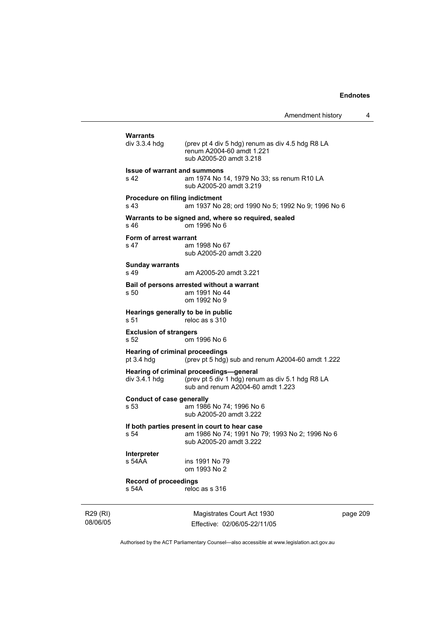```
Warrants 
                 (prev pt 4 div 5 hdg) renum as div 4.5 hdg R8 LA
                  renum A2004-60 amdt 1.221 
                  sub A2005-20 amdt 3.218 
Issue of warrant and summons 
s 42 am 1974 No 14, 1979 No 33; ss renum R10 LA 
                  sub A2005-20 amdt 3.219 
Procedure on filing indictment 
s 43 am 1937 No 28; ord 1990 No 5; 1992 No 9; 1996 No 6 
Warrants to be signed and, where so required, sealed 
s 46 om 1996 No 6 
Form of arrest warrant 
s 47 am 1998 No 67 
                  sub A2005-20 amdt 3.220 
Sunday warrants 
s 49 am A2005-20 amdt 3.221 
Bail of persons arrested without a warrant 
s 50 am 1991 No 44 
                  om 1992 No 9 
Hearings generally to be in public 
s 51 reloc as s 310
Exclusion of strangers 
s 52 om 1996 No 6 
Hearing of criminal proceedings<br>pt 3.4 hdg (prev pt 5 hdg)
                 \frac{1}{2} (prev pt 5 hdg) sub and renum A2004-60 amdt 1.222
Hearing of criminal proceedings—general 
div 3.4.1 hdg (prev pt 5 div 1 hdg) renum as div 5.1 hdg R8 LA 
                  sub and renum A2004-60 amdt 1.223 
Conduct of case generally 
s 53 am 1986 No 74; 1996 No 6 
                  sub A2005-20 amdt 3.222 
If both parties present in court to hear case 
                 am 1986 No 74; 1991 No 79; 1993 No 2; 1996 No 6
                  sub A2005-20 amdt 3.222 
Interpreter 
                 ins 1991 No 79
                  om 1993 No 2 
Record of proceedings 
s 54A reloc as s 316
```
R29 (RI) 08/06/05

Magistrates Court Act 1930 Effective: 02/06/05-22/11/05 page 209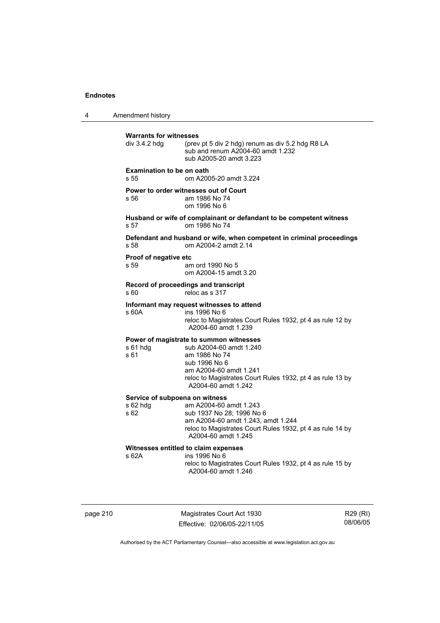4 Amendment history **Warrants for witnesses**<br>div 3.4.2 hdg (prev (prev pt 5 div 2 hdg) renum as div  $5.2$  hdg R8 LA sub and renum A2004-60 amdt 1.232 sub A2005-20 amdt 3.223 **Examination to be on oath**  s 55 om A2005-20 amdt 3.224 **Power to order witnesses out of Court**  s 56 am 1986 No 74 om 1996 No 6 **Husband or wife of complainant or defandant to be competent witness**  s 57 om 1986 No 74 **Defendant and husband or wife, when competent in criminal proceedings**  s 58 om A2004-2 amdt 2.14 **Proof of negative etc**  s 59 am ord 1990 No 5 om A2004-15 amdt 3.20 **Record of proceedings and transcript**  s 60 reloc as s 317 **Informant may request witnesses to attend**  ins 1996 No 6 reloc to Magistrates Court Rules 1932, pt 4 as rule 12 by A2004-60 amdt 1.239 **Power of magistrate to summon witnesses**  s 61 hdg sub A2004-60 amdt 1.240 s 61 am 1986 No 74 sub 1996 No 6 am A2004-60 amdt 1.241 reloc to Magistrates Court Rules 1932, pt 4 as rule 13 by A2004-60 amdt 1.242 **Service of subpoena on witness**  s 62 hdg am A2004-60 amdt 1.243 s 62 sub 1937 No 28; 1996 No 6 am A2004-60 amdt 1.243, amdt 1.244 reloc to Magistrates Court Rules 1932, pt 4 as rule 14 by A2004-60 amdt 1.245 **Witnesses entitled to claim expenses**  s 62A ins 1996 No 6 reloc to Magistrates Court Rules 1932, pt 4 as rule 15 by A2004-60 amdt 1.246

page 210 Magistrates Court Act 1930 Effective: 02/06/05-22/11/05

R29 (RI) 08/06/05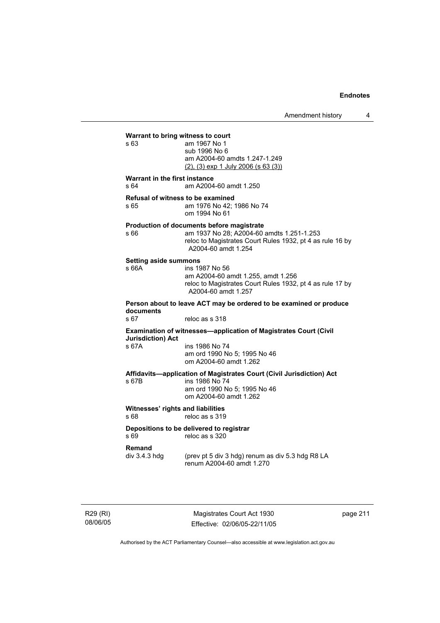Amendment history 4

#### **Warrant to bring witness to court**

| s 63 | am 1967 No 1                                |
|------|---------------------------------------------|
|      | sub 1996 No 6                               |
|      | am A2004-60 amdts 1.247-1.249               |
|      | $(2)$ , $(3)$ exp 1 July 2006 (s 63 $(3)$ ) |

#### **Warrant in the first instance**

s 64 am A2004-60 amdt 1.250

**Refusal of witness to be examined** 

s 65 am 1976 No 42; 1986 No 74 om 1994 No 61

# **Production of documents before magistrate**

am 1937 No 28; A2004-60 amdts 1.251-1.253 reloc to Magistrates Court Rules 1932, pt 4 as rule 16 by A2004-60 amdt 1.254

#### **Setting aside summons**

s 66A ins 1987 No 56

s 63

 am A2004-60 amdt 1.255, amdt 1.256 reloc to Magistrates Court Rules 1932, pt 4 as rule 17 by A2004-60 amdt 1.257

**Person about to leave ACT may be ordered to be examined or produce documents** 

reloc as s 318

#### **Examination of witnesses—application of Magistrates Court (Civil Jurisdiction) Act**

s 67A ins 1986 No 74 am ord 1990 No 5; 1995 No 46 om A2004-60 amdt 1.262

#### **Affidavits—application of Magistrates Court (Civil Jurisdiction) Act**  s 67B ins 1986 No 74

 am ord 1990 No 5; 1995 No 46 om A2004-60 amdt 1.262

# **Witnesses' rights and liabilities**

s 68 reloc as s 319

#### **Depositions to be delivered to registrar**  s 69 reloc as s 320

**Remand** 

div 3.4.3 hdg (prev pt 5 div 3 hdg) renum as div 5.3 hdg R8 LA renum A2004-60 amdt 1.270

R29 (RI) 08/06/05

Magistrates Court Act 1930 Effective: 02/06/05-22/11/05 page 211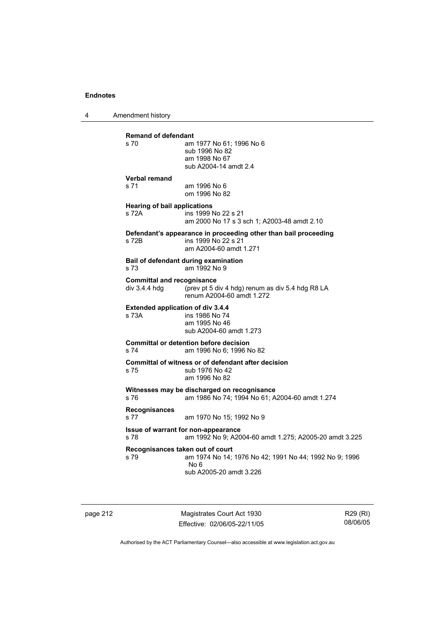4 Amendment history

| <b>Remand of defendant</b>               |                                                                                               |
|------------------------------------------|-----------------------------------------------------------------------------------------------|
| s 70                                     | am 1977 No 61; 1996 No 6<br>sub 1996 No 82                                                    |
|                                          | am 1998 No 67                                                                                 |
|                                          | sub A2004-14 amdt 2.4                                                                         |
| <b>Verbal remand</b>                     |                                                                                               |
| s 71                                     | am 1996 No 6<br>om 1996 No 82                                                                 |
| <b>Hearing of bail applications</b>      |                                                                                               |
| s 72A                                    | ins 1999 No 22 s 21<br>am 2000 No 17 s 3 sch 1; A2003-48 amdt 2.10                            |
|                                          | Defendant's appearance in proceeding other than bail proceeding                               |
| s 72B                                    | ins 1999 No 22 s 21<br>am A2004-60 amdt 1.271                                                 |
| s 73                                     | Bail of defendant during examination<br>am 1992 No 9                                          |
| <b>Committal and recognisance</b>        |                                                                                               |
| div $3.4.4$ hdg                          | (prev pt 5 div 4 hdg) renum as div 5.4 hdg R8 LA<br>renum A2004-60 amdt 1.272                 |
| <b>Extended application of div 3.4.4</b> |                                                                                               |
| s 73A                                    | ins 1986 No 74<br>am 1995 No 46                                                               |
|                                          | sub A2004-60 amdt 1.273                                                                       |
|                                          | <b>Committal or detention before decision</b>                                                 |
| s 74                                     | am 1996 No 6: 1996 No 82                                                                      |
|                                          | Committal of witness or of defendant after decision                                           |
| s 75                                     | sub 1976 No 42<br>am 1996 No 82                                                               |
|                                          | Witnesses may be discharged on recognisance                                                   |
| s 76                                     | am 1986 No 74; 1994 No 61; A2004-60 amdt 1.274                                                |
| Recognisances                            |                                                                                               |
| s 77                                     | am 1970 No 15; 1992 No 9                                                                      |
| s 78                                     | Issue of warrant for non-appearance<br>am 1992 No 9; A2004-60 amdt 1.275; A2005-20 amdt 3.225 |
| Recognisances taken out of court         |                                                                                               |
| s 79                                     | am 1974 No 14; 1976 No 42; 1991 No 44; 1992 No 9; 1996                                        |
|                                          | No 6<br>sub A2005-20 amdt 3.226                                                               |
|                                          |                                                                                               |
|                                          |                                                                                               |

page 212 Magistrates Court Act 1930 Effective: 02/06/05-22/11/05

R29 (RI) 08/06/05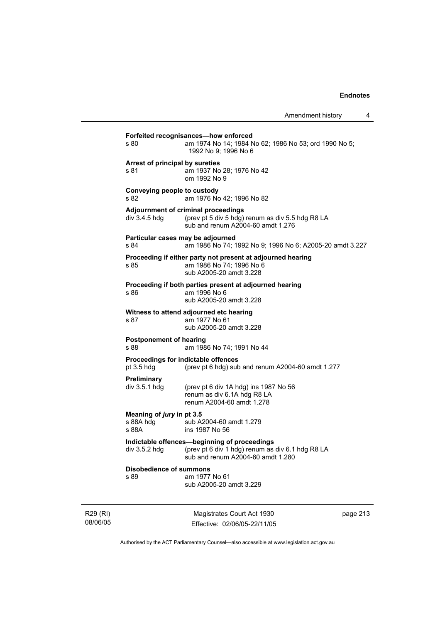|                                                     | Magistrates Court Act 1930                                                                                                            | page 213 |
|-----------------------------------------------------|---------------------------------------------------------------------------------------------------------------------------------------|----------|
| <b>Disobedience of summons</b><br>s 89              | am 1977 No 61<br>sub A2005-20 amdt 3.229                                                                                              |          |
| div 3.5.2 hdg                                       | Indictable offences-beginning of proceedings<br>(prev pt 6 div 1 hdg) renum as div 6.1 hdg R8 LA<br>sub and renum A2004-60 amdt 1.280 |          |
| Meaning of jury in pt 3.5<br>s 88A hdq<br>s 88A     | sub A2004-60 amdt 1.279<br>ins 1987 No 56                                                                                             |          |
| Preliminary<br>div $3.5.1$ hdg                      | (prev pt 6 div 1A hdg) ins 1987 No 56<br>renum as div 6.1A hdg R8 LA<br>renum A2004-60 amdt 1.278                                     |          |
| Proceedings for indictable offences<br>pt $3.5$ hdg | (prev pt 6 hdg) sub and renum A2004-60 amdt 1.277                                                                                     |          |
| <b>Postponement of hearing</b><br>s 88              | am 1986 No 74; 1991 No 44                                                                                                             |          |
| s 87                                                | Witness to attend adjourned etc hearing<br>am 1977 No 61<br>sub A2005-20 amdt 3.228                                                   |          |
| s 86                                                | Proceeding if both parties present at adjourned hearing<br>am 1996 No 6<br>sub A2005-20 amdt 3.228                                    |          |
| s 85                                                | Proceeding if either party not present at adjourned hearing<br>am 1986 No 74; 1996 No 6<br>sub A2005-20 amdt 3.228                    |          |
| Particular cases may be adjourned<br>s 84           | am 1986 No 74; 1992 No 9; 1996 No 6; A2005-20 amdt 3.227                                                                              |          |
| div 3.4.5 hdg                                       | Adjournment of criminal proceedings<br>(prev pt 5 div 5 hdg) renum as div 5.5 hdg R8 LA<br>sub and renum A2004-60 amdt 1.276          |          |
| Conveying people to custody<br>s 82                 | am 1976 No 42; 1996 No 82                                                                                                             |          |
| Arrest of principal by sureties<br>s 81             | am 1937 No 28; 1976 No 42<br>om 1992 No 9                                                                                             |          |
| s 80                                                | Forfeited recognisances-how enforced<br>am 1974 No 14; 1984 No 62; 1986 No 53; ord 1990 No 5;<br>1992 No 9; 1996 No 6                 |          |
|                                                     |                                                                                                                                       |          |

R29 (RI) 08/06/05

Effective: 02/06/05-22/11/05

 $\overline{3}$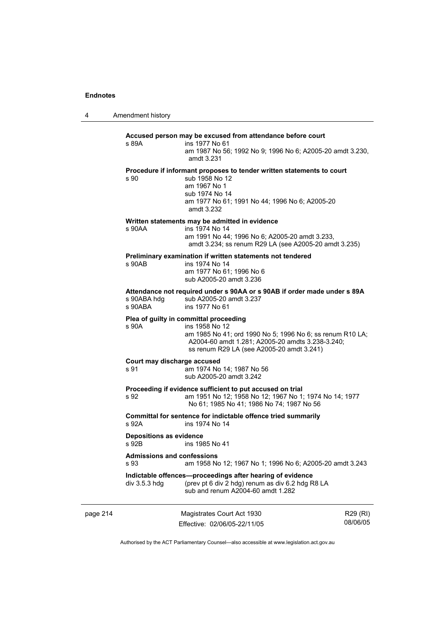4 Amendment history

# **Accused person may be excused from attendance before court**  s 89A ins 1977 No 61 am 1987 No 56; 1992 No 9; 1996 No 6; A2005-20 amdt 3.230, amdt 3.231 **Procedure if informant proposes to tender written statements to court**  s 90 sub 1958 No 12 am 1967 No 1 sub 1974 No 14 am 1977 No 61; 1991 No 44; 1996 No 6; A2005-20 amdt 3.232 **Written statements may be admitted in evidence**  s 90AA ins 1974 No 14 am 1991 No 44; 1996 No 6; A2005-20 amdt 3.233, amdt 3.234; ss renum R29 LA (see A2005-20 amdt 3.235) **Preliminary examination if written statements not tendered**  ins 1974 No 14 am 1977 No 61; 1996 No 6 sub A2005-20 amdt 3.236 **Attendance not required under s 90AA or s 90AB if order made under s 89A**  s 90ABA hdg sub A2005-20 amdt 3.237<br>s 90ABA ins 1977 No 61 ins 1977 No 61 **Plea of guilty in committal proceeding**  s 90A ins 1958 No 12 am 1985 No 41; ord 1990 No 5; 1996 No 6; ss renum R10 LA; A2004-60 amdt 1.281; A2005-20 amdts 3.238-3.240; ss renum R29 LA (see A2005-20 amdt 3.241) **Court may discharge accused**  s 91 am 1974 No 14; 1987 No 56 sub A2005-20 amdt 3.242 **Proceeding if evidence sufficient to put accused on trial**  s 92 am 1951 No 12; 1958 No 12; 1967 No 1; 1974 No 14; 1977 No 61; 1985 No 41; 1986 No 74; 1987 No 56 **Committal for sentence for indictable offence tried summarily**  s 92A ins 1974 No 14 **Depositions as evidence**  s 92B ins 1985 No 41 **Admissions and confessions**  s 93 am 1958 No 12; 1967 No 1; 1996 No 6; A2005-20 amdt 3.243 **Indictable offences—proceedings after hearing of evidence**  div 3.5.3 hdg (prev pt 6 div 2 hdg) renum as div 6.2 hdg R8 LA sub and renum A2004-60 amdt 1.282

page 214 Magistrates Court Act 1930 Effective: 02/06/05-22/11/05

R29 (RI) 08/06/05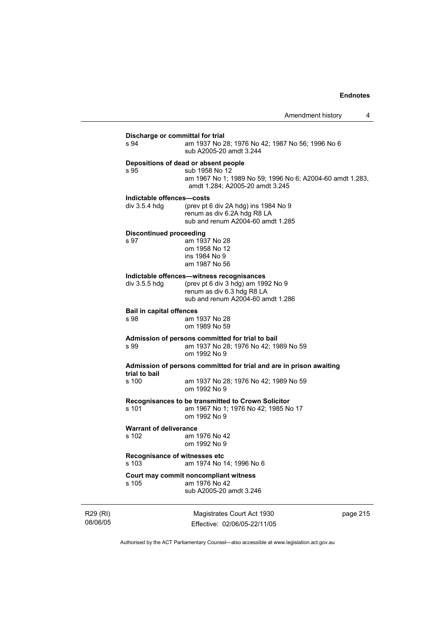| s 94                            | Discharge or committal for trial<br>am 1937 No 28; 1976 No 42; 1987 No 56; 1996 No 6<br>sub A2005-20 amdt 3.244                                        |
|---------------------------------|--------------------------------------------------------------------------------------------------------------------------------------------------------|
| s 95                            | Depositions of dead or absent people<br>sub 1958 No 12<br>am 1967 No 1; 1989 No 59; 1996 No 6; A2004-60 amdt 1.283,<br>amdt 1.284; A2005-20 amdt 3.245 |
| Indictable offences-costs       |                                                                                                                                                        |
| div 3.5.4 hdg                   | (prev pt 6 div 2A hdg) ins $1984$ No 9<br>renum as div 6.2A hdg R8 LA<br>sub and renum A2004-60 amdt 1.285                                             |
| <b>Discontinued proceeding</b>  |                                                                                                                                                        |
| s 97                            | am 1937 No 28<br>om 1958 No 12<br>ins 1984 No 9<br>am 1987 No 56                                                                                       |
|                                 | Indictable offences-witness recognisances                                                                                                              |
| div 3.5.5 hdg                   | (prev pt 6 div 3 hdg) am 1992 No 9<br>renum as div 6.3 hdg R8 LA<br>sub and renum A2004-60 amdt 1.286                                                  |
| <b>Bail in capital offences</b> |                                                                                                                                                        |
| s 98                            | am 1937 No 28<br>om 1989 No 59                                                                                                                         |
|                                 | Admission of persons committed for trial to bail                                                                                                       |
| s 99                            | am 1937 No 28; 1976 No 42; 1989 No 59<br>om 1992 No 9                                                                                                  |
| trial to bail                   | Admission of persons committed for trial and are in prison awaiting                                                                                    |
| s 100                           | am 1937 No 28; 1976 No 42; 1989 No 59<br>om 1992 No 9                                                                                                  |
| s 101                           | Recognisances to be transmitted to Crown Solicitor<br>am 1967 No 1; 1976 No 42; 1985 No 17<br>om 1992 No 9                                             |
| <b>Warrant of deliverance</b>   |                                                                                                                                                        |
| s 102                           | am 1976 No 42<br>om 1992 No 9                                                                                                                          |
| s 103                           | Recognisance of witnesses etc<br>am 1974 No 14; 1996 No 6                                                                                              |
| s 105                           | Court may commit noncompliant witness<br>am 1976 No 42                                                                                                 |
|                                 | sub A2005-20 amdt 3.246                                                                                                                                |

R29 (RI) 08/06/05

Magistrates Court Act 1930 Effective: 02/06/05-22/11/05 page 215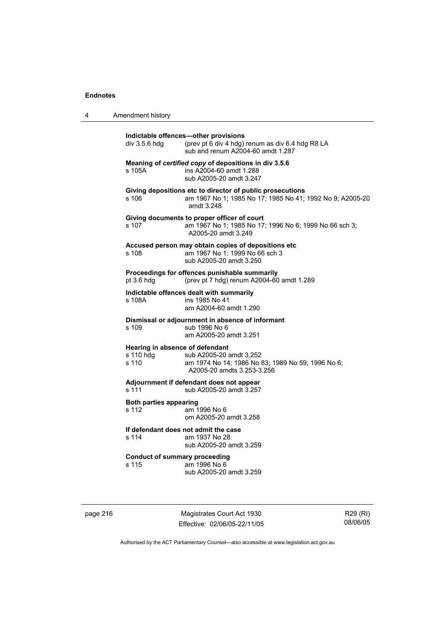| 4 | Amendment history                                     |                                                                                                                                      |
|---|-------------------------------------------------------|--------------------------------------------------------------------------------------------------------------------------------------|
|   | div 3.5.6 hdg                                         | Indictable offences-other provisions<br>(prev pt 6 div 4 hdg) renum as div 6.4 hdg R8 LA<br>sub and renum A2004-60 amdt 1.287        |
|   | s 105A                                                | Meaning of certified copy of depositions in div 3.5.6<br>ins A2004-60 amdt 1.288<br>sub A2005-20 amdt 3.247                          |
|   | s 106                                                 | Giving depositions etc to director of public prosecutions<br>am 1967 No 1; 1985 No 17; 1985 No 41; 1992 No 9; A2005-20<br>amdt 3.248 |
|   | s 107                                                 | Giving documents to proper officer of court<br>am 1967 No 1; 1985 No 17; 1996 No 6; 1999 No 66 sch 3;<br>A2005-20 amdt 3.249         |
|   | s 108                                                 | Accused person may obtain copies of depositions etc<br>am 1967 No 1; 1999 No 66 sch 3<br>sub A2005-20 amdt 3.250                     |
|   | pt 3.6 hdg                                            | Proceedings for offences punishable summarily<br>(prev pt 7 hdg) renum A2004-60 amdt 1.289                                           |
|   | s 108A                                                | Indictable offences dealt with summarily<br>ins 1985 No 41<br>am A2004-60 amdt 1.290                                                 |
|   | $s$ 109                                               | Dismissal or adjournment in absence of informant<br>sub 1996 No 6<br>am A2005-20 amdt 3.251                                          |
|   | Hearing in absence of defendant<br>s 110 hdg<br>s 110 | sub A2005-20 amdt 3.252<br>am 1974 No 14; 1986 No 83; 1989 No 59; 1996 No 6;<br>A2005-20 amdts 3.253-3.256                           |
|   | s 111                                                 | Adjournment if defendant does not appear<br>sub A2005-20 amdt 3.257                                                                  |
|   | <b>Both parties appearing</b><br>s 112                | am 1996 No 6<br>om A2005-20 amdt 3.258                                                                                               |
|   | s 114                                                 | If defendant does not admit the case<br>am 1937 No 28<br>sub A2005-20 amdt 3.259                                                     |
|   | <b>Conduct of summary proceeding</b><br>s 115         | am 1996 No 6<br>sub A2005-20 amdt 3.259                                                                                              |

page 216 Magistrates Court Act 1930 Effective: 02/06/05-22/11/05

R29 (RI) 08/06/05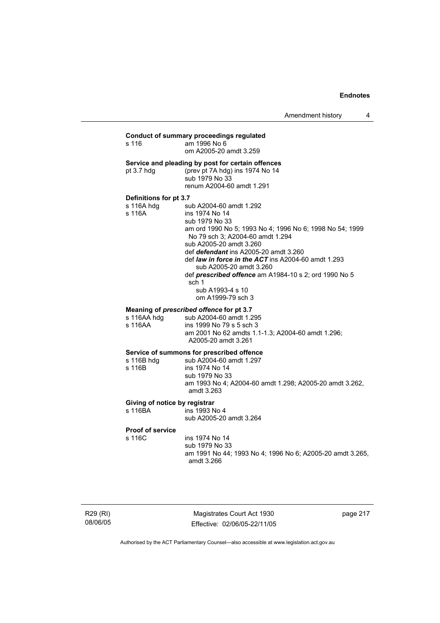Amendment history 4

#### **Conduct of summary proceedings regulated**  s 116 am 1996 No 6

om A2005-20 amdt 3.259

#### **Service and pleading by post for certain offences**

pt 3.7 hdg (prev pt 7A hdg) ins 1974 No 14 sub 1979 No 33 renum A2004-60 amdt 1.291

**Definitions for pt 3.7**  sub A2004-60 amdt 1.292 s 116A ins 1974 No 14 sub 1979 No 33

 am ord 1990 No 5; 1993 No 4; 1996 No 6; 1998 No 54; 1999 No 79 sch 3; A2004-60 amdt 1.294 sub A2005-20 amdt 3.260 def *defendant* ins A2005-20 amdt 3.260 def *law in force in the ACT* ins A2004-60 amdt 1.293 sub A2005-20 amdt 3.260 def *prescribed offence* am A1984-10 s 2; ord 1990 No 5 sch 1

 sub A1993-4 s 10 om A1999-79 sch 3

#### **Meaning of** *prescribed offence* **for pt 3.7**

| s 116AA hdq | sub A2004-60 amdt 1.295                           |
|-------------|---------------------------------------------------|
| s 116AA     | ins 1999 No 79 s 5 sch 3                          |
|             | am 2001 No 62 amdts 1.1-1.3: A2004-60 amdt 1.296: |
|             | A2005-20 amdt 3.261                               |

# **Service of summons for prescribed offence**

s 116B hdg sub A2004-60 amdt 1.297<br>s 116B ins 1974 No 14 ins 1974 No 14 sub 1979 No 33 am 1993 No 4; A2004-60 amdt 1.298; A2005-20 amdt 3.262, amdt 3.263

### **Giving of notice by registrar**

s 116BA ins 1993 No 4

sub A2005-20 amdt 3.264

#### **Proof of service**

s 116C ins 1974 No 14 sub 1979 No 33 am 1991 No 44; 1993 No 4; 1996 No 6; A2005-20 amdt 3.265, amdt 3.266

Magistrates Court Act 1930 Effective: 02/06/05-22/11/05 page 217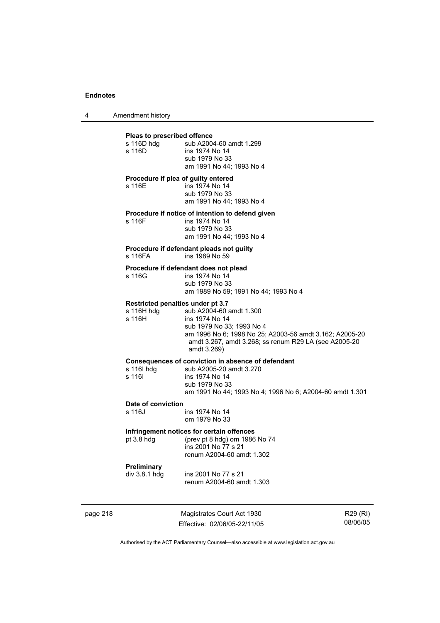4 Amendment history

# page 218 Magistrates Court Act 1930 Effective: 02/06/05-22/11/05 **Pleas to prescribed offence**  s 116D hdg sub A2004-60 amdt 1.299 s 116D ins 1974 No 14 sub 1979 No 33 am 1991 No 44; 1993 No 4 **Procedure if plea of guilty entered**  s 116E ins 1974 No 14 sub 1979 No 33 am 1991 No 44; 1993 No 4 **Procedure if notice of intention to defend given**  s 116F ins 1974 No 14 sub 1979 No 33 am 1991 No 44; 1993 No 4 **Procedure if defendant pleads not guilty**  ins 1989 No 59 **Procedure if defendant does not plead**  s 116G ins 1974 No 14 sub 1979 No 33 am 1989 No 59; 1991 No 44; 1993 No 4 **Restricted penalties under pt 3.7**  s 116H hdg sub A2004-60 amdt 1.300<br>s 116H ins 1974 No 14 ins 1974 No 14 sub 1979 No 33; 1993 No 4 am 1996 No 6; 1998 No 25; A2003-56 amdt 3.162; A2005-20 amdt 3.267, amdt 3.268; ss renum R29 LA (see A2005-20 amdt 3.269) **Consequences of conviction in absence of defendant**  s 116I hdg sub A2005-20 amdt 3.270<br>s 116I s ins 1974 No 14 ins 1974 No 14 sub 1979 No 33 am 1991 No 44; 1993 No 4; 1996 No 6; A2004-60 amdt 1.301 **Date of conviction**  ins 1974 No 14 om 1979 No 33 **Infringement notices for certain offences**  pt 3.8 hdg (prev pt 8 hdg) om 1986 No 74 ins 2001 No 77 s 21 renum A2004-60 amdt 1.302 **Preliminary**  ins 2001 No 77 s 21 renum A2004-60 amdt 1.303

R29 (RI) 08/06/05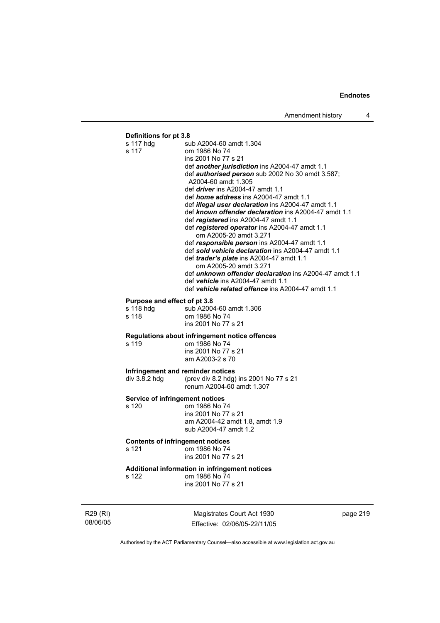# **Definitions for pt 3.8**

| s 117 hdg<br>s 117                      | sub A2004-60 amdt 1.304<br>om 1986 No 74                                                                                                                                                                                                                                                                                |
|-----------------------------------------|-------------------------------------------------------------------------------------------------------------------------------------------------------------------------------------------------------------------------------------------------------------------------------------------------------------------------|
|                                         | ins 2001 No 77 s 21                                                                                                                                                                                                                                                                                                     |
|                                         | def another jurisdiction ins A2004-47 amdt 1.1                                                                                                                                                                                                                                                                          |
|                                         | def authorised person sub 2002 No 30 amdt 3.587;                                                                                                                                                                                                                                                                        |
|                                         | A2004-60 amdt 1.305                                                                                                                                                                                                                                                                                                     |
|                                         | def <i>driver</i> ins A2004-47 amdt 1.1                                                                                                                                                                                                                                                                                 |
|                                         | def <i>home address</i> ins A2004-47 amdt 1.1<br>def <i>illegal user declaration</i> ins A2004-47 amdt 1.1                                                                                                                                                                                                              |
|                                         | def known offender declaration ins A2004-47 amdt 1.1                                                                                                                                                                                                                                                                    |
|                                         | def registered ins A2004-47 amdt 1.1                                                                                                                                                                                                                                                                                    |
|                                         | def registered operator ins A2004-47 amdt 1.1                                                                                                                                                                                                                                                                           |
|                                         | om A2005-20 amdt 3.271                                                                                                                                                                                                                                                                                                  |
|                                         | def responsible person ins A2004-47 amdt 1.1                                                                                                                                                                                                                                                                            |
|                                         | def sold vehicle declaration ins A2004-47 amdt 1.1                                                                                                                                                                                                                                                                      |
|                                         | def trader's plate ins A2004-47 amdt 1.1                                                                                                                                                                                                                                                                                |
|                                         | om A2005-20 amdt 3.271                                                                                                                                                                                                                                                                                                  |
|                                         | def <i>unknown offender declaration</i> ins A2004-47 amdt 1.1                                                                                                                                                                                                                                                           |
|                                         | def vehicle ins A2004-47 amdt 1.1<br>def <b>vehicle related offence</b> ins A2004-47 amdt 1.1                                                                                                                                                                                                                           |
|                                         |                                                                                                                                                                                                                                                                                                                         |
| Purpose and effect of pt 3.8            |                                                                                                                                                                                                                                                                                                                         |
| s 118 hdg                               | sub A2004-60 amdt 1.306                                                                                                                                                                                                                                                                                                 |
| s 118                                   | om 1986 No 74                                                                                                                                                                                                                                                                                                           |
|                                         | ins 2001 No 77 s 21                                                                                                                                                                                                                                                                                                     |
|                                         | Regulations about infringement notice offences                                                                                                                                                                                                                                                                          |
| s 119                                   | om 1986 No 74                                                                                                                                                                                                                                                                                                           |
|                                         | ins 2001 No 77 s 21                                                                                                                                                                                                                                                                                                     |
|                                         | am A2003-2 s 70                                                                                                                                                                                                                                                                                                         |
| Infringement and reminder notices       |                                                                                                                                                                                                                                                                                                                         |
| div 3.8.2 hdg                           | (prev div 8.2 hdg) ins 2001 No 77 s 21                                                                                                                                                                                                                                                                                  |
|                                         | renum A2004-60 amdt 1.307                                                                                                                                                                                                                                                                                               |
| <b>Service of infringement notices</b>  |                                                                                                                                                                                                                                                                                                                         |
| s 120                                   | om 1986 No 74                                                                                                                                                                                                                                                                                                           |
|                                         | ins 2001 No 77 s 21                                                                                                                                                                                                                                                                                                     |
|                                         | am A2004-42 amdt 1.8, amdt 1.9                                                                                                                                                                                                                                                                                          |
|                                         | sub A2004-47 amdt 1.2                                                                                                                                                                                                                                                                                                   |
| <b>Contents of infringement notices</b> |                                                                                                                                                                                                                                                                                                                         |
| s 121                                   | om 1986 No 74                                                                                                                                                                                                                                                                                                           |
|                                         | ins 2001 No 77 s 21                                                                                                                                                                                                                                                                                                     |
|                                         | Additional information in infringement notices                                                                                                                                                                                                                                                                          |
| s 122                                   | om 1986 No 74                                                                                                                                                                                                                                                                                                           |
|                                         | ins 2001 No 77 s 21                                                                                                                                                                                                                                                                                                     |
|                                         |                                                                                                                                                                                                                                                                                                                         |
|                                         |                                                                                                                                                                                                                                                                                                                         |
|                                         | $M =$ $\frac{1}{2}$ $\frac{1}{2}$ $\frac{1}{2}$ $\frac{1}{2}$ $\frac{1}{2}$ $\frac{1}{2}$ $\frac{1}{2}$ $\frac{1}{2}$ $\frac{1}{2}$ $\frac{1}{2}$ $\frac{1}{2}$ $\frac{1}{2}$ $\frac{1}{2}$ $\frac{1}{2}$ $\frac{1}{2}$ $\frac{1}{2}$ $\frac{1}{2}$ $\frac{1}{2}$ $\frac{1}{2}$ $\frac{1}{2}$ $\frac{1}{2}$ $\frac{1}{$ |

R29 (RI) 08/06/05

Magistrates Court Act 1930 Effective: 02/06/05-22/11/05 page 219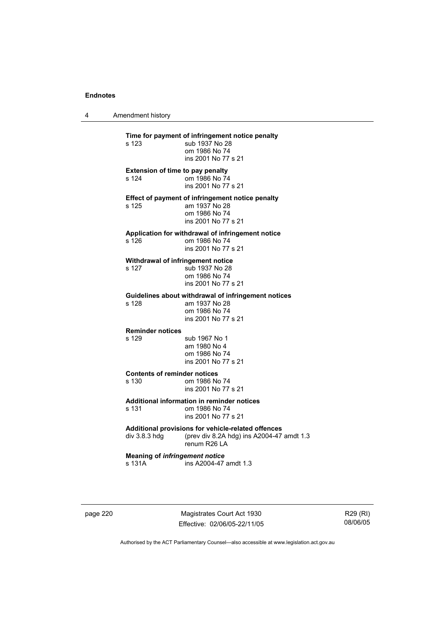4 Amendment history

**Time for payment of infringement notice penalty**<br>s 123 sub 1937 No 28 sub 1937 No 28 om 1986 No 74 ins 2001 No 77 s 21 **Extension of time to pay penalty**  s 124 om 1986 No 74 ins 2001 No 77 s 21 **Effect of payment of infringement notice penalty**  am 1937 No 28 om 1986 No 74 ins 2001 No 77 s 21 **Application for withdrawal of infringement notice**  om 1986 No 74 ins 2001 No 77 s 21 **Withdrawal of infringement notice**  s 127 sub 1937 No 28 om 1986 No 74 ins 2001 No 77 s 21 **Guidelines about withdrawal of infringement notices**  am 1937 No 28 om 1986 No 74 ins 2001 No 77 s 21 **Reminder notices**  s 129 sub 1967 No 1 am 1980 No 4 om 1986 No 74 ins 2001 No 77 s 21 **Contents of reminder notices**  s 130 om 1986 No 74 ins 2001 No 77 s 21 **Additional information in reminder notices**  s 131 om 1986 No 74 ins 2001 No 77 s 21 **Additional provisions for vehicle-related offences**  div 3.8.3 hdg (prev div 8.2A hdg) ins A2004-47 amdt 1.3 renum R26 LA **Meaning of** *infringement notice* s 131A ins A2004-47 amdt 1.3

page 220 Magistrates Court Act 1930 Effective: 02/06/05-22/11/05

R29 (RI) 08/06/05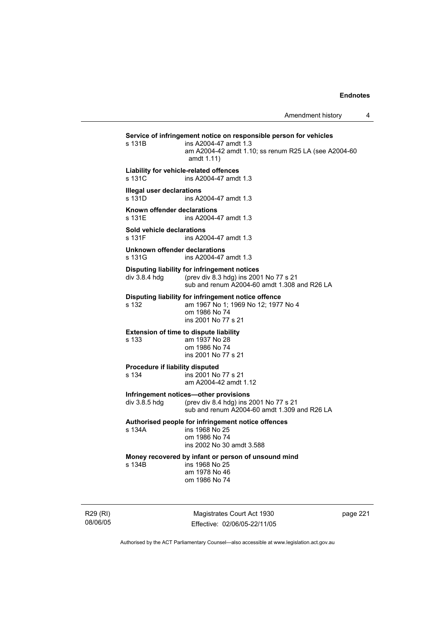|                      | s 131B                                                                                   | Service of infringement notice on responsible person for vehicles<br>ins A2004-47 amdt 1.3<br>am A2004-42 amdt 1.10; ss renum R25 LA (see A2004-60<br>amdt 1.11) |          |  |
|----------------------|------------------------------------------------------------------------------------------|------------------------------------------------------------------------------------------------------------------------------------------------------------------|----------|--|
|                      | Liability for vehicle-related offences<br>s 131C<br>ins A2004-47 amdt 1.3                |                                                                                                                                                                  |          |  |
|                      | <b>Illegal user declarations</b><br>s 131D                                               | ins A2004-47 amdt 1.3                                                                                                                                            |          |  |
|                      | Known offender declarations<br>s 131F                                                    | ins A2004-47 amdt 1.3                                                                                                                                            |          |  |
|                      | Sold vehicle declarations<br>s 131F                                                      | ins A2004-47 amdt 1.3                                                                                                                                            |          |  |
|                      | Unknown offender declarations<br>s 131G                                                  | ins A2004-47 amdt 1.3                                                                                                                                            |          |  |
|                      | div 3.8.4 hdg                                                                            | Disputing liability for infringement notices<br>(prev div 8.3 hdg) ins 2001 No 77 s 21<br>sub and renum A2004-60 amdt 1.308 and R26 LA                           |          |  |
|                      | s 132                                                                                    | Disputing liability for infringement notice offence<br>am 1967 No 1; 1969 No 12; 1977 No 4<br>om 1986 No 74<br>ins 2001 No 77 s 21                               |          |  |
|                      | s 133                                                                                    | <b>Extension of time to dispute liability</b><br>am 1937 No 28<br>om 1986 No 74<br>ins 2001 No 77 s 21                                                           |          |  |
|                      | Procedure if liability disputed<br>s 134<br>ins 2001 No 77 s 21<br>am A2004-42 amdt 1.12 |                                                                                                                                                                  |          |  |
|                      | div 3.8.5 hdg                                                                            | Infringement notices-other provisions<br>(prev div 8.4 hdg) ins 2001 No 77 s 21<br>sub and renum A2004-60 amdt 1.309 and R26 LA                                  |          |  |
|                      | s 134A                                                                                   | Authorised people for infringement notice offences<br>ins 1968 No 25<br>om 1986 No 74<br>ins 2002 No 30 amdt 3.588                                               |          |  |
|                      | s 134B                                                                                   | Money recovered by infant or person of unsound mind<br>ins 1968 No 25<br>am 1978 No 46<br>om 1986 No 74                                                          |          |  |
| R29 (RI)<br>08/06/05 |                                                                                          | Magistrates Court Act 1930<br>Effective: 02/06/05-22/11/05                                                                                                       | page 221 |  |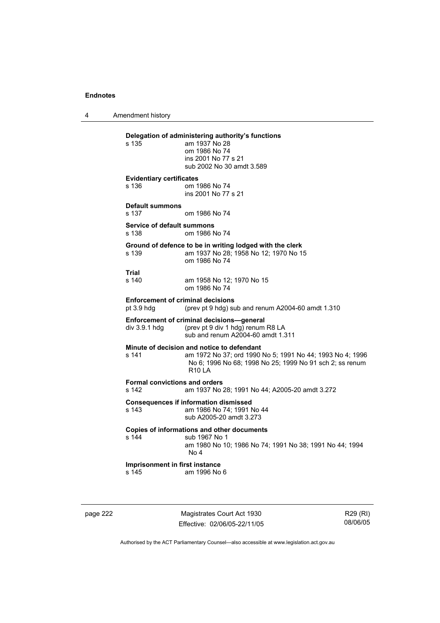4 Amendment history

# **Delegation of administering authority's functions**  am 1937 No 28 om 1986 No 74 ins 2001 No 77 s 21 sub 2002 No 30 amdt 3.589 **Evidentiary certificates**  s 136 om 1986 No 74 ins 2001 No 77 s 21 **Default summons**  s 137 om 1986 No 74 **Service of default summons**  s 138 om 1986 No 74 **Ground of defence to be in writing lodged with the clerk**  s 139 am 1937 No 28; 1958 No 12; 1970 No 15 om 1986 No 74 **Trial**  am 1958 No 12; 1970 No 15 om 1986 No 74 **Enforcement of criminal decisions**  pt 3.9 hdg (prev pt 9 hdg) sub and renum A2004-60 amdt 1.310 **Enforcement of criminal decisions—general**  div 3.9.1 hdg (prev pt 9 div 1 hdg) renum R8 LA sub and renum A2004-60 amdt 1.311 **Minute of decision and notice to defendant**  s 141 am 1972 No 37; ord 1990 No 5; 1991 No 44; 1993 No 4; 1996 No 6; 1996 No 68; 1998 No 25; 1999 No 91 sch 2; ss renum  $R10IA$ **Formal convictions and orders**  s 142 am 1937 No 28; 1991 No 44; A2005-20 amdt 3.272 **Consequences if information dismissed**  am 1986 No 74; 1991 No 44 sub A2005-20 amdt 3.273 **Copies of informations and other documents**  s 144 sub 1967 No 1 am 1980 No 10; 1986 No 74; 1991 No 38; 1991 No 44; 1994 No 4 **Imprisonment in first instance**  s 145 am 1996 No 6

page 222 Magistrates Court Act 1930 Effective: 02/06/05-22/11/05

R29 (RI) 08/06/05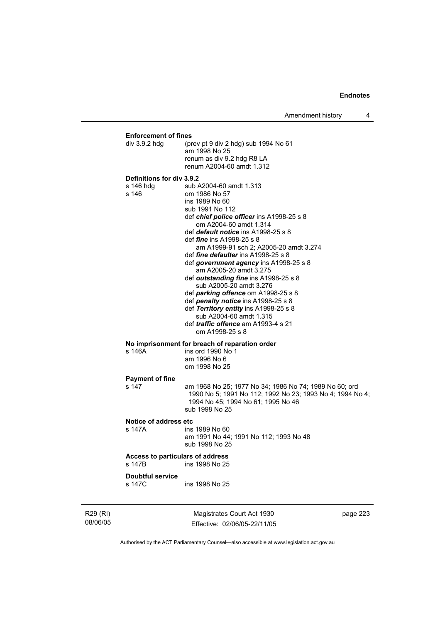Amendment history 4

# **Enforcement of fines**

| I) |                                                 | Magistrates Court Act 1930                                                                                                                                                                                                                                                                                                                                                                                                                                                                                                                                                                                                                                                                       | page 223 |
|----|-------------------------------------------------|--------------------------------------------------------------------------------------------------------------------------------------------------------------------------------------------------------------------------------------------------------------------------------------------------------------------------------------------------------------------------------------------------------------------------------------------------------------------------------------------------------------------------------------------------------------------------------------------------------------------------------------------------------------------------------------------------|----------|
|    | <b>Doubtful service</b><br>s 147C               | ins 1998 No 25                                                                                                                                                                                                                                                                                                                                                                                                                                                                                                                                                                                                                                                                                   |          |
|    | Access to particulars of address<br>s 147B      | ins 1998 No 25                                                                                                                                                                                                                                                                                                                                                                                                                                                                                                                                                                                                                                                                                   |          |
|    | Notice of address etc<br>s 147A                 | ins 1989 No 60<br>am 1991 No 44; 1991 No 112; 1993 No 48<br>sub 1998 No 25                                                                                                                                                                                                                                                                                                                                                                                                                                                                                                                                                                                                                       |          |
|    | <b>Payment of fine</b><br>s 147                 | am 1968 No 25; 1977 No 34; 1986 No 74; 1989 No 60; ord<br>1990 No 5; 1991 No 112; 1992 No 23; 1993 No 4; 1994 No 4;<br>1994 No 45; 1994 No 61; 1995 No 46<br>sub 1998 No 25                                                                                                                                                                                                                                                                                                                                                                                                                                                                                                                      |          |
|    | s 146A                                          | No imprisonment for breach of reparation order<br>ins ord 1990 No 1<br>am 1996 No 6<br>om 1998 No 25                                                                                                                                                                                                                                                                                                                                                                                                                                                                                                                                                                                             |          |
|    | Definitions for div 3.9.2<br>s 146 hdg<br>s 146 | sub A2004-60 amdt 1.313<br>om 1986 No 57<br>ins 1989 No 60<br>sub 1991 No 112<br>def chief police officer ins A1998-25 s 8<br>om A2004-60 amdt 1.314<br>def <i>default notice</i> ins A1998-25 s 8<br>def <i>fine</i> ins A1998-25 s 8<br>am A1999-91 sch 2; A2005-20 amdt 3.274<br>def <i>fine defaulter</i> ins A1998-25 s 8<br>def government agency ins A1998-25 s 8<br>am A2005-20 amdt 3.275<br>def outstanding fine ins A1998-25 s 8<br>sub A2005-20 amdt 3.276<br>def <i>parking offence</i> om A1998-25 s 8<br>def penalty notice ins A1998-25 s 8<br>def Territory entity ins A1998-25 s 8<br>sub A2004-60 amdt 1.315<br>def <i>traffic offence</i> am A1993-4 s 21<br>om A1998-25 s 8 |          |
|    | div 3.9.2 hdg                                   | (prev pt 9 div 2 hdg) sub 1994 No 61<br>am 1998 No 25<br>renum as div 9.2 hdg R8 LA<br>renum A2004-60 amdt 1.312                                                                                                                                                                                                                                                                                                                                                                                                                                                                                                                                                                                 |          |

R29 (RI) 08/06/05

Effective: 02/06/05-22/11/05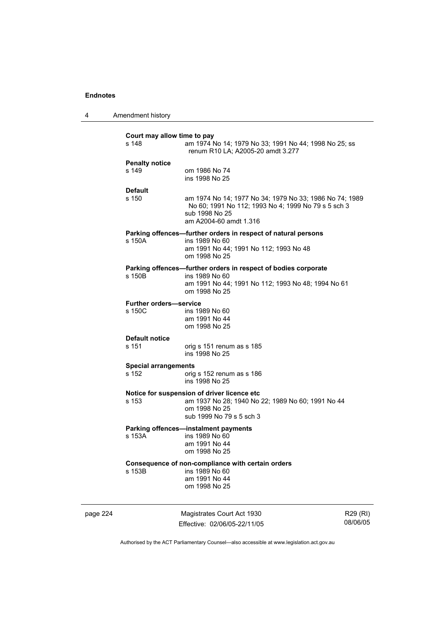| Court may allow time to pay<br>s 148    | am 1974 No 14; 1979 No 33; 1991 No 44; 1998 No 25; ss<br>renum R10 LA; A2005-20 amdt 3.277                                                                 |
|-----------------------------------------|------------------------------------------------------------------------------------------------------------------------------------------------------------|
| <b>Penalty notice</b><br>s 149          | om 1986 No 74<br>ins 1998 No 25                                                                                                                            |
| <b>Default</b><br>s 150                 | am 1974 No 14; 1977 No 34; 1979 No 33; 1986 No 74; 1989<br>No 60; 1991 No 112; 1993 No 4; 1999 No 79 s 5 sch 3<br>sub 1998 No 25<br>am A2004-60 amdt 1.316 |
| s 150A                                  | Parking offences-further orders in respect of natural persons<br>ins 1989 No 60<br>am 1991 No 44; 1991 No 112; 1993 No 48<br>om 1998 No 25                 |
| s 150B                                  | Parking offences-further orders in respect of bodies corporate<br>ins 1989 No 60<br>am 1991 No 44; 1991 No 112; 1993 No 48; 1994 No 61<br>om 1998 No 25    |
| <b>Further orders-service</b><br>s 150C | ins 1989 No 60<br>am 1991 No 44<br>om 1998 No 25                                                                                                           |
| <b>Default notice</b><br>s 151          | orig s 151 renum as s 185<br>ins 1998 No 25                                                                                                                |
| <b>Special arrangements</b><br>s 152    | orig s 152 renum as s 186<br>ins 1998 No 25                                                                                                                |
| s 153                                   | Notice for suspension of driver licence etc<br>am 1937 No 28; 1940 No 22; 1989 No 60; 1991 No 44<br>om 1998 No 25<br>sub 1999 No 79 s 5 sch 3              |
| s 153A                                  | <b>Parking offences-instalment payments</b><br>ins 1989 No 60<br>am 1991 No 44<br>om 1998 No 25                                                            |
| s 153B                                  | Consequence of non-compliance with certain orders<br>ins 1989 No 60<br>am 1991 No 44<br>om 1998 No 25                                                      |

page 224 Magistrates Court Act 1930 Effective: 02/06/05-22/11/05

R29 (RI) 08/06/05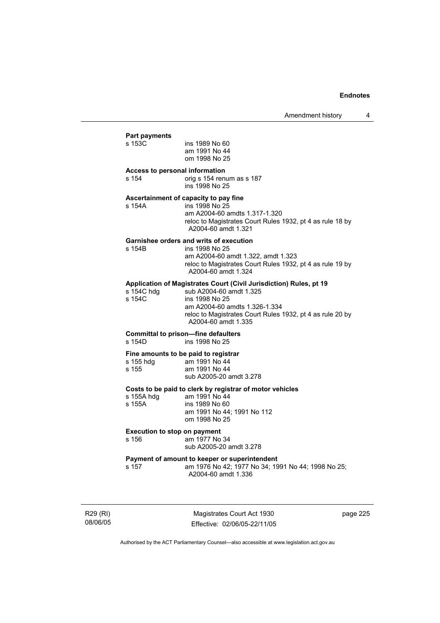#### **Part payments**

| s 153C                                  | ins 1989 No 60<br>am 1991 No 44<br>om 1998 No 25                                                                                                                                    |
|-----------------------------------------|-------------------------------------------------------------------------------------------------------------------------------------------------------------------------------------|
| Access to personal information<br>s 154 | orig s 154 renum as s 187<br>ins 1998 No 25                                                                                                                                         |
| s 154A                                  | Ascertainment of capacity to pay fine<br>ins 1998 No 25<br>am A2004-60 amdts 1.317-1.320<br>reloc to Magistrates Court Rules 1932, pt 4 as rule 18 by<br>A2004-60 amdt 1.321        |
| s 154B                                  | Garnishee orders and writs of execution<br>ins 1998 No 25<br>am A2004-60 amdt 1.322, amdt 1.323<br>reloc to Magistrates Court Rules 1932, pt 4 as rule 19 by<br>A2004-60 amdt 1.324 |
|                                         |                                                                                                                                                                                     |

#### **Application of Magistrates Court (Civil Jurisdiction) Rules, pt 19**

| s 154C hdq | sub A2004-60 amdt 1.325                                                          |
|------------|----------------------------------------------------------------------------------|
| s 154C     | ins 1998 No 25                                                                   |
|            | am A2004-60 amdts 1.326-1.334                                                    |
|            | reloc to Magistrates Court Rules 1932, pt 4 as rule 20 by<br>A2004-60 amdt 1.335 |
|            |                                                                                  |

# **Committal to prison—fine defaulters**

ins 1998 No 25

# **Fine amounts to be paid to registrar**

| s 155 hdg | am 1991 No 44           |
|-----------|-------------------------|
| s 155     | am 1991 No 44           |
|           | sub A2005-20 amdt 3.278 |

#### **Costs to be paid to clerk by registrar of motor vehicles**

| s 155A hdq | am 1991 No 44              |
|------------|----------------------------|
| s 155A     | ins 1989 No 60             |
|            | am 1991 No 44: 1991 No 112 |
|            | om 1998 No 25              |
|            |                            |

#### **Execution to stop on payment**

s 156 am 1977 No 34

### sub A2005-20 amdt 3.278

#### **Payment of amount to keeper or superintendent**

s 157 am 1976 No 42; 1977 No 34; 1991 No 44; 1998 No 25; A2004-60 amdt 1.336

R29 (RI) 08/06/05

Magistrates Court Act 1930 Effective: 02/06/05-22/11/05 page 225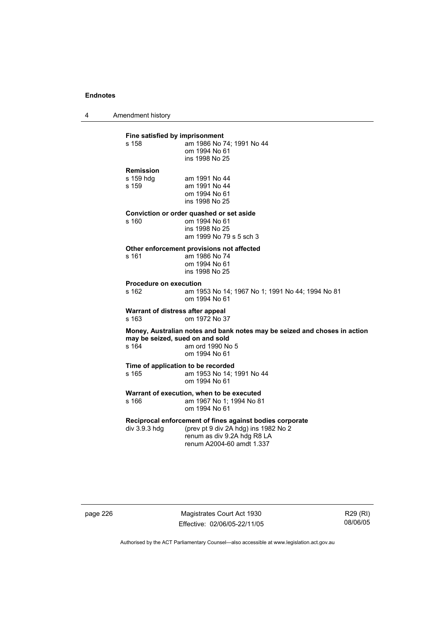4 Amendment history

| s 158                                  | Fine satisfied by imprisonment<br>am 1986 No 74; 1991 No 44<br>om 1994 No 61<br>ins 1998 No 25                                                               |
|----------------------------------------|--------------------------------------------------------------------------------------------------------------------------------------------------------------|
| Remission<br>s 159 hda<br>s 159        | am 1991 No 44<br>am 1991 No 44<br>om 1994 No 61<br>ins 1998 No 25                                                                                            |
| s <sub>160</sub>                       | Conviction or order quashed or set aside<br>om 1994 No 61<br>ins 1998 No 25<br>am 1999 No 79 s 5 sch 3                                                       |
| s 161                                  | Other enforcement provisions not affected<br>am 1986 No 74<br>om 1994 No 61<br>ins 1998 No 25                                                                |
| <b>Procedure on execution</b><br>s 162 | am 1953 No 14; 1967 No 1; 1991 No 44; 1994 No 81<br>om 1994 No 61                                                                                            |
| s 163                                  | Warrant of distress after appeal<br>om 1972 No 37                                                                                                            |
| s 164                                  | Money, Australian notes and bank notes may be seized and choses in action<br>may be seized, sued on and sold<br>am ord 1990 No 5<br>om 1994 No 61            |
| s 165                                  | Time of application to be recorded<br>am 1953 No 14; 1991 No 44<br>om 1994 No 61                                                                             |
| s 166                                  | Warrant of execution, when to be executed<br>am 1967 No 1; 1994 No 81<br>om 1994 No 61                                                                       |
| div 3.9.3 hdg                          | Reciprocal enforcement of fines against bodies corporate<br>(prev pt 9 div 2A hdg) ins 1982 No 2<br>renum as div 9.2A hdg R8 LA<br>renum A2004-60 amdt 1.337 |

page 226 Magistrates Court Act 1930 Effective: 02/06/05-22/11/05

R29 (RI) 08/06/05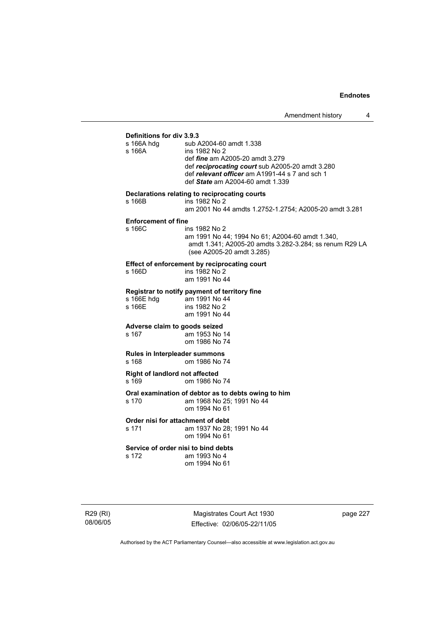#### **Definitions for div 3.9.3**

| ט.ט.ט אוט וטו פווטווווווס<br>s 166A hdg<br>s 166A | sub A2004-60 amdt 1.338<br>ins 1982 No 2<br>def <i>fine</i> am A2005-20 amdt 3.279<br>def reciprocating court sub A2005-20 amdt 3.280<br>def relevant officer am A1991-44 s 7 and sch 1<br>def State am A2004-60 amdt 1.339 |
|---------------------------------------------------|-----------------------------------------------------------------------------------------------------------------------------------------------------------------------------------------------------------------------------|
| s 166B                                            | Declarations relating to reciprocating courts<br>ins 1982 No 2<br>am 2001 No 44 amdts 1.2752-1.2754; A2005-20 amdt 3.281                                                                                                    |
| <b>Enforcement of fine</b><br>s 166C              | ins 1982 No 2<br>am 1991 No 44; 1994 No 61; A2004-60 amdt 1.340,<br>amdt 1.341; A2005-20 amdts 3.282-3.284; ss renum R29 LA<br>(see A2005-20 amdt 3.285)                                                                    |
| s 166D                                            | <b>Effect of enforcement by reciprocating court</b><br>ins 1982 No 2<br>am 1991 No 44                                                                                                                                       |
| s 166E hdg<br>s 166E                              | Registrar to notify payment of territory fine<br>am 1991 No 44<br>ins 1982 No 2<br>am 1991 No 44                                                                                                                            |
| Adverse claim to goods seized<br>s 167            | am 1953 No 14<br>om 1986 No 74                                                                                                                                                                                              |
| Rules in Interpleader summons<br>s 168            | om 1986 No 74                                                                                                                                                                                                               |
| <b>Right of landlord not affected</b><br>s 169    | om 1986 No 74                                                                                                                                                                                                               |
| s 170                                             | Oral examination of debtor as to debts owing to him<br>am 1968 No 25; 1991 No 44<br>om 1994 No 61                                                                                                                           |
| Order nisi for attachment of debt<br>s 171        | am 1937 No 28; 1991 No 44<br>om 1994 No 61                                                                                                                                                                                  |
| Service of order nisi to bind debts<br>s 172      | am 1993 No 4<br>om 1994 No 61                                                                                                                                                                                               |

R29 (RI) 08/06/05

Magistrates Court Act 1930 Effective: 02/06/05-22/11/05 page 227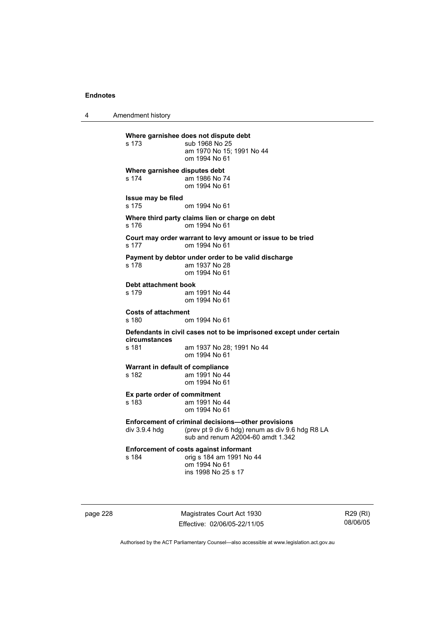4 Amendment history

**Where garnishee does not dispute debt**  s 173 sub 1968 No 25 am 1970 No 15; 1991 No 44 om 1994 No 61 **Where garnishee disputes debt**  s 174 am 1986 No 74 om 1994 No 61 **Issue may be filed**  s 175 om 1994 No 61 **Where third party claims lien or charge on debt**  s 176 om 1994 No 61 **Court may order warrant to levy amount or issue to be tried**  s 177 om 1994 No 61 **Payment by debtor under order to be valid discharge**  s 178 am 1937 No 28 om 1994 No 61 **Debt attachment book**  s 179 am 1991 No 44 om 1994 No 61 **Costs of attachment**  om 1994 No 61 **Defendants in civil cases not to be imprisoned except under certain circumstances**  s 181 am 1937 No 28; 1991 No 44 om 1994 No 61 **Warrant in default of compliance**  s 182 am 1991 No 44 om 1994 No 61 **Ex parte order of commitment**<br>s 183 am 1991 No am 1991 No 44 om 1994 No 61 **Enforcement of criminal decisions—other provisions**  div 3.9.4 hdg (prev pt 9 div 6 hdg) renum as div 9.6 hdg R8 LA sub and renum A2004-60 amdt 1.342 **Enforcement of costs against informant**<br>s 184 am 1991 No s 184 orig s 184 am 1991 No 44 om 1994 No 61 ins 1998 No 25 s 17

page 228 Magistrates Court Act 1930 Effective: 02/06/05-22/11/05

R29 (RI) 08/06/05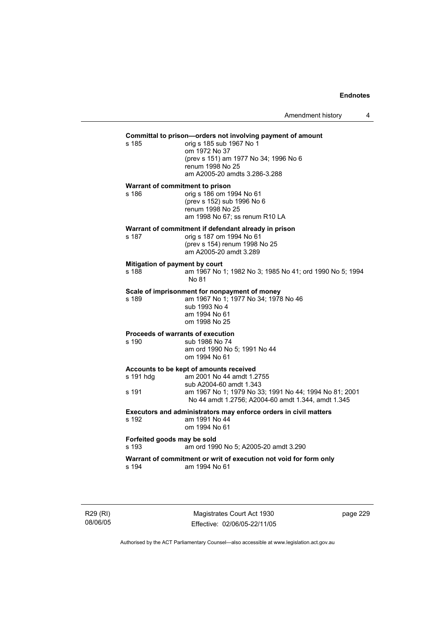# **Committal to prison—orders not involving payment of amount**

s 185 orig s 185 sub 1967 No 1 om 1972 No 37 (prev s 151) am 1977 No 34; 1996 No 6 renum 1998 No 25 am A2005-20 amdts 3.286-3.288

**Warrant of commitment to prison**  s 186 orig s 186 om 1994 No 61 (prev s 152) sub 1996 No 6 renum 1998 No 25 am 1998 No 67; ss renum R10 LA

#### **Warrant of commitment if defendant already in prison**

| s 187 | orig s 187 om 1994 No 61      |
|-------|-------------------------------|
|       | (prev s 154) renum 1998 No 25 |
|       | am A2005-20 amdt 3.289        |

# **Mitigation of payment by court**<br>**s** 188 **am 1967 No**

am 1967 No 1; 1982 No 3; 1985 No 41; ord 1990 No 5; 1994 No 81

#### **Scale of imprisonment for nonpayment of money**

s 189 am 1967 No 1; 1977 No 34; 1978 No 46 sub 1993 No 4 am 1994 No 61 om 1998 No 25

#### **Proceeds of warrants of execution**

# s 190 sub 1986 No 74

 am ord 1990 No 5; 1991 No 44 om 1994 No 61

#### **Accounts to be kept of amounts received**

| s 191 hdq | am 2001 No 44 amdt 1.2755                              |
|-----------|--------------------------------------------------------|
|           | sub A2004-60 amdt 1.343                                |
| s 191     | am 1967 No 1: 1979 No 33: 1991 No 44: 1994 No 81: 2001 |
|           | No 44 amdt 1.2756; A2004-60 amdt 1.344, amdt 1.345     |
|           |                                                        |

**Executors and administrators may enforce orders in civil matters**  s 192 am 1991 No 44

om 1994 No 61

### **Forfeited goods may be sold**

s 193 am ord 1990 No 5; A2005-20 amdt 3.290

**Warrant of commitment or writ of execution not void for form only**  s 194 am 1994 No 61

R29 (RI) 08/06/05

Magistrates Court Act 1930 Effective: 02/06/05-22/11/05 page 229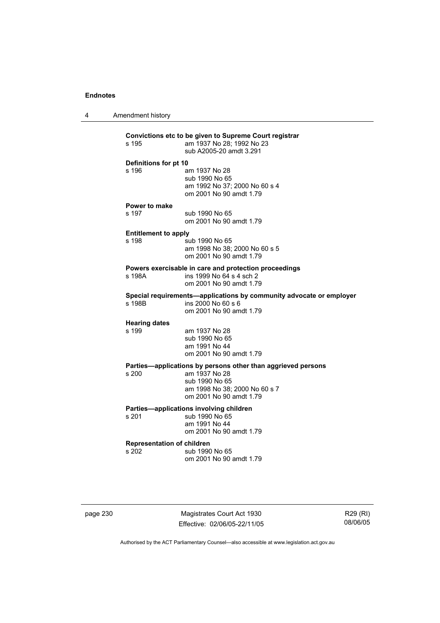4 Amendment history

| s 195                                      | Convictions etc to be given to Supreme Court registrar<br>am 1937 No 28; 1992 No 23<br>sub A2005-20 amdt 3.291                                              |
|--------------------------------------------|-------------------------------------------------------------------------------------------------------------------------------------------------------------|
| Definitions for pt 10<br>s 196             | am 1937 No 28<br>sub 1990 No 65<br>am 1992 No 37; 2000 No 60 s 4<br>om 2001 No 90 amdt 1.79                                                                 |
| Power to make<br>s 197                     | sub 1990 No 65<br>om 2001 No 90 amdt 1.79                                                                                                                   |
| <b>Entitlement to apply</b><br>s 198       | sub 1990 No 65<br>am 1998 No 38; 2000 No 60 s 5<br>om 2001 No 90 amdt 1.79                                                                                  |
| s 198A                                     | Powers exercisable in care and protection proceedings<br>ins 1999 No 64 s 4 sch 2<br>om 2001 No 90 amdt 1.79                                                |
| s 198B                                     | Special requirements-applications by community advocate or employer<br>ins 2000 No 60 s 6<br>om 2001 No 90 amdt 1.79                                        |
| <b>Hearing dates</b><br>s 199              | am 1937 No 28<br>sub 1990 No 65<br>am 1991 No 44<br>om 2001 No 90 amdt 1.79                                                                                 |
| s 200                                      | Parties-applications by persons other than aggrieved persons<br>am 1937 No 28<br>sub 1990 No 65<br>am 1998 No 38; 2000 No 60 s 7<br>om 2001 No 90 amdt 1.79 |
| s 201                                      | Parties-applications involving children<br>sub 1990 No 65<br>am 1991 No 44<br>om 2001 No 90 amdt 1.79                                                       |
| <b>Representation of children</b><br>s 202 | sub 1990 No 65<br>om 2001 No 90 amdt 1.79                                                                                                                   |

page 230 Magistrates Court Act 1930 Effective: 02/06/05-22/11/05

R29 (RI) 08/06/05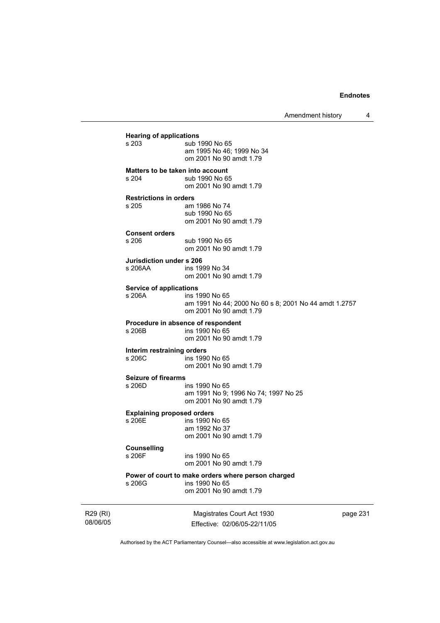Amendment history 4

**Hearing of applications**<br>**s** 203 sub 1 sub 1990 No 65 am 1995 No 46; 1999 No 34 om 2001 No 90 amdt 1.79 **Matters to be taken into account**  s 204 sub 1990 No 65 om 2001 No 90 amdt 1.79 **Restrictions in orders**  am 1986 No 74 sub 1990 No 65 om 2001 No 90 amdt 1.79 **Consent orders**  sub 1990 No 65 om 2001 No 90 amdt 1.79 **Jurisdiction under s 206**  ins 1999 No 34 om 2001 No 90 amdt 1.79 **Service of applications**  ins 1990 No 65 am 1991 No 44; 2000 No 60 s 8; 2001 No 44 amdt 1.2757 om 2001 No 90 amdt 1.79 **Procedure in absence of respondent**  ins 1990 No 65 om 2001 No 90 amdt 1.79 **Interim restraining orders**  ins 1990 No 65 om 2001 No 90 amdt 1.79 **Seizure of firearms**  ins 1990 No 65 am 1991 No 9; 1996 No 74; 1997 No 25 om 2001 No 90 amdt 1.79 **Explaining proposed orders**  s 206E ins 1990 No 65 am 1992 No 37 om 2001 No 90 amdt 1.79 **Counselling**  s 206F ins 1990 No 65 om 2001 No 90 amdt 1.79 **Power of court to make orders where person charged**  ins 1990 No 65 om 2001 No 90 amdt 1.79

R29 (RI) 08/06/05

Magistrates Court Act 1930 Effective: 02/06/05-22/11/05 page 231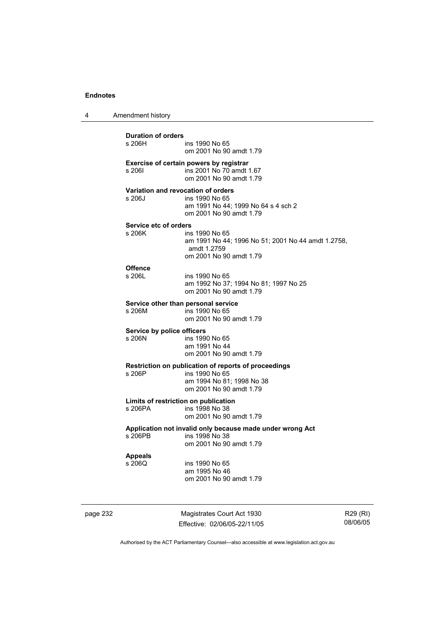4 Amendment history

**Duration of orders**  ins 1990 No 65 om 2001 No 90 amdt 1.79 **Exercise of certain powers by registrar s 2061** ins 2001 No 70 amdt s 206I ins 2001 No 70 amdt 1.67 om 2001 No 90 amdt 1.79 **Variation and revocation of orders**  s 206J ins 1990 No 65 am 1991 No 44; 1999 No 64 s 4 sch 2 om 2001 No 90 amdt 1.79 **Service etc of orders**<br>s 206K **ins** ins 1990 No 65 am 1991 No 44; 1996 No 51; 2001 No 44 amdt 1.2758, amdt 1.2759 om 2001 No 90 amdt 1.79 **Offence**  s 206L ins 1990 No 65 am 1992 No 37; 1994 No 81; 1997 No 25 om 2001 No 90 amdt 1.79 **Service other than personal service**  s 206M ins 1990 No 65 om 2001 No 90 amdt 1.79 **Service by police officers**  s 206N ins 1990 No 65 am 1991 No 44 om 2001 No 90 amdt 1.79 **Restriction on publication of reports of proceedings**  s 206P ins 1990 No 65 am 1994 No 81; 1998 No 38 om 2001 No 90 amdt 1.79 **Limits of restriction on publication**  ins 1998 No 38 om 2001 No 90 amdt 1.79 **Application not invalid only because made under wrong Act**  s 206PB ins 1998 No 38 om 2001 No 90 amdt 1.79 **Appeals**  s 206Q ins 1990 No 65 am 1995 No 46 om 2001 No 90 amdt 1.79

page 232 Magistrates Court Act 1930 Effective: 02/06/05-22/11/05

R29 (RI) 08/06/05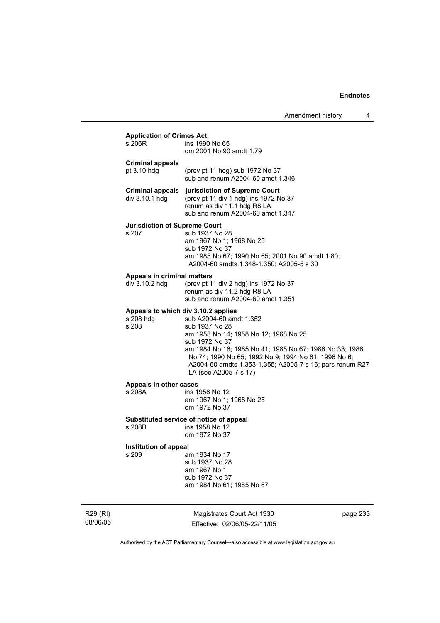| Amendment history |  |  |
|-------------------|--|--|
|-------------------|--|--|

# **Application of Crimes Act**

| Application of Crimes Act                                 |                                                                                                                                                                                                                                                                                                              |
|-----------------------------------------------------------|--------------------------------------------------------------------------------------------------------------------------------------------------------------------------------------------------------------------------------------------------------------------------------------------------------------|
| s 206R                                                    | ins 1990 No 65<br>om 2001 No 90 amdt 1.79                                                                                                                                                                                                                                                                    |
| Criminal appeals<br>pt 3.10 hdg                           | (prev pt 11 hdg) sub 1972 No 37<br>sub and renum A2004-60 amdt 1.346                                                                                                                                                                                                                                         |
| div 3.10.1 hdg                                            | Criminal appeals—jurisdiction of Supreme Court<br>(prev pt 11 div 1 hdg) ins 1972 No 37<br>renum as div 11.1 hdg R8 LA<br>sub and renum A2004-60 amdt 1.347                                                                                                                                                  |
| Jurisdiction of Supreme Court<br>s 207                    | sub 1937 No 28<br>am 1967 No 1; 1968 No 25<br>sub 1972 No 37<br>am 1985 No 67; 1990 No 65; 2001 No 90 amdt 1.80;<br>A2004-60 amdts 1.348-1.350; A2005-5 s 30                                                                                                                                                 |
| Appeals in criminal matters<br>div 3.10.2 hdg             | (prev pt 11 div 2 hdg) ins 1972 No 37<br>renum as div 11.2 hdg R8 LA<br>sub and renum A2004-60 amdt 1.351                                                                                                                                                                                                    |
| Appeals to which div 3.10.2 applies<br>s 208 hdg<br>s 208 | sub A2004-60 amdt 1.352<br>sub 1937 No 28<br>am 1953 No 14; 1958 No 12; 1968 No 25<br>sub 1972 No 37<br>am 1984 No 16; 1985 No 41; 1985 No 67; 1986 No 33; 1986<br>No 74; 1990 No 65; 1992 No 9; 1994 No 61; 1996 No 6;<br>A2004-60 amdts 1.353-1.355; A2005-7 s 16; pars renum R27<br>LA (see A2005-7 s 17) |
| Appeals in other cases<br>s 208A                          | ins 1958 No 12<br>am 1967 No 1; 1968 No 25<br>om 1972 No 37                                                                                                                                                                                                                                                  |
|                                                           | Substituted service of notice of appeal                                                                                                                                                                                                                                                                      |

# s 208B ins 1958 No 12

om 1972 No 37

# **Institution of appeal**

am 1934 No 17 sub 1937 No 28

 am 1967 No 1 sub 1972 No 37 am 1984 No 61; 1985 No 67

R29 (RI) 08/06/05

Magistrates Court Act 1930 Effective: 02/06/05-22/11/05 page 233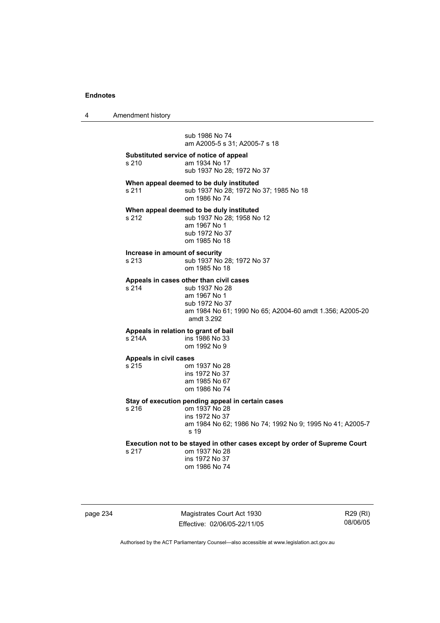4 Amendment history

 sub 1986 No 74 am A2005-5 s 31; A2005-7 s 18

**Substituted service of notice of appeal**  am 1934 No 17

sub 1937 No 28; 1972 No 37

**When appeal deemed to be duly instituted** 

s 211 sub 1937 No 28; 1972 No 37; 1985 No 18 om 1986 No 74

#### **When appeal deemed to be duly instituted**

s 212 sub 1937 No 28; 1958 No 12 am 1967 No 1 sub 1972 No 37 om 1985 No 18

#### **Increase in amount of security**

s 213 sub 1937 No 28; 1972 No 37

om 1985 No 18

# **Appeals in cases other than civil cases**

s 214 sub 1937 No 28 am 1967 No 1 sub 1972 No 37 am 1984 No 61; 1990 No 65; A2004-60 amdt 1.356; A2005-20 amdt 3.292

# **Appeals in relation to grant of bail**

s 214A ins 1986 No 33 om 1992 No 9

#### **Appeals in civil cases**

s 215 om 1937 No 28 ins 1972 No 37 am 1985 No 67

om 1986 No 74

# **Stay of execution pending appeal in certain cases**

s 216 om 1937 No 28 ins 1972 No 37 am 1984 No 62; 1986 No 74; 1992 No 9; 1995 No 41; A2005-7 s 19

**Execution not to be stayed in other cases except by order of Supreme Court** 

| s 217 | om 1937 No 28  |
|-------|----------------|
|       | ins 1972 No 37 |
|       | om 1986 No 74  |

page 234 Magistrates Court Act 1930 Effective: 02/06/05-22/11/05

R29 (RI) 08/06/05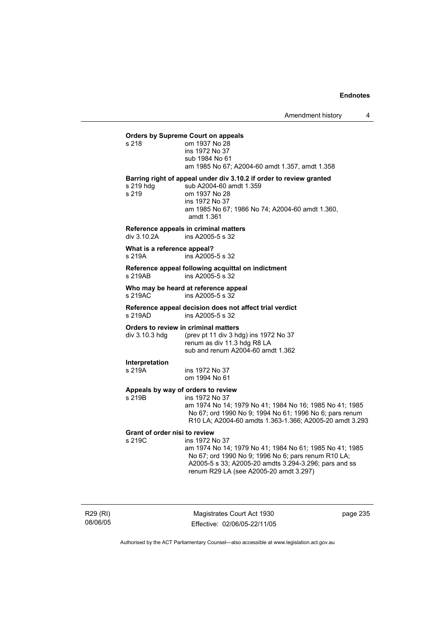#### **Orders by Supreme Court on appeals**  s 218

| s 218 |  | om 1937 No 28                                  |
|-------|--|------------------------------------------------|
|       |  | ins 1972 No 37                                 |
|       |  | sub 1984 No 61                                 |
|       |  | am 1985 No 67; A2004-60 amdt 1.357, amdt 1.358 |
|       |  |                                                |

**Barring right of appeal under div 3.10.2 if order to review granted** 

s 219 hdg sub A2004-60 amdt 1.359<br>s 219 om 1937 No 28 om 1937 No 28 ins 1972 No 37 am 1985 No 67; 1986 No 74; A2004-60 amdt 1.360, amdt 1.361

#### **Reference appeals in criminal matters**

div 3.10.2A ins A2005-5 s 32

#### **What is a reference appeal?**

s 219A ins A2005-5 s 32

#### **Reference appeal following acquittal on indictment**  s 219AB ins A2005-5 s 32

#### **Who may be heard at reference appeal**   $ins$  A2005-5 s  $32$

**Reference appeal decision does not affect trial verdict**  s 219AD ins A2005-5 s 32

#### **Orders to review in criminal matters**

| div 3.10.3 hda | (prev pt 11 div 3 hdg) ins 1972 No 37 |
|----------------|---------------------------------------|
|                | renum as div 11.3 hdg R8 LA           |
|                | sub and renum A2004-60 amdt 1.362     |

**Interpretation** 

ins 1972 No 37 om 1994 No 61

### **Appeals by way of orders to review**

s 219B ins 1972 No 37

 am 1974 No 14; 1979 No 41; 1984 No 16; 1985 No 41; 1985 No 67; ord 1990 No 9; 1994 No 61; 1996 No 6; pars renum R10 LA; A2004-60 amdts 1.363-1.366; A2005-20 amdt 3.293

# **Grant of order nisi to review**

ins 1972 No 37

 am 1974 No 14; 1979 No 41; 1984 No 61; 1985 No 41; 1985 No 67; ord 1990 No 9; 1996 No 6; pars renum R10 LA; A2005-5 s 33; A2005-20 amdts 3.294-3.296; pars and ss renum R29 LA (see A2005-20 amdt 3.297)

R29 (RI) 08/06/05

Magistrates Court Act 1930 Effective: 02/06/05-22/11/05 page 235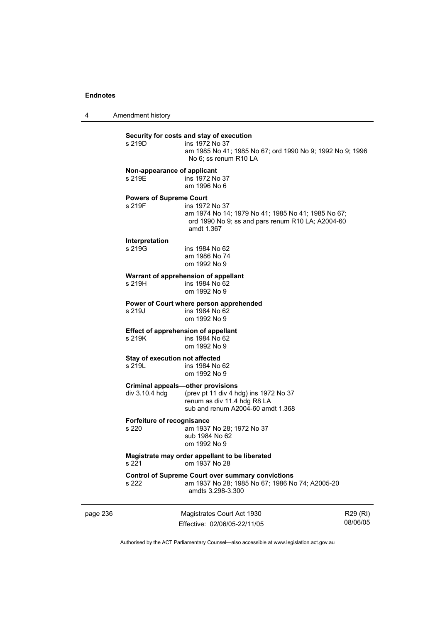4 Amendment history

#### **Security for costs and stay of execution**  s 219D

| s 219D | ins 1972 No 37                                            |
|--------|-----------------------------------------------------------|
|        | am 1985 No 41: 1985 No 67: ord 1990 No 9: 1992 No 9: 1996 |
|        | No 6: ss renum R10 LA                                     |

#### **Non-appearance of applicant**

s 219E ins 1972 No 37 am 1996 No 6

# **Powers of Supreme Court**

ins 1972 No 37 am 1974 No 14; 1979 No 41; 1985 No 41; 1985 No 67; ord 1990 No 9; ss and pars renum R10 LA; A2004-60 amdt 1.367

#### **Interpretation**

| s 219G | ins 1984 No 62 |
|--------|----------------|
|        | am 1986 No 74  |
|        | om 1992 No 9   |

#### **Warrant of apprehension of appellant**

| s 219H | ins 1984 No 62 |  |  |
|--------|----------------|--|--|
|        | om 1992 No 9   |  |  |

#### **Power of Court where person apprehended**  s 219J ins 1984 No 62 om 1992 No 9

# **Effect of apprehension of appellant**

s 219K ins 1984 No 62 om 1992 No 9

# **Stay of execution not affected**<br>s 219L **ins 1984** No

ins 1984 No 62 om 1992 No 9

# **Criminal appeals—other provisions**<br>div 3.10.4 hdg (prev pt 11 div 4 hd

(prev pt 11 div 4 hdg) ins 1972 No 37 renum as div 11.4 hdg R8 LA sub and renum A2004-60 amdt 1.368

# **Forfeiture of recognisance**

am 1937 No 28: 1972 No 37 sub 1984 No 62 om 1992 No 9

#### **Magistrate may order appellant to be liberated**  s 221 om 1937 No 28

# **Control of Supreme Court over summary convictions**

am 1937 No 28; 1985 No 67; 1986 No 74; A2005-20 amdts 3.298-3.300

| page 236 | Magistrates Court Act 1930   | R29 (RI) |
|----------|------------------------------|----------|
|          | Effective: 02/06/05-22/11/05 | 08/06/05 |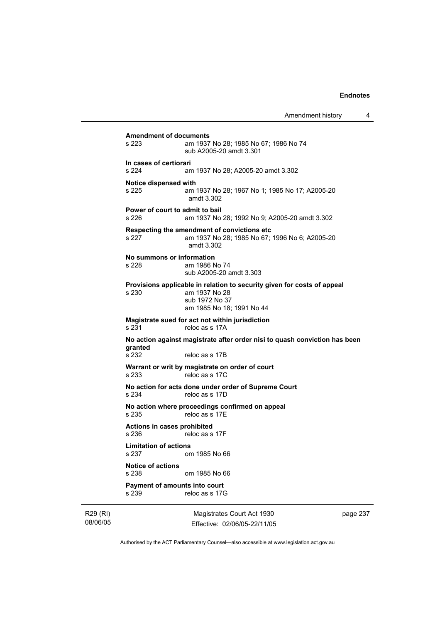Amendment history 4 **Amendment of documents**  am 1937 No 28: 1985 No 67: 1986 No 74 sub A2005-20 amdt 3.301 **In cases of certiorari**  s 224 am 1937 No 28; A2005-20 amdt 3.302 **Notice dispensed with**  s 225 am 1937 No 28; 1967 No 1; 1985 No 17; A2005-20 amdt 3.302 **Power of court to admit to bail**  s 226 am 1937 No 28; 1992 No 9; A2005-20 amdt 3.302 **Respecting the amendment of convictions etc**  s 227 am 1937 No 28; 1985 No 67; 1996 No 6; A2005-20 amdt 3.302 **No summons or information**  s 228 am 1986 No 74 sub A2005-20 amdt 3.303 **Provisions applicable in relation to security given for costs of appeal**  s 230 am 1937 No 28 sub 1972 No 37 am 1985 No 18; 1991 No 44 **Magistrate sued for act not within jurisdiction**  s 231 reloc as s 17A **No action against magistrate after order nisi to quash conviction has been granted**  s 232 reloc as s 17B **Warrant or writ by magistrate on order of court**  s 233 reloc as s 17C **No action for acts done under order of Supreme Court**  s 234 reloc as s 17D **No action where proceedings confirmed on appeal**  s 235 reloc as s 17E **Actions in cases prohibited**  reloc as s 17F **Limitation of actions**  om 1985 No 66 **Notice of actions**  om 1985 No 66 **Payment of amounts into court**  s 239 reloc as s 17G

R29 (RI) 08/06/05

Magistrates Court Act 1930 Effective: 02/06/05-22/11/05 page 237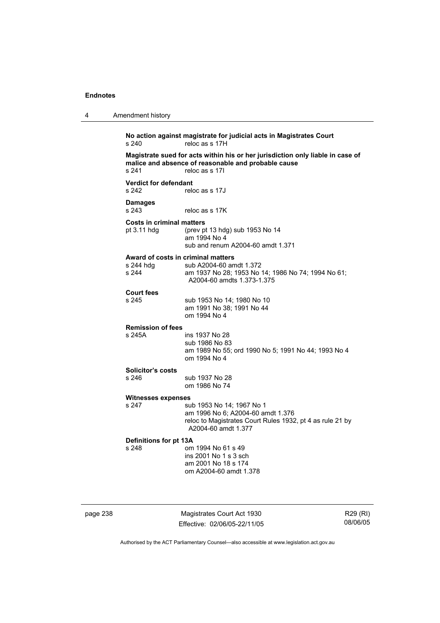| 4 | Amendment history                                        |                                                                                                                                                         |
|---|----------------------------------------------------------|---------------------------------------------------------------------------------------------------------------------------------------------------------|
|   | s 240                                                    | No action against magistrate for judicial acts in Magistrates Court<br>reloc as s 17H                                                                   |
|   | s 241                                                    | Magistrate sued for acts within his or her jurisdiction only liable in case of<br>malice and absence of reasonable and probable cause<br>reloc as s 171 |
|   | <b>Verdict for defendant</b><br>s 242                    | reloc as s 17J                                                                                                                                          |
|   | <b>Damages</b><br>s 243                                  | reloc as s 17K                                                                                                                                          |
|   | <b>Costs in criminal matters</b><br>pt 3.11 hdg          | (prev pt 13 hdg) sub 1953 No 14<br>am 1994 No 4<br>sub and renum A2004-60 amdt 1.371                                                                    |
|   | Award of costs in criminal matters<br>s 244 hdg<br>s 244 | sub A2004-60 amdt 1.372<br>am 1937 No 28; 1953 No 14; 1986 No 74; 1994 No 61;<br>A2004-60 amdts 1.373-1.375                                             |
|   | <b>Court fees</b><br>s 245                               | sub 1953 No 14; 1980 No 10<br>am 1991 No 38; 1991 No 44<br>om 1994 No 4                                                                                 |
|   | <b>Remission of fees</b><br>s 245A                       | ins 1937 No 28<br>sub 1986 No 83<br>am 1989 No 55; ord 1990 No 5; 1991 No 44; 1993 No 4<br>om 1994 No 4                                                 |
|   | Solicitor's costs<br>s 246                               | sub 1937 No 28<br>om 1986 No 74                                                                                                                         |
|   | Witnesses expenses                                       |                                                                                                                                                         |
|   | s 247                                                    | sub 1953 No 14; 1967 No 1<br>am 1996 No 6; A2004-60 amdt 1.376<br>reloc to Magistrates Court Rules 1932, pt 4 as rule 21 by<br>A2004-60 amdt 1.377      |
|   | Definitions for pt 13A<br>s 248                          | om 1994 No 61 s 49<br>ins 2001 No 1 s 3 sch<br>am 2001 No 18 s 174<br>om A2004-60 amdt 1.378                                                            |

page 238 Magistrates Court Act 1930 Effective: 02/06/05-22/11/05

R29 (RI) 08/06/05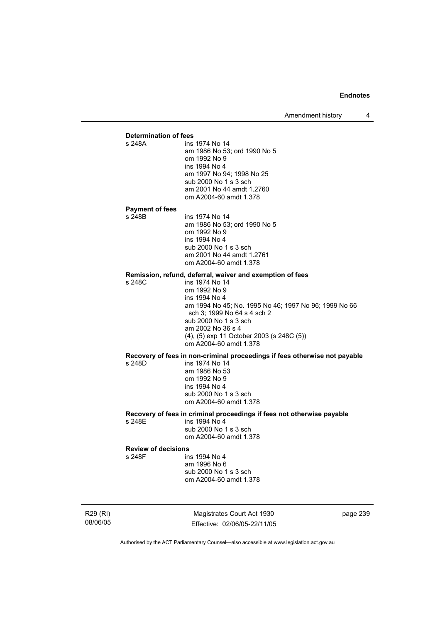Amendment history 4

# **Determination of fees**  ins 1974 No 14 am 1986 No 53; ord 1990 No 5 om 1992 No 9 ins 1994 No 4 am 1997 No 94; 1998 No 25 sub 2000 No 1 s 3 sch am 2001 No 44 amdt 1.2760 om A2004-60 amdt 1.378 **Payment of fees**  ins 1974 No 14 am 1986 No 53; ord 1990 No 5 om 1992 No 9 ins 1994 No 4 sub 2000 No 1 s 3 sch am 2001 No 44 amdt 1.2761 om A2004-60 amdt 1.378 **Remission, refund, deferral, waiver and exemption of fees**  s 248C ins 1974 No 14 om 1992 No 9 ins 1994 No 4 am 1994 No 45; No. 1995 No 46; 1997 No 96; 1999 No 66 sch 3; 1999 No 64 s 4 sch 2 sub 2000 No 1 s 3 sch am 2002 No 36 s 4 (4), (5) exp 11 October 2003 (s 248C (5)) om A2004-60 amdt 1.378 **Recovery of fees in non-criminal proceedings if fees otherwise not payable**  s 248D ins 1974 No 14 am 1986 No 53 om 1992 No 9 ins 1994 No 4 sub 2000 No 1 s 3 sch om A2004-60 amdt 1.378 **Recovery of fees in criminal proceedings if fees not otherwise payable**  s 248E ins 1994 No 4 sub 2000 No 1 s 3 sch om A2004-60 amdt 1.378 **Review of decisions**  s 248F ins 1994 No 4 am 1996 No 6 sub 2000 No 1 s 3 sch om A2004-60 amdt 1.378

R29 (RI) 08/06/05

Magistrates Court Act 1930 Effective: 02/06/05-22/11/05 page 239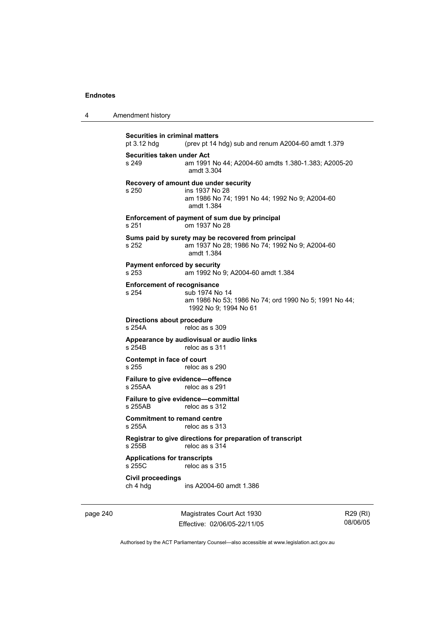| 4 | Amendment history |
|---|-------------------|
|---|-------------------|

```
Securities in criminal matters<br>pt 3.12 hdg (prev pt 14)
                 (prev pt 14 hdg) sub and renum A2004-60 amdt 1.379Securities taken under Act 
s 249 am 1991 No 44; A2004-60 amdts 1.380-1.383; A2005-20 
                  amdt 3.304 
Recovery of amount due under security 
s 250 ins 1937 No 28 
                  am 1986 No 74; 1991 No 44; 1992 No 9; A2004-60 
                  amdt 1.384 
Enforcement of payment of sum due by principal 
s 251 om 1937 No 28 
Sums paid by surety may be recovered from principal 
s 252 am 1937 No 28; 1986 No 74; 1992 No 9; A2004-60 
                  amdt 1.384 
Payment enforced by security 
s 253 am 1992 No 9; A2004-60 amdt 1.384 
Enforcement of recognisance 
s 254 sub 1974 No 14 
                  am 1986 No 53; 1986 No 74; ord 1990 No 5; 1991 No 44; 
                  1992 No 9; 1994 No 61 
Directions about procedure 
s 254A reloc as s 309 
Appearance by audiovisual or audio links 
                 reloc as s 311
Contempt in face of court 
s 255 reloc as s 290
Failure to give evidence—offence 
                 reloc as s 291
Failure to give evidence—committal 
s 255AB reloc as s 312
Commitment to remand centre<br>s 255A reloc as s 313
                 reloc as s 313
Registrar to give directions for preparation of transcript 
s 255B reloc as s 314
Applications for transcripts 
                 reloc as s 315
Civil proceedings 
ch 4 hdg ins A2004-60 amdt 1.386
```
page 240 Magistrates Court Act 1930 Effective: 02/06/05-22/11/05

R29 (RI) 08/06/05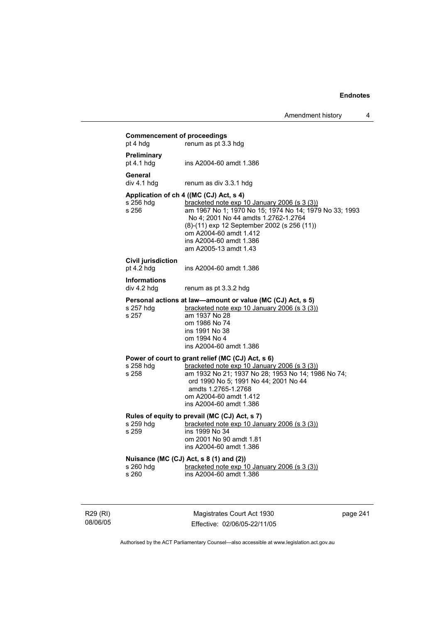|                                                | Amendment history                                                                                                                                                                                                                                                                                                      | 4 |
|------------------------------------------------|------------------------------------------------------------------------------------------------------------------------------------------------------------------------------------------------------------------------------------------------------------------------------------------------------------------------|---|
| <b>Commencement of proceedings</b><br>pt 4 hdg | renum as pt 3.3 hdg                                                                                                                                                                                                                                                                                                    |   |
| Preliminary<br>pt $4.1$ hdg                    | ins A2004-60 amdt 1.386                                                                                                                                                                                                                                                                                                |   |
| General<br>div 4.1 hdg                         | renum as div 3.3.1 hdg                                                                                                                                                                                                                                                                                                 |   |
| s 256 hda<br>s 256                             | Application of ch 4 ((MC (CJ) Act, s 4)<br>bracketed note exp 10 January 2006 (s 3 (3))<br>am 1967 No 1; 1970 No 15; 1974 No 14; 1979 No 33; 1993<br>No 4; 2001 No 44 amdts 1.2762-1.2764<br>(8)-(11) exp 12 September 2002 (s 256 (11))<br>om A2004-60 amdt 1.412<br>ins A2004-60 amdt 1.386<br>am A2005-13 amdt 1.43 |   |
| Civil jurisdiction<br>pt 4.2 hdg               | ins A2004-60 amdt 1.386                                                                                                                                                                                                                                                                                                |   |
| <b>Informations</b><br>div 4.2 hdg             | renum as pt 3.3.2 hdg                                                                                                                                                                                                                                                                                                  |   |
| s 257 hdg<br>s 257                             | Personal actions at law—amount or value (MC (CJ) Act, s 5)<br>bracketed note $exp 10$ January 2006 (s 3 (3))<br>am 1937 No 28<br>om 1986 No 74<br>ins 1991 No 38<br>om 1994 No 4<br>ins A2004-60 amdt 1.386                                                                                                            |   |
| s 258 hdg<br>s 258                             | Power of court to grant relief (MC (CJ) Act, s 6)<br>bracketed note $exp 10$ January 2006 (s 3 (3))<br>am 1932 No 21; 1937 No 28; 1953 No 14; 1986 No 74;<br>ord 1990 No 5; 1991 No 44; 2001 No 44<br>amdts 1.2765-1.2768<br>om A2004-60 amdt 1.412<br>ins A2004-60 amdt 1.386                                         |   |
| s 259 hdg<br>s 259                             | Rules of equity to prevail (MC (CJ) Act, s 7)<br><u>bracketed note exp 10 January 2006 (s 3 (3))</u><br>ins 1999 No 34<br>om 2001 No 90 amdt 1.81<br>ins A2004-60 amdt 1.386                                                                                                                                           |   |
| s 260 hdg<br>s 260                             | Nuisance (MC (CJ) Act, s 8 (1) and (2))<br>bracketed note exp 10 January 2006 (s 3 (3))<br>ins A2004-60 amdt 1.386                                                                                                                                                                                                     |   |
|                                                |                                                                                                                                                                                                                                                                                                                        |   |

R29 (RI) 08/06/05

Magistrates Court Act 1930 Effective: 02/06/05-22/11/05 page 241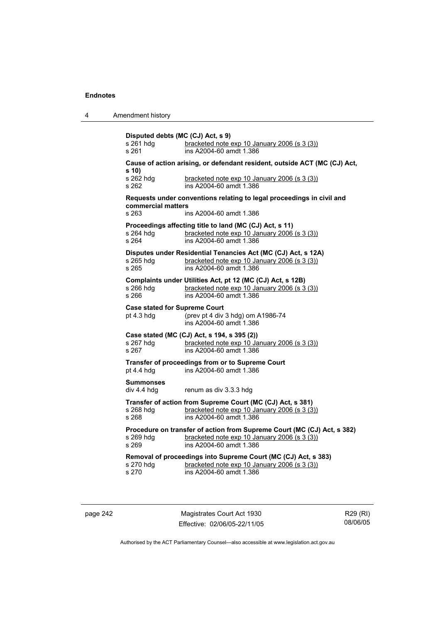4 Amendment history

**Disputed debts (MC (CJ) Act, s 9)**  s 261 hdg bracketed note exp 10 January 2006 (s 3 (3)) s 261 ins A2004-60 amdt 1.386 **Cause of action arising, or defendant resident, outside ACT (MC (CJ) Act, s 10)**  s 262 hdg bracketed note exp 10 January 2006 (s 3 (3)) s 262 ins A2004-60 amdt 1.386 **Requests under conventions relating to legal proceedings in civil and commercial matters**  s 263 ins A2004-60 amdt 1.386 **Proceedings affecting title to land (MC (CJ) Act, s 11)**<br>s 264 hdq bracketed note exp 10 January 2006 bracketed note exp 10 January 2006 (s  $3(3)$ ) s 264 ins A2004-60 amdt 1.386 **Disputes under Residential Tenancies Act (MC (CJ) Act, s 12A)**  s 265 hdg bracketed note exp 10 January 2006 (s 3 (3))<br>s 265 bracketed note exp 10 January 2006 (s 3 (3)) s 265 ins A2004-60 amdt 1.386 **Complaints under Utilities Act, pt 12 (MC (CJ) Act, s 12B)**  s 266 hdg bracketed note exp 10 January 2006 (s 3 (3))<br>s 266 bracketed note exp 10 January 2006 (s 3 (3)) s 266 ins A2004-60 amdt 1.386 **Case stated for Supreme Court**  pt 4.3 hdg (prev pt 4 div 3 hdg) om A1986-74 ins A2004-60 amdt 1.386 **Case stated (MC (CJ) Act, s 194, s 395 (2))**  bracketed note exp 10 January 2006 (s 3 (3)) s 267 ins A2004-60 amdt 1.386 **Transfer of proceedings from or to Supreme Court**  pt 4.4 hdg ins A2004-60 amdt 1.386 **Summonses**  div 4.4 hdg renum as div 3.3.3 hdg **Transfer of action from Supreme Court (MC (CJ) Act, s 381)**<br>s 268 hdg bracketed note exp 10 January 2006 (s 3 (3) s 268 hdg bracketed note exp 10 January 2006 (s  $3 \overline{3}$ ) s 268 s 268 ins A2004-60 amdt 1.386 **Procedure on transfer of action from Supreme Court (MC (CJ) Act, s 382)** s 269 hdg bracketed note exp 10 January 2006 (s 3 (3)) bracketed note exp 10 January 2006 (s 3 (3)) s 269 ins A2004-60 amdt 1.386 **Removal of proceedings into Supreme Court (MC (CJ) Act, s 383)**  s 270 hdg bracketed note exp 10 January 2006 (s 3 (3))<br>s 270 ins A2004-60 amdt 1.386 ins A2004-60 amdt 1.386

page 242 Magistrates Court Act 1930 Effective: 02/06/05-22/11/05

R29 (RI) 08/06/05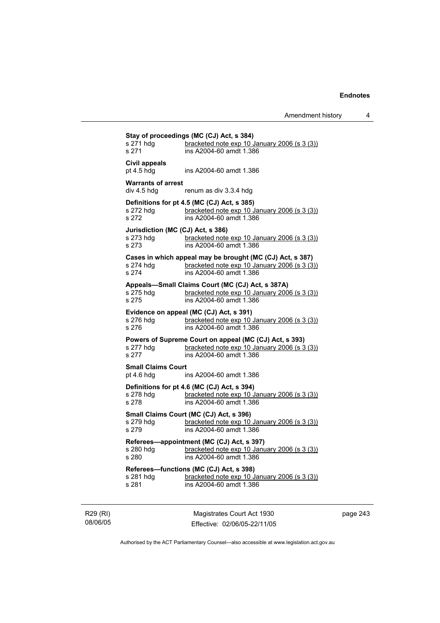Amendment history 4

| s 271 hdg<br>s 271                        | bracketed note exp 10 January 2006 (s 3 (3))<br>ins A2004-60 amdt 1.386                                                              |
|-------------------------------------------|--------------------------------------------------------------------------------------------------------------------------------------|
| Civil appeals<br>pt $4.5$ hdg             | ins A2004-60 amdt 1.386                                                                                                              |
| <b>Warrants of arrest</b><br>div 4.5 hdg  | renum as div 3.3.4 hdg                                                                                                               |
| s 272 hdg<br>s 272                        | Definitions for pt 4.5 (MC (CJ) Act, s 385)<br>bracketed note exp 10 January 2006 (s 3 (3))<br>ins A2004-60 amdt 1.386               |
| s 273 hdg<br>s 273                        | Jurisdiction (MC (CJ) Act, s 386)<br>bracketed note exp 10 January 2006 (s 3 (3))<br>ins A2004-60 amdt 1.386                         |
| s 274 hdg<br>s 274                        | Cases in which appeal may be brought (MC (CJ) Act, s 387)<br>bracketed note exp 10 January 2006 (s 3 (3))<br>ins A2004-60 amdt 1.386 |
| s 275 hdg<br>s 275                        | Appeals-Small Claims Court (MC (CJ) Act, s 387A)<br>bracketed note exp 10 January 2006 (s 3 (3))<br>ins A2004-60 amdt 1.386          |
| s 276 hdg<br>s 276                        | Evidence on appeal (MC (CJ) Act, s 391)<br>bracketed note exp 10 January 2006 (s 3 (3))<br>ins A2004-60 amdt 1.386                   |
| s 277 hdg<br>s 277                        | Powers of Supreme Court on appeal (MC (CJ) Act, s 393)<br>bracketed note $exp 10$ January 2006 (s 3 (3))<br>ins A2004-60 amdt 1.386  |
| <b>Small Claims Court</b><br>pt $4.6$ hdg | ins A2004-60 amdt 1.386                                                                                                              |
| s 278 hdg<br>s 278                        | Definitions for pt 4.6 (MC (CJ) Act, s 394)<br>bracketed note $exp 10$ January 2006 (s 3 (3))<br>ins A2004-60 amdt 1.386             |
| s 279 hdg<br>s 279                        | Small Claims Court (MC (CJ) Act, s 396)<br>bracketed note exp 10 January 2006 (s 3 (3))<br>ins A2004-60 amdt 1.386                   |
| s 280 hda<br>s 280                        | Referees-appointment (MC (CJ) Act, s 397)<br>bracketed note exp 10 January 2006 (s 3 (3))<br>ins A2004-60 amdt 1.386                 |
| s 281 hdg<br>s 281                        | Referees-functions (MC (CJ) Act, s 398)<br>bracketed note exp 10 January 2006 (s 3 (3))<br>ins A2004-60 amdt 1.386                   |

R29 (RI) 08/06/05

Magistrates Court Act 1930 Effective: 02/06/05-22/11/05 page 243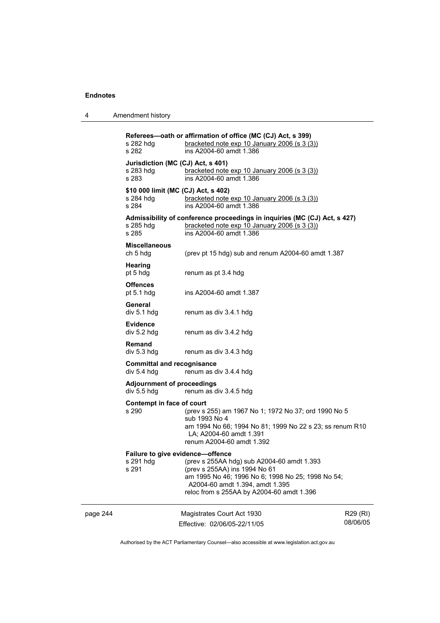| 4 | Amendment history |
|---|-------------------|
|---|-------------------|

page 244 Magistrates Court Act 1930 Effective: 02/06/05-22/11/05 R29 (RI) 08/06/05 **Referees—oath or affirmation of office (MC (CJ) Act, s 399)**  s 282 hdg bracketed note exp 10 January 2006 (s 3 (3)) s 282 ins A2004-60 amdt 1.386 **Jurisdiction (MC (CJ) Act, s 401)**  s 283 hdg bracketed note exp 10 January 2006 (s 3 (3)) s 283 ins A2004-60 amdt 1.386 **\$10 000 limit (MC (CJ) Act, s 402)**  s 284 hdg bracketed note exp 10 January 2006 (s 3 (3))<br>s 284 **bracketed note exp 10 January 2006 (s 3 (3))** ins A2004-60 amdt 1.386 **Admissibility of conference proceedings in inquiries (MC (CJ) Act, s 427)**  s 285 hdg <u>bracketed note exp 10 January 2006 (s 3 (3)</u><br>s 285 **bracketed note 1.386** s 285 ins A2004-60 amdt 1.386 **Miscellaneous**  ch 5 hdg (prev pt 15 hdg) sub and renum A2004-60 amdt 1.387 **Hearing**  pt 5 hdg renum as pt 3.4 hdg **Offences**  pt 5.1 hdg ins A2004-60 amdt 1.387 General<br>div 5.1 hdg renum as div 3.4.1 hdg **Evidence**  div 5.2 hdg renum as div 3.4.2 hdg **Remand**  div 5.3 hdg renum as div 3.4.3 hdg **Committal and recognisance**  div 5.4 hdg renum as div 3.4.4 hdg **Adjournment of proceedings**  div 5.5 hdg renum as div 3.4.5 hdg **Contempt in face of court**  s 290 (prev s 255) am 1967 No 1; 1972 No 37; ord 1990 No 5 sub 1993 No 4 am 1994 No 66; 1994 No 81; 1999 No 22 s 23; ss renum R10 LA; A2004-60 amdt 1.391 renum A2004-60 amdt 1.392 **Failure to give evidence—offence**  s 291 hdg (prev s 255AA hdg) sub A2004-60 amdt 1.393 s 291 (prev s 255AA) ins 1994 No 61 am 1995 No 46; 1996 No 6; 1998 No 25; 1998 No 54; A2004-60 amdt 1.394, amdt 1.395 reloc from s 255AA by A2004-60 amdt 1.396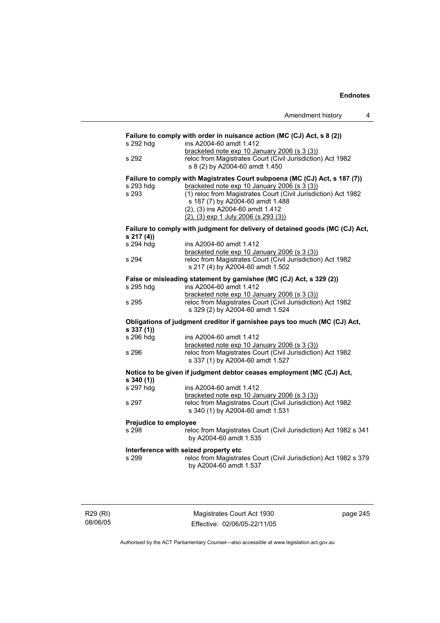|                                  |                                                                                                                                                                                                                                                                                                              | Amendment history | 4 |
|----------------------------------|--------------------------------------------------------------------------------------------------------------------------------------------------------------------------------------------------------------------------------------------------------------------------------------------------------------|-------------------|---|
| s 292 hdg<br>s 292               | Failure to comply with order in nuisance action (MC (CJ) Act, s 8 (2))<br>ins A2004-60 amdt 1.412<br>bracketed note exp 10 January 2006 (s 3 (3))<br>reloc from Magistrates Court (Civil Jurisdiction) Act 1982<br>s 8 (2) by A2004-60 amdt 1.450                                                            |                   |   |
| s 293 hdq<br>s 293               | Failure to comply with Magistrates Court subpoena (MC (CJ) Act, s 187 (7))<br>bracketed note exp 10 January 2006 (s 3 (3))<br>(1) reloc from Magistrates Court (Civil Jurisdiction) Act 1982<br>s 187 (7) by A2004-60 amdt 1.488<br>(2), (3) ins A2004-60 amdt 1.412<br>(2), (3) exp 1 July 2006 (s 293 (3)) |                   |   |
| s 217 (4))                       | Failure to comply with judgment for delivery of detained goods (MC (CJ) Act,                                                                                                                                                                                                                                 |                   |   |
| s 294 hdg<br>s 294               | ins A2004-60 amdt 1.412<br>bracketed note exp 10 January 2006 (s 3 (3))<br>reloc from Magistrates Court (Civil Jurisdiction) Act 1982<br>s 217 (4) by A2004-60 amdt 1.502                                                                                                                                    |                   |   |
|                                  | False or misleading statement by garnishee (MC (CJ) Act, s 329 (2))                                                                                                                                                                                                                                          |                   |   |
| s 295 hdg<br>s 295               | ins A2004-60 amdt 1.412<br>bracketed note exp 10 January 2006 (s 3 (3))<br>reloc from Magistrates Court (Civil Jurisdiction) Act 1982<br>s 329 (2) by A2004-60 amdt 1.524                                                                                                                                    |                   |   |
|                                  | Obligations of judgment creditor if garnishee pays too much (MC (CJ) Act,                                                                                                                                                                                                                                    |                   |   |
| s 337 (1))<br>s 296 hdg<br>s 296 | ins A2004-60 amdt 1.412<br>bracketed note exp 10 January 2006 (s 3 (3))<br>reloc from Magistrates Court (Civil Jurisdiction) Act 1982<br>s 337 (1) by A2004-60 amdt 1.527                                                                                                                                    |                   |   |
|                                  | Notice to be given if judgment debtor ceases employment (MC (CJ) Act,                                                                                                                                                                                                                                        |                   |   |
| s 340 (1))<br>s 297 hdg          | ins A2004-60 amdt 1.412<br>bracketed note exp 10 January 2006 (s 3 (3))                                                                                                                                                                                                                                      |                   |   |
| s 297                            | reloc from Magistrates Court (Civil Jurisdiction) Act 1982<br>s 340 (1) by A2004-60 amdt 1.531                                                                                                                                                                                                               |                   |   |
| Prejudice to employee<br>s 298   | reloc from Magistrates Court (Civil Jurisdiction) Act 1982 s 341<br>by A2004-60 amdt 1.535                                                                                                                                                                                                                   |                   |   |
| s 299                            | Interference with seized property etc<br>reloc from Magistrates Court (Civil Jurisdiction) Act 1982 s 379<br>by A2004-60 amdt 1.537                                                                                                                                                                          |                   |   |

R29 (RI) 08/06/05

Magistrates Court Act 1930 Effective: 02/06/05-22/11/05 page 245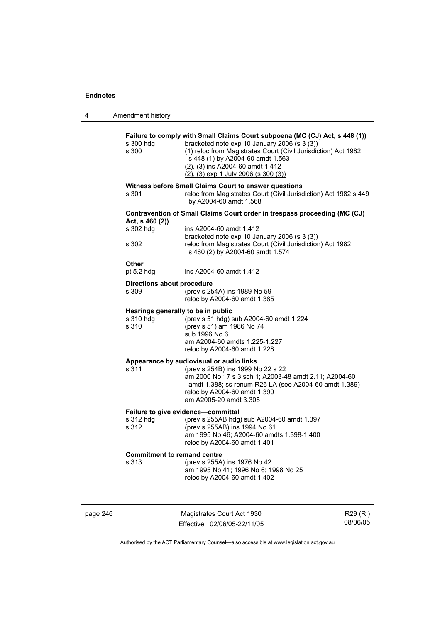4 Amendment history

| s 300                      | bracketed note exp 10 January 2006 (s 3 (3))<br>(1) reloc from Magistrates Court (Civil Jurisdiction) Act 1982<br>s 448 (1) by A2004-60 amdt 1.563<br>(2), (3) ins A2004-60 amdt 1.412<br>$(2), (3)$ exp 1 July 2006 (s 300 (3))                          |
|----------------------------|-----------------------------------------------------------------------------------------------------------------------------------------------------------------------------------------------------------------------------------------------------------|
| s 301                      | Witness before Small Claims Court to answer questions<br>reloc from Magistrates Court (Civil Jurisdiction) Act 1982 s 449<br>by A2004-60 amdt 1.568                                                                                                       |
| Act, s 460 (2))            | Contravention of Small Claims Court order in trespass proceeding (MC (CJ)                                                                                                                                                                                 |
| s 302 hdg                  | ins A2004-60 amdt 1.412<br>bracketed note exp 10 January 2006 (s 3 (3))                                                                                                                                                                                   |
| s 302                      | reloc from Magistrates Court (Civil Jurisdiction) Act 1982<br>s 460 (2) by A2004-60 amdt 1.574                                                                                                                                                            |
| <b>Other</b><br>pt 5.2 hdg | ins A2004-60 amdt 1.412                                                                                                                                                                                                                                   |
| Directions about procedure |                                                                                                                                                                                                                                                           |
| s 309                      | (prev s 254A) ins 1989 No 59<br>reloc by A2004-60 amdt 1.385                                                                                                                                                                                              |
| s 310 hdg<br>s 310         | Hearings generally to be in public<br>(prev s 51 hdg) sub A2004-60 amdt 1.224<br>(prev s 51) am 1986 No 74<br>sub 1996 No 6<br>am A2004-60 amdts 1.225-1.227<br>reloc by A2004-60 amdt 1.228                                                              |
| s 311                      | Appearance by audiovisual or audio links<br>(prev s 254B) ins 1999 No 22 s 22<br>am 2000 No 17 s 3 sch 1; A2003-48 amdt 2.11; A2004-60<br>amdt 1.388; ss renum R26 LA (see A2004-60 amdt 1.389)<br>reloc by A2004-60 amdt 1.390<br>am A2005-20 amdt 3.305 |
|                            | Failure to give evidence-committal                                                                                                                                                                                                                        |
| s 312 hdg<br>s 312         | (prev s 255AB hdg) sub A2004-60 amdt 1.397<br>(prev s 255AB) ins 1994 No 61<br>am 1995 No 46; A2004-60 amdts 1.398-1.400<br>reloc by A2004-60 amdt 1.401                                                                                                  |
|                            | <b>Commitment to remand centre</b>                                                                                                                                                                                                                        |
| s 313                      | (prev s 255A) ins 1976 No 42<br>am 1995 No 41; 1996 No 6; 1998 No 25                                                                                                                                                                                      |

page 246 Magistrates Court Act 1930 Effective: 02/06/05-22/11/05

R29 (RI) 08/06/05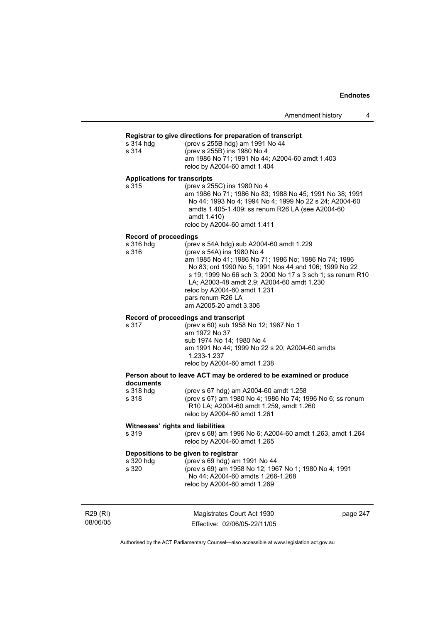## **Registrar to give directions for preparation of transcript**

| s 314 hda | (prev s 255B hdg) am 1991 No 44                |
|-----------|------------------------------------------------|
| s 314     | (prev s 255B) ins 1980 No 4                    |
|           | am 1986 No 71; 1991 No 44; A2004-60 amdt 1.403 |
|           | reloc by A2004-60 amdt 1.404                   |

#### **Applications for transcripts**

s 315 (prev s 255C) ins 1980 No 4 am 1986 No 71; 1986 No 83; 1988 No 45; 1991 No 38; 1991 No 44; 1993 No 4; 1994 No 4; 1999 No 22 s 24; A2004-60 amdts 1.405-1.409; ss renum R26 LA (see A2004-60 amdt 1.410) reloc by A2004-60 amdt 1.411

#### **Record of proceedings**

| s 316 hdg | (prev s 54A hdg) sub A2004-60 amdt 1.229                   |
|-----------|------------------------------------------------------------|
| s 316     | (prev s 54A) ins 1980 No 4                                 |
|           | am 1985 No 41; 1986 No 71; 1986 No; 1986 No 74; 1986       |
|           | No 83; ord 1990 No 5; 1991 Nos 44 and 106; 1999 No 22      |
|           | s 19: 1999 No 66 sch 3: 2000 No 17 s 3 sch 1: ss renum R10 |
|           | LA; A2003-48 amdt 2.9; A2004-60 amdt 1.230                 |
|           | reloc by A2004-60 amdt 1.231                               |
|           | pars renum R26 LA                                          |
|           | am A2005-20 amdt 3.306                                     |
|           |                                                            |

#### **Record of proceedings and transcript**

| am 1972 No 37                                                 | (prev s 60) sub 1958 No 12; 1967 No 1 |
|---------------------------------------------------------------|---------------------------------------|
|                                                               |                                       |
| sub 1974 No 14: 1980 No 4                                     |                                       |
| am 1991 No 44: 1999 No 22 s 20: A2004-60 amdts<br>1.233-1.237 |                                       |
| reloc by A2004-60 amdt 1.238                                  |                                       |

## **Person about to leave ACT may be ordered to be examined or produce documents**

| s 318 hdq | (prev s 67 hdg) am A2004-60 amdt 1.258                          |
|-----------|-----------------------------------------------------------------|
| s 318     | (prev s 67) am 1980 No 4; 1986 No 74; 1996 No 6; ss renum       |
|           | R <sub>10</sub> LA; A <sub>2004-60</sub> amdt 1.259, amdt 1.260 |
|           | reloc by A2004-60 amdt 1.261                                    |

#### **Witnesses' rights and liabilities**

s 319 (prev s 68) am 1996 No 6; A2004-60 amdt 1.263, amdt 1.264 reloc by A2004-60 amdt 1.265

# **Depositions to be given to registrar**

| s 320 hdg | (prev s 69 hdg) am 1991 No 44                         |
|-----------|-------------------------------------------------------|
| s 320     | (prev s 69) am 1958 No 12; 1967 No 1; 1980 No 4; 1991 |
|           | No 44: A2004-60 amdts 1.266-1.268                     |
|           | reloc by A2004-60 amdt 1.269                          |

| R29 (RI) |  |
|----------|--|
| 08/06/05 |  |

Magistrates Court Act 1930 Effective: 02/06/05-22/11/05 page 247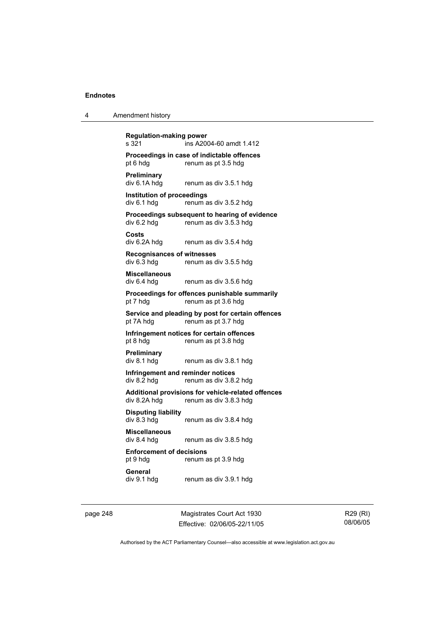| 4 | Amendment history |
|---|-------------------|
|---|-------------------|

**Regulation-making power**   $\overline{1}$  ins A2004-60 amdt 1.412 **Proceedings in case of indictable offences**  pt 6 hdg renum as pt 3.5 hdg **Preliminary**  renum as div 3.5.1 hdg **Institution of proceedings**  div 6.1 hdg renum as div 3.5.2 hdg **Proceedings subsequent to hearing of evidence**<br>div 6.2 hdg renum as div 3.5.3 hdg renum as div 3.5.3 hdg **Costs**  div 6.2A hdg renum as div 3.5.4 hdg **Recognisances of witnesses**  div 6.3 hdg renum as div 3.5.5 hdg **Miscellaneous**  div 6.4 hdg renum as div 3.5.6 hdg **Proceedings for offences punishable summarily**  pt 7 hdg renum as pt 3.6 hdg **Service and pleading by post for certain offences**  pt 7A hdg renum as pt 3.7 hdg **Infringement notices for certain offences**  pt 8 hdg renum as pt 3.8 hdg **Preliminary**  div 8.1 hdg renum as div 3.8.1 hdg **Infringement and reminder notices**<br>div 8.2 hdg renum as div 3.8. renum as div 3.8.2 hdg **Additional provisions for vehicle-related offences**  div 8.2A hdg renum as div 3.8.3 hdg **Disputing liability**  renum as div 3.8.4 hdg **Miscellaneous**  div 8.4 hdg renum as div 3.8.5 hdg **Enforcement of decisions**  pt 9 hdg renum as pt 3.9 hdg **General**  div 9.1 hdg renum as div 3.9.1 hdg

page 248 Magistrates Court Act 1930 Effective: 02/06/05-22/11/05

R29 (RI) 08/06/05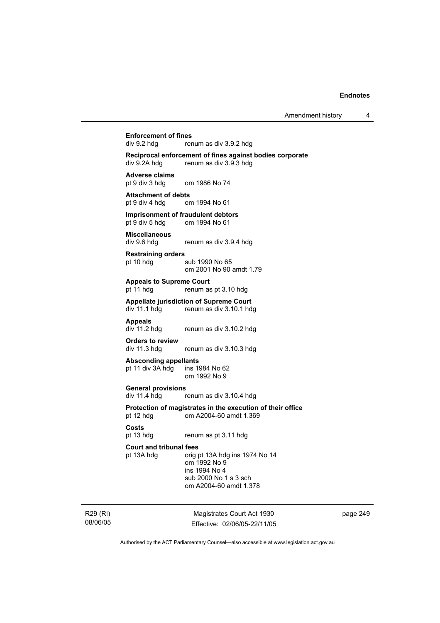# **Enforcement of fines**<br>div 9.2 hda rer

renum as div 3.9.2 hdg

**Reciprocal enforcement of fines against bodies corporate**  div 9.2A hdg renum as div 3.9.3 hdg

**Adverse claims**  om 1986 No 74

**Attachment of debts**  pt 9 div 4 hdg om 1994 No 61

**Imprisonment of fraudulent debtors**<br>
pt 9 div 5 hdg om 1994 No 61 om 1994 No 61

**Miscellaneous**  div 9.6 hdg renum as div 3.9.4 hdg

**Restraining orders** 

pt 10 hdg sub 1990 No 65 om 2001 No 90 amdt 1.79

**Appeals to Supreme Court** 

pt 11 hdg renum as pt 3.10 hdg

**Appellate jurisdiction of Supreme Court**  div 11.1 hdg renum as div 3.10.1 hdg

**Appeals** 

renum as div 3.10.2 hdg

**Orders to review**  div 11.3 hdg renum as div 3.10.3 hdg

**Absconding appellants**  pt 11 div  $3A$  hdg

om 1992 No 9

**General provisions** 

div 11.4 hdg renum as div 3.10.4 hdg

**Protection of magistrates in the execution of their office**  pt 12 hdg om A2004-60 amdt 1.369

**Costs** 

pt 13 hdg renum as pt 3.11 hdg

## **Court and tribunal fees**

pt 13A hdg orig pt 13A hdg ins 1974 No 14 om 1992 No 9 ins 1994 No 4 sub 2000 No 1 s 3 sch om A2004-60 amdt 1.378

R29 (RI) 08/06/05

Magistrates Court Act 1930 Effective: 02/06/05-22/11/05 page 249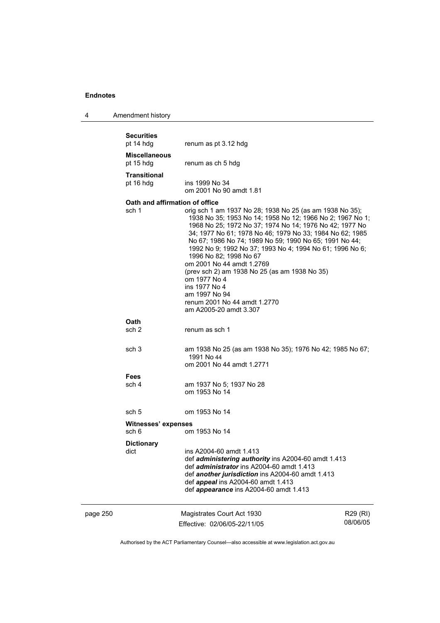| 4 | Amendment history |
|---|-------------------|
|---|-------------------|

|          | <b>Securities</b><br>pt 14 hdg          | renum as pt 3.12 hdg                                                                                                                                                                                                                                                                                                                                                                                                                                                                                                                                                                   |                      |
|----------|-----------------------------------------|----------------------------------------------------------------------------------------------------------------------------------------------------------------------------------------------------------------------------------------------------------------------------------------------------------------------------------------------------------------------------------------------------------------------------------------------------------------------------------------------------------------------------------------------------------------------------------------|----------------------|
|          | <b>Miscellaneous</b><br>pt 15 hdg       | renum as ch 5 hdg                                                                                                                                                                                                                                                                                                                                                                                                                                                                                                                                                                      |                      |
|          | <b>Transitional</b><br>pt 16 hdg        | ins 1999 No 34<br>om 2001 No 90 amdt 1.81                                                                                                                                                                                                                                                                                                                                                                                                                                                                                                                                              |                      |
|          | Oath and affirmation of office<br>sch 1 | orig sch 1 am 1937 No 28; 1938 No 25 (as am 1938 No 35);<br>1938 No 35; 1953 No 14; 1958 No 12; 1966 No 2; 1967 No 1;<br>1968 No 25; 1972 No 37; 1974 No 14; 1976 No 42; 1977 No<br>34; 1977 No 61; 1978 No 46; 1979 No 33; 1984 No 62; 1985<br>No 67; 1986 No 74; 1989 No 59; 1990 No 65; 1991 No 44;<br>1992 No 9; 1992 No 37; 1993 No 4; 1994 No 61; 1996 No 6;<br>1996 No 82; 1998 No 67<br>om 2001 No 44 amdt 1.2769<br>(prev sch 2) am 1938 No 25 (as am 1938 No 35)<br>om 1977 No 4<br>ins 1977 No 4<br>am 1997 No 94<br>renum 2001 No 44 amdt 1.2770<br>am A2005-20 amdt 3.307 |                      |
|          | <b>Oath</b><br>sch 2                    | renum as sch 1                                                                                                                                                                                                                                                                                                                                                                                                                                                                                                                                                                         |                      |
|          | sch <sub>3</sub>                        | am 1938 No 25 (as am 1938 No 35); 1976 No 42; 1985 No 67;<br>1991 No 44<br>om 2001 No 44 amdt 1.2771                                                                                                                                                                                                                                                                                                                                                                                                                                                                                   |                      |
|          | <b>Fees</b><br>sch 4                    | am 1937 No 5; 1937 No 28<br>om 1953 No 14                                                                                                                                                                                                                                                                                                                                                                                                                                                                                                                                              |                      |
|          | sch 5                                   | om 1953 No 14                                                                                                                                                                                                                                                                                                                                                                                                                                                                                                                                                                          |                      |
|          | Witnesses' expenses<br>sch 6            | om 1953 No 14                                                                                                                                                                                                                                                                                                                                                                                                                                                                                                                                                                          |                      |
|          | <b>Dictionary</b><br>dict               | ins A2004-60 amdt 1.413<br>def <i>administering authority</i> ins A2004-60 amdt 1.413<br>def <i>administrator</i> ins A2004-60 amdt 1.413<br>def another jurisdiction ins A2004-60 amdt 1.413<br>def appeal ins A2004-60 amdt 1.413<br>def appearance ins A2004-60 amdt 1.413                                                                                                                                                                                                                                                                                                          |                      |
| page 250 |                                         | Magistrates Court Act 1930<br>Effective: 02/06/05-22/11/05                                                                                                                                                                                                                                                                                                                                                                                                                                                                                                                             | R29 (RI)<br>08/06/05 |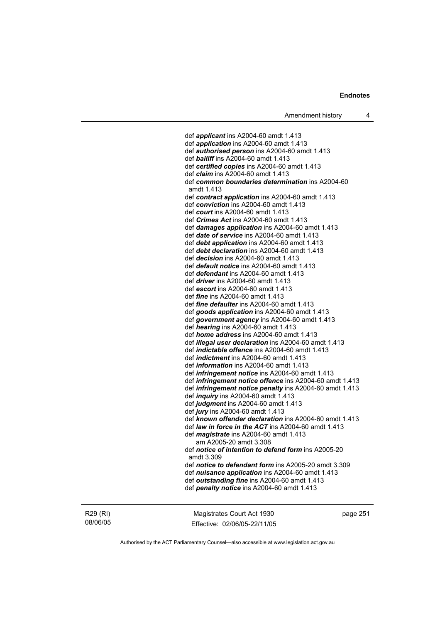def *applicant* ins A2004-60 amdt 1.413 def *application* ins A2004-60 amdt 1.413 def *authorised person* ins A2004-60 amdt 1.413 def *bailiff* ins A2004-60 amdt 1.413 def *certified copies* ins A2004-60 amdt 1.413 def *claim* ins A2004-60 amdt 1.413 def *common boundaries determination* ins A2004-60 amdt 1.413 def *contract application* ins A2004-60 amdt 1.413 def *conviction* ins A2004-60 amdt 1.413 def *court* ins A2004-60 amdt 1.413 def *Crimes Act* ins A2004-60 amdt 1.413 def *damages application* ins A2004-60 amdt 1.413 def *date of service* ins A2004-60 amdt 1.413 def *debt application* ins A2004-60 amdt 1.413 def *debt declaration* ins A2004-60 amdt 1.413 def *decision* ins A2004-60 amdt 1.413 def *default notice* ins A2004-60 amdt 1.413 def *defendant* ins A2004-60 amdt 1.413 def *driver* ins A2004-60 amdt 1.413 def *escort* ins A2004-60 amdt 1.413 def *fine* ins A2004-60 amdt 1.413 def *fine defaulter* ins A2004-60 amdt 1.413 def *goods application* ins A2004-60 amdt 1.413 def *government agency* ins A2004-60 amdt 1.413 def *hearing* ins A2004-60 amdt 1.413 def *home address* ins A2004-60 amdt 1.413 def *illegal user declaration* ins A2004-60 amdt 1.413 def *indictable offence* ins A2004-60 amdt 1.413 def *indictment* ins A2004-60 amdt 1.413 def *information* ins A2004-60 amdt 1.413 def *infringement notice* ins A2004-60 amdt 1.413 def *infringement notice offence* ins A2004-60 amdt 1.413 def *infringement notice penalty* ins A2004-60 amdt 1.413 def *inquiry* ins A2004-60 amdt 1.413 def *judgment* ins A2004-60 amdt 1.413 def *jury* ins A2004-60 amdt 1.413 def *known offender declaration* ins A2004-60 amdt 1.413 def *law in force in the ACT* ins A2004-60 amdt 1.413 def *magistrate* ins A2004-60 amdt 1.413 am A2005-20 amdt 3.308 def *notice of intention to defend form* ins A2005-20 amdt 3.309 def *notice to defendant form* ins A2005-20 amdt 3.309 def *nuisance application* ins A2004-60 amdt 1.413 def *outstanding fine* ins A2004-60 amdt 1.413 def *penalty notice* ins A2004-60 amdt 1.413

R29 (RI) 08/06/05

Magistrates Court Act 1930 Effective: 02/06/05-22/11/05 page 251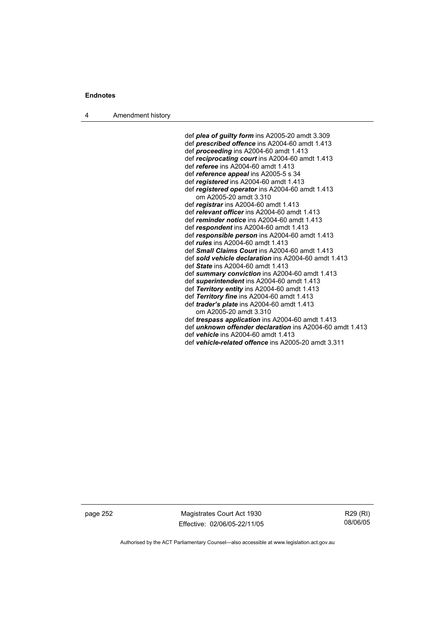4 Amendment history

 def *plea of guilty form* ins A2005-20 amdt 3.309 def *prescribed offence* ins A2004-60 amdt 1.413 def *proceeding* ins A2004-60 amdt 1.413 def *reciprocating court* ins A2004-60 amdt 1.413 def *referee* ins A2004-60 amdt 1.413 def *reference appeal* ins A2005-5 s 34 def *registered* ins A2004-60 amdt 1.413 def *registered operator* ins A2004-60 amdt 1.413 om A2005-20 amdt 3.310 def *registrar* ins A2004-60 amdt 1.413 def *relevant officer* ins A2004-60 amdt 1.413 def *reminder notice* ins A2004-60 amdt 1.413 def *respondent* ins A2004-60 amdt 1.413 def *responsible person* ins A2004-60 amdt 1.413 def *rules* ins A2004-60 amdt 1.413 def *Small Claims Court* ins A2004-60 amdt 1.413 def *sold vehicle declaration* ins A2004-60 amdt 1.413 def *State* ins A2004-60 amdt 1.413 def *summary conviction* ins A2004-60 amdt 1.413 def *superintendent* ins A2004-60 amdt 1.413 def *Territory entity* ins A2004-60 amdt 1.413 def *Territory fine* ins A2004-60 amdt 1.413 def *trader's plate* ins A2004-60 amdt 1.413 om A2005-20 amdt 3.310 def *trespass application* ins A2004-60 amdt 1.413 def *unknown offender declaration* ins A2004-60 amdt 1.413 def *vehicle* ins A2004-60 amdt 1.413 def *vehicle-related offence* ins A2005-20 amdt 3.311

page 252 Magistrates Court Act 1930 Effective: 02/06/05-22/11/05

R29 (RI) 08/06/05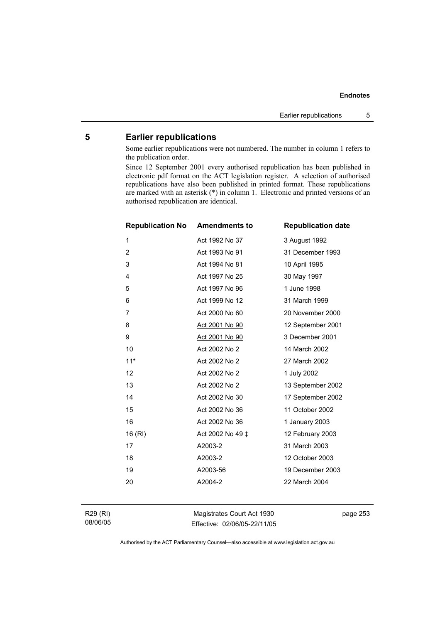# **5 Earlier republications**

Some earlier republications were not numbered. The number in column 1 refers to the publication order.

Since 12 September 2001 every authorised republication has been published in electronic pdf format on the ACT legislation register. A selection of authorised republications have also been published in printed format. These republications are marked with an asterisk (\*) in column 1. Electronic and printed versions of an authorised republication are identical.

| <b>Republication No</b> | <b>Amendments to</b> | <b>Republication date</b> |
|-------------------------|----------------------|---------------------------|
| 1                       | Act 1992 No 37       | 3 August 1992             |
| $\overline{2}$          | Act 1993 No 91       | 31 December 1993          |
| 3                       | Act 1994 No 81       | 10 April 1995             |
| 4                       | Act 1997 No 25       | 30 May 1997               |
| 5                       | Act 1997 No 96       | 1 June 1998               |
| 6                       | Act 1999 No 12       | 31 March 1999             |
| 7                       | Act 2000 No 60       | 20 November 2000          |
| 8                       | Act 2001 No 90       | 12 September 2001         |
| 9                       | Act 2001 No 90       | 3 December 2001           |
| 10                      | Act 2002 No 2        | 14 March 2002             |
| $11*$                   | Act 2002 No 2        | 27 March 2002             |
| 12                      | Act 2002 No 2        | 1 July 2002               |
| 13                      | Act 2002 No 2        | 13 September 2002         |
| 14                      | Act 2002 No 30       | 17 September 2002         |
| 15                      | Act 2002 No 36       | 11 October 2002           |
| 16                      | Act 2002 No 36       | 1 January 2003            |
| 16 (RI)                 | Act 2002 No 49 ‡     | 12 February 2003          |
| 17                      | A2003-2              | 31 March 2003             |
| 18                      | A2003-2              | 12 October 2003           |
| 19                      | A2003-56             | 19 December 2003          |
| 20                      | A2004-2              | 22 March 2004             |
|                         |                      |                           |

R29 (RI) 08/06/05

Magistrates Court Act 1930 Effective: 02/06/05-22/11/05 page 253